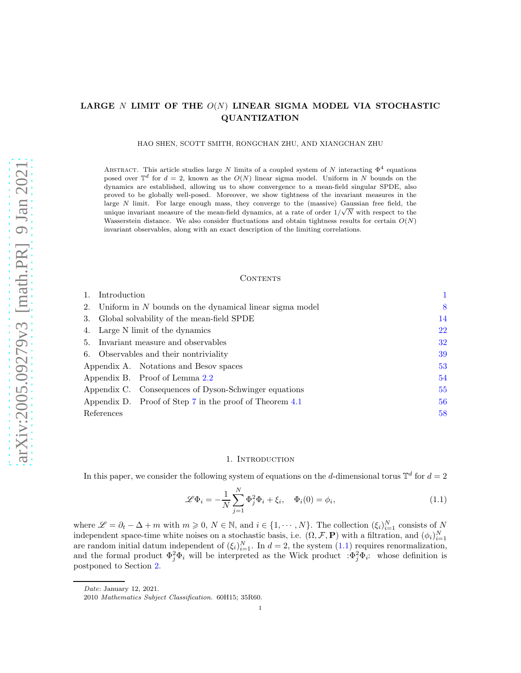# LARGE N LIMIT OF THE  $O(N)$  LINEAR SIGMA MODEL VIA STOCHASTIC QUANTIZATION

HAO SHEN, SCOTT SMITH, RONGCHAN ZHU, AND XIANGCHAN ZHU

ABSTRACT. This article studies large N limits of a coupled system of N interacting  $\Phi^4$  equations posed over  $\mathbb{T}^d$  for  $d = 2$ , known as the  $O(N)$  linear sigma model. Uniform in N bounds on the dynamics are established, allowing us to show convergence to a mean-field singular SPDE, also proved to be globally well-posed. Moreover, we show tightness of the invariant measures in the large N limit. For large enough mass, they converge to the (massive) Gaussian free field, the unique invariant measure of the mean-field dynamics, at a rate of order  $1/\sqrt{N}$  with respect to the Wasserstein distance. We also consider fluctuations and obtain tightness results for certain  $O(N)$ invariant observables, along with an exact description of the limiting correlations.

#### CONTENTS

|                                        | Introduction                                                 |    |
|----------------------------------------|--------------------------------------------------------------|----|
|                                        | 2. Uniform in $N$ bounds on the dynamical linear sigma model |    |
|                                        | 3. Global solvability of the mean-field SPDE                 |    |
| 4. Large N limit of the dynamics       |                                                              | 22 |
| 5. Invariant measure and observables   |                                                              | 32 |
| 6. Observables and their nontriviality |                                                              | 39 |
|                                        | Appendix A. Notations and Besov spaces                       | 53 |
|                                        | Appendix B. Proof of Lemma 2.2                               | 54 |
|                                        | Appendix C. Consequences of Dyson-Schwinger equations        | 55 |
|                                        | Appendix D. Proof of Step 7 in the proof of Theorem 4.1      | 56 |
| References                             |                                                              | 58 |

#### 1. INTRODUCTION

<span id="page-0-0"></span>In this paper, we consider the following system of equations on the d-dimensional torus  $\mathbb{T}^d$  for  $d=2$ 

<span id="page-0-1"></span>
$$
\mathscr{L}\Phi_i = -\frac{1}{N} \sum_{j=1}^N \Phi_j^2 \Phi_i + \xi_i, \quad \Phi_i(0) = \phi_i,
$$
\n(1.1)

where  $\mathscr{L} = \partial_t - \Delta + m$  with  $m \geqslant 0, N \in \mathbb{N}$ , and  $i \in \{1, \cdots, N\}$ . The collection  $(\xi_i)_{i=1}^N$  consists of N independent space-time white noises on a stochastic basis, i.e.  $(\Omega, \mathcal{F}, \mathbf{P})$  with a filtration, and  $(\phi_i)_{i=1}^N$ are random initial datum independent of  $(\xi_i)_{i=1}^N$ . In  $d=2$ , the system  $(1.1)$  requires renormalization, and the formal product  $\Phi_j^2 \Phi_i$  will be interpreted as the Wick product  $\Phi_j^2 \Phi_i$ : whose definition is postponed to Section [2.](#page-7-0)

Date: January 12, 2021.

<sup>2010</sup> Mathematics Subject Classification. 60H15; 35R60.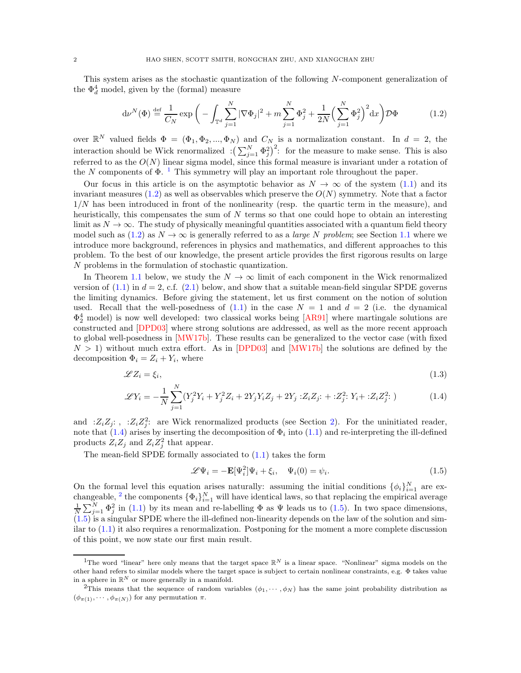This system arises as the stochastic quantization of the following N-component generalization of the  $\Phi_d^4$  model, given by the (formal) measure

<span id="page-1-1"></span>
$$
d\nu^{N}(\Phi) \stackrel{\text{def}}{=} \frac{1}{C_{N}} \exp\bigg(-\int_{\mathbb{T}^{d}} \sum_{j=1}^{N} |\nabla \Phi_{j}|^{2} + m \sum_{j=1}^{N} \Phi_{j}^{2} + \frac{1}{2N} \Big(\sum_{j=1}^{N} \Phi_{j}^{2}\Big)^{2} dx\bigg) \mathcal{D}\Phi \tag{1.2}
$$

over  $\mathbb{R}^N$  valued fields  $\Phi = (\Phi_1, \Phi_2, ..., \Phi_N)$  and  $C_N$  is a normalization constant. In  $d = 2$ , the interaction should be Wick renormalized  $\left(\sum_{j=1}^{N} \Phi_j^2\right)^2$ : for the measure to make sense. This is also referred to as the  $O(N)$  linear sigma model, since this formal measure is invariant under a rotation of the N components of  $\Phi$ . <sup>[1](#page-1-0)</sup> This symmetry will play an important role throughout the paper.

Our focus in this article is on the asymptotic behavior as  $N \to \infty$  of the system [\(1.1\)](#page-0-1) and its invariant measures  $(1.2)$  as well as observables which preserve the  $O(N)$  symmetry. Note that a factor  $1/N$  has been introduced in front of the nonlinearity (resp. the quartic term in the measure), and heuristically, this compensates the sum of N terms so that one could hope to obtain an interesting limit as  $N \to \infty$ . The study of physically meaningful quantities associated with a quantum field theory model such as  $(1.2)$  as  $N \to \infty$  is generally referred to as a *large* N problem; see Section [1.1](#page-5-0) where we introduce more background, references in physics and mathematics, and different approaches to this problem. To the best of our knowledge, the present article provides the first rigorous results on large N problems in the formulation of stochastic quantization.

In Theorem [1.1](#page-2-0) below, we study the  $N \to \infty$  limit of each component in the Wick renormalized version of  $(1.1)$  in  $d = 2$ , c.f.  $(2.1)$  below, and show that a suitable mean-field singular SPDE governs the limiting dynamics. Before giving the statement, let us first comment on the notion of solution used. Recall that the well-posedness of  $(1.1)$  in the case  $N = 1$  and  $d = 2$  (i.e. the dynamical  $\Phi_2^4$  model) is now well developed: two classical works being [\[AR91\]](#page-57-1) where martingale solutions are constructed and [\[DPD03\]](#page-58-0) where strong solutions are addressed, as well as the more recent approach to global well-posedness in [\[MW17b\]](#page-58-1). These results can be generalized to the vector case (with fixed  $N > 1$ ) without much extra effort. As in [\[DPD03\]](#page-58-0) and [\[MW17b\]](#page-58-1) the solutions are defined by the decomposition  $\Phi_i = Z_i + Y_i$ , where

$$
\mathscr{L}Z_i = \xi_i,\tag{1.3}
$$

$$
\mathcal{L}Y_i = -\frac{1}{N} \sum_{j=1}^{N} (Y_j^2 Y_i + Y_j^2 Z_i + 2Y_j Y_i Z_j + 2Y_j : Z_i Z_j : + : Z_j^2 : Y_i + : Z_i Z_j^2 :)
$$
 (1.4)

and : $Z_i Z_j$ : , : $Z_i Z_j^2$ : are Wick renormalized products (see Section [2\)](#page-7-0). For the uninitiated reader, note that  $(1.4)$  arises by inserting the decomposition of  $\Phi_i$  into  $(1.1)$  and re-interpreting the ill-defined products  $Z_i Z_j$  and  $Z_i Z_j^2$  that appear.

The mean-field SPDE formally associated to [\(1.1\)](#page-0-1) takes the form

<span id="page-1-5"></span><span id="page-1-4"></span><span id="page-1-2"></span>
$$
\mathscr{L}\Psi_i = -\mathbf{E}[\Psi_i^2]\Psi_i + \xi_i, \quad \Psi_i(0) = \psi_i.
$$
\n(1.5)

On the formal level this equation arises naturally: assuming the initial conditions  $\{\phi_i\}_{i=1}^N$  are ex-changeable, <sup>[2](#page-1-3)</sup> the components  $\{\Phi_i\}_{i=1}^N$  will have identical laws, so that replacing the empirical average  $\frac{1}{N} \sum_{j=1}^N \Phi_j^2$  in [\(1.1\)](#page-0-1) by its mean and re-labelling  $\Phi$  as  $\Psi$  leads us to [\(1.5\)](#page-1-4). In two space di [\(1.5\)](#page-1-4) is a singular SPDE where the ill-defined non-linearity depends on the law of the solution and similar to  $(1.1)$  it also requires a renormalization. Postponing for the moment a more complete discussion of this point, we now state our first main result.

<span id="page-1-0"></span><sup>&</sup>lt;sup>1</sup>The word "linear" here only means that the target space  $\mathbb{R}^N$  is a linear space. "Nonlinear" sigma models on the other hand refers to similar models where the target space is subject to certain nonlinear constraints, e.g. Φ takes value in a sphere in  $\mathbb{R}^N$  or more generally in a manifold.

<span id="page-1-3"></span><sup>&</sup>lt;sup>2</sup>This means that the sequence of random variables  $(\phi_1, \dots, \phi_N)$  has the same joint probability distribution as  $(\phi_{\pi(1)}, \cdots, \phi_{\pi(N)})$  for any permutation  $\pi$ .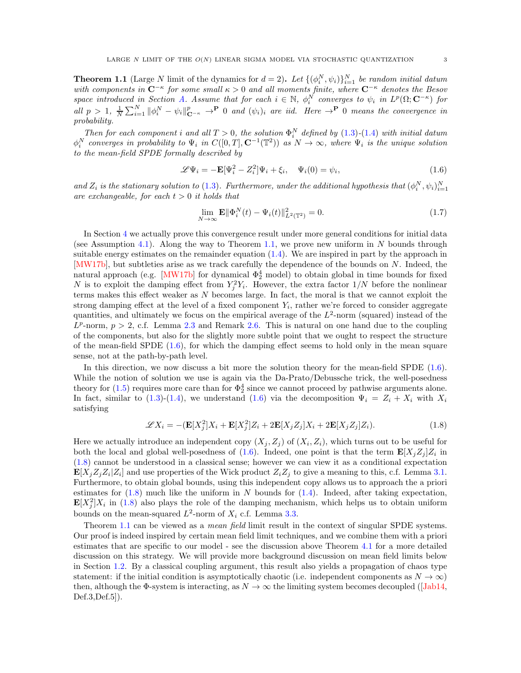<span id="page-2-0"></span>**Theorem 1.1** (Large N limit of the dynamics for  $d = 2$ ). Let  $\{(\phi_i^N, \psi_i)\}_{i=1}^N$  be random initial datum with components in  $C^{-\kappa}$  for some small  $\kappa > 0$  and all moments finite, where  $C^{-\kappa}$  denotes the Besov space introduced in Section [A.](#page-52-0) Assume that for each  $i \in \mathbb{N}$ ,  $\phi_i^N$  converges to  $\psi_i$  in  $L^p(\Omega; \mathbb{C}^{-\kappa})$  for all  $p > 1$ ,  $\frac{1}{N} \sum_{i=1}^{N} ||\phi_i^N - \psi_i||_{\mathbf{C}^{-\kappa}}^p \to \mathbf{P}$  0 and  $(\psi_i)_i$  are iid. Here  $\to \mathbf{P}$  0 means the convergence in probability.

Then for each component i and all  $T > 0$ , the solution  $\Phi_i^N$  defined by  $(1.3)-(1.4)$  $(1.3)-(1.4)$  $(1.3)-(1.4)$  with initial datum  $\phi_i^N$  converges in probability to  $\Psi_i$  in  $C([0,T], \mathbf{C}^{-1}(\mathbb{T}^2))$  as  $N \to \infty$ , where  $\Psi_i$  is the unique solution to the mean-field SPDE formally described by

<span id="page-2-1"></span>
$$
\mathscr{L}\Psi_i = -\mathbf{E}[\Psi_i^2 - Z_i^2]\Psi_i + \xi_i, \quad \Psi_i(0) = \psi_i,
$$
\n(1.6)

and  $Z_i$  is the stationary solution to [\(1.3\)](#page-1-5). Furthermore, under the additional hypothesis that  $(\phi_i^N, \psi_i)_{i=1}^N$ are exchangeable, for each  $t > 0$  it holds that

$$
\lim_{N \to \infty} \mathbf{E} \|\Phi_i^N(t) - \Psi_i(t)\|_{L^2(\mathbb{T}^2)}^2 = 0.
$$
\n(1.7)

In Section [4](#page-21-0) we actually prove this convergence result under more general conditions for initial data (see Assumption [4.1\)](#page-21-1). Along the way to Theorem [1.1,](#page-2-0) we prove new uniform in N bounds through suitable energy estimates on the remainder equation  $(1.4)$ . We are inspired in part by the approach in [\[MW17b\]](#page-58-1), but subtleties arise as we track carefully the dependence of the bounds on N. Indeed, the natural approach (e.g. [\[MW17b\]](#page-58-1) for dynamical  $\Phi_2^4$  model) to obtain global in time bounds for fixed N is to exploit the damping effect from  $Y_j^2 Y_i$ . However, the extra factor  $1/N$  before the nonlinear terms makes this effect weaker as N becomes large. In fact, the moral is that we cannot exploit the strong damping effect at the level of a fixed component  $Y_i$ , rather we're forced to consider aggregate quantities, and ultimately we focus on the empirical average of the  $L^2$ -norm (squared) instead of the  $L^p$ -norm,  $p > 2$ , c.f. Lemma [2.3](#page-9-1) and Remark [2.6.](#page-13-1) This is natural on one hand due to the coupling of the components, but also for the slightly more subtle point that we ought to respect the structure of the mean-field SPDE  $(1.6)$ , for which the damping effect seems to hold only in the mean square sense, not at the path-by-path level.

In this direction, we now discuss a bit more the solution theory for the mean-field SPDE  $(1.6)$ . While the notion of solution we use is again via the Da-Prato/Debussche trick, the well-posedness theory for  $(1.5)$  requires more care than for  $\Phi_2^4$  since we cannot proceed by pathwise arguments alone. In fact, similar to [\(1.3\)](#page-1-5)-[\(1.4\)](#page-1-2), we understand [\(1.6\)](#page-2-1) via the decomposition  $\Psi_i = Z_i + X_i$  with  $X_i$ satisfying

<span id="page-2-2"></span>
$$
\mathcal{L}X_i = -(\mathbf{E}[X_j^2]X_i + \mathbf{E}[X_j^2]Z_i + 2\mathbf{E}[X_jZ_j]X_i + 2\mathbf{E}[X_jZ_j]Z_i).
$$
\n(1.8)

Here we actually introduce an independent copy  $(X_j, Z_j)$  of  $(X_i, Z_i)$ , which turns out to be useful for both the local and global well-posedness of [\(1.6\)](#page-2-1). Indeed, one point is that the term  $\mathbf{E}[X_j Z_j] Z_i$  in [\(1.8\)](#page-2-2) cannot be understood in a classical sense; however we can view it as a conditional expectation  $\mathbf{E}[X_j Z_j Z_i | Z_i]$  and use properties of the Wick product  $Z_i Z_j$  to give a meaning to this, c.f. Lemma [3.1.](#page-14-0) Furthermore, to obtain global bounds, using this independent copy allows us to approach the a priori estimates for  $(1.8)$  much like the uniform in N bounds for  $(1.4)$ . Indeed, after taking expectation,  $\mathbf{E}[X_j^2]X_i$  in [\(1.8\)](#page-2-2) also plays the role of the damping mechanism, which helps us to obtain uniform bounds on the mean-squared  $L^2$ -norm of  $X_i$  c.f. Lemma [3.3.](#page-15-0)

Theorem [1.1](#page-2-0) can be viewed as a *mean field* limit result in the context of singular SPDE systems. Our proof is indeed inspired by certain mean field limit techniques, and we combine them with a priori estimates that are specific to our model - see the discussion above Theorem [4.1](#page-22-0) for a more detailed discussion on this strategy. We will provide more background discussion on mean field limits below in Section [1.2.](#page-6-0) By a classical coupling argument, this result also yields a propagation of chaos type statement: if the initial condition is asymptotically chaotic (i.e. independent components as  $N \to \infty$ ) then, although the  $\Phi$ -system is interacting, as  $N \to \infty$  the limiting system becomes decoupled ([\[Jab14,](#page-58-2) Def.3,Def.5]).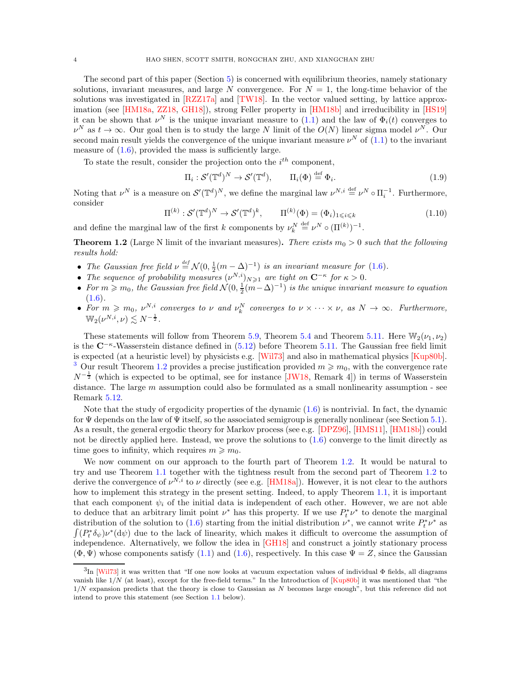The second part of this paper (Section [5\)](#page-31-0) is concerned with equilibrium theories, namely stationary solutions, invariant measures, and large N convergence. For  $N = 1$ , the long-time behavior of the solutions was investigated in [\[RZZ17a\]](#page-59-0) and [\[TW18\]](#page-59-1). In the vector valued setting, by lattice approximation (see [\[HM18a,](#page-58-3) [ZZ18,](#page-59-2) [GH18\]](#page-58-4)), strong Feller property in [\[HM18b\]](#page-58-5) and irreducibility in [\[HS19\]](#page-58-6) it can be shown that  $\nu^N$  is the unique invariant measure to [\(1.1\)](#page-0-1) and the law of  $\Phi_i(t)$  converges to  $\nu^N$  as  $t \to \infty$ . Our goal then is to study the large N limit of the  $O(N)$  linear sigma model  $\nu^N$ . Our second main result yields the convergence of the unique invariant measure  $\nu^N$  of  $(1.1)$  to the invariant measure of  $(1.6)$ , provided the mass is sufficiently large.

To state the result, consider the projection onto the  $i^{th}$  component,

$$
\Pi_i: \mathcal{S}'(\mathbb{T}^d)^N \to \mathcal{S}'(\mathbb{T}^d), \qquad \Pi_i(\Phi) \stackrel{\text{def}}{=} \Phi_i.
$$
 (1.9)

Noting that  $\nu^N$  is a measure on  $\mathcal{S}'(\mathbb{T}^d)^N$ , we define the marginal law  $\nu^{N,i} \stackrel{\text{def}}{=} \nu^N \circ \Pi_i^{-1}$ . Furthermore, consider

$$
\Pi^{(k)} : \mathcal{S}'(\mathbb{T}^d)^N \to \mathcal{S}'(\mathbb{T}^d)^k, \qquad \Pi^{(k)}(\Phi) = (\Phi_i)_{1 \leq i \leq k} \tag{1.10}
$$

and define the marginal law of the first k components by  $\nu_k^N \stackrel{\text{def}}{=} \nu^N \circ (\Pi^{(k)})^{-1}$ .

<span id="page-3-1"></span>**Theorem 1.2** (Large N limit of the invariant measures). There exists  $m_0 > 0$  such that the following results hold:

- The Gaussian free field  $\nu \stackrel{\text{def}}{=} \mathcal{N}(0, \frac{1}{2}(m \Delta)^{-1})$  is an invariant measure for [\(1.6\)](#page-2-1).
- The sequence of probability measures  $(v^{N,i})_{N\geq 1}$  are tight on  $C^{-\kappa}$  for  $\kappa > 0$ .
- For  $m \geqslant m_0$ , the Gaussian free field  $\mathcal{N}(0, \frac{1}{2}(m-\Delta)^{-1})$  is the unique invariant measure to equation  $(1.6).$  $(1.6).$
- For  $m \geq m_0$ ,  $\nu^{N,i}$  converges to  $\nu$  and  $\nu_k^N$  converges to  $\nu \times \cdots \times \nu$ , as  $N \to \infty$ . Furthermore,  $\mathbb{W}_2(\nu^{N,i},\nu) \lesssim N^{-\frac{1}{2}}$  .

These statements will follow from Theorem [5.9,](#page-35-0) Theorem [5.4](#page-33-0) and Theorem [5.11.](#page-36-0) Here  $\mathbb{W}_2(\nu_1, \nu_2)$ is the C<sup>-κ</sup>-Wasserstein distance defined in [\(5.12\)](#page-36-1) before Theorem [5.11.](#page-36-0) The Gaussian free field limit is expected (at a heuristic level) by physicists e.g. [\[Wil73\]](#page-59-3) and also in mathematical physics [\[Kup80b\]](#page-58-7). <sup>[3](#page-3-0)</sup> Our result Theorem [1.2](#page-3-1) provides a precise justification provided  $m \ge m_0$ , with the convergence rate  $N^{-\frac{1}{2}}$  (which is expected to be optimal, see for instance [\[JW18,](#page-58-8) Remark 4]) in terms of Wasserstein distance. The large m assumption could also be formulated as a small nonlinearity assumption - see Remark [5.12.](#page-37-0)

Note that the study of ergodicity properties of the dynamic [\(1.6\)](#page-2-1) is nontrivial. In fact, the dynamic for  $\Psi$  depends on the law of  $\Psi$  itself, so the associated semigroup is generally nonlinear (see Section [5.1\)](#page-32-0). As a result, the general ergodic theory for Markov process (see e.g. [\[DPZ96\]](#page-58-9), [\[HMS11\]](#page-58-10), [\[HM18b\]](#page-58-5)) could not be directly applied here. Instead, we prove the solutions to  $(1.6)$  converge to the limit directly as time goes to infinity, which requires  $m \geq m_0$ .

We now comment on our approach to the fourth part of Theorem [1.2.](#page-3-1) It would be natural to try and use Theorem [1.1](#page-2-0) together with the tightness result from the second part of Theorem [1.2](#page-3-1) to derive the convergence of  $\nu^{N,i}$  to  $\nu$  directly (see e.g. [\[HM18a\]](#page-58-3)). However, it is not clear to the authors how to implement this strategy in the present setting. Indeed, to apply Theorem [1.1,](#page-2-0) it is important that each component  $\psi_i$  of the initial data is independent of each other. However, we are not able to deduce that an arbitrary limit point  $\nu^*$  has this property. If we use  $P_t^* \nu^*$  to denote the marginal distribution of the solution to  $(1.6)$  starting from the initial distribution  $\nu^*$ , we cannot write  $P_t^* \nu^*$  as  $\int (P_t^* \delta_{\psi}) \nu^* (\mathrm{d}\psi)$  due to the lack of linearity, which makes it difficult to overcome the assumption of independence. Alternatively, we follow the idea in [\[GH18\]](#page-58-4) and construct a jointly stationary process  $(\Phi, \Psi)$  whose components satisfy  $(1.1)$  and  $(1.6)$ , respectively. In this case  $\Psi = Z$ , since the Gaussian

<span id="page-3-0"></span><sup>3</sup> In [\[Wil73\]](#page-59-3) it was written that "If one now looks at vacuum expectation values of individual Φ fields, all diagrams vanish like  $1/N$  (at least), except for the free-field terms." In the Introduction of  $\left[\frac{\text{Kup80b}}{\text{Kup80b}}\right]$  it was mentioned that "the  $1/N$  expansion predicts that the theory is close to Gaussian as N becomes large enough", but this reference did not intend to prove this statement (see Section [1.1](#page-5-0) below).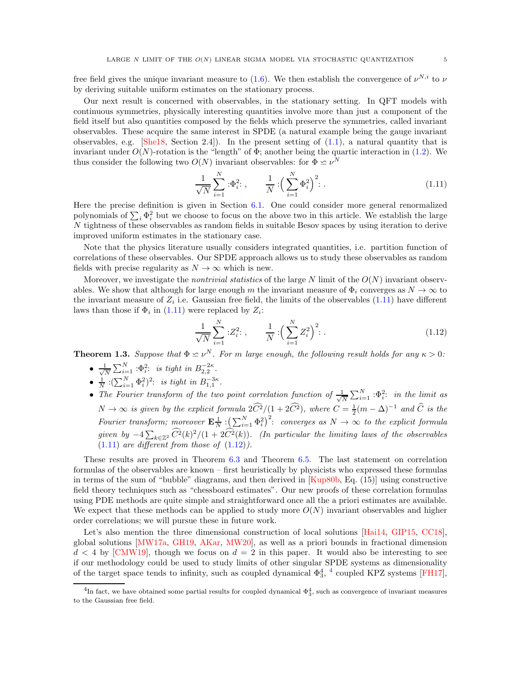free field gives the unique invariant measure to [\(1.6\)](#page-2-1). We then establish the convergence of  $\nu^{N,i}$  to  $\nu$ by deriving suitable uniform estimates on the stationary process.

Our next result is concerned with observables, in the stationary setting. In QFT models with continuous symmetries, physically interesting quantities involve more than just a component of the field itself but also quantities composed by the fields which preserve the symmetries, called invariant observables. These acquire the same interest in SPDE (a natural example being the gauge invariant observables, e.g. [\[She18,](#page-59-4) Section 2.4]). In the present setting of  $(1.1)$ , a natural quantity that is invariant under  $O(N)$ -rotation is the "length" of  $\Phi$ ; another being the quartic interaction in [\(1.2\)](#page-1-1). We thus consider the following two  $O(N)$  invariant observables: for  $\Phi \simeq \nu^N$ 

<span id="page-4-0"></span>
$$
\frac{1}{\sqrt{N}} \sum_{i=1}^{N} :\Phi_i^2; \qquad \frac{1}{N} : \left(\sum_{i=1}^{N} \Phi_i^2\right)^2; \qquad (1.11)
$$

Here the precise definition is given in Section [6.1.](#page-38-1) One could consider more general renormalized polynomials of  $\sum_i \Phi_i^2$  but we choose to focus on the above two in this article. We establish the large N tightness of these observables as random fields in suitable Besov spaces by using iteration to derive improved uniform estimates in the stationary case.

Note that the physics literature usually considers integrated quantities, i.e. partition function of correlations of these observables. Our SPDE approach allows us to study these observables as random fields with precise regularity as  $N \to \infty$  which is new.

Moreover, we investigate the *nontrivial statistics* of the large N limit of the  $O(N)$  invariant observables. We show that although for large enough m the invariant measure of  $\Phi_i$  converges as  $N \to \infty$  to the invariant measure of  $Z_i$  i.e. Gaussian free field, the limits of the observables  $(1.11)$  have different laws than those if  $\Phi_i$  in [\(1.11\)](#page-4-0) were replaced by  $Z_i$ :

<span id="page-4-1"></span>
$$
\frac{1}{\sqrt{N}} \sum_{i=1}^{N} :Z_i^2: \,, \qquad \frac{1}{N} : \left(\sum_{i=1}^{N} Z_i^2\right)^2: \,. \tag{1.12}
$$

<span id="page-4-3"></span>**Theorem 1.3.** Suppose that  $\Phi \simeq \nu^N$ . For m large enough, the following result holds for any  $\kappa > 0$ :

- $\bullet$   $\frac{1}{\sqrt{n}}$  $\frac{1}{N}\sum_{i=1}^N \,:\!\Phi_i^2$ : is tight in  $B_{2,2}^{-2\kappa}$ .
- $\frac{1}{N}$  : $(\sum_{i=1}^{N} \Phi_i^2)^2$ : is tight in  $B_{1,1}^{-3\kappa}$ .
- The Fourier transform of the two point correlation function of  $\frac{1}{\sqrt{2}}$  $\frac{1}{N} \sum_{i=1}^{N} : \Phi_i^2$ : in the limit as  $N \to \infty$  is given by the explicit formula  $2\widehat{C}^2/(1+2\widehat{C}^2)$ , where  $C = \frac{1}{2}(m - \Delta)^{-1}$  and  $\widehat{C}$  is the Fourier transform; moreover  $\mathbf{E}^1_{N}$  :  $\left(\sum_{i=1}^N \Phi_i^2\right)^2$ : converges as  $N \to \infty$  to the explicit formula given by  $-4\sum_{k\in\mathbb{Z}^2} \widehat{C}^2(k)^2/(1+2\widehat{C}^2(k))$ . (In particular the limiting laws of the observables  $(1.11)$  are different from those of  $(1.12)$ .

These results are proved in Theorem [6.3](#page-40-0) and Theorem [6.5.](#page-47-0) The last statement on correlation formulas of the observables are known – first heuristically by physicists who expressed these formulas in terms of the sum of "bubble" diagrams, and then derived in [\[Kup80b,](#page-58-7) Eq. (15)] using constructive field theory techniques such as "chessboard estimates". Our new proofs of these correlation formulas using PDE methods are quite simple and straightforward once all the a priori estimates are available. We expect that these methods can be applied to study more  $O(N)$  invariant observables and higher order correlations; we will pursue these in future work.

Let's also mention the three dimensional construction of local solutions [\[Hai14,](#page-58-11) [GIP15,](#page-58-12) [CC18\]](#page-57-2), global solutions [\[MW17a,](#page-58-13) [GH19,](#page-58-14) [AKar,](#page-57-3) [MW20\]](#page-59-5), as well as a priori bounds in fractional dimension  $d < 4$  by [\[CMW19\]](#page-57-4), though we focus on  $d = 2$  in this paper. It would also be interesting to see if our methodology could be used to study limits of other singular SPDE systems as dimensionality of the target space tends to infinity, such as coupled dynamical  $\Phi_3^4$  $\Phi_3^4$ , <sup>4</sup> coupled KPZ systems [\[FH17\]](#page-58-15),

<span id="page-4-2"></span><sup>&</sup>lt;sup>4</sup>In fact, we have obtained some partial results for coupled dynamical  $\Phi_3^4$ , such as convergence of invariant measures to the Gaussian free field.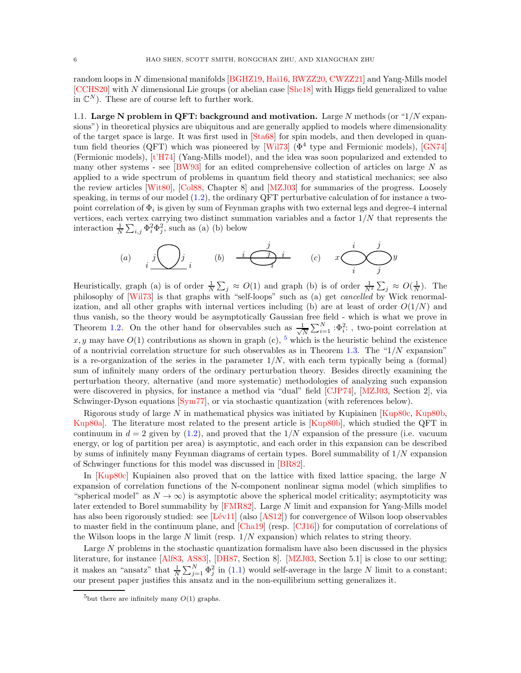random loops in N dimensional manifolds [\[BGHZ19,](#page-57-5) [Hai16,](#page-58-16) [RWZZ20,](#page-59-6) [CWZZ21\]](#page-58-17) and Yang-Mills model [\[CCHS20\]](#page-57-6) with N dimensional Lie groups (or abelian case [\[She18\]](#page-59-4) with Higgs field generalized to value in  $\mathbb{C}^N$ ). These are of course left to further work.

<span id="page-5-0"></span>1.1. Large N problem in QFT: background and motivation. Large N methods (or " $1/N$  expansions") in theoretical physics are ubiquitous and are generally applied to models where dimensionality of the target space is large. It was first used in [\[Sta68\]](#page-59-7) for spin models, and then developed in quan-tum field theories (QFT) which was pioneered by [\[Wil73\]](#page-59-3) ( $\Phi^4$  type and Fermionic models), [\[GN74\]](#page-58-18) (Fermionic models), [\[t'H74\]](#page-59-8) (Yang-Mills model), and the idea was soon popularized and extended to many other systems - see [\[BW93\]](#page-57-7) for an edited comprehensive collection of articles on large N as applied to a wide spectrum of problems in quantum field theory and statistical mechanics; see also the review articles [\[Wit80\]](#page-59-9), [\[Col88,](#page-57-8) Chapter 8] and [\[MZJ03\]](#page-59-10) for summaries of the progress. Loosely speaking, in terms of our model [\(1.2\)](#page-1-1), the ordinary QFT perturbative calculation of for instance a twopoint correlation of  $\Phi_i$  is given by sum of Feynman graphs with two external legs and degree-4 internal vertices, each vertex carrying two distinct summation variables and a factor  $1/N$  that represents the interaction  $\frac{1}{N} \sum_{i,j} \Phi_i^2 \Phi_j^2$ , such as (a) (b) below

(a) 
$$
i \overbrace{\hspace{2cm}} j \overbrace{\hspace{2cm}} j_i
$$
 (b)  $i \overbrace{\hspace{2cm}} j \overbrace{\hspace{2cm}} i$  (c)  $x \overbrace{\hspace{2cm}} j \overbrace{\hspace{2cm}} j$ 

Heuristically, graph (a) is of order  $\frac{1}{N} \sum_j \approx O(1)$  and graph (b) is of order  $\frac{1}{N^2} \sum_j \approx O(\frac{1}{N})$ . The philosophy of [\[Wil73\]](#page-59-3) is that graphs with "self-loops" such as (a) get *cancelled* by Wick renormalization, and all other graphs with internal vertices including (b) are at least of order  $O(1/N)$  and thus vanish, so the theory would be asymptotically Gaussian free field - which is what we prove in Theorem [1.2.](#page-3-1) On the other hand for observables such as  $\frac{1}{\sqrt{2}}$  $\frac{1}{N} \sum_{i=1}^{N} : \Phi_i^2$ : , two-point correlation at x, y may have  $O(1)$  contributions as shown in graph (c), <sup>[5](#page-5-1)</sup> which is the heuristic behind the existence of a nontrivial correlation structure for such observables as in Theorem [1.3.](#page-4-3) The " $1/N$  expansion" is a re-organization of the series in the parameter  $1/N$ , with each term typically being a (formal) sum of infinitely many orders of the ordinary perturbation theory. Besides directly examining the perturbation theory, alternative (and more systematic) methodologies of analyzing such expansion were discovered in physics, for instance a method via "dual" field [\[CJP74\]](#page-57-9), [\[MZJ03,](#page-59-10) Section 2], via Schwinger-Dyson equations [\[Sym77\]](#page-59-11), or via stochastic quantization (with references below).

Rigorous study of large N in mathematical physics was initiated by Kupiainen [\[Kup80c,](#page-58-19) [Kup80b,](#page-58-7) [Kup80a\]](#page-58-20). The literature most related to the present article is [\[Kup80b\]](#page-58-7), which studied the QFT in continuum in  $d = 2$  given by [\(1.2\)](#page-1-1), and proved that the  $1/N$  expansion of the pressure (i.e. vacuum energy, or log of partition per area) is asymptotic, and each order in this expansion can be described by sums of infinitely many Feynman diagrams of certain types. Borel summability of  $1/N$  expansion of Schwinger functions for this model was discussed in [\[BR82\]](#page-57-10).

In [\[Kup80c\]](#page-58-19) Kupiainen also proved that on the lattice with fixed lattice spacing, the large N expansion of correlation functions of the N-component nonlinear sigma model (which simplifies to "spherical model" as  $N \to \infty$ ) is asymptotic above the spherical model criticality; asymptoticity was later extended to Borel summability by [\[FMR82\]](#page-58-21). Large N limit and expansion for Yang-Mills model has also been rigorously studied: see  $[Lév11]$  (also  $[AS12]$ ) for convergence of Wilson loop observables to master field in the continuum plane, and [\[Cha19\]](#page-57-12) (resp. [\[CJ16\]](#page-57-13)) for computation of correlations of the Wilson loops in the large  $N$  limit (resp.  $1/N$  expansion) which relates to string theory.

Large N problems in the stochastic quantization formalism have also been discussed in the physics literature, for instance [\[Alf83,](#page-57-14) [AS83\]](#page-57-15), [\[DH87,](#page-58-23) Section 8]. [\[MZJ03,](#page-59-10) Section 5.1] is close to our setting; it makes an "ansatz" that  $\frac{1}{N} \sum_{j=1}^{N} \Phi_j^2$  in [\(1.1\)](#page-0-1) would self-average in the large N limit to a constant; our present paper justifies this ansatz and in the non-equilibrium setting generalizes it.

<span id="page-5-1"></span><sup>&</sup>lt;sup>5</sup>but there are infinitely many  $O(1)$  graphs.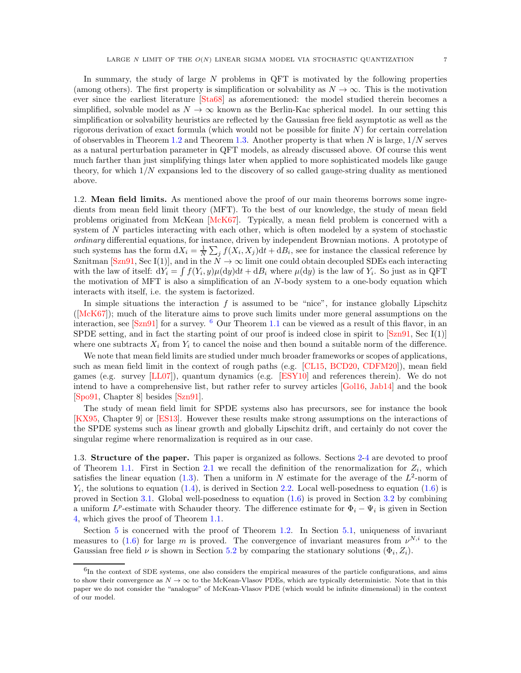In summary, the study of large  $N$  problems in QFT is motivated by the following properties (among others). The first property is simplification or solvability as  $N \to \infty$ . This is the motivation ever since the earliest literature [\[Sta68\]](#page-59-7) as aforementioned: the model studied therein becomes a simplified, solvable model as  $N \to \infty$  known as the Berlin-Kac spherical model. In our setting this simplification or solvability heuristics are reflected by the Gaussian free field asymptotic as well as the rigorous derivation of exact formula (which would not be possible for finite  $N$ ) for certain correlation of observables in Theorem [1.2](#page-3-1) and Theorem [1.3.](#page-4-3) Another property is that when  $N$  is large,  $1/N$  serves as a natural perturbation parameter in QFT models, as already discussed above. Of course this went much farther than just simplifying things later when applied to more sophisticated models like gauge theory, for which 1/N expansions led to the discovery of so called gauge-string duality as mentioned above.

<span id="page-6-0"></span>1.2. Mean field limits. As mentioned above the proof of our main theorems borrows some ingredients from mean field limit theory (MFT). To the best of our knowledge, the study of mean field problems originated from McKean [\[McK67\]](#page-58-24). Typically, a mean field problem is concerned with a system of N particles interacting with each other, which is often modeled by a system of stochastic ordinary differential equations, for instance, driven by independent Brownian motions. A prototype of such systems has the form  $dX_i = \frac{1}{N} \sum_j f(X_i, X_j) dt + dB_i$ , see for instance the classical reference by Sznitman [\[Szn91,](#page-59-12) Sec I(1)], and in the  $N \to \infty$  limit one could obtain decoupled SDEs each interacting with the law of itself:  $dY_i = \int f(Y_i, y) \mu(dy) dt + dB_i$  where  $\mu(dy)$  is the law of  $Y_i$ . So just as in QFT the motivation of MFT is also a simplification of an N-body system to a one-body equation which interacts with itself, i.e. the system is factorized.

In simple situations the interaction  $f$  is assumed to be "nice", for instance globally Lipschitz ([\[McK67\]](#page-58-24)); much of the literature aims to prove such limits under more general assumptions on the interaction, see  $[Szn91]$  for a survey. <sup>[6](#page-6-1)</sup> Our Theorem [1.1](#page-2-0) can be viewed as a result of this flavor, in an SPDE setting, and in fact the starting point of our proof is indeed close in spirit to  $[Szn91, Sec I(1)]$ where one subtracts  $X_i$  from  $Y_i$  to cancel the noise and then bound a suitable norm of the difference.

We note that mean field limits are studied under much broader frameworks or scopes of applications, such as mean field limit in the context of rough paths (e.g. [\[CL15,](#page-57-16) [BCD20,](#page-57-17) [CDFM20\]](#page-57-18)), mean field games (e.g. survey [\[LL07\]](#page-58-25)), quantum dynamics (e.g. [\[ESY10\]](#page-58-26) and references therein). We do not intend to have a comprehensive list, but rather refer to survey articles [\[Gol16,](#page-58-27) [Jab14\]](#page-58-2) and the book [\[Spo91,](#page-59-13) Chapter 8] besides [\[Szn91\]](#page-59-12).

The study of mean field limit for SPDE systems also has precursors, see for instance the book [\[KX95,](#page-58-28) Chapter 9] or [\[ES13\]](#page-58-29). However these results make strong assumptions on the interactions of the SPDE systems such as linear growth and globally Lipschitz drift, and certainly do not cover the singular regime where renormalization is required as in our case.

1.3. Structure of the paper. This paper is organized as follows. Sections [2-](#page-7-0)[4](#page-21-0) are devoted to proof of Theorem [1.1.](#page-2-0) First in Section [2.1](#page-8-0) we recall the definition of the renormalization for  $Z_i$ , which satisfies the linear equation [\(1.3\)](#page-1-5). Then a uniform in N estimate for the average of the  $L^2$ -norm of  $Y_i$ , the solutions to equation [\(1.4\)](#page-1-2), is derived in Section [2.2.](#page-9-2) Local well-posedness to equation [\(1.6\)](#page-2-1) is proved in Section [3.1.](#page-14-1) Global well-posedness to equation [\(1.6\)](#page-2-1) is proved in Section [3.2](#page-15-1) by combining a uniform  $L^p$ -estimate with Schauder theory. The difference estimate for  $\Phi_i - \Psi_i$  is given in Section [4,](#page-21-0) which gives the proof of Theorem [1.1.](#page-2-0)

Section [5](#page-31-0) is concerned with the proof of Theorem [1.2.](#page-3-1) In Section [5.1,](#page-32-0) uniqueness of invariant measures to [\(1.6\)](#page-2-1) for large m is proved. The convergence of invariant measures from  $\nu^{N,i}$  to the Gaussian free field  $\nu$  is shown in Section [5.2](#page-34-0) by comparing the stationary solutions  $(\Phi_i, Z_i)$ .

<span id="page-6-1"></span><sup>&</sup>lt;sup>6</sup>In the context of SDE systems, one also considers the empirical measures of the particle configurations, and aims to show their convergence as  $N \to \infty$  to the McKean-Vlasov PDEs, which are typically deterministic. Note that in this paper we do not consider the "analogue" of McKean-Vlasov PDE (which would be infinite dimensional) in the context of our model.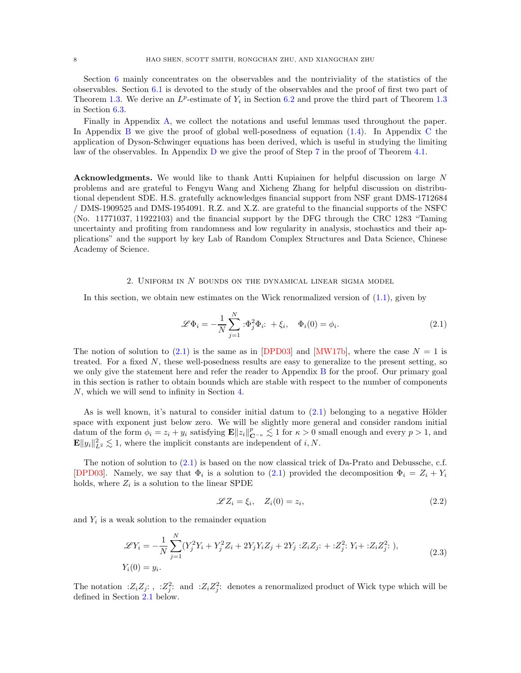Section [6](#page-38-0) mainly concentrates on the observables and the nontriviality of the statistics of the observables. Section [6.1](#page-38-1) is devoted to the study of the observables and the proof of first two part of Theorem [1.3.](#page-4-3) We derive an  $L^p$ -estimate of  $Y_i$  in Section [6.2](#page-42-0) and prove the third part of Theorem [1.3](#page-4-3) in Section [6.3.](#page-47-1)

Finally in Appendix [A,](#page-52-0) we collect the notations and useful lemmas used throughout the paper. In Appendix [B](#page-53-0) we give the proof of global well-posedness of equation  $(1.4)$ . In Appendix [C](#page-54-0) the application of Dyson-Schwinger equations has been derived, which is useful in studying the limiting law of the observables. In Appendix [D](#page-55-0) we give the proof of Step [7](#page-30-0) in the proof of Theorem [4.1.](#page-22-0)

Acknowledgments. We would like to thank Antti Kupiainen for helpful discussion on large N problems and are grateful to Fengyu Wang and Xicheng Zhang for helpful discussion on distributional dependent SDE. H.S. gratefully acknowledges financial support from NSF grant DMS-1712684 / DMS-1909525 and DMS-1954091. R.Z. and X.Z. are grateful to the financial supports of the NSFC (No. 11771037, 11922103) and the financial support by the DFG through the CRC 1283 "Taming uncertainty and profiting from randomness and low regularity in analysis, stochastics and their applications" and the support by key Lab of Random Complex Structures and Data Science, Chinese Academy of Science.

# 2. UNIFORM IN  $N$  bounds on the dynamical linear sigma model

<span id="page-7-0"></span>In this section, we obtain new estimates on the Wick renormalized version of  $(1.1)$ , given by

<span id="page-7-1"></span>
$$
\mathcal{L}\Phi_i = -\frac{1}{N} \sum_{j=1}^N \mathbf{E}^2 \Phi_i \mathbf{E} + \xi_i, \quad \Phi_i(0) = \phi_i.
$$
 (2.1)

The notion of solution to [\(2.1\)](#page-7-1) is the same as in [\[DPD03\]](#page-58-0) and [\[MW17b\]](#page-58-1), where the case  $N = 1$  is treated. For a fixed  $N$ , these well-posedness results are easy to generalize to the present setting, so we only give the statement here and refer the reader to Appendix [B](#page-53-0) for the proof. Our primary goal in this section is rather to obtain bounds which are stable with respect to the number of components N, which we will send to infinity in Section [4.](#page-21-0)

As is well known, it's natural to consider initial datum to  $(2.1)$  belonging to a negative Hölder space with exponent just below zero. We will be slightly more general and consider random initial datum of the form  $\phi_i = z_i + y_i$  satisfying  $\mathbf{E} ||z_i||_{\mathbf{C}^{-\kappa}}^p \lesssim 1$  for  $\kappa > 0$  small enough and every  $p > 1$ , and  $\mathbf{E} \|y_i\|_{L^2}^2 \lesssim 1$ , where the implicit constants are independent of i, N.

The notion of solution to [\(2.1\)](#page-7-1) is based on the now classical trick of Da-Prato and Debussche, c.f. [\[DPD03\]](#page-58-0). Namely, we say that  $\Phi_i$  is a solution to [\(2.1\)](#page-7-1) provided the decomposition  $\Phi_i = Z_i + Y_i$ holds, where  $Z_i$  is a solution to the linear SPDE

<span id="page-7-3"></span>
$$
\mathscr{L}Z_i = \xi_i, \quad Z_i(0) = z_i,\tag{2.2}
$$

and  $Y_i$  is a weak solution to the remainder equation

<span id="page-7-2"></span>
$$
\mathcal{L}Y_i = -\frac{1}{N} \sum_{j=1}^{N} (Y_j^2 Y_i + Y_j^2 Z_i + 2Y_j Y_i Z_j + 2Y_j : Z_i Z_j : + : Z_j^2 : Y_i + : Z_i Z_j^2 : ),
$$
  
\n
$$
Y_i(0) = y_i.
$$
\n(2.3)

The notation :  $Z_i Z_j$ : , :  $Z_j^2$ : and :  $Z_i Z_j^2$ : denotes a renormalized product of Wick type which will be defined in Section [2.1](#page-8-0) below.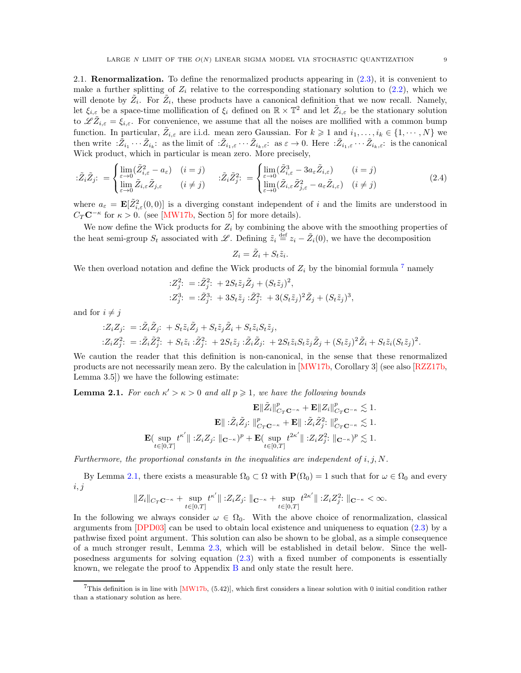<span id="page-8-0"></span>2.1. Renormalization. To define the renormalized products appearing in [\(2.3\)](#page-7-2), it is convenient to make a further splitting of  $Z_i$  relative to the corresponding stationary solution to  $(2.2)$ , which we will denote by  $\tilde{Z}_i$ . For  $\tilde{Z}_i$ , these products have a canonical definition that we now recall. Namely, let  $\xi_{i,\varepsilon}$  be a space-time mollification of  $\xi_i$  defined on  $\mathbb{R} \times \mathbb{T}^2$  and let  $\tilde{Z}_{i,\varepsilon}$  be the stationary solution to  $\mathscr{L}\tilde{Z}_{i,\varepsilon} = \xi_{i,\varepsilon}$ . For convenience, we assume that all the noises are mollified with a common bump function. In particular,  $\tilde{Z}_{i,\varepsilon}$  are i.i.d. mean zero Gaussian. For  $k \geq 1$  and  $i_1, \ldots, i_k \in \{1, \cdots, N\}$  we then write  $:\!\!\tilde Z_{i_1}\cdots\tilde Z_{i_k}$ : as the limit of  $:\!\!\tilde Z_{i_1,\varepsilon}\cdots\tilde Z_{i_k,\varepsilon}$ : as  $\varepsilon\to 0$ . Here  $:\!\!\tilde Z_{i_1,\varepsilon}\cdots\tilde Z_{i_k,\varepsilon}$ : is the canonical Wick product, which in particular is mean zero. More precisely,

$$
\tilde{Z}_{i}\tilde{Z}_{j} := \begin{cases}\n\lim_{\varepsilon \to 0} (\tilde{Z}_{i,\varepsilon}^{2} - a_{\varepsilon}) & (i = j) \\
\lim_{\varepsilon \to 0} \tilde{Z}_{i,\varepsilon} \tilde{Z}_{j,\varepsilon} & (i \neq j)\n\end{cases} \quad : \tilde{Z}_{i}\tilde{Z}_{j}^{2} := \begin{cases}\n\lim_{\varepsilon \to 0} (\tilde{Z}_{i,\varepsilon}^{3} - 3a_{\varepsilon}\tilde{Z}_{i,\varepsilon}) & (i = j) \\
\lim_{\varepsilon \to 0} (\tilde{Z}_{i,\varepsilon} \tilde{Z}_{j,\varepsilon}^{2} - a_{\varepsilon}\tilde{Z}_{i,\varepsilon}) & (i \neq j)\n\end{cases} \tag{2.4}
$$

where  $a_{\varepsilon} = \mathbf{E}[\tilde{Z}_{i,\varepsilon}^2(0,0)]$  is a diverging constant independent of i and the limits are understood in  $C_T \mathbf{C}^{-\kappa}$  for  $\kappa > 0$ . (see [\[MW17b,](#page-58-1) Section 5] for more details).

We now define the Wick products for  $Z_i$  by combining the above with the smoothing properties of the heat semi-group  $S_t$  associated with L. Defining  $\tilde{z}_i \stackrel{\text{def}}{=} z_i - \tilde{Z}_i(0)$ , we have the decomposition

<span id="page-8-3"></span>
$$
Z_i = \tilde{Z}_i + S_t \tilde{z}_i.
$$

We then overload notation and define the Wick products of  $Z_i$  by the binomial formula  $^7$  $^7$  namely

$$
:Z_j^2: = \tilde{z}_j^2: +2S_t\tilde{z}_j\tilde{Z}_j + (S_t\tilde{z}_j)^2,
$$
  
\n
$$
:Z_j^3: = \tilde{z}_j^3: +3S_t\tilde{z}_j \tilde{z}_j^2: +3(S_t\tilde{z}_j)^2\tilde{Z}_j + (S_t\tilde{z}_j)^3,
$$

and for  $i \neq j$ 

$$
\begin{aligned}\n&:\mathbf{Z}_i Z_j: \quad = \,:\! \tilde{Z}_i \tilde{Z}_j: \quad + \, S_t \tilde{z}_i \tilde{Z}_j + S_t \tilde{z}_j \tilde{Z}_i + S_t \tilde{z}_i S_t \tilde{z}_j, \\
&:\mathbf{Z}_i Z_j^2: \quad = \,:\! \tilde{Z}_i \tilde{Z}_j^2: \quad + \, S_t \tilde{z}_i : \tilde{Z}_j^2: \quad + \, 2S_t \tilde{z}_j : \tilde{Z}_i \tilde{Z}_j: \quad + \, 2S_t \tilde{z}_i S_t \tilde{z}_j \tilde{Z}_j + (S_t \tilde{z}_j)^2 \tilde{Z}_i + S_t \tilde{z}_i (S_t \tilde{z}_j)^2.\n\end{aligned}
$$

We caution the reader that this definition is non-canonical, in the sense that these renormalized products are not necessarily mean zero. By the calculation in [\[MW17b,](#page-58-1) Corollary 3] (see also [\[RZZ17b,](#page-59-14) Lemma 3.5]) we have the following estimate:

<span id="page-8-2"></span>**Lemma 2.1.** For each  $\kappa' > \kappa > 0$  and all  $p \geq 1$ , we have the following bounds

$$
\mathbf{E}\|\tilde{Z}_i\|_{C_T\mathbf{C}^{-\kappa}}^p + \mathbf{E}\|Z_i\|_{C_T\mathbf{C}^{-\kappa}}^p \lesssim 1.
$$

$$
\mathbf{E}\|\cdot\tilde{Z}_i\tilde{Z}_j:\|_{C_T\mathbf{C}^{-\kappa}}^p + \mathbf{E}\|\cdot\tilde{Z}_i\tilde{Z}_j^2:\|_{C_T\mathbf{C}^{-\kappa}}^p \lesssim 1.
$$

$$
\mathbf{E}(\sup_{t\in[0,T]}t^{\kappa'}\|:Z_iZ_j:\|_{\mathbf{C}^{-\kappa}})^p + \mathbf{E}(\sup_{t\in[0,T]}t^{2\kappa'}\|:Z_iZ_j^2:\|_{\mathbf{C}^{-\kappa}})^p \lesssim 1.
$$

Furthermore, the proportional constants in the inequalities are independent of  $i, j, N$ .

By Lemma [2.1,](#page-8-2) there exists a measurable  $\Omega_0 \subset \Omega$  with  $P(\Omega_0) = 1$  such that for  $\omega \in \Omega_0$  and every  $i, j$ 

$$
||Z_i||_{C_T\mathbf{C}^{-\kappa}} + \sup_{t \in [0,T]} t^{\kappa'} ||  : Z_i Z_j : ||_{\mathbf{C}^{-\kappa}} + \sup_{t \in [0,T]} t^{2\kappa'} ||  : Z_i Z_j^2 : ||_{\mathbf{C}^{-\kappa}} < \infty.
$$

In the following we always consider  $\omega \in \Omega_0$ . With the above choice of renormalization, classical arguments from [\[DPD03\]](#page-58-0) can be used to obtain local existence and uniqueness to equation [\(2.3\)](#page-7-2) by a pathwise fixed point argument. This solution can also be shown to be global, as a simple consequence of a much stronger result, Lemma [2.3,](#page-9-1) which will be established in detail below. Since the wellposedness arguments for solving equation [\(2.3\)](#page-7-2) with a fixed number of components is essentially known, we relegate the proof to Appendix [B](#page-53-0) and only state the result here.

<span id="page-8-1"></span> $7$ This definition is in line with  $[MW17b, (5.42)]$ , which first considers a linear solution with 0 initial condition rather than a stationary solution as here.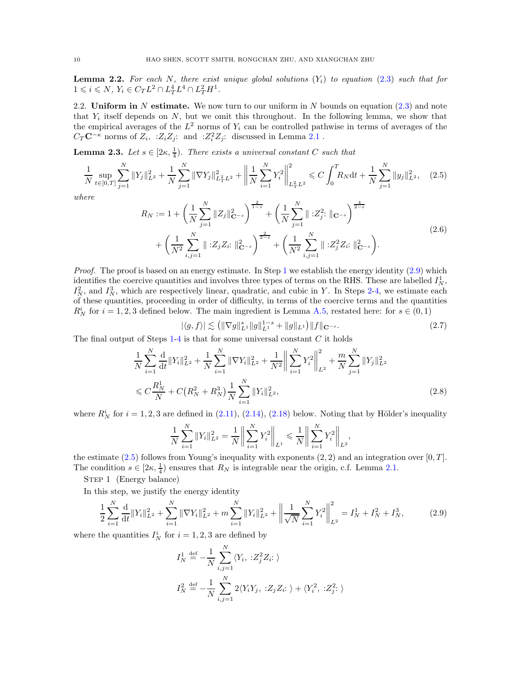<span id="page-9-0"></span>**Lemma 2.2.** For each N, there exist unique global solutions  $(Y_i)$  to equation [\(2.3\)](#page-7-2) such that for  $1 \leq i \leq N$ ,  $Y_i \in C_T L^2 \cap L_T^4 L^4 \cap L_T^2 H^1$ .

<span id="page-9-2"></span>2.2. Uniform in N estimate. We now turn to our uniform in N bounds on equation  $(2.3)$  and note that  $Y_i$  itself depends on  $N$ , but we omit this throughout. In the following lemma, we show that the empirical averages of the  $L^2$  norms of  $Y_i$  can be controlled pathwise in terms of averages of the  $C_T \mathbf{C}^{-\kappa}$  norms of  $Z_i$ , : $Z_i Z_j$ : and : $Z_i^2 Z_j$ : discussed in Lemma [2.1](#page-8-2).

<span id="page-9-1"></span>**Lemma 2.3.** Let  $s \in [2\kappa, \frac{1}{4})$ . There exists a universal constant C such that

$$
\frac{1}{N} \sup_{t \in [0,T]} \sum_{j=1}^{N} \|Y_j\|_{L^2}^2 + \frac{1}{N} \sum_{j=1}^{N} \|\nabla Y_j\|_{L^2_T L^2}^2 + \left\|\frac{1}{N} \sum_{i=1}^{N} Y_i^2\right\|_{L^2_T L^2}^2 \le C \int_0^T R_N dt + \frac{1}{N} \sum_{j=1}^{N} \|y_j\|_{L^2}^2, \tag{2.5}
$$

where

<span id="page-9-7"></span><span id="page-9-5"></span>
$$
R_N := 1 + \left(\frac{1}{N} \sum_{j=1}^N \|Z_j\|_{\mathbf{C}^{-s}}^2\right)^{\frac{2}{1-s}} + \left(\frac{1}{N} \sum_{j=1}^N \| :Z_j^2: \|_{\mathbf{C}^{-s}}\right)^{\frac{4}{2-s}} + \left(\frac{1}{N^2} \sum_{i,j=1}^N \| :Z_jZ_i: \|_{\mathbf{C}^{-s}}^2\right)^{\frac{2}{2-s}} + \left(\frac{1}{N^2} \sum_{i,j=1}^N \| :Z_j^2Z_i: \|_{\mathbf{C}^{-s}}^2\right).
$$
\n(2.6)

*Proof.* The proof is based on an energy estimate. In Step [1](#page-9-3) we establish the energy identity  $(2.9)$  which identifies the coercive quantities and involves three types of terms on the RHS. These are labelled  $I_N^1$ ,  $I_N^2$ , and  $I_N^3$ , which are respectively linear, quadratic, and cubic in Y. In Steps [2-](#page-9-4)[4,](#page-11-0) we estimate each of these quantities, proceeding in order of difficulty, in terms of the coercive terms and the quantities  $R_N^i$  for  $i = 1, 2, 3$  defined below. The main ingredient is Lemma [A.5,](#page-53-1) restated here: for  $s \in (0, 1)$ 

<span id="page-9-6"></span><span id="page-9-3"></span>
$$
|\langle g, f \rangle| \lesssim \left( \|\nabla g\|_{L^{1}}^{s} \|g\|_{L^{1}}^{1-s} + \|g\|_{L^{1}} \right) \|f\|_{\mathbf{C}^{-s}}.
$$
\n(2.7)

The final output of Steps  $1-4$  $1-4$  is that for some universal constant C it holds

$$
\frac{1}{N} \sum_{i=1}^{N} \frac{d}{dt} \|Y_i\|_{L^2}^2 + \frac{1}{N} \sum_{i=1}^{N} \|\nabla Y_i\|_{L^2}^2 + \frac{1}{N^2} \left\| \sum_{i=1}^{N} Y_i^2 \right\|_{L^2}^2 + \frac{m}{N} \sum_{j=1}^{N} \|Y_j\|_{L^2}^2
$$
\n
$$
\leq C \frac{R_N^1}{N} + C \left( R_N^2 + R_N^3 \right) \frac{1}{N} \sum_{i=1}^{N} \|Y_i\|_{L^2}^2, \tag{2.8}
$$

where  $R_N^i$  for  $i = 1, 2, 3$  are defined in [\(2.11\)](#page-10-0), [\(2.14\)](#page-10-1), [\(2.18\)](#page-11-1) below. Noting that by Hölder's inequality

$$
\frac{1}{N}\sum_{i=1}^{N}||Y_i||_{L^2}^2 = \frac{1}{N}\bigg\|\sum_{i=1}^{N}Y_i^2\bigg\|_{L^1} \le \frac{1}{N}\bigg\|\sum_{i=1}^{N}Y_i^2\bigg\|_{L^2},
$$

the estimate  $(2.5)$  follows from Young's inequality with exponents  $(2, 2)$  and an integration over  $[0, T]$ . The condition  $s \in [2\kappa, \frac{1}{4})$  ensures that  $R_N$  is integrable near the origin, c.f. Lemma [2.1.](#page-8-2)

STEP 1 (Energy balance)

In this step, we justify the energy identity

$$
\frac{1}{2} \sum_{i=1}^{N} \frac{d}{dt} \|Y_i\|_{L^2}^2 + \sum_{i=1}^{N} \|\nabla Y_i\|_{L^2}^2 + m \sum_{i=1}^{N} \|Y_i\|_{L^2}^2 + \left\|\frac{1}{\sqrt{N}} \sum_{i=1}^{N} Y_i^2\right\|_{L^2}^2 = I_N^1 + I_N^2 + I_N^3,\tag{2.9}
$$

where the quantities  $I_N^i$  for  $i = 1, 2, 3$  are defined by

<span id="page-9-4"></span>
$$
I_N^1 \stackrel{\text{def}}{=} -\frac{1}{N} \sum_{i,j=1}^N \langle Y_i, \; :Z_j^2 Z_i: \; \rangle
$$
  

$$
I_N^2 \stackrel{\text{def}}{=} -\frac{1}{N} \sum_{i,j=1}^N 2 \langle Y_i Y_j, \; :Z_j Z_i: \; \rangle + \langle Y_i^2, \; :Z_j^2: \; \rangle
$$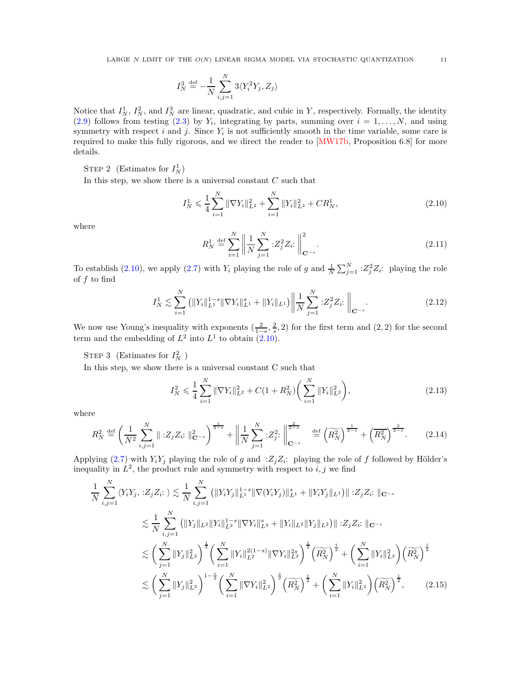$$
I_N^3 \stackrel{\text{def}}{=} -\frac{1}{N} \sum_{i,j=1}^N 3\langle Y_i^2 Y_j, Z_j \rangle
$$

Notice that  $I_N^1$ ,  $I_N^2$ , and  $I_N^3$  are linear, quadratic, and cubic in Y, respectively. Formally, the identity  $(2.9)$  follows from testing  $(2.3)$  by  $Y_i$ , integrating by parts, summing over  $i = 1, ..., N$ , and using symmetry with respect  $i$  and  $j$ . Since  $Y_i$  is not sufficiently smooth in the time variable, some care is required to make this fully rigorous, and we direct the reader to [\[MW17b,](#page-58-1) Proposition 6.8] for more details.

STEP 2 (Estimates for  $I_N^1$ )

In this step, we show there is a universal constant  $C$  such that

$$
I_N^1 \leqslant \frac{1}{4} \sum_{i=1}^N \|\nabla Y_i\|_{L^2}^2 + \sum_{i=1}^N \|Y_i\|_{L^2}^2 + CR_N^1,
$$
\n(2.10)

where

<span id="page-10-2"></span><span id="page-10-0"></span>
$$
R_N^1 \stackrel{\text{def}}{=} \sum_{i=1}^N \left\| \frac{1}{N} \sum_{j=1}^N : Z_j^2 Z_i : \right\|_{\mathbf{C}^{-s}}^2.
$$
 (2.11)

To establish [\(2.10\)](#page-10-2), we apply [\(2.7\)](#page-9-6) with  $Y_i$  playing the role of g and  $\frac{1}{N} \sum_{j=1}^{N} \, :Z_j^2 Z_i$ : playing the role of  $f$  to find

$$
I_N^1 \lesssim \sum_{i=1}^N \left( \|Y_i\|_{L^1}^{1-s} \|\nabla Y_i\|_{L^1}^s + \|Y_i\|_{L^1} \right) \left\| \frac{1}{N} \sum_{j=1}^N :Z_j^2 Z_i : \right\|_{\mathbf{C}^{-s}}.
$$
\n(2.12)

We now use Young's inequality with exponents  $(\frac{2}{1-s}, \frac{2}{s}, 2)$  for the first term and  $(2, 2)$  for the second we now use Toung's inequality with exponents  $\binom{1-s}{1-s}$ , sterm and the embedding of  $L^2$  into  $L^1$  to obtain  $(2.10)$ .

STEP 3 (Estimates for  $I_N^2$ )

In this step, we show there is a universal constant C such that

<span id="page-10-4"></span><span id="page-10-3"></span><span id="page-10-1"></span>
$$
I_N^2 \leqslant \frac{1}{4} \sum_{i=1}^N \|\nabla Y_i\|_{L^2}^2 + C(1 + R_N^2) \bigg(\sum_{i=1}^N \|Y_i\|_{L^2}^2\bigg),\tag{2.13}
$$

where

$$
R_N^2 \stackrel{\text{def}}{=} \left(\frac{1}{N^2} \sum_{i,j=1}^N \| \, :Z_j Z_i : \|_{\mathbf{C}^{-s}}^2\right)^{\frac{1}{2-s}} + \left\| \frac{1}{N} \sum_{j=1}^N \, :Z_j^2 : \right\|_{\mathbf{C}^{-s}}^{\frac{2}{2-s}} \quad \stackrel{\text{def}}{=} \left(\widetilde{R_N^2}\right)^{\frac{1}{2-s}} + \left(\overline{R_N^2}\right)^{\frac{2}{2-s}}. \tag{2.14}
$$

Applying [\(2.7\)](#page-9-6) with  $Y_i Y_j$  playing the role of g and  $Z_j Z_i$ : playing the role of f followed by Hölder's inequality in  $L^2$ , the product rule and symmetry with respect to i, j we find

$$
\frac{1}{N} \sum_{i,j=1}^{N} \langle Y_{i} Y_{j}, : Z_{j} Z_{i}: \rangle \lesssim \frac{1}{N} \sum_{i,j=1}^{N} \left( \|Y_{i} Y_{j}\|_{L^{1}}^{1-s} \|\nabla(Y_{i} Y_{j})\|_{L^{1}}^{s} + \|Y_{i} Y_{j}\|_{L^{1}} \right) \|\; : Z_{j} Z_{i}: \|\mathbf{c}-s
$$
\n
$$
\lesssim \frac{1}{N} \sum_{i,j=1}^{N} \left( \|Y_{j}\|_{L^{2}} \|Y_{i}\|_{L^{2}}^{1-s} \|\nabla Y_{i}\|_{L^{2}}^{s} + \|Y_{i}\|_{L^{2}} \|Y_{j}\|_{L^{2}} \right) \|\; : Z_{j} Z_{i}: \|\mathbf{c}-s
$$
\n
$$
\lesssim \left( \sum_{j=1}^{N} \|Y_{j}\|_{L^{2}}^{2} \right)^{\frac{1}{2}} \left( \sum_{i=1}^{N} \|Y_{i}\|_{L^{2}}^{2(1-s)} \|\nabla Y_{i}\|_{L^{2}}^{2s} \right)^{\frac{1}{2}} \left( \widetilde{R_{N}^{2}} \right)^{\frac{1}{2}} + \left( \sum_{i=1}^{N} \|Y_{i}\|_{L^{2}}^{2} \right) \left( \widetilde{R_{N}^{2}} \right)^{\frac{1}{2}}
$$
\n
$$
\lesssim \left( \sum_{j=1}^{N} \|Y_{j}\|_{L^{2}}^{2} \right)^{1-\frac{s}{2}} \left( \sum_{i=1}^{N} \|\nabla Y_{i}\|_{L^{2}}^{2} \right)^{\frac{s}{2}} \left( \widetilde{R_{N}^{2}} \right)^{\frac{1}{2}} + \left( \sum_{i=1}^{N} \|Y_{i}\|_{L^{2}}^{2} \right) \left( \widetilde{R_{N}^{2}} \right)^{\frac{1}{2}}, \tag{2.15}
$$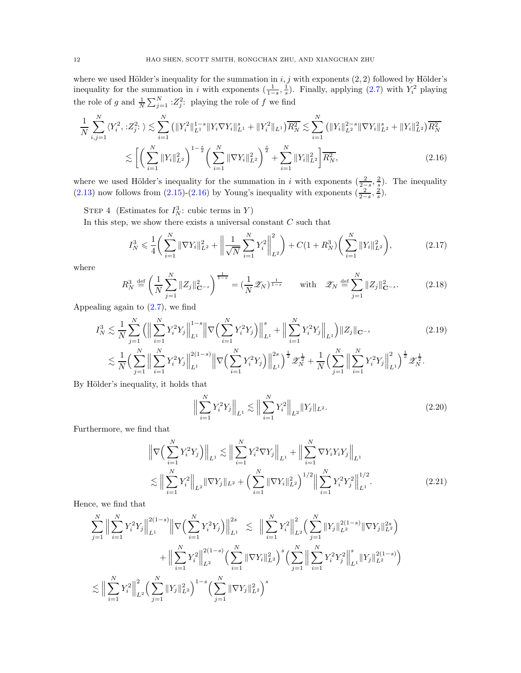where we used Hölder's inequality for the summation in  $i, j$  with exponents  $(2, 2)$  followed by Hölder's inequality for the summation in i with exponents  $(\frac{1}{1-s}, \frac{1}{s})$ . Finally, applying  $(2.7)$  with  $Y_i^2$  playing the role of g and  $\frac{1}{N} \sum_{j=1}^{N} :Z_j^2$ : playing the role of f we find

$$
\frac{1}{N} \sum_{i,j=1}^{N} \langle Y_i^2, :Z_j^2: \rangle \lesssim \sum_{i=1}^{N} \left( \|Y_i^2\|_{L^1}^{1-s} \|Y_i \nabla Y_i\|_{L^1}^s + \|Y_i^2\|_{L^1} \right) \overline{R_N^2} \lesssim \sum_{i=1}^{N} \left( \|Y_i\|_{L^2}^{2-s} \|\nabla Y_i\|_{L^2}^s + \|Y_i\|_{L^2}^2 \right) \overline{R_N^2}
$$
\n
$$
\lesssim \left[ \left( \sum_{i=1}^{N} \|Y_i\|_{L^2}^2 \right)^{1-\frac{s}{2}} \left( \sum_{i=1}^{N} \|\nabla Y_i\|_{L^2}^2 \right)^{\frac{s}{2}} + \sum_{i=1}^{N} \|Y_i\|_{L^2}^2 \right) \overline{R_N^2},\tag{2.16}
$$

where we used Hölder's inequality for the summation in i with exponents  $(\frac{2}{2-\overline{s}}, \frac{2}{s})$ . The inequality [\(2.13\)](#page-10-3) now follows from [\(2.15\)](#page-10-4)-[\(2.16\)](#page-11-0) by Young's inequality with exponents  $(\frac{2}{2-s}, \frac{2}{s})$ .

STEP 4 (Estimates for  $I_N^3$ : cubic terms in Y)

In this step, we show there exists a universal constant  $C$  such that

<span id="page-11-4"></span><span id="page-11-0"></span>
$$
I_N^3 \leqslant \frac{1}{4} \bigg( \sum_{i=1}^N \|\nabla Y_i\|_{L^2}^2 + \bigg( \frac{1}{\sqrt{N}} \sum_{i=1}^N Y_i^2 \bigg)_{L^2}^2 \bigg) + C \big( 1 + R_N^3 \big) \bigg( \sum_{i=1}^N \|Y_i\|_{L^2}^2 \bigg), \tag{2.17}
$$

where

$$
R_N^3 \stackrel{\text{def}}{=} \left(\frac{1}{N} \sum_{j=1}^N \|Z_j\|_{\mathbf{C}^{-s}}^2\right)^{\frac{1}{1-s}} = \left(\frac{1}{N} \mathcal{Z}_N\right)^{\frac{1}{1-s}} \quad \text{with} \quad \mathcal{Z}_N \stackrel{\text{def}}{=} \sum_{j=1}^N \|Z_j\|_{\mathbf{C}^{-s}}^2. \tag{2.18}
$$

Appealing again to  $(2.7)$ , we find

$$
I_N^3 \lesssim \frac{1}{N} \sum_{j=1}^N \left( \Big\| \sum_{i=1}^N Y_i^2 Y_j \Big\|_{L^1}^{1-s} \Big\| \nabla \Big( \sum_{i=1}^N Y_i^2 Y_j \Big) \Big\|_{L^1}^s + \Big\| \sum_{i=1}^N Y_i^2 Y_j \Big\|_{L^1} \right) \|Z_j\|_{\mathbf{C}^{-s}} \tag{2.19}
$$

$$
\lesssim \frac{1}{N} \Big( \sum_{j=1}^N \Big\| \sum_{i=1}^N Y_i^2 Y_j \Big\|_{L^1}^{2(1-s)} \Big\| \nabla \Big( \sum_{i=1}^N Y_i^2 Y_j \Big) \Big\|_{L^1}^{2s} \Big)^{\frac{1}{2}} \mathcal{Z}_N^{\frac{1}{2}} + \frac{1}{N} \Big( \sum_{j=1}^N \Big\| \sum_{i=1}^N Y_i^2 Y_j \Big\|_{L^1}^2 \Big)^{\frac{1}{2}} \mathcal{Z}_N^{\frac{1}{2}}.
$$

By Hölder's inequality, it holds that

<span id="page-11-3"></span><span id="page-11-2"></span><span id="page-11-1"></span>
$$
\Big\| \sum_{i=1}^{N} Y_i^2 Y_j \Big\|_{L^1} \lesssim \Big\| \sum_{i=1}^{N} Y_i^2 \Big\|_{L^2} \|Y_j\|_{L^2}.
$$
 (2.20)

Furthermore, we find that

$$
\left\| \nabla \left( \sum_{i=1}^{N} Y_i^2 Y_j \right) \right\|_{L^1} \lesssim \left\| \sum_{i=1}^{N} Y_i^2 \nabla Y_j \right\|_{L^1} + \left\| \sum_{i=1}^{N} \nabla Y_i Y_i Y_j \right\|_{L^1}
$$
  

$$
\lesssim \left\| \sum_{i=1}^{N} Y_i^2 \right\|_{L^2} \left\| \nabla Y_j \right\|_{L^2} + \left( \sum_{i=1}^{N} \left\| \nabla Y_i \right\|_{L^2}^2 \right)^{1/2} \left\| \sum_{i=1}^{N} Y_i^2 Y_j^2 \right\|_{L^1}^{1/2}.
$$
 (2.21)

Hence, we find that

$$
\sum_{j=1}^{N} \Big\| \sum_{i=1}^{N} Y_i^2 Y_j \Big\|_{L^1}^{2(1-s)} \Big\| \nabla \Big( \sum_{i=1}^{N} Y_i^2 Y_j \Big) \Big\|_{L^1}^{2s} \Big\| \lesssim \Big\| \sum_{i=1}^{N} Y_i^2 \Big\|_{L^2}^2 \Big( \sum_{j=1}^{N} \|Y_j\|_{L^2}^{2(1-s)} \|\nabla Y_j\|_{L^2}^{2s} \Big) \n+ \Big\| \sum_{i=1}^{N} Y_i^2 \Big\|_{L^2}^{2(1-s)} \Big( \sum_{i=1}^{N} \|\nabla Y_i\|_{L^2}^2 \Big)^s \Big( \sum_{j=1}^{N} \Big\| \sum_{i=1}^{N} Y_i^2 Y_j^2 \Big\|_{L^1}^{s} \|Y_j\|_{L^2}^{2(1-s)} \Big) \n\lesssim \Big\| \sum_{i=1}^{N} Y_i^2 \Big\|_{L^2}^2 \Big( \sum_{j=1}^{N} \|Y_j\|_{L^2}^2 \Big)^{1-s} \Big( \sum_{j=1}^{N} \|\nabla Y_j\|_{L^2}^2 \Big)^s
$$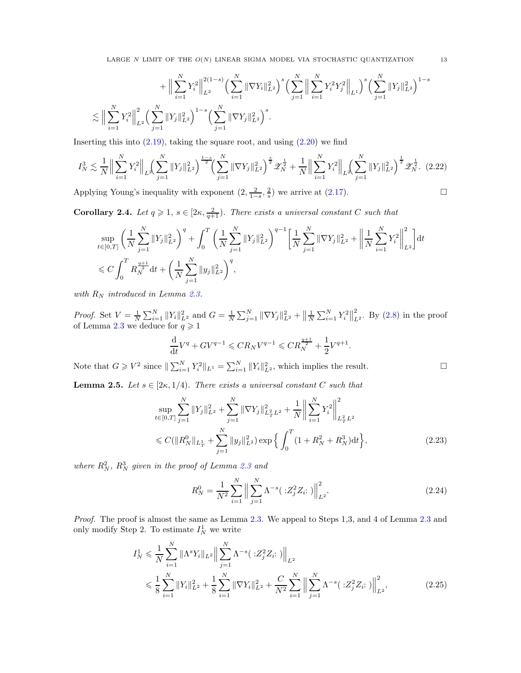LARGE N LIMIT OF THE  $O(N)$  LINEAR SIGMA MODEL VIA STOCHASTIC QUANTIZATION 13

$$
+ \Big\|\sum_{i=1}^N Y_i^2\Big\|_{L^2}^{2(1-s)} \Big(\sum_{i=1}^N \|\nabla Y_i\|_{L^2}^2\Big)^s \Big(\sum_{j=1}^N \Big\|\sum_{i=1}^N Y_i^2 Y_j^2\Big\|_{L^1}\Big)^s \Big(\sum_{j=1}^N \|Y_j\|_{L^2}^2\Big)^{1-s}
$$
  

$$
\lesssim \Big\|\sum_{i=1}^N Y_i^2\Big\|_{L^2}^2 \Big(\sum_{j=1}^N \|Y_j\|_{L^2}^2\Big)^{1-s} \Big(\sum_{j=1}^N \|\nabla Y_j\|_{L^2}^2\Big)^s.
$$

Inserting this into  $(2.19)$ , taking the square root, and using  $(2.20)$  we find

$$
I_N^3 \lesssim \frac{1}{N} \Big\| \sum_{i=1}^N Y_i^2 \Big\|_{L^2} \Big( \sum_{j=1}^N \|Y_j\|_{L^2}^2 \Big)^{\frac{1-s}{2}} \Big( \sum_{j=1}^N \|\nabla Y_j\|_{L^2}^2 \Big)^{\frac{s}{2}} \mathscr{Z}_N^{\frac{1}{2}} + \frac{1}{N} \Big\| \sum_{i=1}^N Y_i^2 \Big\|_{L^2} \Big( \sum_{j=1}^N \|Y_j\|_{L^2}^2 \Big)^{\frac{1}{2}} \mathscr{Z}_N^{\frac{1}{2}}. (2.22)
$$

Applying Young's inequality with exponent  $(2, \frac{2}{1-s}, \frac{2}{s})$  we arrive at  $(2.17)$ .

<span id="page-12-3"></span>**Corollary 2.4.** Let  $q \geq 1$ ,  $s \in [2\kappa, \frac{2}{q+1})$ . There exists a universal constant C such that

$$
\sup_{t \in [0,T]} \left( \frac{1}{N} \sum_{j=1}^N \|Y_j\|_{L^2}^2 \right)^q + \int_0^T \left( \frac{1}{N} \sum_{j=1}^N \|Y_j\|_{L^2}^2 \right)^{q-1} \left[ \frac{1}{N} \sum_{j=1}^N \|\nabla Y_j\|_{L^2}^2 + \left\| \frac{1}{N} \sum_{i=1}^N Y_i^2 \right\|_{L^2}^2 \right] dt
$$
  
\$\leq C \int\_0^T R\_N^{\frac{q+1}{2}} dt + \left( \frac{1}{N} \sum\_{j=1}^N \|y\_j\|\_{L^2}^2 \right)^q\$,

with  $R_N$  introduced in Lemma [2.3.](#page-9-1)

*Proof.* Set  $V = \frac{1}{N} \sum_{i=1}^{N} ||Y_i||_{L^2}^2$  and  $G = \frac{1}{N} \sum_{j=1}^{N} ||\nabla Y_j||_{L^2}^2 + \left\|\frac{1}{N} \sum_{i=1}^{N} Y_i^2\right\|_L^2$  $_{L^2}^2$ . By  $(2.8)$  in the proof of Lemma [2.3](#page-9-1) we deduce for  $q \geq 1$ 

<span id="page-12-5"></span>
$$
\frac{\mathrm{d}}{\mathrm{d} t} V^q + G V^{q-1} \leqslant C R_N V^{q-1} \leqslant C R_N^{\frac{q+1}{2}} + \frac{1}{2} V^{q+1}.
$$

Note that  $G \geqslant V^2$  since  $\|\sum_{i=1}^N Y_i^2\|_{L^1} = \sum_{i=1}^N \|Y_i\|_{L^2}^2$ , which implies the result.

<span id="page-12-4"></span>**Lemma 2.5.** Let  $s \in [2\kappa, 1/4)$ . There exists a universal constant C such that

$$
\sup_{t \in [0,T]} \sum_{j=1}^{N} \|Y_j\|_{L^2}^2 + \sum_{j=1}^{N} \|\nabla Y_j\|_{L^2_T L^2}^2 + \frac{1}{N} \left\| \sum_{i=1}^{N} Y_i^2 \right\|_{L^2_T L^2}^2
$$
  

$$
\leq C(\|R_N^0\|_{L^1_T} + \sum_{j=1}^{N} \|y_j\|_{L^2}^2) \exp\left\{ \int_0^T (1 + R_N^2 + R_N^3) \mathrm{d}t \right\},\tag{2.23}
$$

where  $R_N^2$ ,  $R_N^3$  given in the proof of Lemma [2.3](#page-9-1) and

<span id="page-12-2"></span><span id="page-12-1"></span><span id="page-12-0"></span>
$$
R_N^0 = \frac{1}{N^2} \sum_{i=1}^N \left\| \sum_{j=1}^N \Lambda^{-s} (\cdot z_j^2 Z_i :) \right\|_{L^2}^2.
$$
 (2.24)

Proof. The proof is almost the same as Lemma [2.3.](#page-9-1) We appeal to Steps 1,3, and 4 of Lemma [2.3](#page-9-1) and only modify Step 2. To estimate  $I_N^1$  we write

$$
I_N^1 \leq \frac{1}{N} \sum_{i=1}^N \|\Lambda^s Y_i\|_{L^2} \Big\| \sum_{j=1}^N \Lambda^{-s} (\cdot Z_j^2 Z_i :) \Big\|_{L^2}
$$
  

$$
\leq \frac{1}{8} \sum_{i=1}^N \|Y_i\|_{L^2}^2 + \frac{1}{8} \sum_{i=1}^N \|\nabla Y_i\|_{L^2}^2 + \frac{C}{N^2} \sum_{i=1}^N \Big\| \sum_{j=1}^N \Lambda^{-s} (\cdot Z_j^2 Z_i :) \Big\|_{L^2}^2, \tag{2.25}
$$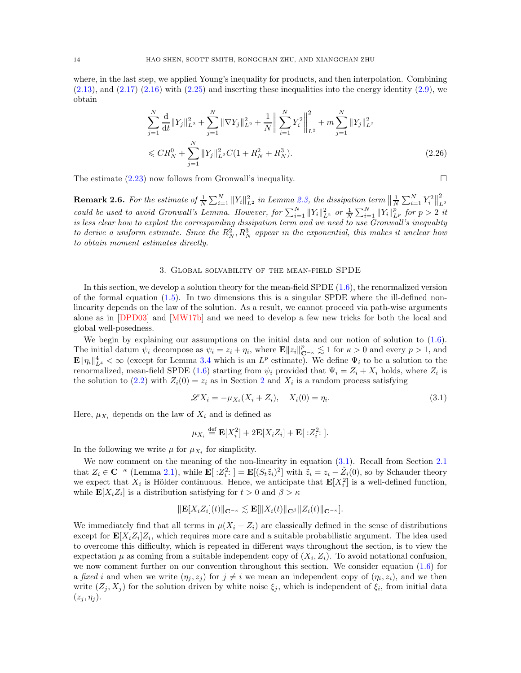where, in the last step, we applied Young's inequality for products, and then interpolation. Combining  $(2.13)$ , and  $(2.17)$   $(2.16)$  with  $(2.25)$  and inserting these inequalities into the energy identity  $(2.9)$ , we obtain

<span id="page-13-3"></span>
$$
\sum_{j=1}^{N} \frac{d}{dt} \|Y_j\|_{L^2}^2 + \sum_{j=1}^{N} \|\nabla Y_j\|_{L^2}^2 + \frac{1}{N} \left\| \sum_{i=1}^{N} Y_i^2 \right\|_{L^2}^2 + m \sum_{j=1}^{N} \|Y_j\|_{L^2}^2
$$
  

$$
\leq C R_N^0 + \sum_{j=1}^{N} \|Y_j\|_{L^2}^2 C (1 + R_N^2 + R_N^3).
$$
 (2.26)

The estimate  $(2.23)$  now follows from Gronwall's inequality.

<span id="page-13-1"></span>**Remark 2.6.** For the estimate of  $\frac{1}{N}\sum_{i=1}^N||Y_i||_{L^2}^2$  in Lemma [2.3,](#page-9-1) the dissipation term  $\left\|\frac{1}{N}\sum_{i=1}^N Y_i^2\right\|_L^2$ **COULD** be used to avoid Gronwall's Lemma. However, for  $\sum_{i=1}^{N} ||Y_i||_{L^2}^2$  or  $\frac{1}{N} \sum_{i=1}^{N} ||Y_i||_{L^p}^2$  for  $p > 2$  it is less clear how to exploit the corresponding dissipation term and we need to use Gronwall's inequality to derive a uniform estimate. Since the  $R_N^2, R_N^3$  appear in the exponential, this makes it unclear how to obtain moment estimates directly.

### 3. Global solvability of the mean-field SPDE

<span id="page-13-0"></span>In this section, we develop a solution theory for the mean-field SPDE [\(1.6\)](#page-2-1), the renormalized version of the formal equation  $(1.5)$ . In two dimensions this is a singular SPDE where the ill-defined nonlinearity depends on the law of the solution. As a result, we cannot proceed via path-wise arguments alone as in [\[DPD03\]](#page-58-0) and [\[MW17b\]](#page-58-1) and we need to develop a few new tricks for both the local and global well-posedness.

We begin by explaining our assumptions on the initial data and our notion of solution to  $(1.6)$ . The initial datum  $\psi_i$  decompose as  $\psi_i = z_i + \eta_i$ , where  $\mathbf{E} ||z_i||_{\mathbf{C}^{-\kappa}}^p \lesssim 1$  for  $\kappa > 0$  and every  $p > 1$ , and  $\mathbf{E} \|\eta_i\|_{L^4}^4 < \infty$  (except for Lemma [3.4](#page-17-0) which is an  $L^p$  estimate). We define  $\Psi_i$  to be a solution to the renormalized, mean-field SPDE [\(1.6\)](#page-2-1) starting from  $\psi_i$  provided that  $\Psi_i = Z_i + X_i$  holds, where  $Z_i$  is the solution to [\(2.2\)](#page-7-3) with  $Z_i(0) = z_i$  as in Section [2](#page-7-0) and  $X_i$  is a random process satisfying

<span id="page-13-2"></span>
$$
\mathscr{L}X_i = -\mu_{X_i}(X_i + Z_i), \quad X_i(0) = \eta_i.
$$
\n(3.1)

Here,  $\mu_{X_i}$  depends on the law of  $X_i$  and is defined as

$$
\mu_{X_i} \stackrel{\text{def}}{=} \mathbf{E}[X_i^2] + 2\mathbf{E}[X_i Z_i] + \mathbf{E}[X_i^2] .
$$

In the following we write  $\mu$  for  $\mu_{X_i}$  for simplicity.

We now comment on the meaning of the non-linearity in equation  $(3.1)$ . Recall from Section [2.1](#page-8-0) that  $Z_i \in \mathbb{C}^{-\kappa}$  (Lemma [2.1\)](#page-8-2), while  $\mathbb{E}[Z_i^2] = \mathbb{E}[(S_t \tilde{z}_i)^2]$  with  $\tilde{z}_i = z_i - \tilde{Z}_i(0)$ , so by Schauder theory we expect that  $X_i$  is Hölder continuous. Hence, we anticipate that  $\mathbf{E}[X_i^2]$  is a well-defined function, while  $\mathbf{E}[X_i Z_i]$  is a distribution satisfying for  $t > 0$  and  $\beta > \kappa$ 

$$
\|\mathbf{E}[X_iZ_i](t)\|_{\mathbf{C}^{-\kappa}} \lesssim \mathbf{E}[\|X_i(t)\|_{\mathbf{C}^{\beta}}\|Z_i(t)\|_{\mathbf{C}^{-\kappa}}].
$$

We immediately find that all terms in  $\mu(X_i + Z_i)$  are classically defined in the sense of distributions except for  $\mathbf{E}[X_i Z_i] Z_i$ , which requires more care and a suitable probabilistic argument. The idea used to overcome this difficulty, which is repeated in different ways throughout the section, is to view the expectation  $\mu$  as coming from a suitable independent copy of  $(X_i, Z_i)$ . To avoid notational confusion, we now comment further on our convention throughout this section. We consider equation [\(1.6\)](#page-2-1) for a fixed i and when we write  $(\eta_j, z_j)$  for  $j \neq i$  we mean an independent copy of  $(\eta_i, z_i)$ , and we then write  $(Z_j, X_j)$  for the solution driven by white noise  $\xi_j$ , which is independent of  $\xi_i$ , from initial data  $(z_j, \eta_j)$ .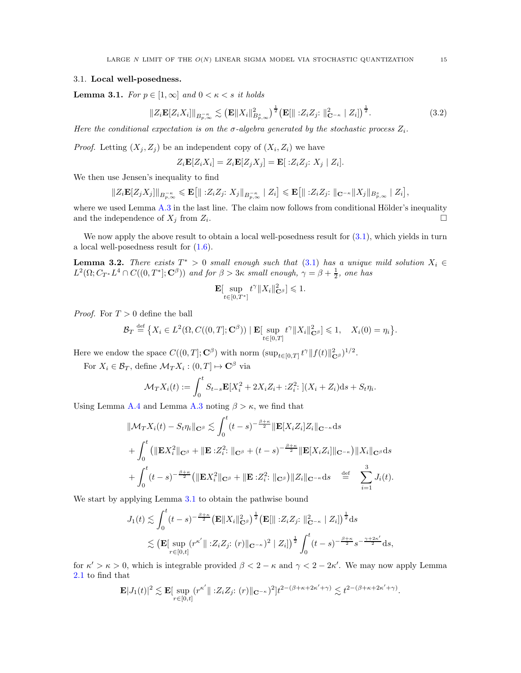### <span id="page-14-1"></span>3.1. Local well-posedness.

<span id="page-14-0"></span>**Lemma 3.1.** For  $p \in [1, \infty]$  and  $0 \leq \kappa \leq s$  it holds

$$
||Z_i \mathbf{E}[Z_i X_i]||_{B_{p,\infty}^{-\kappa}} \lesssim \left(\mathbf{E}||X_i||_{B_{p,\infty}^s}^2\right)^{\frac{1}{2}} \left(\mathbf{E}[\| :Z_i Z_j : \|_{\mathbf{C}^{-\kappa}}^2 | Z_i]\right)^{\frac{1}{2}}.
$$
 (3.2)

Here the conditional expectation is on the  $\sigma$ -algebra generated by the stochastic process  $Z_i$ .

*Proof.* Letting  $(X_j, Z_j)$  be an independent copy of  $(X_i, Z_i)$  we have

$$
Z_i \mathbf{E}[Z_i X_i] = Z_i \mathbf{E}[Z_j X_j] = \mathbf{E}[ :Z_i Z_j : X_j | Z_i].
$$

We then use Jensen's inequality to find

$$
||Z_i \mathbf{E}[Z_j X_j]||_{B_{p,\infty}^{-\kappa}} \leq \mathbf{E}\big[||\cdot Z_i Z_j; \, X_j||_{B_{p,\infty}^{-\kappa}} \mid Z_i\big] \leqslant \mathbf{E}\big[||\cdot Z_i Z_j; \, ||_{\mathbf{C}^{-\kappa}} ||X_j||_{B_{p,\infty}^s} \mid Z_i\big],
$$

where we used Lemma  $A.3$  in the last line. The claim now follows from conditional Hölder's inequality and the independence of  $X_j$  from  $Z_i$ . .

We now apply the above result to obtain a local well-posedness result for  $(3.1)$ , which yields in turn a local well-posedness result for [\(1.6\)](#page-2-1).

**Lemma 3.2.** There exists  $T^* > 0$  small enough such that [\(3.1\)](#page-13-2) has a unique mild solution  $X_i \in \mathbb{R}$  $L^2(\Omega; C_{T^*}L^4 \cap C((0,T^*];\mathbf{C}^\beta))$  and for  $\beta > 3\kappa$  small enough,  $\gamma = \beta + \frac{1}{2}$ , one has

$$
\mathbf{E}[\sup_{t\in[0,T^*]}t^{\gamma}\|X_i\|_{\mathbf{C}^{\beta}}^2]\leq 1.
$$

*Proof.* For  $T > 0$  define the ball

$$
\mathcal{B}_T \stackrel{\text{def}}{=} \big\{ X_i \in L^2(\Omega, C((0,T];\mathbf{C}^\beta)) \mid \mathbf{E}[\sup_{t \in [0,T]} t^\gamma \|X_i\|_{\mathbf{C}^\beta}^2] \leq 1, \quad X_i(0) = \eta_i \big\}.
$$

Here we endow the space  $C((0,T];\mathbf{C}^{\beta})$  with norm  $(\sup_{t\in[0,T]}t^{\gamma}\Vert f(t)\Vert_{\mathbf{C}^{\beta}}^2)^{1/2}$ .

For  $X_i \in \mathcal{B}_T$ , define  $\mathcal{M}_T X_i : (0, T] \mapsto \mathbf{C}^{\beta}$  via

$$
\mathcal{M}_T X_i(t) := \int_0^t S_{t-s} \mathbf{E}[X_i^2 + 2X_i Z_i + : Z_i^2] \cdot (X_i + Z_i) \, ds + S_t \eta_i.
$$

Using Lemma [A.4](#page-53-3) and Lemma [A.3](#page-53-2) noting  $\beta > \kappa$ , we find that

$$
\|\mathcal{M}_T X_i(t) - S_t \eta_i\|_{\mathbf{C}^{\beta}} \lesssim \int_0^t (t-s)^{-\frac{\beta+\kappa}{2}} \|\mathbf{E}[X_i Z_i] Z_i\|_{\mathbf{C}^{-\kappa}} ds + \int_0^t \left(\|\mathbf{E} X_i^2\|_{\mathbf{C}^{\beta}} + \|\mathbf{E} : Z_i^2; \|_{\mathbf{C}^{\beta}} + (t-s)^{-\frac{\beta+\kappa}{2}} \|\mathbf{E}[X_i Z_i]\|_{\mathbf{C}^{-\kappa}}\right) \|X_i\|_{\mathbf{C}^{\beta}} ds + \int_0^t (t-s)^{-\frac{\beta+\kappa}{2}} \left(\|\mathbf{E} X_i^2\|_{\mathbf{C}^{\beta}} + \|\mathbf{E} : Z_i^2; \|_{\mathbf{C}^{\beta}}\right) \|Z_i\|_{\mathbf{C}^{-\kappa}} ds \stackrel{\text{def}}{=} \sum_{i=1}^3 J_i(t).
$$

We start by applying Lemma [3.1](#page-14-0) to obtain the pathwise bound

$$
J_1(t) \lesssim \int_0^t (t-s)^{-\frac{\beta+\kappa}{2}} \left(\mathbf{E} \|X_i\|_{\mathbf{C}^{\beta}}^2\right)^{\frac{1}{2}} \left(\mathbf{E} [\| :Z_i Z_j : \|_{\mathbf{C}^{-\kappa}}^2 \ | \ Z_i] \right)^{\frac{1}{2}} ds
$$
  
\$\lesssim \left(\mathbf{E} [\sup\_{r \in [0,t]} (r^{\kappa'} \| :Z\_i Z\_j : (r) \|\_{\mathbf{C}^{-\kappa}})^2 \ | \ Z\_i] \right)^{\frac{1}{2}} \int\_0^t (t-s)^{-\frac{\beta+\kappa}{2}} s^{-\frac{\gamma+2\kappa'}{2}} ds,

for  $\kappa' > \kappa > 0$ , which is integrable provided  $\beta < 2 - \kappa$  and  $\gamma < 2 - 2\kappa'$ . We may now apply Lemma [2.1](#page-8-2) to find that

$$
\mathbf{E}|J_1(t)|^2 \lesssim \mathbf{E}[\sup_{r \in [0,t]} (r^{\kappa'} || \cdot Z_i Z_j; (r) ||_{\mathbf{C}^{-\kappa}})^2] t^{2-(\beta+\kappa+2\kappa'+\gamma)} \lesssim t^{2-(\beta+\kappa+2\kappa'+\gamma)}.
$$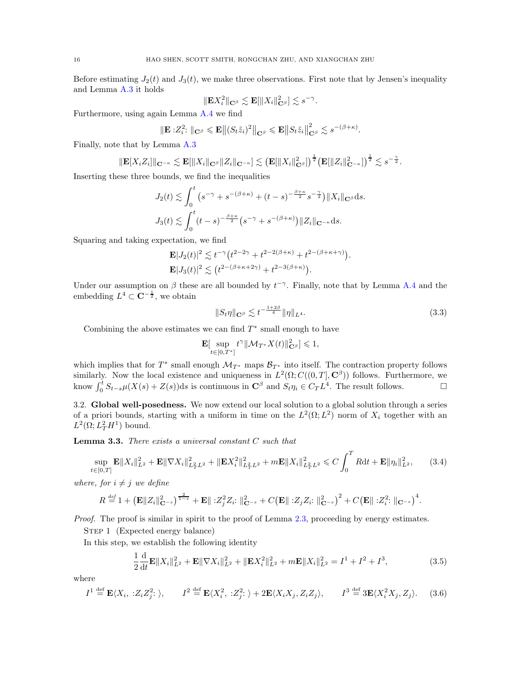Before estimating  $J_2(t)$  and  $J_3(t)$ , we make three observations. First note that by Jensen's inequality and Lemma [A.3](#page-53-2) it holds

$$
\|\mathbf{E} X_i^2\|_{\mathbf{C}^\beta} \lesssim \mathbf{E}[\|X_i\|_{\mathbf{C}^\beta}^2] \lesssim s^{-\gamma}.
$$

Furthermore, using again Lemma [A.4](#page-53-3) we find

$$
\|\mathbf{E}:Z_i^2\colon\|_{\mathbf{C}^{\beta}}\leqslant \mathbf{E}\big\|(S_t\tilde{z}_i)^2\big\|_{\mathbf{C}^{\beta}}\leqslant \mathbf{E}\big\|S_t\tilde{z}_i\big\|_{\mathbf{C}^{\beta}}^2\lesssim s^{-(\beta+\kappa)}.
$$

Finally, note that by Lemma [A.3](#page-53-2)

$$
\|\mathbf{E}[X_iZ_i]\|_{\mathbf{C}^{-\kappa}} \lesssim \mathbf{E}[\|X_i\|_{\mathbf{C}^{\beta}}\|Z_i\|_{\mathbf{C}^{-\kappa}}] \lesssim \left(\mathbf{E}[\|X_i\|_{\mathbf{C}^{\beta}}^2]\right)^{\frac{1}{2}} \left(\mathbf{E}[\|Z_i\|_{\mathbf{C}^{-\kappa}}^2]\right)^{\frac{1}{2}} \lesssim s^{-\frac{\gamma}{2}}.
$$

Inserting these three bounds, we find the inequalities

$$
J_2(t) \lesssim \int_0^t \left(s^{-\gamma} + s^{-(\beta+\kappa)} + (t-s)^{-\frac{\beta+\kappa}{2}} s^{-\frac{\gamma}{2}}\right) \|X_i\|_{\mathbf{C}^\beta} ds.
$$
  

$$
J_3(t) \lesssim \int_0^t (t-s)^{-\frac{\beta+\kappa}{2}} \left(s^{-\gamma} + s^{-(\beta+\kappa)}\right) \|Z_i\|_{\mathbf{C}^{-\kappa}} ds.
$$

Squaring and taking expectation, we find

$$
\mathbf{E}|J_2(t)|^2 \lesssim t^{-\gamma} \left(t^{2-2\gamma} + t^{2-2(\beta+\kappa)} + t^{2-(\beta+\kappa+\gamma)}\right).
$$
  

$$
\mathbf{E}|J_3(t)|^2 \lesssim \left(t^{2-(\beta+\kappa+2\gamma)} + t^{2-3(\beta+\kappa)}\right).
$$

Under our assumption on  $\beta$  these are all bounded by  $t^{-\gamma}$ . Finally, note that by Lemma [A.4](#page-53-3) and the embedding  $L^4 \subset \mathbf{C}^{-\frac{1}{2}}$ , we obtain

<span id="page-15-3"></span>
$$
||S_t \eta||_{\mathbf{C}^{\beta}} \lesssim t^{-\frac{1+2\beta}{4}} ||\eta||_{L^4}.
$$
\n(3.3)

Combining the above estimates we can find  $T^*$  small enough to have

$$
\mathbf{E}[\sup_{t\in[0,T^*]}t^{\gamma}\|\mathcal{M}_{T^*}X(t)\|_{\mathbf{C}^{\beta}}^2]\leq 1,
$$

which implies that for  $T^*$  small enough  $\mathcal{M}_{T^*}$  maps  $\mathcal{B}_{T^*}$  into itself. The contraction property follows similarly. Now the local existence and uniqueness in  $L^2(\Omega; C((0,T], \mathbf{C}^\beta))$  follows. Furthermore, we know  $\int_0^t S_{t-s}\mu(X(s) + Z(s))ds$  is continuous in  $\mathbb{C}^{\beta}$  and  $S_t\eta_i \in C_TL^4$ . The result follows.

<span id="page-15-1"></span>3.2. Global well-posedness. We now extend our local solution to a global solution through a series of a priori bounds, starting with a uniform in time on the  $L^2(\Omega; L^2)$  norm of  $X_i$  together with an  $L^2(\Omega; L^2_T H^1)$  bound.

<span id="page-15-0"></span>**Lemma 3.3.** There exists a universal constant  $C$  such that

$$
\sup_{t \in [0,T]} \mathbf{E} \|X_i\|_{L^2}^2 + \mathbf{E} \|\nabla X_i\|_{L^2_T L^2}^2 + \|\mathbf{E} X_i^2\|_{L^2_T L^2}^2 + m \mathbf{E} \|X_i\|_{L^2_T L^2}^2 \leq C \int_0^T R \mathrm{d} t + \mathbf{E} \|\eta_i\|_{L^2}^2, \tag{3.4}
$$

where, for  $i \neq j$  we define

$$
R \stackrel{\text{def}}{=} 1 + \left(\mathbf{E} \|Z_i\|_{\mathbf{C}^{-s}}^2\right)^{\frac{2}{1-s}} + \mathbf{E} \| :Z_j^2 Z_i : \|_{\mathbf{C}^{-s}}^2 + C \left(\mathbf{E} \| :Z_j Z_i : \|_{\mathbf{C}^{-s}}^2\right)^2 + C \left(\mathbf{E} \| :Z_i^2 : \|_{\mathbf{C}^{-s}}\right)^4.
$$

Proof. The proof is similar in spirit to the proof of Lemma [2.3,](#page-9-1) proceeding by energy estimates.

STEP 1 (Expected energy balance)

In this step, we establish the following identity

<span id="page-15-4"></span><span id="page-15-2"></span>
$$
\frac{1}{2}\frac{\mathrm{d}}{\mathrm{d}t}\mathbf{E}\|X_i\|_{L^2}^2 + \mathbf{E}\|\nabla X_i\|_{L^2}^2 + \|\mathbf{E}X_i^2\|_{L^2}^2 + m\mathbf{E}\|X_i\|_{L^2}^2 = I^1 + I^2 + I^3,\tag{3.5}
$$

where

$$
I^{1} \stackrel{\text{def}}{=} \mathbf{E}\langle X_{i}, \, :Z_{i}Z_{j}^{2}; \,\rangle, \qquad I^{2} \stackrel{\text{def}}{=} \mathbf{E}\langle X_{i}^{2}, \, :Z_{j}^{2}; \,\rangle + 2\mathbf{E}\langle X_{i}X_{j}, Z_{i}Z_{j}\rangle, \qquad I^{3} \stackrel{\text{def}}{=} 3\mathbf{E}\langle X_{i}^{2}X_{j}, Z_{j}\rangle. \tag{3.6}
$$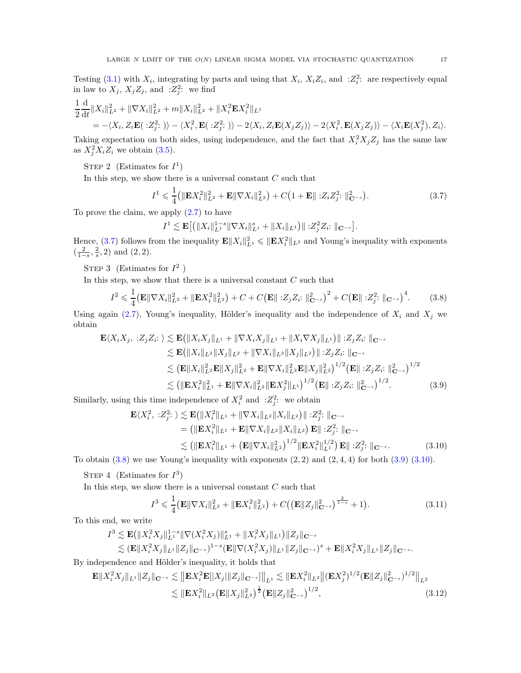Testing [\(3.1\)](#page-13-2) with  $X_i$ , integrating by parts and using that  $X_i$ ,  $X_i Z_i$ , and  $Z_i^2$ : are respectively equal in law to  $X_j$ ,  $X_j Z_j$ , and  $:Z_j^2$ : we find

$$
\frac{1}{2}\frac{\mathrm{d}}{\mathrm{d}t}||X_i||_{L^2}^2 + ||\nabla X_i||_{L^2}^2 + m||X_i||_{L^2}^2 + ||X_i^2 \mathbf{E} X_i^2||_{L^1} \n= -\langle X_i, Z_i \mathbf{E}(.Z_j^2: \rangle) - \langle X_i^2, \mathbf{E}(.Z_j^2: \rangle) - 2\langle X_i, Z_i \mathbf{E}(X_j Z_j) \rangle - 2\langle X_i^2, \mathbf{E}(X_j Z_j) \rangle - \langle X_i \mathbf{E}(X_j^2), Z_i \rangle.
$$

Taking expectation on both sides, using independence, and the fact that  $X_i^2 X_j Z_j$  has the same law as  $X_j^2 X_i Z_i$  we obtain  $(3.5)$ .

STEP 2 (Estimates for  $I^1$ )

In this step, we show there is a universal constant  $C$  such that

<span id="page-16-0"></span>
$$
I^{1} \leqslant \frac{1}{4} \left( \|\mathbf{E} X_{i}^{2}\|_{L^{2}}^{2} + \mathbf{E} \|\nabla X_{i}\|_{L^{2}}^{2} \right) + C \left( 1 + \mathbf{E} \|\, :Z_{i} Z_{j}^{2}:\|_{\mathbf{C}^{-s}}^{2} \right). \tag{3.7}
$$

To prove the claim, we apply  $(2.7)$  to have

<span id="page-16-1"></span>
$$
I^{1} \lesssim \mathbf{E}\big[ \big( \|X_{i}\|_{L^{1}}^{1-s} \|\nabla X_{i}\|_{L^{1}}^{s} + \|X_{i}\|_{L^{1}} \big) \|\; : Z_{j}^{2}Z_{i}: \,\|_{\mathbf{C}^{-s}} \big].
$$

Hence, [\(3.7\)](#page-16-0) follows from the inequality  $\mathbf{E} ||X_i||_{L^1}^2 \leqslant ||\mathbf{E} X_i^2||_{L^2}$  and Young's inequality with exponents  $\left(\frac{2}{1-s}, \frac{2}{s}, 2\right)$  and  $(2, 2)$ .

STEP 3 (Estimates for  $I^2$ )

In this step, we show that there is a universal constant  $C$  such that

$$
I^{2} \leq \frac{1}{4} \left( \mathbf{E} \|\nabla X_{i}\|_{L^{2}}^{2} + \|\mathbf{E} X_{i}^{2}\|_{L^{2}}^{2} \right) + C + C \left( \mathbf{E} \|\|Z_{j} Z_{i} \|\|_{\mathbf{C}^{-s}}^{2} \right)^{2} + C \left( \mathbf{E} \|\|Z_{j}^{2} \|\|_{\mathbf{C}^{-s}} \right)^{4}.
$$
 (3.8)

Using again [\(2.7\)](#page-9-6), Young's inequality, Hölder's inequality and the independence of  $X_i$  and  $X_j$  we obtain

$$
\mathbf{E}\langle X_i X_j, :Z_j Z_i : \rangle \lesssim \mathbf{E}(\|X_i X_j\|_{L^1} + \|\nabla X_i X_j\|_{L^1} + \|X_i \nabla X_j\|_{L^1}) \| :Z_j Z_i : \|_{\mathbf{C}^{-s}}\lesssim \mathbf{E}(\|X_i\|_{L^2} \|X_j\|_{L^2} + \|\nabla X_i\|_{L^2} \|X_j\|_{L^2}) \| :Z_j Z_i : \|_{\mathbf{C}^{-s}}\lesssim (\mathbf{E} \|X_i\|_{L^2}^2 \mathbf{E} \|X_j\|_{L^2}^2 + \mathbf{E} \|\nabla X_i\|_{L^2}^2 \mathbf{E} \|X_j\|_{L^2}^2)^{1/2} (\mathbf{E} \| :Z_j Z_i : \|_{\mathbf{C}^{-s}}^2)^{1/2}\lesssim (\| \mathbf{E} X_i^2 \|_{L^1}^2 + \mathbf{E} \|\nabla X_i\|_{L^2}^2 \|\mathbf{E} X_j^2\|_{L^1})^{1/2} (\mathbf{E} \| :Z_j Z_i : \|_{\mathbf{C}^{-s}}^2)^{1/2}.
$$
\n(3.9)

Similarly, using this time independence of  $X_i^2$  and  $:Z_j^2$ : we obtain

$$
\mathbf{E}\langle X_i^2, :Z_j^2: \rangle \lesssim \mathbf{E}\big(\|X_i^2\|_{L^1} + \|\nabla X_i\|_{L^2}\|X_i\|_{L^2}\big) \| :Z_j^2: \|_{\mathbf{C}^{-s}} = (\|\mathbf{E}X_i^2\|_{L^1} + \mathbf{E}\|\nabla X_i\|_{L^2}\|X_i\|_{L^2}) \mathbf{E}\| :Z_j^2: \|_{\mathbf{C}^{-s}} \lesssim (\|\mathbf{E}X_i^2\|_{L^1} + (\mathbf{E}\|\nabla X_i\|_{L^2}^2)^{1/2}\|\mathbf{E}X_i^2\|_{L^1}^{1/2}) \mathbf{E}\| :Z_j^2: \|_{\mathbf{C}^{-s}}.
$$
 (3.10)

To obtain  $(3.8)$  we use Young's inequality with exponents  $(2, 2)$  and  $(2, 4, 4)$  for both  $(3.9)$   $(3.10)$ .

STEP 4 (Estimates for  $I^3$ )

In this step, we show there is a universal constant  $C$  such that

<span id="page-16-4"></span><span id="page-16-3"></span><span id="page-16-2"></span>
$$
I^3 \leq \frac{1}{4} \left( \mathbf{E} \|\nabla X_i\|_{L^2}^2 + \|\mathbf{E} X_i^2\|_{L^2}^2 \right) + C \left( \left( \mathbf{E} \|Z_j\|_{\mathbf{C}^{-s}}^2 \right)^{\frac{2}{1-s}} + 1 \right). \tag{3.11}
$$

To this end, we write

$$
I^3 \lesssim \mathbf{E} \left( \|X_i^2 X_j\|_{L^1}^{1-s} \|\nabla (X_i^2 X_j)\|_{L^1}^s + \|X_i^2 X_j\|_{L^1} \right) \|Z_j\|_{\mathbf{C}^{-s}} \lesssim (\mathbf{E} \|X_i^2 X_j\|_{L^1} \|Z_j\|_{\mathbf{C}^{-s}})^{1-s} (\mathbf{E} \|\nabla (X_i^2 X_j)\|_{L^1} \|Z_j\|_{\mathbf{C}^{-s}})^s + \mathbf{E} \|X_i^2 X_j\|_{L^1} \|Z_j\|_{\mathbf{C}^{-s}}.
$$

By independence and Hölder's inequality, it holds that

$$
\mathbf{E} \| X_i^2 X_j \|_{L^1} \| Z_j \|_{\mathbf{C}^{-s}} \lesssim \| \mathbf{E} X_i^2 \mathbf{E} [|X_j| \| Z_j \|_{\mathbf{C}^{-s}}] \|_{L^1} \lesssim \| \mathbf{E} X_i^2 \|_{L^2} \| (\mathbf{E} X_j^2)^{1/2} (\mathbf{E} \| Z_j \|_{\mathbf{C}^{-s}}^2)^{1/2} \|_{L^2}
$$
  

$$
\lesssim \| \mathbf{E} X_i^2 \|_{L^2} (\mathbf{E} \| X_j \|_{L^2}^2)^{\frac{1}{2}} (\mathbf{E} \| Z_j \|_{\mathbf{C}^{-s}}^2)^{1/2},
$$
 (3.12)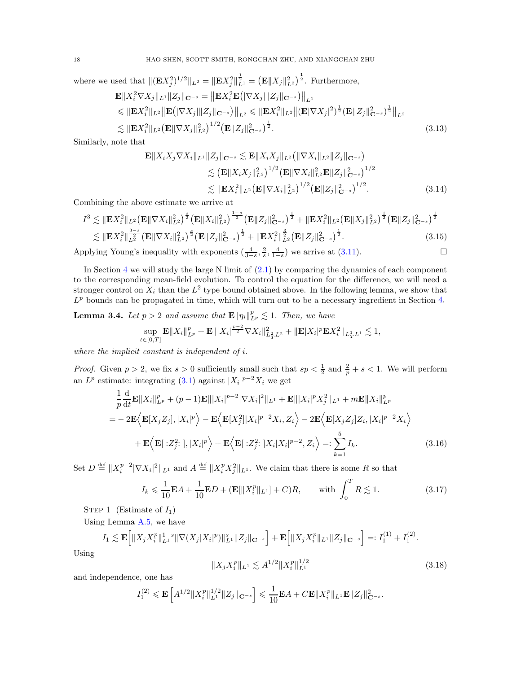where we used that  $\|(\mathbf{E} X_j^2)^{1/2}\|_{L^2} = \|\mathbf{E} X_j^2\|_{L^1}^{\frac{1}{2}} = \left(\mathbf{E} \|X_j\|_{L^2}^2\right)^{\frac{1}{2}}$ . Furthermore,

$$
\mathbf{E} \| X_i^2 \nabla X_j \|_{L^1} \| Z_j \|_{\mathbf{C}^{-s}} = \| \mathbf{E} X_i^2 \mathbf{E} (|\nabla X_j| \| Z_j \|_{\mathbf{C}^{-s}}) \|_{L^1} \n\leq \| \mathbf{E} X_i^2 \|_{L^2} \| \mathbf{E} (|\nabla X_j| \| Z_j \|_{\mathbf{C}^{-s}}) \|_{L^2} \leq \| \mathbf{E} X_i^2 \|_{L^2} \| (\mathbf{E} |\nabla X_j|^2)^{\frac{1}{2}} (\mathbf{E} \| Z_j \|_{\mathbf{C}^{-s}})^{\frac{1}{2}} \|_{L^2} \n\lesssim \| \mathbf{E} X_i^2 \|_{L^2} (\mathbf{E} \|\nabla X_j \|_{L^2}^2)^{1/2} (\mathbf{E} \| Z_j \|_{\mathbf{C}^{-s}}^2)^{\frac{1}{2}}.
$$
\n(3.13)

Similarly, note that

<span id="page-17-4"></span>
$$
\mathbf{E} \| X_i X_j \nabla X_i \|_{L^1} \| Z_j \|_{\mathbf{C}^{-s}} \lesssim \mathbf{E} \| X_i X_j \|_{L^2} \left( \| \nabla X_i \|_{L^2} \| Z_j \|_{\mathbf{C}^{-s}} \right)
$$
  
\n
$$
\lesssim \left( \mathbf{E} \| X_i X_j \|_{L^2}^2 \right)^{1/2} \left( \mathbf{E} \| \nabla X_i \|_{L^2}^2 \mathbf{E} \| Z_j \|_{\mathbf{C}^{-s}}^2 \right)^{1/2}
$$
  
\n
$$
\lesssim \| \mathbf{E} X_i^2 \|_{L^2} \left( \mathbf{E} \| \nabla X_i \|_{L^2}^2 \right)^{1/2} \left( \mathbf{E} \| Z_j \|_{\mathbf{C}^{-s}}^2 \right)^{1/2} . \tag{3.14}
$$

Combining the above estimate we arrive at

$$
I^3 \lesssim \|\mathbf{E}X_i^2\|_{L^2} \left(\mathbf{E} \|\nabla X_i\|_{L^2}^2\right)^{\frac{s}{2}} \left(\mathbf{E} \|X_i\|_{L^2}^2\right)^{\frac{1-s}{2}} \left(\mathbf{E} \|Z_j\|_{\mathbf{C}^{-s}}^2\right)^{\frac{1}{2}} + \|\mathbf{E}X_i^2\|_{L^2} \left(\mathbf{E} \|X_j\|_{L^2}^2\right)^{\frac{1}{2}} \left(\mathbf{E} \|Z_j\|_{\mathbf{C}^{-s}}^2\right)^{\frac{1}{2}} \lesssim \|\mathbf{E}X_i^2\|_{L^2}^{\frac{3-s}{2}} \left(\mathbf{E} \|\nabla X_i\|_{L^2}^2\right)^{\frac{s}{2}} \left(\mathbf{E} \|Z_j\|_{\mathbf{C}^{-s}}^2\right)^{\frac{1}{2}} + \|\mathbf{E}X_i^2\|_{L^2}^{\frac{3}{2}} \left(\mathbf{E} \|Z_j\|_{\mathbf{C}^{-s}}^2\right)^{\frac{1}{2}}.
$$
\n(3.15)

Applying Young's inequality with exponents  $\left(\frac{4}{3-s}, \frac{2}{s}, \frac{4}{1-s}\right)$  we arrive at  $(3.11)$ .

In Section [4](#page-21-0) we will study the large N limit of  $(2.1)$  by comparing the dynamics of each component to the corresponding mean-field evolution. To control the equation for the difference, we will need a stronger control on  $X_i$  than the  $L^2$  type bound obtained above. In the following lemma, we show that  $L^p$  bounds can be propagated in time, which will turn out to be a necessary ingredient in Section [4.](#page-21-0)

<span id="page-17-0"></span>**Lemma 3.4.** Let  $p > 2$  and assume that  $\mathbf{E} \|\eta_i\|_{L^p}^p \lesssim 1$ . Then, we have

$$
\sup_{t\in[0,T]}\mathbf{E}\|X_i\|_{L^p}^p+\mathbf{E}\||X_i|^{\frac{p-2}{2}}\nabla X_i\|_{L^2_TL^2}^2+\|\mathbf{E}|X_i|^p\mathbf{E} X_i^2\|_{L^1_TL^1}\lesssim 1,
$$

where the implicit constant is independent of i.

*Proof.* Given  $p > 2$ , we fix  $s > 0$  sufficiently small such that  $sp < \frac{1}{2}$  and  $\frac{2}{p} + s < 1$ . We will perform an  $L^p$  estimate: integrating [\(3.1\)](#page-13-2) against  $|X_i|^{p-2}X_i$  we get

$$
\frac{1}{p}\frac{\mathrm{d}}{\mathrm{d}t}\mathbf{E}\|X_i\|_{L^p}^p + (p-1)\mathbf{E}\|X_i|^{p-2}|\nabla X_i|^2\|_{L^1} + \mathbf{E}\|X_i|^p X_j^2\|_{L^1} + m\mathbf{E}\|X_i\|_{L^p}^p
$$
\n
$$
= -2\mathbf{E}\Big\langle\mathbf{E}[X_j Z_j], |X_i|^p\Big\rangle - \mathbf{E}\Big\langle\mathbf{E}[X_j^2]|X_i|^{p-2}X_i, Z_i\Big\rangle - 2\mathbf{E}\Big\langle\mathbf{E}[X_j Z_j]Z_i, |X_i|^{p-2}X_i\Big\rangle
$$
\n
$$
+ \mathbf{E}\Big\langle\mathbf{E}[\cdot Z_j^2;], |X_i|^p\Big\rangle + \mathbf{E}\Big\langle\mathbf{E}[\cdot Z_j^2;]X_i|X_i|^{p-2}, Z_i\Big\rangle =: \sum_{k=1}^5 I_k. \tag{3.16}
$$

Set  $D \stackrel{\text{def}}{=} ||X_i^{p-2}|\nabla X_i|^2||_{L^1}$  and  $A \stackrel{\text{def}}{=} ||X_i^p X_j^2||_{L^1}$ . We claim that there is some R so that

$$
I_k \leq \frac{1}{10} \mathbf{E} A + \frac{1}{10} \mathbf{E} D + (\mathbf{E} [\|X_i^p\|_{L^1}] + C)R, \quad \text{with } \int_0^T R \lesssim 1.
$$
 (3.17)

STEP 1 (Estimate of  $I_1$ )

Using Lemma [A.5,](#page-53-1) we have

$$
I_1 \lesssim \mathbf{E}\Big[\|X_j X_i^p\|_{L^1}^{1-s} \|\nabla(X_j|X_i|^p)\|_{L^1}^s \|Z_j\|_{\mathbf{C}^{-s}}\Big] + \mathbf{E}\Big[\|X_j X_i^p\|_{L^1} \|Z_j\|_{\mathbf{C}^{-s}}\Big] =: I_1^{(1)} + I_1^{(2)}.
$$

Using

<span id="page-17-3"></span><span id="page-17-2"></span><span id="page-17-1"></span>
$$
||X_j X_i^p||_{L^1} \lesssim A^{1/2} ||X_i^p||_{L^1}^{1/2}
$$
\n(3.18)

and independence, one has

$$
I_1^{(2)} \leqslant \mathbf{E}\left[A^{1/2} \|X_i^p\|_{L^1}^{1/2} \|Z_j\|_{\mathbf{C}^{-s}}\right] \leqslant \frac{1}{10} \mathbf{E} A + C \mathbf{E} \|X_i^p\|_{L^1} \mathbf{E} \|Z_j\|_{\mathbf{C}^{-s}}^2.
$$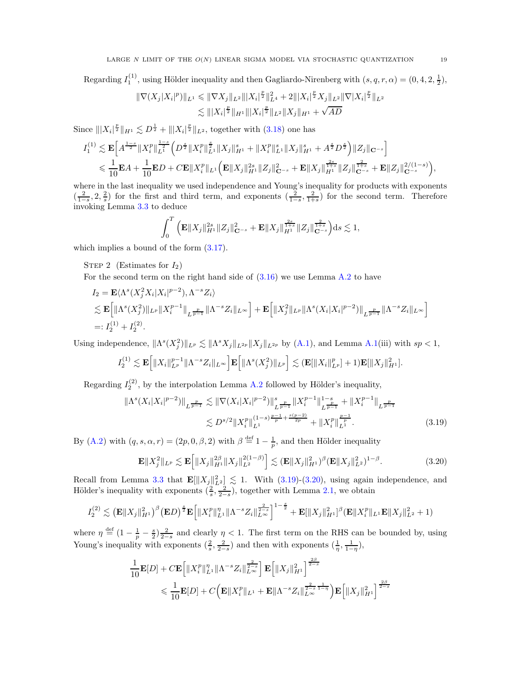Regarding  $I_1^{(1)}$ , using Hölder inequality and then Gagliardo-Nirenberg with  $(s, q, r, \alpha) = (0, 4, 2, \frac{1}{2}),$ 

$$
\begin{aligned} \|\nabla(X_j|X_i|^p)\|_{L^1} &\leqslant \|\nabla X_j\|_{L^2} \||X_i|^{\frac{p}{2}}\|_{L^4}^2 + 2\||X_i|^{\frac{p}{2}}X_j\|_{L^2} \|\nabla |X_i|^{\frac{p}{2}}\|_{L^2} \\ &\lesssim \||X_i|^{\frac{p}{2}}\|_{H^1} \||X_i|^{\frac{p}{2}}\|_{L^2} \|X_j\|_{H^1} + \sqrt{AD} \end{aligned}
$$

Since  $|||X_i|^{\frac{p}{2}}||_{H^1} \lesssim D^{\frac{1}{2}} + |||X_i|^{\frac{p}{2}}||_{L^2}$ , together with [\(3.18\)](#page-17-1) one has

$$
\begin{split} I_1^{(1)} &\lesssim \mathbf{E}\Big[A^{\frac{1-s}{2}}\|X_i^p\|_{L^1}^{\frac{1-s}{2}}\Big(D^{\frac{s}{2}}\|X_i^p\|_{L^1}^{\frac{s}{2}}\|X_j\|_{H^1}^s+\|X_i^p\|_{L^1}^s\|X_j\|_{H^1}^s+A^{\frac{s}{2}}D^{\frac{s}{2}}\Big)\|Z_j\|_{\mathbf{C}^{-s}}\Big] \\ &\leqslant \frac{1}{10}\mathbf{E} A+\frac{1}{10}\mathbf{E} D+C\mathbf{E}\|X_i^p\|_{L^1}\Big(\mathbf{E}\|X_j\|_{H^1}^{2s}\|Z_j\|_{\mathbf{C}^{-s}}^2+\mathbf{E}\|X_j\|_{H^1}^{\frac{2s}{1+s}}\|Z_j\|_{\mathbf{C}^{-s}}^{\frac{2s}{1+s}}+\mathbf{E}\|Z_j\|_{\mathbf{C}^{-s}}^{2/(1-s)}\Big), \end{split}
$$

where in the last inequality we used independence and Young's inequality for products with exponents  $\left(\frac{2}{1-s}, 2, \frac{2}{s}\right)$  for the first and third term, and exponents  $\left(\frac{2}{1-s}, \frac{2}{1+s}\right)$  for the second term. Therefore invoking Lemma [3.3](#page-15-0) to deduce

$$
\int_0^T \Big( \mathbf{E} \|X_j\|_{H^1}^{2s} \|Z_j\|_{{\mathbf C}^{-s}}^2 + \mathbf{E} \|X_j\|_{H^1}^{\frac{2s}{1+s}} \|Z_j\|_{{\mathbf C}^{-s}}^{\frac{2}{1+s}} \Big) \mathrm{d} s \lesssim 1,
$$

which implies a bound of the form  $(3.17)$ .

STEP 2 (Estimates for  $I_2$ )

For the second term on the right hand side of  $(3.16)$  we use Lemma [A.2](#page-52-1) to have

$$
I_2 = \mathbf{E} \langle \Lambda^s (X_j^2 X_i | X_i |^{p-2}), \Lambda^{-s} Z_i \rangle
$$
  
\$\lesssim \mathbf{E} \Big[ \| \Lambda^s (X\_j^2) \|\_{L^p} \| X\_i^{p-1} \|\_{L^{\frac{p}{p-1}}} \| \Lambda^{-s} Z\_i \|\_{L^\infty} \Big] + \mathbf{E} \Big[ \| X\_j^2 \|\_{L^p} \| \Lambda^s (X\_i | X\_i |^{p-2}) \|\_{L^{\frac{p}{p-1}}} \| \Lambda^{-s} Z\_i \|\_{L^\infty} \Big] \newline =: I\_2^{(1)} + I\_2^{(2)}.

Using independence,  $\|\Lambda^s(X_j^2)\|_{L^p} \lesssim \|\Lambda^s X_j\|_{L^{2p}}\|X_j\|_{L^{2p}}$  by [\(A.1\)](#page-52-2), and Lemma [A.1\(](#page-52-3)iii) with  $sp < 1$ ,

$$
I_2^{(1)} \lesssim \mathbf{E}\Big[\|X_i\|_{L^p}^{p-1}\|\Lambda^{-s}Z_i\|_{L^\infty}\Big]\mathbf{E}\Big[\|\Lambda^s(X_j^2)\|_{L^p}\Big] \lesssim (\mathbf{E}[\|X_i\|_{L^p}^p]+1)\mathbf{E}[\|X_j\|_{H^1}^2].
$$

Regarding  $I_2^{(2)}$ , by the interpolation Lemma [A.2](#page-52-1) followed by Hölder's inequality,

$$
\|\Lambda^{s}(X_{i}|X_{i}|^{p-2})\|_{L^{\frac{p}{p-1}}} \lesssim \|\nabla(X_{i}|X_{i}|^{p-2})\|_{L^{\frac{p}{p-1}}}^{s} \|X_{i}^{p-1}\|_{L^{\frac{p}{p-1}}}^{1-s} + \|X_{i}^{p-1}\|_{L^{\frac{p}{p-1}}}^{1-s}
$$

$$
\lesssim D^{s/2} \|X_{i}^{p}\|_{L^{1}}^{(1-s)\frac{p-1}{p} + \frac{s(p-2)}{2p}} + \|X_{i}^{p}\|_{L^{1}}^{\frac{p-1}{p}}.
$$
(3.19)

By [\(A.2\)](#page-53-4) with  $(q, s, \alpha, r) = (2p, 0, \beta, 2)$  with  $\beta \stackrel{\text{def}}{=} 1 - \frac{1}{p}$ , and then Hölder inequality

<span id="page-18-1"></span><span id="page-18-0"></span>
$$
\mathbf{E} \|X_j^2\|_{L^p} \lesssim \mathbf{E} \Big[ \|X_j\|_{H^1}^{2\beta} \|X_j\|_{L^2}^{2(1-\beta)} \Big] \lesssim (\mathbf{E} \|X_j\|_{H^1}^2)^{\beta} (\mathbf{E} \|X_j\|_{L^2}^2)^{1-\beta}.
$$
 (3.20)

Recall from Lemma [3.3](#page-15-0) that  $\mathbf{E}[\|X_j\|_{L^2}^2] \lesssim 1$ . With [\(3.19\)](#page-18-0)-[\(3.20\)](#page-18-1), using again independence, and Hölder's inequality with exponents  $(\frac{2}{s}, \frac{2}{2-s})$ , together with Lemma [2.1,](#page-8-2) we obtain

$$
I_2^{(2)} \lesssim \left(\mathbf{E} \|X_j\|_{H^1}^2\right)^{\beta} \left(\mathbf{E} D\right)^{\frac{s}{2}} \mathbf{E} \left[\|X_i^p\|_{L^1}^{\eta} \|\Lambda^{-s} Z_i\|_{L^\infty}^{\frac{2}{2-s}}\right]^{1-\frac{s}{2}} + \mathbf{E} [\|X_j\|_{H^1}^2]^{\beta} \left(\mathbf{E} \|X_i^p\|_{L^1} \mathbf{E} \|X_j\|_{L^2}^2 + 1\right)
$$

where  $\eta \stackrel{\text{def}}{=} (1 - \frac{1}{p} - \frac{s}{2}) \frac{2}{2-s}$  and clearly  $\eta < 1$ . The first term on the RHS can be bounded by, using Young's inequality with exponents  $(\frac{2}{s}, \frac{2}{2-s})$  and then with exponents  $(\frac{1}{\eta}, \frac{1}{1-\eta})$ ,

$$
\frac{1}{10}\mathbf{E}[D] + C\mathbf{E}\left[\|X_i^p\|_{L^1}^{\eta}\|\Lambda^{-s}Z_i\|_{L^{\infty}}^{\frac{2}{2-s}}\right]\mathbf{E}\left[\|X_j\|_{H^1}^2\right]^{\frac{2\beta}{2-s}}\\ \leqslant \frac{1}{10}\mathbf{E}[D] + C\Big(\mathbf{E}\|X_i^p\|_{L^1} + \mathbf{E}\|\Lambda^{-s}Z_i\|_{L^{\infty}}^{\frac{2}{2-s}\frac{1}{1-\eta}}\Big)\mathbf{E}\Big[\|X_j\|_{H^1}^2\Big]^{\frac{2\beta}{2-s}}\end{aligned}
$$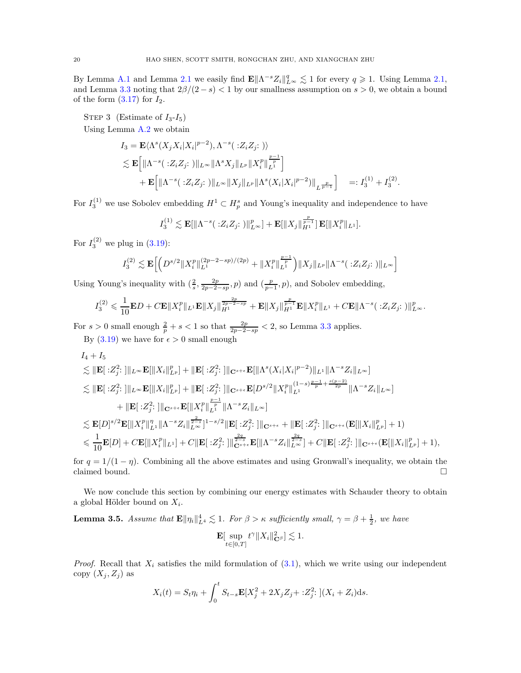By Lemma [A.1](#page-52-3) and Lemma [2.1](#page-8-2) we easily find  $\mathbf{E} \|\Lambda^{-s} Z_i\|_{L^{\infty}}^q \lesssim 1$  for every  $q \geq 1$ . Using Lemma [2.1,](#page-8-2) and Lemma [3.3](#page-15-0) noting that  $2\beta/(2-s) < 1$  by our smallness assumption on  $s > 0$ , we obtain a bound of the form  $(3.17)$  for  $I_2$ .

STEP 3 (Estimate of  $I_3-I_5$ ) Using Lemma [A.2](#page-52-1) we obtain

$$
I_3 = \mathbf{E} \langle \Lambda^s(X_j X_i | X_i |^{p-2}), \Lambda^{-s}(.Z_i Z_j; \cdot) \rangle
$$
  
\$\leq\$  $\mathbf{E} \Big[ \| \Lambda^{-s}(.Z_i Z_j; \cdot) \|_{L^{\infty}} \| \Lambda^s X_j \|_{L^p} \| X_i^p \|_{L^1}^{\frac{p-1}{p}} \Big] + \mathbf{E} \Big[ \| \Lambda^{-s}(.Z_i Z_j; \cdot) \|_{L^{\infty}} \| X_j \|_{L^p} \| \Lambda^s(X_i | X_i |^{p-2}) \|_{L^{\frac{p}{p-1}}} \Big] =: I_3^{(1)} + I_3^{(2)}$ 

.

For  $I_3^{(1)}$  we use Sobolev embedding  $H^1 \subset H_p^s$  and Young's inequality and independence to have

$$
I_3^{(1)} \lesssim \mathbf{E}[\|\Lambda^{-s}(\cdot Z_i Z_j :)\|_{L^\infty}^p] + \mathbf{E}[\|X_j\|_{H^1}^{\frac{p}{p-1}}] \mathbf{E}[\|X_i^p\|_{L^1}].
$$

For  $I_3^{(2)}$  we plug in  $(3.19)$ :

$$
I_3^{(2)} \lesssim \mathbf{E} \Big[ \Big( D^{s/2} \| X_i^p \|_{L^1}^{(2p-2-sp)/(2p)} + \| X_i^p \|_{L^1}^{\frac{p-1}{p}} \Big) \| X_j \|_{L^p} \| \Lambda^{-s}(\cdot : Z_i Z_j; \cdot ) \|_{L^\infty} \Big]
$$

Using Young's inequality with  $(\frac{2}{s}, \frac{2p}{2p-2-sp}, p)$  and  $(\frac{p}{p-1}, p)$ , and Sobolev embedding,

$$
I_3^{(2)} \leq \frac{1}{10} \mathbf{E} D + C \mathbf{E} \|X_i^p\|_{L^1} \mathbf{E} \|X_j\|_{H^1}^{\frac{2p}{2p-2-sp}} + \mathbf{E} \|X_j\|_{H^1}^{\frac{p}{p-1}} \mathbf{E} \|X_i^p\|_{L^1} + C \mathbf{E} \|\Lambda^{-s}(\cdot Z_i Z_j; \cdot)\|_{L^\infty}^p.
$$

For  $s > 0$  small enough  $\frac{2}{p} + s < 1$  so that  $\frac{2p}{2p-2-sp} < 2$ , so Lemma [3.3](#page-15-0) applies. By  $(3.19)$  we have for  $\epsilon > 0$  small enough

$$
I_4 + I_5
$$
  
\n
$$
\lesssim ||\mathbf{E}[\cdot Z_j^2:]||_{L^{\infty}} \mathbf{E}[||X_i||_{L^p}^p] + ||\mathbf{E}[\cdot Z_j^2:]||_{\mathbf{C}^{s+\epsilon}} \mathbf{E}[||\Lambda^s(X_i|X_i|^{p-2})||_{L^1}||\Lambda^{-s}Z_i||_{L^{\infty}}]\n
$$
\lesssim ||\mathbf{E}[\cdot Z_j^2:]||_{L^{\infty}} \mathbf{E}[||X_i||_{L^p}^p] + ||\mathbf{E}[\cdot Z_j^2:]||_{\mathbf{C}^{s+\epsilon}} \mathbf{E}[D^{s/2}||X_i^p||_{L^1}^{(1-s)\frac{p-1}{p}+\frac{s(p-2)}{2p}}||\Lambda^{-s}Z_i||_{L^{\infty}}]\n
$$
+ ||\mathbf{E}[\cdot Z_j^2:]||_{\mathbf{C}^{s+\epsilon}} \mathbf{E}[||X_i^p||_{L^1}^{r}||\Lambda^{-s}Z_i||_{L^{\infty}}]\n
$$
\lesssim \mathbf{E}[D]^{s/2}\mathbf{E}[||X_i^p||_{L^1}^{r}||\Lambda^{-s}Z_i||_{L^{\infty}}^{\frac{2}{2-s}}]^{1-s/2} ||\mathbf{E}[\cdot Z_j^2:]||_{\mathbf{C}^{s+\epsilon}} + ||\mathbf{E}[\cdot Z_j^2:]||_{\mathbf{C}^{s+\epsilon}}(\mathbf{E}[||X_i||_{L^p}^p]+1)\n
$$
\leqslant \frac{1}{10}\mathbf{E}[D] + C\mathbf{E}[||X_i^p||_{L^1}] + C||\mathbf{E}[\cdot Z_j^2:]||_{\mathbf{C}^{s+\epsilon}}^{\frac{2q}{2-s}}\mathbf{E}[||\Lambda^{-s}Z_i||_{L^{\infty}}^{\frac{2q}{2-s}}] + C||\mathbf{E}[\cdot Z_j^2:]||_{\mathbf{C}^{s+\epsilon}}(\mathbf{E}[||X_i||_{L^p}^p]+1),
$$
$$
$$
$$
$$

for  $q = 1/(1 - \eta)$ . Combining all the above estimates and using Gronwall's inequality, we obtain the claimed bound. claimed bound.

We now conclude this section by combining our energy estimates with Schauder theory to obtain a global Hölder bound on  $X_i$ .

<span id="page-19-0"></span>**Lemma 3.5.** Assume that  $\mathbf{E} \|\eta_i\|_{L^4}^4 \lesssim 1$ . For  $\beta > \kappa$  sufficiently small,  $\gamma = \beta + \frac{1}{2}$ , we have  ${\bf E}[\,\,\sup$  $t \in [0,T]$  $t^{\gamma} \|X_i\|_{{\bf C}^{\beta}}^2] \lesssim 1.$ 

*Proof.* Recall that  $X_i$  satisfies the mild formulation of  $(3.1)$ , which we write using our independent copy  $(X_i, Z_j)$  as

$$
X_i(t) = S_t \eta_i + \int_0^t S_{t-s} \mathbf{E}[X_j^2 + 2X_j Z_j + : Z_j^2] \left[ (X_i + Z_i) \mathrm{d} s \right].
$$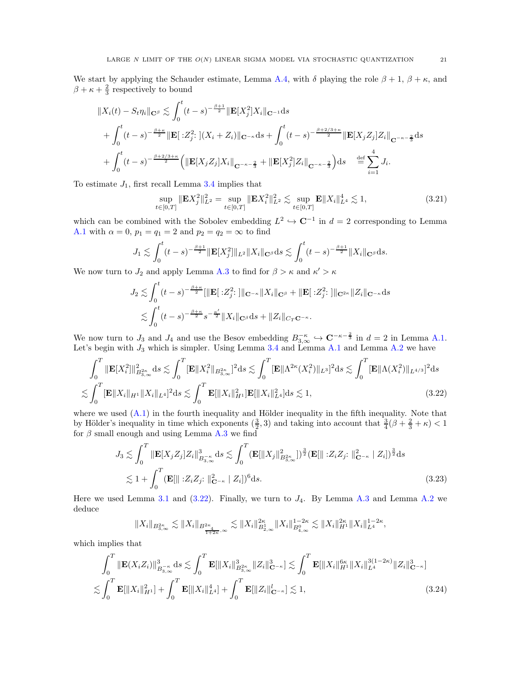We start by applying the Schauder estimate, Lemma [A.4,](#page-53-3) with  $\delta$  playing the role  $\beta + 1$ ,  $\beta + \kappa$ , and  $\beta + \kappa + \frac{2}{3}$  respectively to bound

$$
||X_i(t) - S_t \eta_i||_{\mathbf{C}^{\beta}} \lesssim \int_0^t (t-s)^{-\frac{\beta+1}{2}} ||\mathbf{E}[X_j^2] X_i||_{\mathbf{C}^{-1}} ds + \int_0^t (t-s)^{-\frac{\beta+\kappa}{2}} ||\mathbf{E}[:Z_j^2:](X_i + Z_i)||_{\mathbf{C}^{-\kappa}} ds + \int_0^t (t-s)^{-\frac{\beta+2/3+\kappa}{2}} ||\mathbf{E}[X_j Z_j] Z_i||_{\mathbf{C}^{-\kappa-\frac{2}{3}}} ds + \int_0^t (t-s)^{-\frac{\beta+2/3+\kappa}{2}} \Big( ||\mathbf{E}[X_j Z_j] X_i||_{\mathbf{C}^{-\kappa-\frac{2}{3}}} + ||\mathbf{E}[X_j^2] Z_i||_{\mathbf{C}^{-\kappa-\frac{2}{3}}} \Big) ds \stackrel{\text{def}}{=} \sum_{i=1}^4 J_i.
$$

To estimate  $J_1$ , first recall Lemma [3.4](#page-17-0) implies that

$$
\sup_{t \in [0,T]} \|\mathbf{E} X_j^2\|_{L^2}^2 = \sup_{t \in [0,T]} \|\mathbf{E} X_i^2\|_{L^2}^2 \lesssim \sup_{t \in [0,T]} \mathbf{E} \|X_i\|_{L^4}^4 \lesssim 1,
$$
\n(3.21)

which can be combined with the Sobolev embedding  $L^2 \hookrightarrow \mathbb{C}^{-1}$  in  $d = 2$  corresponding to Lemma [A.1](#page-52-3) with  $\alpha = 0$ ,  $p_1 = q_1 = 2$  and  $p_2 = q_2 = \infty$  to find

$$
J_1 \lesssim \int_0^t (t-s)^{-\frac{\beta+1}{2}} \|\mathbf{E}[X_j^2]\|_{L^2} \|X_i\|_{\mathbf{C}^\beta} ds \lesssim \int_0^t (t-s)^{-\frac{\beta+1}{2}} \|X_i\|_{\mathbf{C}^\beta} ds.
$$

We now turn to  $J_2$  and apply Lemma [A.3](#page-53-2) to find for  $\beta > \kappa$  and  $\kappa' > \kappa$ 

<span id="page-20-0"></span>
$$
J_2 \lesssim \int_0^t (t-s)^{-\frac{\beta+\kappa}{2}} [\|\mathbf{E}[:Z_j^2:]\|_{\mathbf{C}^{-\kappa}} \|X_i\|_{\mathbf{C}^{\beta}} + \|\mathbf{E}[:Z_j^2:]\|_{\mathbf{C}^{2\kappa}} \|Z_i\|_{\mathbf{C}^{-\kappa}} ds
$$
  

$$
\lesssim \int_0^t (t-s)^{-\frac{\beta+\kappa}{2}} s^{-\frac{\kappa'}{2}} \|X_i\|_{\mathbf{C}^{\beta}} ds + \|Z_i\|_{C_T\mathbf{C}^{-\kappa}}.
$$

We now turn to  $J_3$  and  $J_4$  and use the Besov embedding  $B_{3,\infty}^{-\kappa} \hookrightarrow \mathbb{C}^{-\kappa-\frac{2}{3}}$  in  $d=2$  in Lemma [A.1.](#page-52-3) Let's begin with  $J_3$  which is simpler. Using Lemma [3.4](#page-17-0) and Lemma [A.1](#page-52-3) and Lemma [A.2](#page-52-1) we have

$$
\int_0^T \|\mathbf{E}[X_i^2]\|_{B_{3,\infty}^{2\kappa}}^2 ds \lesssim \int_0^T \|\mathbf{E}\|X_i^2\|_{B_{3,\infty}^{2\kappa}}^2|^2 ds \lesssim \int_0^T \|\mathbf{E}\|\Lambda^{2\kappa}(X_i^2)\|_{L^3}^2 ds \lesssim \int_0^T \|\mathbf{E}\|\Lambda(X_i^2)\|_{L^{4/3}}^2|^2 ds
$$
  

$$
\lesssim \int_0^T \|\mathbf{E}\|X_i\|_{H^1} \|X_i\|_{L^4}^2 ds \lesssim \int_0^T \mathbf{E}[\|X_i\|_{H^1}^2] \mathbf{E}[\|X_i\|_{L^4}^2] ds \lesssim 1,
$$
 (3.22)

where we used  $(A.1)$  in the fourth inequality and Hölder inequality in the fifth inequality. Note that by Hölder's inequality in time which exponents  $(\frac{3}{2},3)$  and taking into account that  $\frac{3}{4}(\beta+\frac{2}{3}+\kappa) < 1$ for  $\beta$  small enough and using Lemma [A.3](#page-53-2) we find

$$
J_3 \lesssim \int_0^T \|\mathbf{E}[X_j Z_j] Z_i\|_{B_{3,\infty}^{-\kappa}}^3 ds \lesssim \int_0^T (\mathbf{E}[\|X_j\|_{B_{3,\infty}^{2\kappa}}^2])^{\frac{3}{2}} (\mathbf{E}[\|Z_i Z_j : \|_{\mathbf{C}^{-\kappa}}^2 | Z_i])^{\frac{3}{2}} ds
$$
  

$$
\lesssim 1 + \int_0^T (\mathbf{E}[\|Z_i Z_j : \|_{\mathbf{C}^{-\kappa}}^2 | Z_i])^6 ds.
$$
 (3.23)

Here we used Lemma [3.1](#page-14-0) and  $(3.22)$ . Finally, we turn to  $J_4$ . By Lemma [A.3](#page-53-2) and Lemma [A.2](#page-52-1) we deduce

<span id="page-20-1"></span>
$$
||X_i||_{B^{2\kappa}_{3,\infty}} \lesssim ||X_i||_{B^{2\kappa}_{\frac{4}{1+2\kappa},\infty}} \lesssim ||X_i||_{B^1_{2,\infty}}^{2\kappa} ||X_i||_{B^0_{4,\infty}}^{1-2\kappa} \lesssim ||X_i||_{H^1}^{2\kappa} ||X_i||_{L^4}^{1-2\kappa},
$$

which implies that

$$
\int_{0}^{T} \|\mathbf{E}(X_{i}Z_{i})\|_{B_{3,\infty}^{-\kappa}}^{3} ds \lesssim \int_{0}^{T} \mathbf{E}[\|X_{i}\|_{B_{3,\infty}^{2\kappa}}^{3} \|Z_{i}\|_{\mathbf{C}^{-\kappa}}^{3}] \lesssim \int_{0}^{T} \mathbf{E}[\|X_{i}\|_{H^{1}}^{6\kappa} \|X_{i}\|_{L^{4}}^{3(1-2\kappa)} \|Z_{i}\|_{\mathbf{C}^{-\kappa}}^{3}]
$$
  

$$
\lesssim \int_{0}^{T} \mathbf{E}[\|X_{i}\|_{H^{1}}^{2}] + \int_{0}^{T} \mathbf{E}[\|X_{i}\|_{L^{4}}^{4}] + \int_{0}^{T} \mathbf{E}[\|Z_{i}\|_{\mathbf{C}^{-\kappa}}^{1}] \lesssim 1,
$$
 (3.24)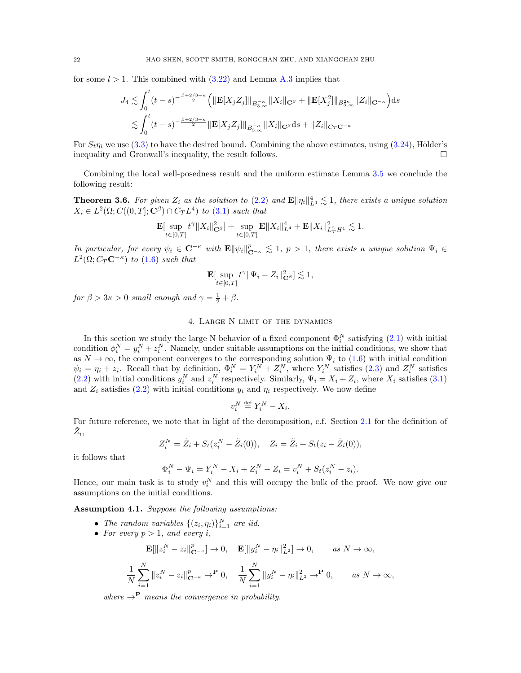for some  $l > 1$ . This combined with  $(3.22)$  and Lemma [A.3](#page-53-2) implies that

$$
J_4 \lesssim \int_0^t (t-s)^{-\frac{\beta+2/3+\kappa}{2}} \left( \|\mathbf{E}[X_j Z_j] \|_{B_{3,\infty}^{-\kappa}} \|X_i\|_{\mathbf{C}^{\beta}} + \|\mathbf{E}[X_j^2] \|_{B_{3,\infty}^{2\kappa}} \|Z_i\|_{\mathbf{C}^{-\kappa}} \right) ds
$$
  

$$
\lesssim \int_0^t (t-s)^{-\frac{\beta+2/3+\kappa}{2}} \|\mathbf{E}[X_j Z_j] \|_{B_{3,\infty}^{-\kappa}} \|X_i\|_{\mathbf{C}^{\beta}} ds + \|Z_i\|_{C_T \mathbf{C}^{-\kappa}}
$$

For  $S_t \eta_i$  we use [\(3.3\)](#page-15-3) to have the desired bound. Combining the above estimates, using [\(3.24\)](#page-20-1), Hölder's inequality and Gronwall's inequality, the result follows.

Combining the local well-posedness result and the uniform estimate Lemma [3.5](#page-19-0) we conclude the following result:

<span id="page-21-2"></span>**Theorem 3.6.** For given  $Z_i$  as the solution to [\(2.2\)](#page-7-3) and  $\mathbf{E} ||\eta_i||_{L^4}^4 \lesssim 1$ , there exists a unique solution  $X_i \in L^2(\Omega; C((0,T];\mathbf{C}^\beta) \cap C_T L^4)$  to [\(3.1\)](#page-13-2) such that

$$
\mathbf{E}[\sup_{t\in[0,T]}t^{\gamma}\|X_i\|_{\mathbf{C}^{\beta}}^2] + \sup_{t\in[0,T]}\mathbf{E}\|X_i\|_{L^4}^4 + \mathbf{E}\|X_i\|_{L^2_T H^1}^2 \lesssim 1.
$$

In particular, for every  $\psi_i \in \mathbb{C}^{-\kappa}$  with  $\mathbf{E} \|\psi_i\|_{\mathbb{C}^{-\kappa}}^p \lesssim 1$ ,  $p > 1$ , there exists a unique solution  $\Psi_i \in$  $L^2(\Omega; C_T \mathbf{C}^{-\kappa})$  to [\(1.6\)](#page-2-1) such that

$$
\mathbf{E}[\sup_{t\in[0,T]}t^{\gamma}\|\Psi_i-Z_i\|_{\mathbf{C}^{\beta}}^2]\lesssim 1,
$$

<span id="page-21-0"></span>for  $\beta > 3\kappa > 0$  small enough and  $\gamma = \frac{1}{2} + \beta$ .

# 4. Large N limit of the dynamics

In this section we study the large N behavior of a fixed component  $\Phi_i^N$  satisfying  $(2.1)$  with initial condition  $\phi_i^N = y_i^N + z_i^N$ . Namely, under suitable assumptions on the initial conditions, we show that as  $N \to \infty$ , the component converges to the corresponding solution  $\Psi_i$  to [\(1.6\)](#page-2-1) with initial condition  $\psi_i = \eta_i + z_i$ . Recall that by definition,  $\Phi_i^N = Y_i^N + Z_i^N$ , where  $Y_i^N$  satisfies [\(2.3\)](#page-7-2) and  $Z_i^N$  satisfies [\(2.2\)](#page-7-3) with initial conditions  $y_i^N$  and  $z_i^N$  respectively. Similarly,  $\Psi_i = X_i + Z_i$ , where  $X_i$  satisfies [\(3.1\)](#page-13-2) and  $Z_i$  satisfies [\(2.2\)](#page-7-3) with initial conditions  $y_i$  and  $\eta_i$  respectively. We now define

$$
v_i^N \stackrel{\text{def}}{=} Y_i^N - X_i
$$

.

For future reference, we note that in light of the decomposition, c.f. Section [2.1](#page-8-0) for the definition of  $\tilde{Z}_i,$ 

$$
Z_i^N = \tilde{Z}_i + S_t(z_i^N - \tilde{Z}_i(0)), \quad Z_i = \tilde{Z}_i + S_t(z_i - \tilde{Z}_i(0)),
$$

it follows that

$$
\Phi_i^N - \Psi_i = Y_i^N - X_i + Z_i^N - Z_i = v_i^N + S_t(z_i^N - z_i).
$$

Hence, our main task is to study  $v_i^N$  and this will occupy the bulk of the proof. We now give our assumptions on the initial conditions.

<span id="page-21-1"></span>Assumption 4.1. Suppose the following assumptions:

- The random variables  $\{(z_i, \eta_i)\}_{i=1}^N$  are iid.
- For every  $p > 1$ , and every i,

$$
\mathbf{E}[\|z_i^N - z_i\|_{\mathbf{C}^{-\kappa}}^p] \to 0, \quad \mathbf{E}[\|y_i^N - \eta_i\|_{L^2}^2] \to 0, \qquad \text{as } N \to \infty,
$$

$$
\frac{1}{N} \sum_{i=1}^{N} \|z_i^N - z_i\|_{\mathbf{C}^{-\kappa}}^p \to \mathbf{P} 0, \quad \frac{1}{N} \sum_{i=1}^{N} \|y_i^N - \eta_i\|_{L^2}^2 \to \mathbf{P} 0, \qquad \text{as } N \to \infty,
$$

where  $\rightarrow^{\mathbf{P}}$  means the convergence in probability.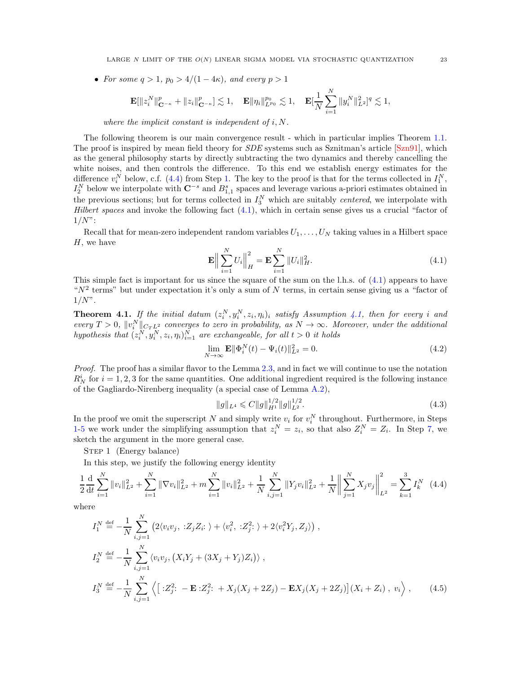• For some  $q > 1$ ,  $p_0 > 4/(1-4\kappa)$ , and every  $p > 1$ 

$$
\mathbf{E}[\|z_i^N\|_{\mathbf{C}^{-\kappa}}^p+\|z_i\|_{\mathbf{C}^{-\kappa}}^p]\lesssim 1,\quad \mathbf{E}\|\eta_i\|_{L^{p_0}}^{p_0}\lesssim 1,\quad \mathbf{E}[\frac{1}{N}\sum_{i=1}^N\|y_i^N\|_{L^2}^2]^q\lesssim 1,
$$

where the implicit constant is independent of  $i, N$ .

The following theorem is our main convergence result - which in particular implies Theorem [1.1.](#page-2-0) The proof is inspired by mean field theory for *SDE* systems such as Sznitman's article [\[Szn91\]](#page-59-12), which as the general philosophy starts by directly subtracting the two dynamics and thereby cancelling the white noises, and then controls the difference. To this end we establish energy estimates for the difference  $v_i^N$  below, c.f. [\(4.4\)](#page-22-1) from Step [1.](#page-22-2) The key to the proof is that for the terms collected in  $I_1^N$ ,  $I_2^N$  below we interpolate with  $\mathbb{C}^{-s}$  and  $B_{1,1}^s$  spaces and leverage various a-priori estimates obtained in the previous sections; but for terms collected in  $I_3^N$  which are suitably *centered*, we interpolate with Hilbert spaces and invoke the following fact  $(4.1)$ , which in certain sense gives us a crucial "factor of  $1/N$ ":

Recall that for mean-zero independent random variables  $U_1, \ldots, U_N$  taking values in a Hilbert space  $H$ , we have

<span id="page-22-3"></span>
$$
\mathbf{E}\Big\|\sum_{i=1}^{N}U_i\Big\|_{H}^{2} = \mathbf{E}\sum_{i=1}^{N}\|U_i\|_{H}^{2}.
$$
\n(4.1)

This simple fact is important for us since the square of the sum on the l.h.s. of [\(4.1\)](#page-22-3) appears to have " $N^2$  terms" but under expectation it's only a sum of N terms, in certain sense giving us a "factor of  $1/N$ ".

<span id="page-22-0"></span>**Theorem 4.1.** If the initial datum  $(z_i^N, y_i^N, z_i, \eta_i)_i$  satisfy Assumption [4.1,](#page-21-1) then for every i and every  $T > 0$ ,  $||v_i^N||_{C_T L^2}$  converges to zero in probability, as  $N \to \infty$ . Moreover, under the additional hypothesis that  $(z_i^N, y_i^N, z_i, \eta_i)_{i=1}^N$  are exchangeable, for all  $t > 0$  it holds

<span id="page-22-4"></span>
$$
\lim_{N \to \infty} \mathbf{E} \|\Phi_i^N(t) - \Psi_i(t)\|_{L^2}^2 = 0.
$$
\n(4.2)

Proof. The proof has a similar flavor to the Lemma [2.3,](#page-9-1) and in fact we will continue to use the notation  $R_N^i$  for  $i = 1, 2, 3$  for the same quantities. One additional ingredient required is the following instance of the Gagliardo-Nirenberg inequality (a special case of Lemma [A.2\)](#page-52-1),

<span id="page-22-2"></span><span id="page-22-1"></span>
$$
||g||_{L^{4}} \leqslant C||g||_{H^{1}}^{1/2}||g||_{L^{2}}^{1/2}.
$$
\n(4.3)

In the proof we omit the superscript N and simply write  $v_i$  for  $v_i^N$  throughout. Furthermore, in Steps [1](#page-22-2)[-5](#page-28-0) we work under the simplifying assumption that  $z_i^N = z_i$ , so that also  $Z_i^N = Z_i$ . In Step [7,](#page-30-0) we sketch the argument in the more general case.

STEP 1 (Energy balance)

In this step, we justify the following energy identity

$$
\frac{1}{2}\frac{d}{dt}\sum_{i=1}^{N}||v_i||_{L^2}^2 + \sum_{i=1}^{N}||\nabla v_i||_{L^2}^2 + m\sum_{i=1}^{N}||v_i||_{L^2}^2 + \frac{1}{N}\sum_{i,j=1}^{N}||Y_jv_i||_{L^2}^2 + \frac{1}{N}\left\|\sum_{j=1}^{N}X_jv_j\right\|_{L^2}^2 = \sum_{k=1}^{3}I_k^N\tag{4.4}
$$

where

$$
I_1^N \stackrel{\text{def}}{=} -\frac{1}{N} \sum_{i,j=1}^N \left( 2 \langle v_i v_j, \, : Z_j Z_i : \, \rangle + \langle v_i^2, \, : Z_j^2 : \, \rangle + 2 \langle v_i^2 Y_j, Z_j \rangle \right),
$$
  
\n
$$
I_2^N \stackrel{\text{def}}{=} -\frac{1}{N} \sum_{i,j=1}^N \langle v_i v_j, \left( X_i Y_j + (3X_j + Y_j) Z_i \right) \rangle,
$$
  
\n
$$
I_3^N \stackrel{\text{def}}{=} -\frac{1}{N} \sum_{i,j=1}^N \left\langle \left[ : Z_j^2 : -\mathbf{E} : Z_j^2 : +X_j (X_j + 2Z_j) - \mathbf{E} X_j (X_j + 2Z_j) \right] (X_i + Z_i), \, v_i \right\rangle,
$$
\n(4.5)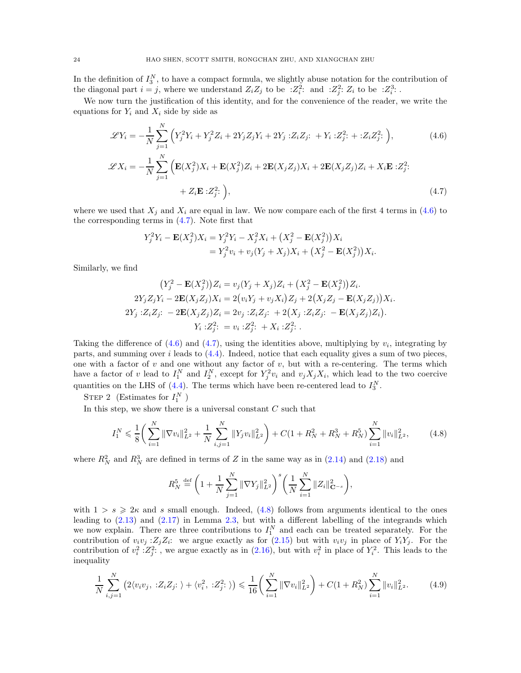In the definition of  $I_3^N$ , to have a compact formula, we slightly abuse notation for the contribution of the diagonal part  $i = j$ , where we understand  $Z_i Z_j$  to be  $Z_i^2$ : and  $Z_j^2$ :  $Z_i$  to be  $Z_i^3$ : .

We now turn the justification of this identity, and for the convenience of the reader, we write the equations for  $Y_i$  and  $X_i$  side by side as

$$
\mathcal{L}Y_i = -\frac{1}{N} \sum_{j=1}^{N} \left( Y_j^2 Y_i + Y_j^2 Z_i + 2Y_j Z_j Y_i + 2Y_j : Z_i Z_j : + Y_i : Z_j^2 : + : Z_i Z_j^2 : \right),\tag{4.6}
$$

$$
\mathcal{L}X_i = -\frac{1}{N} \sum_{j=1}^N \left( \mathbf{E}(X_j^2) X_i + \mathbf{E}(X_j^2) Z_i + 2 \mathbf{E}(X_j Z_j) X_i + 2 \mathbf{E}(X_j Z_j) Z_i + X_i \mathbf{E} : Z_j^2; \right. \\ \left. + Z_i \mathbf{E} : Z_j^2; \right), \tag{4.7}
$$

where we used that  $X_j$  and  $X_i$  are equal in law. We now compare each of the first 4 terms in [\(4.6\)](#page-23-0) to the corresponding terms in [\(4.7\)](#page-23-1). Note first that

<span id="page-23-1"></span><span id="page-23-0"></span>
$$
Y_j^2 Y_i - \mathbf{E}(X_j^2) X_i = Y_j^2 Y_i - X_j^2 X_i + (X_j^2 - \mathbf{E}(X_j^2)) X_i
$$
  
=  $Y_j^2 v_i + v_j (Y_j + X_j) X_i + (X_j^2 - \mathbf{E}(X_j^2)) X_i.$ 

Similarly, we find

$$
(Y_j^2 - \mathbf{E}(X_j^2))Z_i = v_j(Y_j + X_j)Z_i + (X_j^2 - \mathbf{E}(X_j^2))Z_i.
$$
  
\n
$$
2Y_jZ_jY_i - 2\mathbf{E}(X_jZ_j)X_i = 2(v_iY_j + v_jX_i)Z_j + 2(X_jZ_j - \mathbf{E}(X_jZ_j))X_i.
$$
  
\n
$$
2Y_j : Z_iZ_j: -2\mathbf{E}(X_jZ_j)Z_i = 2v_j : Z_iZ_j: + 2(X_j : Z_iZ_j: -\mathbf{E}(X_jZ_j)Z_i).
$$
  
\n
$$
Y_i : Z_j^2: = v_i : Z_j^2: + X_i : Z_j^2:
$$

Taking the difference of  $(4.6)$  and  $(4.7)$ , using the identities above, multiplying by  $v_i$ , integrating by parts, and summing over i leads to  $(4.4)$ . Indeed, notice that each equality gives a sum of two pieces, one with a factor of  $v$  and one without any factor of  $v$ , but with a re-centering. The terms which have a factor of v lead to  $I_1^N$  and  $I_2^N$ , except for  $Y_j^2v_i$  and  $v_jX_jX_i$ , which lead to the two coercive quantities on the LHS of [\(4.4\)](#page-22-1). The terms which have been re-centered lead to  $I_3^N$ .

STEP 2 (Estimates for  $I_1^N$ )

In this step, we show there is a universal constant  $C$  such that

$$
I_1^N \le \frac{1}{8} \bigg( \sum_{i=1}^N \|\nabla v_i\|_{L^2}^2 + \frac{1}{N} \sum_{i,j=1}^N \|Y_j v_i\|_{L^2}^2 \bigg) + C \big( 1 + R_N^2 + R_N^3 + R_N^5 \big) \sum_{i=1}^N \|v_i\|_{L^2}^2, \tag{4.8}
$$

where  $R_N^2$  and  $R_N^3$  are defined in terms of Z in the same way as in [\(2.14\)](#page-10-1) and [\(2.18\)](#page-11-1) and

<span id="page-23-3"></span><span id="page-23-2"></span>
$$
R_N^5 \stackrel{\text{def}}{=} \left(1 + \frac{1}{N} \sum_{j=1}^N \|\nabla Y_j\|_{L^2}^2\right)^s \left(\frac{1}{N} \sum_{i=1}^N \|Z_i\|_{\mathbf{C}^{-s}}^2\right),
$$

with  $1 > s \geqslant 2\kappa$  and s small enough. Indeed, [\(4.8\)](#page-23-2) follows from arguments identical to the ones leading to [\(2.13\)](#page-10-3) and [\(2.17\)](#page-11-4) in Lemma [2.3,](#page-9-1) but with a different labelling of the integrands which we now explain. There are three contributions to  $I_1^N$  and each can be treated separately. For the contribution of  $v_i v_j$ :  $Z_j Z_i$ : we argue exactly as for [\(2.15\)](#page-10-4) but with  $v_i v_j$  in place of  $Y_i Y_j$ . For the contribution of  $v_i^2$  :  $Z_j^2$ :, we argue exactly as in [\(2.16\)](#page-11-0), but with  $v_i^2$  in place of  $Y_i^2$ . This leads to the inequality

$$
\frac{1}{N} \sum_{i,j=1}^{N} \left( 2 \langle v_i v_j, \, : Z_i Z_j : \, \rangle + \langle v_i^2, \, : Z_j^2 : \, \rangle \right) \leq \frac{1}{16} \left( \sum_{i=1}^{N} \|\nabla v_i\|_{L^2}^2 \right) + C \left( 1 + R_N^2 \right) \sum_{i=1}^{N} \|v_i\|_{L^2}^2. \tag{4.9}
$$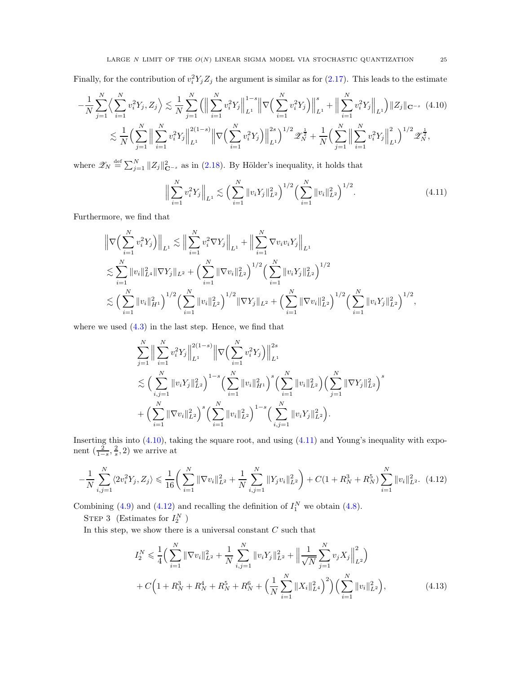Finally, for the contribution of  $v_i^2 Y_j Z_j$  the argument is similar as for [\(2.17\)](#page-11-4). This leads to the estimate

$$
-\frac{1}{N}\sum_{j=1}^{N}\left\langle \sum_{i=1}^{N}v_{i}^{2}Y_{j},Z_{j}\right\rangle \lesssim \frac{1}{N}\sum_{j=1}^{N}\left(\Big\|\sum_{i=1}^{N}v_{i}^{2}Y_{j}\Big\|_{L^{1}}^{1-s}\Big\|\nabla\Big(\sum_{i=1}^{N}v_{i}^{2}Y_{j}\Big)\Big\|_{L^{1}}^{s}+\Big\|\sum_{i=1}^{N}v_{i}^{2}Y_{j}\Big\|_{L^{1}}\right)\|Z_{j}\|_{\mathbf{C}^{-s}} \tag{4.10}
$$

$$
\lesssim \frac{1}{N}\Big(\sum_{j=1}^{N}\Big\|\sum_{i=1}^{N}v_{i}^{2}Y_{j}\Big\|_{L^{1}}^{2(1-s)}\Big\|\nabla\Big(\sum_{i=1}^{N}v_{i}^{2}Y_{j}\Big)\Big\|_{L^{1}}^{2s}\Big)^{1/2}\mathscr{Z}_{N}^{\frac{1}{2}} + \frac{1}{N}\Big(\sum_{j=1}^{N}\Big\|\sum_{i=1}^{N}v_{i}^{2}Y_{j}\Big\|_{L^{1}}^{2}\Big)^{1/2}\mathscr{Z}_{N}^{\frac{1}{2}},
$$

where  $\mathscr{Z}_N \stackrel{\text{def}}{=} \sum_{j=1}^N \|Z_j\|_{\mathbf{C}^{-s}}^2$  as in [\(2.18\)](#page-11-1). By Hölder's inequality, it holds that

<span id="page-24-1"></span><span id="page-24-0"></span>
$$
\Big\| \sum_{i=1}^{N} v_i^2 Y_j \Big\|_{L^1} \lesssim \Big( \sum_{i=1}^{N} \|v_i Y_j\|_{L^2}^2 \Big)^{1/2} \Big( \sum_{i=1}^{N} \|v_i\|_{L^2}^2 \Big)^{1/2} . \tag{4.11}
$$

Furthermore, we find that

$$
\|\nabla \Big(\sum_{i=1}^N v_i^2 Y_j\Big)\|_{L^1} \lesssim \Big\|\sum_{i=1}^N v_i^2 \nabla Y_j\Big\|_{L^1} + \Big\|\sum_{i=1}^N \nabla v_i v_i Y_j\Big\|_{L^1}
$$
  

$$
\lesssim \sum_{i=1}^N \|v_i\|_{L^4}^2 \|\nabla Y_j\|_{L^2} + \Big(\sum_{i=1}^N \|\nabla v_i\|_{L^2}^2\Big)^{1/2} \Big(\sum_{i=1}^N \|v_i Y_j\|_{L^2}^2\Big)^{1/2}
$$
  

$$
\lesssim \Big(\sum_{i=1}^N \|v_i\|_{H^1}^2\Big)^{1/2} \Big(\sum_{i=1}^N \|v_i\|_{L^2}^2\Big)^{1/2} \|\nabla Y_j\|_{L^2} + \Big(\sum_{i=1}^N \|\nabla v_i\|_{L^2}^2\Big)^{1/2} \Big(\sum_{i=1}^N \|v_i Y_j\|_{L^2}^2\Big)^{1/2},
$$

where we used  $(4.3)$  in the last step. Hence, we find that

$$
\sum_{j=1}^N \Big\| \sum_{i=1}^N v_i^2 Y_j \Big\|_{L^1}^{2(1-s)} \Big\| \nabla \Big( \sum_{i=1}^N v_i^2 Y_j \Big) \Big\|_{L^1}^{2s} \n\lesssim \Big( \sum_{i,j=1}^N \|v_i Y_j\|_{L^2}^2 \Big)^{1-s} \Big( \sum_{i=1}^N \|v_i\|_{H^1}^2 \Big)^s \Big( \sum_{i=1}^N \|v_i\|_{L^2}^2 \Big) \Big( \sum_{j=1}^N \|\nabla Y_j\|_{L^2}^2 \Big)^s \n+ \Big( \sum_{i=1}^N \|\nabla v_i\|_{L^2}^2 \Big)^s \Big( \sum_{i=1}^N \|v_i\|_{L^2}^2 \Big)^{1-s} \Big( \sum_{i,j=1}^N \|v_i Y_j\|_{L^2}^2 \Big).
$$

Inserting this into [\(4.10\)](#page-24-0), taking the square root, and using [\(4.11\)](#page-24-1) and Young's inequality with exponent  $\left(\frac{2}{1-s}, \frac{2}{s}, 2\right)$  we arrive at

$$
-\frac{1}{N}\sum_{i,j=1}^{N}\langle 2v_i^2Y_j, Z_j \rangle \leq \frac{1}{16} \left( \sum_{i=1}^{N} \|\nabla v_i\|_{L^2}^2 + \frac{1}{N}\sum_{i,j=1}^{N} \|Y_j v_i\|_{L^2}^2 \right) + C\left(1 + R_N^3 + R_N^5\right) \sum_{i=1}^{N} \|v_i\|_{L^2}^2. \tag{4.12}
$$

Combining [\(4.9\)](#page-23-3) and [\(4.12\)](#page-24-2) and recalling the definition of  $I_1^N$  we obtain [\(4.8\)](#page-23-2).

STEP 3 (Estimates for  $I_2^N$ )

In this step, we show there is a universal constant  $C$  such that

<span id="page-24-3"></span><span id="page-24-2"></span>
$$
I_2^N \leq \frac{1}{4} \Big( \sum_{i=1}^N \|\nabla v_i\|_{L^2}^2 + \frac{1}{N} \sum_{i,j=1}^N \|v_i Y_j\|_{L^2}^2 + \Big\|\frac{1}{\sqrt{N}} \sum_{j=1}^N v_j X_j\Big\|_{L^2}^2 \Big) + C \Big( 1 + R_N^3 + R_N^4 + R_N^5 + R_N^6 + \Big(\frac{1}{N} \sum_{i=1}^N \|X_i\|_{L^4}^2\Big)^2 \Big) \Big( \sum_{i=1}^N \|v_i\|_{L^2}^2 \Big),
$$
(4.13)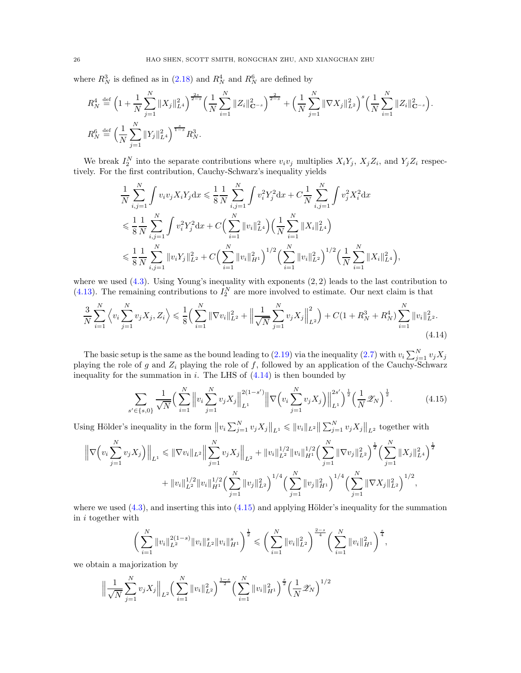where  $R_N^3$  is defined as in [\(2.18\)](#page-11-1) and  $R_N^4$  and  $R_N^6$  are defined by

$$
R_N^4 \stackrel{\text{def}}{=} \left(1 + \frac{1}{N} \sum_{j=1}^N \|X_j\|_{L^4}^2\right)^{\frac{2s}{2-s}} \left(\frac{1}{N} \sum_{i=1}^N \|Z_i\|_{\mathbf{C}^{-s}}^2\right)^{\frac{2}{2-s}} + \left(\frac{1}{N} \sum_{j=1}^N \|\nabla X_j\|_{L^2}^2\right)^s \left(\frac{1}{N} \sum_{i=1}^N \|Z_i\|_{\mathbf{C}^{-s}}^2\right).
$$
  

$$
R_N^6 \stackrel{\text{def}}{=} \left(\frac{1}{N} \sum_{j=1}^N \|Y_j\|_{L^4}^2\right)^{\frac{s}{1-s}} R_N^3.
$$

We break  $I_2^N$  into the separate contributions where  $v_i v_j$  multiplies  $X_i Y_j$ ,  $X_j Z_i$ , and  $Y_j Z_i$  respectively. For the first contribution, Cauchy-Schwarz's inequality yields

$$
\frac{1}{N} \sum_{i,j=1}^{N} \int v_i v_j X_i Y_j \, dx \leq \frac{1}{8} \frac{1}{N} \sum_{i,j=1}^{N} \int v_i^2 Y_j^2 \, dx + C \frac{1}{N} \sum_{i,j=1}^{N} \int v_j^2 X_i^2 \, dx \n\leq \frac{1}{8} \frac{1}{N} \sum_{i,j=1}^{N} \int v_i^2 Y_j^2 \, dx + C \Big( \sum_{i=1}^{N} ||v_i||_{L^4}^2 \Big) \Big( \frac{1}{N} \sum_{i=1}^{N} ||X_i||_{L^4}^2 \Big) \n\leq \frac{1}{8} \frac{1}{N} \sum_{i,j=1}^{N} ||v_i Y_j||_{L^2}^2 + C \Big( \sum_{i=1}^{N} ||v_i||_{H^1}^2 \Big)^{1/2} \Big( \sum_{i=1}^{N} ||v_i||_{L^2}^2 \Big)^{1/2} \Big( \frac{1}{N} \sum_{i=1}^{N} ||X_i||_{L^4}^2 \Big),
$$

where we used  $(4.3)$ . Using Young's inequality with exponents  $(2, 2)$  leads to the last contribution to  $(4.13)$ . The remaining contributions to  $I_2^N$  are more involved to estimate. Our next claim is that

$$
\frac{3}{N} \sum_{i=1}^{N} \left\langle v_i \sum_{j=1}^{N} v_j X_j, Z_i \right\rangle \leq \frac{1}{8} \left( \sum_{i=1}^{N} \|\nabla v_i\|_{L^2}^2 + \left\|\frac{1}{\sqrt{N}} \sum_{j=1}^{N} v_j X_j\right\|_{L^2}^2 \right) + C\left(1 + R_N^3 + R_N^4\right) \sum_{i=1}^{N} \|v_i\|_{L^2}^2.
$$
\n(4.14)

The basic setup is the same as the bound leading to [\(2.19\)](#page-11-2) via the inequality [\(2.7\)](#page-9-6) with  $v_i \sum_{j=1}^{N} v_j X_j$ playing the role of g and  $Z_i$  playing the role of f, followed by an application of the Cauchy-Schwarz inequality for the summation in  $i$ . The LHS of  $(4.14)$  is then bounded by

<span id="page-25-1"></span><span id="page-25-0"></span>
$$
\sum_{s' \in \{s,0\}} \frac{1}{\sqrt{N}} \Big( \sum_{i=1}^N \left\| v_i \sum_{j=1}^N v_j X_j \right\|_{L^1}^{2(1-s')} \left\| \nabla \Big( v_i \sum_{j=1}^N v_j X_j \Big) \right\|_{L^1}^{2s'} \Big)^{\frac{1}{2}} \Big( \frac{1}{N} \mathcal{Z}_N \Big)^{\frac{1}{2}}. \tag{4.15}
$$

Using Hölder's inequality in the form  $||v_i \sum_{j=1}^N v_j X_j||_{L^1} \le ||v_i||_{L^2} ||\sum_{j=1}^N v_j X_j||_{L^2}$  together with

$$
\left\| \nabla \left( v_i \sum_{j=1}^N v_j X_j \right) \right\|_{L^1} \leq \|\nabla v_i\|_{L^2} \left\| \sum_{j=1}^N v_j X_j \right\|_{L^2} + \|v_i\|_{L^2}^{1/2} \|v_i\|_{H^1}^{1/2} \left( \sum_{j=1}^N \|\nabla v_j\|_{L^2}^2 \right)^{\frac{1}{2}} \left( \sum_{j=1}^N \|X_j\|_{L^4}^2 \right)^{\frac{1}{2}}
$$

$$
+ \|v_i\|_{L^2}^{1/2} \|v_i\|_{H^1}^{1/2} \left( \sum_{j=1}^N \|v_j\|_{L^2}^2 \right)^{1/4} \left( \sum_{j=1}^N \|v_j\|_{H^1}^2 \right)^{1/4} \left( \sum_{j=1}^N \|\nabla X_j\|_{L^2}^2 \right)^{1/2},
$$

where we used  $(4.3)$ , and inserting this into  $(4.15)$  and applying Hölder's inequality for the summation in i together with

$$
\bigg(\sum_{i=1}^N \|v_i\|_{L^2}^{2(1-s)} \|v_i\|_{L^2}^s \|v_i\|_{H^1}^s\bigg)^{\frac{1}{2}} \leqslant \bigg(\sum_{i=1}^N \|v_i\|_{L^2}^2\bigg)^{\frac{2-s}{4}} \bigg(\sum_{i=1}^N \|v_i\|_{H^1}^2\bigg)^{\frac{s}{4}},
$$

we obtain a majorization by

$$
\Big\|\frac{1}{\sqrt{N}}\sum_{j=1}^N v_j X_j\Big\|_{L^2} \Big(\sum_{i=1}^N \|v_i\|_{L^2}^2\Big)^{\frac{1-s}{2}} \Big(\sum_{i=1}^N \|v_i\|_{H^1}^2\Big)^{\frac{s}{2}} \Big(\frac{1}{N}\mathscr{Z}_N\Big)^{1/2}
$$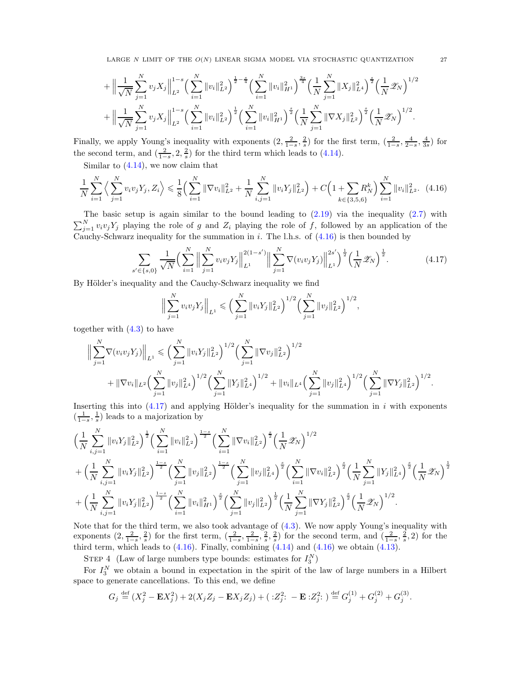LARGE N LIMIT OF THE  $O(N)$  LINEAR SIGMA MODEL VIA STOCHASTIC QUANTIZATION 27

$$
+ \left\| \frac{1}{\sqrt{N}} \sum_{j=1}^{N} v_j X_j \right\|_{L^2}^{1-s} \left( \sum_{i=1}^{N} \|v_i\|_{L^2}^2 \right)^{\frac{1}{2} - \frac{s}{4}} \left( \sum_{i=1}^{N} \|v_i\|_{H^1}^2 \right)^{\frac{3s}{4}} \left( \frac{1}{N} \sum_{j=1}^{N} \|X_j\|_{L^4}^2 \right)^{\frac{s}{2}} \left( \frac{1}{N} \mathscr{Z}_N \right)^{1/2} + \left\| \frac{1}{\sqrt{N}} \sum_{j=1}^{N} v_j X_j \right\|_{L^2}^{1-s} \left( \sum_{i=1}^{N} \|v_i\|_{L^2}^2 \right)^{\frac{s}{2}} \left( \sum_{i=1}^{N} \|v_i\|_{H^1}^2 \right)^{\frac{s}{2}} \left( \frac{1}{N} \sum_{j=1}^{N} \|\nabla X_j\|_{L^2}^2 \right)^{\frac{s}{2}} \left( \frac{1}{N} \mathscr{Z}_N \right)^{1/2}.
$$

Finally, we apply Young's inequality with exponents  $(2, \frac{2}{1-s}, \frac{2}{s})$  for the first term,  $(\frac{2}{1-s}, \frac{4}{2-s}, \frac{4}{3s})$  for the second term, and  $\left(\frac{2}{1-s}, 2, \frac{2}{s}\right)$  for the third term which leads to [\(4.14\)](#page-25-0).

Similar to [\(4.14\)](#page-25-0), we now claim that

$$
\frac{1}{N} \sum_{i=1}^{N} \left\langle \sum_{j=1}^{N} v_i v_j Y_j, Z_i \right\rangle \leq \frac{1}{8} \left( \sum_{i=1}^{N} \|\nabla v_i\|_{L^2}^2 + \frac{1}{N} \sum_{i,j=1}^{N} \|v_i Y_j\|_{L^2}^2 \right) + C \left( 1 + \sum_{k \in \{3, 5, 6\}} R_N^k \right) \sum_{i=1}^{N} \|v_i\|_{L^2}^2. \tag{4.16}
$$

The basic setup is again similar to the bound leading to  $(2.19)$  via the inequality  $(2.7)$  with  $\sum_{j=1}^{N} v_i v_j Y_j$  playing the role of g and  $Z_i$  playing the role of f, followed by an application of the Cauchy-Schwarz inequality for the summation in i. The l.h.s. of  $(4.16)$  is then bounded by

$$
\sum_{s' \in \{s,0\}} \frac{1}{\sqrt{N}} \Big( \sum_{i=1}^N \Big\| \sum_{j=1}^N v_i v_j Y_j \Big\|_{L^1}^{2(1-s')} \Big\| \sum_{j=1}^N \nabla(v_i v_j Y_j) \Big\|_{L^1}^{2s'} \Big)^{\frac{1}{2}} \Big( \frac{1}{N} \mathcal{Z}_N \Big)^{\frac{1}{2}}.
$$
 (4.17)

By Hölder's inequality and the Cauchy-Schwarz inequality we find

<span id="page-26-1"></span><span id="page-26-0"></span>
$$
\Big\|\sum_{j=1}^N v_i v_j Y_j\Big\|_{L^1} \leqslant \Big(\sum_{j=1}^N \|v_i Y_j\|_{L^2}^2\Big)^{1/2} \Big(\sum_{j=1}^N \|v_j\|_{L^2}^2\Big)^{1/2},
$$

together with [\(4.3\)](#page-22-2) to have

$$
\Big\|\sum_{j=1}^N \nabla(v_i v_j Y_j)\Big\|_{L^1} \leqslant \Big(\sum_{j=1}^N \|v_i Y_j\|_{L^2}^2\Big)^{1/2} \Big(\sum_{j=1}^N \|\nabla v_j\|_{L^2}^2\Big)^{1/2} + \|\nabla v_i\|_{L^2} \Big(\sum_{j=1}^N \|v_j\|_{L^4}^2\Big)^{1/2} \Big(\sum_{j=1}^N \|Y_j\|_{L^4}^2\Big)^{1/2} + \|v_i\|_{L^4} \Big(\sum_{j=1}^N \|v_j\|_{L^4}^2\Big)^{1/2} \Big(\sum_{j=1}^N \|\nabla Y_j\|_{L^2}^2\Big)^{1/2}.
$$

Inserting this into  $(4.17)$  and applying Hölder's inequality for the summation in i with exponents  $\left(\frac{1}{1-s}, \frac{1}{s}\right)$  leads to a majorization by

$$
\begin{split}\label{eq:4.13} &\Big(\frac{1}{N}\sum_{i,j=1}^N\|v_iY_j\|_{L^2}^2\Big)^{\frac{1}{2}}\Big(\sum_{i=1}^N\|v_i\|_{L^2}^2\Big)^{\frac{1-s}{2}}\Big(\sum_{i=1}^N\|\nabla v_i\|_{L^2}^2\Big)^{\frac{s}{2}}\Big(\frac{1}{N}\mathscr{Z}_N\Big)^{1/2}\\&+\Big(\frac{1}{N}\sum_{i,j=1}^N\|v_iY_j\|_{L^2}^2\Big)^{\frac{1-s}{2}}\Big(\sum_{j=1}^N\|v_j\|_{L^2}^2\Big)^{\frac{1-s}{2}}\Big(\sum_{j=1}^N\|v_j\|_{L^4}^2\Big)^{\frac{s}{2}}\Big(\sum_{i=1}^N\|\nabla v_i\|_{L^2}^2\Big)^{\frac{s}{2}}\Big(\frac{1}{N}\sum_{i=1}^N\|Y_j\|_{L^4}^2\Big)^{\frac{s}{2}}\Big(\frac{1}{N}\mathscr{Z}_N\Big)^{\frac{s}{2}}\\&+\Big(\frac{1}{N}\sum_{i,j=1}^N\|v_iY_j\|_{L^2}^2\Big)^{\frac{1-s}{2}}\Big(\sum_{i=1}^N\|v_i\|_{H^1}^2\Big)^{\frac{s}{2}}\Big(\sum_{j=1}^N\|v_j\|_{L^2}^2\Big)^{\frac{1}{2}}\Big(\frac{1}{N}\sum_{j=1}^N\|\nabla Y_j\|_{L^2}^2\Big)^{\frac{s}{2}}\Big(\frac{1}{N}\mathscr{Z}_N\Big)^{1/2}.\end{split}
$$

Note that for the third term, we also took advantage of [\(4.3\)](#page-22-2). We now apply Young's inequality with exponents  $\left(2, \frac{2}{1-s}, \frac{2}{s}\right)$  for the first term,  $\left(\frac{2}{1-s}, \frac{2}{1-s}, \frac{2}{s}, \frac{2}{s}\right)$  for the second term, and  $\left(\frac{2}{1-s}, \frac{2}{s}, 2\right)$  for the third term, which leads to  $(4.16)$ . Finally, combining  $(4.14)$  and  $(4.16)$  we obtain  $(4.13)$ .

STEP 4 (Law of large numbers type bounds: estimates for  $I_3^N$ )

For  $I_3^N$  we obtain a bound in expectation in the spirit of the law of large numbers in a Hilbert space to generate cancellations. To this end, we define

$$
G_j \stackrel{\text{def}}{=} (X_j^2 - \mathbf{E}X_j^2) + 2(X_jZ_j - \mathbf{E}X_jZ_j) + ( :Z_j^2: -\mathbf{E} :Z_j^2: ) \stackrel{\text{def}}{=} G_j^{(1)} + G_j^{(2)} + G_j^{(3)}.
$$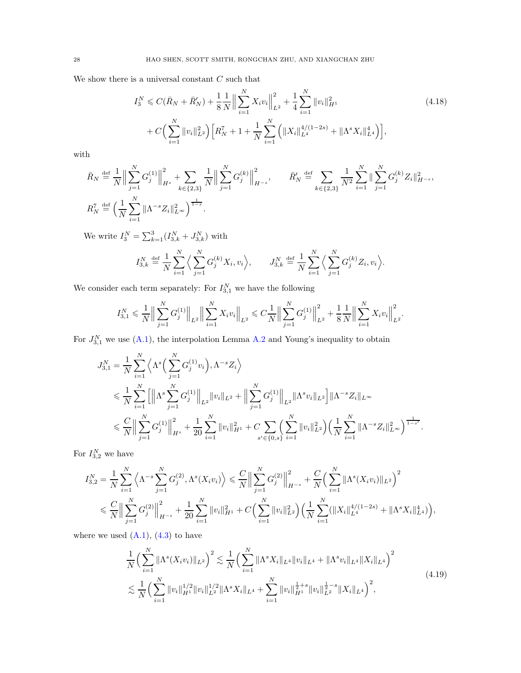We show there is a universal constant  $C$  such that

<span id="page-27-1"></span>
$$
I_3^N \leqslant C(\bar{R}_N + \bar{R}'_N) + \frac{1}{8} \frac{1}{N} \Big\| \sum_{i=1}^N X_i v_i \Big\|_{L^2}^2 + \frac{1}{4} \sum_{i=1}^N \|v_i\|_{H^1}^2 + C \Big( \sum_{i=1}^N \|v_i\|_{L^2}^2 \Big) \Big[ R_N^7 + 1 + \frac{1}{N} \sum_{i=1}^N \Big( \|X_i\|_{L^4}^{4/(1-2s)} + \|\Lambda^s X_i\|_{L^4}^4 \Big) \Big], \tag{4.18}
$$

with

$$
\bar{R}_N \stackrel{\text{def}}{=} \frac{1}{N} \Big\| \sum_{j=1}^N G_j^{(1)} \Big\|_{H^s}^2 + \sum_{k \in \{2,3\}} \frac{1}{N} \Big\| \sum_{j=1}^N G_j^{(k)} \Big\|_{H^{-s}}^2, \qquad \bar{R}'_N \stackrel{\text{def}}{=} \sum_{k \in \{2,3\}} \frac{1}{N^2} \sum_{i=1}^N \Big\| \sum_{j=1}^N G_j^{(k)} Z_i \Big\|_{H^{-s}}^2,
$$
\n
$$
R_N^7 \stackrel{\text{def}}{=} \Big( \frac{1}{N} \sum_{i=1}^N \|\Lambda^{-s} Z_i\|_{L^\infty}^2 \Big)^{\frac{1}{1-s}}.
$$

We write  $I_3^N = \sum_{k=1}^3 (I_{3,k}^N + J_{3,k}^N)$  with

$$
I_{3,k}^N \stackrel{\text{def}}{=} \frac{1}{N} \sum_{i=1}^N \Big\langle \sum_{j=1}^N G_j^{(k)} X_i, v_i \Big\rangle, \qquad J_{3,k}^N \stackrel{\text{def}}{=} \frac{1}{N} \sum_{i=1}^N \Big\langle \sum_{j=1}^N G_j^{(k)} Z_i, v_i \Big\rangle.
$$

We consider each term separately: For  $I_{3,1}^N$  we have the following

$$
I_{3,1}^N \leqslant \frac{1}{N} \Big\| \sum_{j=1}^N G_j^{(1)} \Big\|_{L^2} \Big\| \sum_{i=1}^N X_i v_i \Big\|_{L^2} \leqslant C \frac{1}{N} \Big\| \sum_{j=1}^N G_j^{(1)} \Big\|_{L^2}^2 + \frac{1}{8} \frac{1}{N} \Big\| \sum_{i=1}^N X_i v_i \Big\|_{L^2}^2.
$$

For  $J_{3,1}^N$  we use  $(A.1)$ , the interpolation Lemma [A.2](#page-52-1) and Young's inequality to obtain

$$
J_{3,1}^{N} = \frac{1}{N} \sum_{i=1}^{N} \left\langle \Lambda^{s} \Big( \sum_{j=1}^{N} G_{j}^{(1)} v_{i} \Big), \Lambda^{-s} Z_{i} \right\rangle
$$
  
\$\leqslant \frac{1}{N} \sum\_{i=1}^{N} \Big[ \Big\| \Lambda^{s} \sum\_{j=1}^{N} G\_{j}^{(1)} \Big\|\_{L^{2}} \|v\_{i}\|\_{L^{2}} + \Big\| \sum\_{j=1}^{N} G\_{j}^{(1)} \Big\|\_{L^{2}} \| \Lambda^{s} v\_{i} \|\_{L^{2}} \Big] \| \Lambda^{-s} Z\_{i} \|\_{L^{\infty}}  
\$\leqslant \frac{C}{N} \Big\| \sum\_{j=1}^{N} G\_{j}^{(1)} \Big\|\_{H^{s}}^{2} + \frac{1}{20} \sum\_{i=1}^{N} \|v\_{i}\|\_{H^{1}}^{2} + C \sum\_{s' \in \{0, s\}} \Big( \sum\_{i=1}^{N} \|v\_{i}\|\_{L^{2}}^{2} \Big) \Big( \frac{1}{N} \sum\_{i=1}^{N} \|\Lambda^{-s} Z\_{i} \|\_{L^{\infty}}^{2} \Big)^{\frac{1}{1-s'}}.

For  $I_{3,2}^N$  we have

$$
I_{3,2}^{N} = \frac{1}{N} \sum_{i=1}^{N} \left\langle \Lambda^{-s} \sum_{j=1}^{N} G_{j}^{(2)}, \Lambda^{s}(X_{i}v_{i}) \right\rangle \leq \frac{C}{N} \Big\| \sum_{j=1}^{N} G_{j}^{(2)} \Big\|_{H^{-s}}^{2} + \frac{C}{N} \Big( \sum_{i=1}^{N} \|\Lambda^{s}(X_{i}v_{i})\|_{L^{2}} \Big)^{2} \leq \frac{C}{N} \Big\| \sum_{j=1}^{N} G_{j}^{(2)} \Big\|_{H^{-s}}^{2} + \frac{1}{20} \sum_{i=1}^{N} \|v_{i}\|_{H^{1}}^{2} + C \Big( \sum_{i=1}^{N} \|v_{i}\|_{L^{2}}^{2} \Big) \Big( \frac{1}{N} \sum_{i=1}^{N} (\|X_{i}\|_{L^{4}}^{4/(1-2s)} + \|\Lambda^{s} X_{i}\|_{L^{4}}^{4}) \Big),
$$

where we used  $(A.1), (4.3)$  $(A.1), (4.3)$  to have

<span id="page-27-0"></span>
$$
\frac{1}{N} \Big( \sum_{i=1}^{N} \|\Lambda^{s}(X_{i}v_{i})\|_{L^{2}} \Big)^{2} \lesssim \frac{1}{N} \Big( \sum_{i=1}^{N} \|\Lambda^{s}X_{i}\|_{L^{4}} \|v_{i}\|_{L^{4}} + \|\Lambda^{s}v_{i}\|_{L^{4}} \|X_{i}\|_{L^{4}} \Big)^{2} \lesssim \frac{1}{N} \Big( \sum_{i=1}^{N} \|v_{i}\|_{H^{1}}^{1/2} \|v_{i}\|_{L^{2}}^{1/2} \|\Lambda^{s}X_{i}\|_{L^{4}} + \sum_{i=1}^{N} \|v_{i}\|_{H^{1}}^{\frac{1}{2}+s} \|v_{i}\|_{L^{2}}^{\frac{1}{2}-s} \|X_{i}\|_{L^{4}} \Big)^{2},
$$
\n(4.19)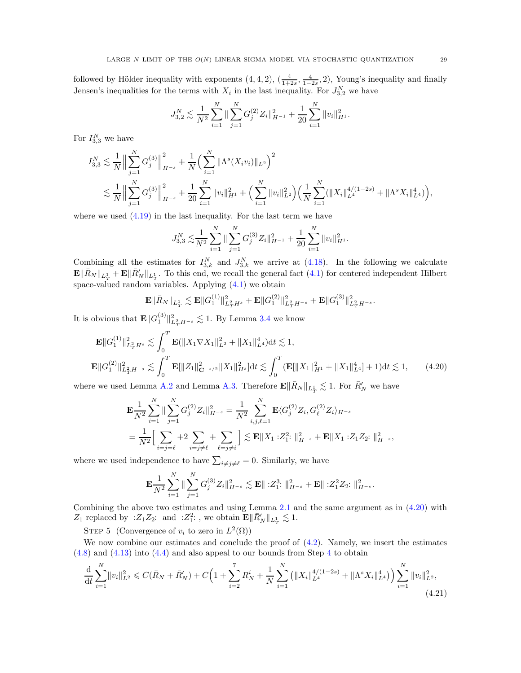followed by Hölder inequality with exponents  $(4, 4, 2)$ ,  $\left(\frac{4}{1+2s}, \frac{4}{1-2s}, 2\right)$ , Young's inequality and finally Jensen's inequalities for the terms with  $X_i$  in the last inequality. For  $J_{3,2}^N$  we have

$$
J_{3,2}^N \lesssim \frac{1}{N^2} \sum_{i=1}^N \|\sum_{j=1}^N G_j^{(2)} Z_i\|_{H^{-1}}^2 + \frac{1}{20} \sum_{i=1}^N \|v_i\|_{H^1}^2.
$$

For  $I_{3,3}^N$  we have

$$
I_{3,3}^N \lesssim \frac{1}{N} \Big\| \sum_{j=1}^N G_j^{(3)} \Big\|_{H^{-s}}^2 + \frac{1}{N} \Big( \sum_{i=1}^N \|\Lambda^s(X_i v_i)\|_{L^2} \Big)^2
$$
  

$$
\lesssim \frac{1}{N} \Big\| \sum_{j=1}^N G_j^{(3)} \Big\|_{H^{-s}}^2 + \frac{1}{20} \sum_{i=1}^N \|v_i\|_{H^1}^2 + \Big( \sum_{i=1}^N \|v_i\|_{L^2}^2 \Big) \Big( \frac{1}{N} \sum_{i=1}^N (\|X_i\|_{L^4}^{4/(1-2s)} + \|\Lambda^s X_i\|_{L^4}^4) \Big),
$$

where we used  $(4.19)$  in the last inequality. For the last term we have

$$
J_{3,3}^N \lesssim \frac{1}{N^2} \sum_{i=1}^N \| \sum_{j=1}^N G_j^{(3)} Z_i \|_{H^{-1}}^2 + \frac{1}{20} \sum_{i=1}^N \| v_i \|_{H^1}^2.
$$

Combining all the estimates for  $I_{3,k}^N$  and  $J_{3,k}^N$  we arrive at [\(4.18\)](#page-27-1). In the following we calculate  $\mathbf{E} \|\bar{R}_{N}\|_{L^{1}_{T}} + \mathbf{E} \|\bar{R}'_{N}\|_{L^{1}_{T}}$ . To this end, we recall the general fact [\(4.1\)](#page-22-3) for centered independent Hilbert space-valued random variables. Applying [\(4.1\)](#page-22-3) we obtain

<span id="page-28-0"></span>
$$
\mathbf{E}\|\bar{R}_N\|_{L^1_T}\lesssim \mathbf{E}\|G_1^{(1)}\|_{L^2_T H^s}^2+\mathbf{E}\|G_1^{(2)}\|_{L^2_T H^{-s}}^2+\mathbf{E}\|G_1^{(3)}\|_{L^2_T H^{-s}}^2.
$$

It is obvious that  $\mathbf{E} || G_1^{(3)} ||_{L^2_T H^{-s}}^2 \lesssim 1$ . By Lemma [3.4](#page-17-0) we know

$$
\mathbf{E}||G_1^{(1)}||_{L_T^2H^s}^2 \lesssim \int_0^T \mathbf{E}(\|X_1 \nabla X_1\|_{L^2}^2 + \|X_1\|_{L^4}^4) dt \lesssim 1,
$$
  

$$
\mathbf{E}||G_1^{(2)}||_{L_T^2H^{-s}}^2 \lesssim \int_0^T \mathbf{E}[\|Z_1\|_{\mathbf{C}^{-s/2}}^2 \|X_1\|_{H^s}^2] dt \lesssim \int_0^T (\mathbf{E}[\|X_1\|_{H^1}^2 + \|X_1\|_{L^4}^4] + 1) dt \lesssim 1,
$$
(4.20)

where we used Lemma [A.2](#page-52-1) and Lemma [A.3.](#page-53-2) Therefore  $\mathbf{E} \|\bar{R}_N\|_{L^1_T} \lesssim 1$ . For  $\bar{R}'_N$  we have

$$
\mathbf{E}\frac{1}{N^2}\sum_{i=1}^N \|\sum_{j=1}^N G_j^{(2)} Z_i\|_{H^{-s}}^2 = \frac{1}{N^2}\sum_{i,j,\ell=1}^N \mathbf{E} \langle G_j^{(2)} Z_i, G_\ell^{(2)} Z_i \rangle_{H^{-s}} \n= \frac{1}{N^2} \Big[\sum_{i=j=\ell}^N +2\sum_{i=j\neq \ell}^N +\sum_{\ell=j\neq i}^N \Big] \lesssim \mathbf{E} \|X_1 : Z_1^2 : \|_{H^{-s}}^2 + \mathbf{E} \|X_1 : Z_1 Z_2 : \|_{H^{-s}}^2,
$$

where we used independence to have  $\sum_{i \neq j \neq \ell} = 0$ . Similarly, we have

<span id="page-28-1"></span>
$$
\mathbf{E}\frac{1}{N^2}\sum_{i=1}^N \|\sum_{j=1}^N G_j^{(3)}Z_i\|_{H^{-s}}^2 \lesssim \mathbf{E} \|\, : Z_1^3 \cdot \|^2_{H^{-s}} + \mathbf{E} \|\, : Z_1^2 Z_2 \cdot \|^2_{H^{-s}}.
$$

Combining the above two estimates and using Lemma [2.1](#page-8-2) and the same argument as in [\(4.20\)](#page-28-0) with  $Z_1$  replaced by : $Z_1 Z_2$ : and : $Z_1^2$ :, we obtain  $\mathbf{E} \|\bar{R}'_{N}\|_{L^1_T} \lesssim 1$ .

STEP 5 (Convergence of  $v_i$  to zero in  $L^2(\Omega)$ )

We now combine our estimates and conclude the proof of  $(4.2)$ . Namely, we insert the estimates [\(4.8\)](#page-23-2) and [\(4.13\)](#page-24-3) into [\(4.4\)](#page-22-1) and also appeal to our bounds from Step [4](#page-27-1) to obtain

$$
\frac{\mathrm{d}}{\mathrm{d}t} \sum_{i=1}^{N} \|v_i\|_{L^2}^2 \leqslant C(\bar{R}_N + \bar{R}'_N) + C \Big( 1 + \sum_{i=2}^{7} R_N^i + \frac{1}{N} \sum_{i=1}^{N} \left( \|X_i\|_{L^4}^{4/(1-2s)} + \|\Lambda^s X_i\|_{L^4}^4 \right) \Big) \sum_{i=1}^{N} \|v_i\|_{L^2}^2,
$$
\n(4.21)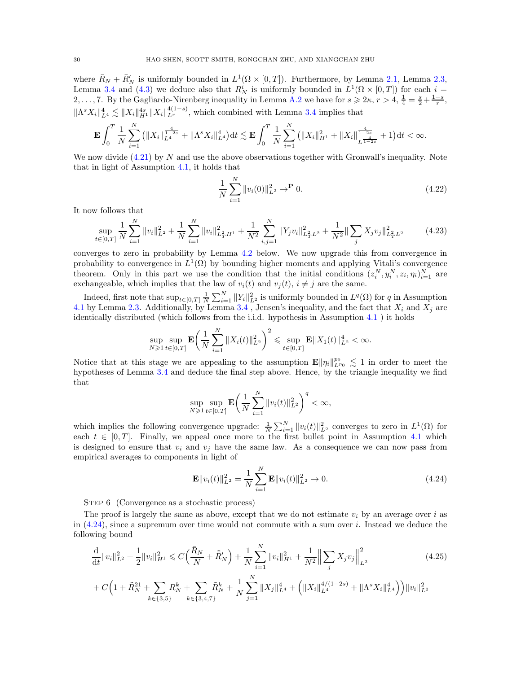where  $\bar{R}_N + \bar{R}'_N$  is uniformly bounded in  $L^1(\Omega \times [0,T])$ . Furthermore, by Lemma [2.1,](#page-8-2) Lemma [2.3,](#page-9-1) Lemma [3.4](#page-17-0) and [\(4.3\)](#page-22-2) we deduce also that  $R_N^i$  is uniformly bounded in  $L^1(\Omega \times [0,T])$  for each  $i =$ 2, ..., 7. By the Gagliardo-Nirenberg inequality in Lemma [A.2](#page-52-1) we have for  $s \geq 2\kappa$ ,  $r > 4$ ,  $\frac{1}{4} = \frac{s}{2} + \frac{1-s}{r}$ ,  $\|\Lambda^s X_i\|_{L^4}^4 \lesssim \|X_i\|_{H^1}^{4(s)} \|X_i\|_{L^r}^{4(1-s)}$ , which combined with Lemma [3.4](#page-17-0) implies that

$$
\mathbf{E} \int_0^T \frac{1}{N} \sum_{i=1}^N \left( \|X_i\|_{L^4}^{\frac{4}{1-2s}} + \|\Lambda^s X_i\|_{L^4}^4 \right) dt \lesssim \mathbf{E} \int_0^T \frac{1}{N} \sum_{i=1}^N \left( \|X_i\|_{H^1}^2 + \|X_i\|_{L^{\frac{4}{1-2s}}}^{\frac{4}{1-2s}} + 1 \right) dt < \infty.
$$

We now divide  $(4.21)$  by N and use the above observations together with Gronwall's inequality. Note that in light of Assumption [4.1,](#page-21-1) it holds that

<span id="page-29-1"></span>
$$
\frac{1}{N} \sum_{i=1}^{N} ||v_i(0)||_{L^2}^2 \to^{\mathbf{P}} 0.
$$
\n(4.22)

It now follows that

$$
\sup_{t \in [0,T]} \frac{1}{N} \sum_{i=1}^{N} \|v_i\|_{L^2}^2 + \frac{1}{N} \sum_{i=1}^{N} \|v_i\|_{L^2_T H^1}^2 + \frac{1}{N^2} \sum_{i,j=1}^{N} \|Y_j v_i\|_{L^2_T L^2}^2 + \frac{1}{N^2} \|\sum_j X_j v_j\|_{L^2_T L^2}^2 \tag{4.23}
$$

converges to zero in probability by Lemma [4.2](#page-31-1) below. We now upgrade this from convergence in probability to convergence in  $L^1(\Omega)$  by bounding higher moments and applying Vitali's convergence theorem. Only in this part we use the condition that the initial conditions  $(z_i^N, y_i^N, z_i, \eta_i)_{i=1}^N$  are exchangeable, which implies that the law of  $v_i(t)$  and  $v_j(t)$ ,  $i \neq j$  are the same.

Indeed, first note that  $\sup_{t\in[0,T]} \frac{1}{N} \sum_{i=1}^N ||Y_i||^2_{L^2}$  is uniformly bounded in  $L^q(\Omega)$  for q in Assumption [4.1](#page-21-1) by Lemma [2.3.](#page-9-1) Additionally, by Lemma [3.4](#page-17-0), Jensen's inequality, and the fact that  $X_i$  and  $X_j$  are identically distributed (which follows from the i.i.d. hypothesis in Assumption [4.1](#page-21-1) ) it holds

$$
\sup_{N\geqslant 1}\sup_{t\in[0,T]}\mathbf{E} \bigg(\frac{1}{N}\sum_{i=1}^N\|X_i(t)\|_{L^2}^2\bigg)^2\leqslant \sup_{t\in[0,T]}\mathbf{E}\|X_1(t)\|_{L^2}^4<\infty.
$$

Notice that at this stage we are appealing to the assumption  $\mathbf{E} \|\eta_i\|_{L^{p_0}}^{p_0} \lesssim 1$  in order to meet the hypotheses of Lemma [3.4](#page-17-0) and deduce the final step above. Hence, by the triangle inequality we find that

$$
\sup_{N\geq 1}\sup_{t\in[0,T]}\mathbf{E}\bigg(\frac{1}{N}\sum_{i=1}^N\|v_i(t)\|_{L^2}^2\bigg)^q<\infty,
$$

which implies the following convergence upgrade:  $\frac{1}{N}\sum_{i=1}^{N}||v_i(t)||_{L^2}^2$  converges to zero in  $L^1(\Omega)$  for each  $t \in [0, T]$ . Finally, we appeal once more to the first bullet point in Assumption [4.1](#page-21-1) which is designed to ensure that  $v_i$  and  $v_j$  have the same law. As a consequence we can now pass from empirical averages to components in light of

<span id="page-29-2"></span><span id="page-29-0"></span>
$$
\mathbf{E}||v_i(t)||_{L^2}^2 = \frac{1}{N} \sum_{i=1}^N \mathbf{E}||v_i(t)||_{L^2}^2 \to 0.
$$
 (4.24)

STEP 6 (Convergence as a stochastic process)

The proof is largely the same as above, except that we do not estimate  $v_i$  by an average over i as in  $(4.24)$ , since a supremum over time would not commute with a sum over *i*. Instead we deduce the following bound

$$
\frac{\mathrm{d}}{\mathrm{d}t} \|v_i\|_{L^2}^2 + \frac{1}{2} \|v_i\|_{H^1}^2 \leq C \Big(\frac{\bar{R}_N}{N} + \tilde{R}'_N\Big) + \frac{1}{N} \sum_{i=1}^N \|v_i\|_{H^1}^2 + \frac{1}{N^2} \Big\| \sum_j X_j v_j \Big\|_{L^2}^2
$$
\n
$$
+ C \Big( 1 + \tilde{R}_N^{21} + \sum_{k \in \{3,5\}} R_N^k + \sum_{k \in \{3,4,7\}} \tilde{R}_N^k + \frac{1}{N} \sum_{j=1}^N \|X_j\|_{L^4}^4 + \Big( \|X_i\|_{L^4}^{4/(1-2s)} + \|\Lambda^s X_i\|_{L^4}^4 \Big) \Big) \|v_i\|_{L^2}^2
$$
\n
$$
(4.25)
$$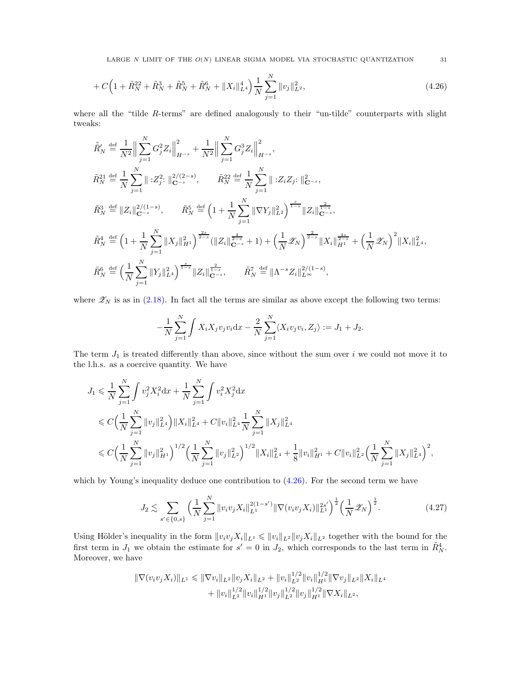LARGE  $N$  LIMIT OF THE  $O(N)$  LINEAR SIGMA MODEL VIA STOCHASTIC QUANTIZATION  $\hspace{15mm} 31$ 

$$
+ C \Big( 1 + \tilde{R}_N^{22} + \tilde{R}_N^3 + \tilde{R}_N^5 + \tilde{R}_N^6 + \|X_i\|_{L^4}^4 \Big) \frac{1}{N} \sum_{j=1}^N \|v_j\|_{L^2}^2, \tag{4.26}
$$

where all the "tilde  $R$ -terms" are defined analogously to their "un-tilde" counterparts with slight tweaks:

$$
\tilde{R}'_{N} \stackrel{\text{def}}{=} \frac{1}{N^{2}} \Big\| \sum_{j=1}^{N} G_{j}^{2} Z_{i} \Big\|_{H^{-s}}^{2} + \frac{1}{N^{2}} \Big\| \sum_{j=1}^{N} G_{j}^{3} Z_{i} \Big\|_{H^{-s}}^{2},
$$
\n
$$
\tilde{R}_{N}^{21} \stackrel{\text{def}}{=} \frac{1}{N} \sum_{j=1}^{N} \Big\| :Z_{j}^{2}: \Big\|_{\mathbf{C}^{-s}}^{2/2-s}, \qquad \tilde{R}_{N}^{22} \stackrel{\text{def}}{=} \frac{1}{N} \sum_{j=1}^{N} \Big\| :Z_{i} Z_{j}: \Big\|_{\mathbf{C}^{-s}}^{2},
$$
\n
$$
\tilde{R}_{N}^{3} \stackrel{\text{def}}{=} \Big\| Z_{i} \Big\|_{\mathbf{C}^{-s}}^{2/1-s}, \qquad \tilde{R}_{N}^{5} \stackrel{\text{def}}{=} \Big( 1 + \frac{1}{N} \sum_{j=1}^{N} \|\nabla Y_{j}\|_{L^{2}}^{2} \Big)^{\frac{s}{1-s}} \|Z_{i}\|_{\mathbf{C}^{-s}}^{\frac{2}{1-s}},
$$
\n
$$
\tilde{R}_{N}^{4} \stackrel{\text{def}}{=} \Big( 1 + \frac{1}{N} \sum_{j=1}^{N} \|X_{j}\|_{H^{1}}^{2} \Big)^{\frac{2s}{2-s}} (\|Z_{i}\|_{\mathbf{C}^{-s}}^{\frac{4}{2-s}} + 1) + \Big( \frac{1}{N} \mathcal{Z}_{N} \Big)^{\frac{2}{2-s}} \|X_{i}\|_{H^{1}}^{\frac{4s}{2-s}} + \Big( \frac{1}{N} \mathcal{Z}_{N} \Big)^{2} \|X_{i}\|_{L^{4}}^{2},
$$
\n
$$
\tilde{R}_{N}^{6} \stackrel{\text{def}}{=} \Big( \frac{1}{N} \sum_{j=1}^{N} \|Y_{j}\|_{L^{4}}^{2} \Big)^{\frac{s}{1-s}} \|Z_{i}\|_{\mathbf{C}^{-s}}^{\frac{2}{1-s}}, \qquad \tilde{R}_{N}^{7} \stackrel{\text{def}}{=} \big\| \Lambda^{-s} Z_{i} \big\
$$

where  $\mathscr{Z}_N$  is as in [\(2.18\)](#page-11-1). In fact all the terms are similar as above except the following two terms:

$$
-\frac{1}{N}\sum_{j=1}^N\int X_iX_jv_jv_i\mathrm{d}x - \frac{2}{N}\sum_{j=1}^N\langle X_iv_jv_i, Z_j\rangle := J_1 + J_2.
$$

The term  $J_1$  is treated differently than above, since without the sum over i we could not move it to the l.h.s. as a coercive quantity. We have

$$
J_1 \leq \frac{1}{N} \sum_{j=1}^N \int v_j^2 X_i^2 dx + \frac{1}{N} \sum_{j=1}^N \int v_i^2 X_j^2 dx
$$
  
\n
$$
\leq C \Big( \frac{1}{N} \sum_{j=1}^N \|v_j\|_{L^4}^2 \Big) \|X_i\|_{L^4}^2 + C \|v_i\|_{L^4}^2 \frac{1}{N} \sum_{j=1}^N \|X_j\|_{L^4}^2
$$
  
\n
$$
\leq C \Big( \frac{1}{N} \sum_{j=1}^N \|v_j\|_{H^1}^2 \Big)^{1/2} \Big( \frac{1}{N} \sum_{j=1}^N \|v_j\|_{L^2}^2 \Big)^{1/2} \|X_i\|_{L^4}^2 + \frac{1}{8} \|v_i\|_{H^1}^2 + C \|v_i\|_{L^2}^2 \Big( \frac{1}{N} \sum_{j=1}^N \|X_j\|_{L^4}^2 \Big)^2,
$$

which by Young's inequality deduce one contribution to  $(4.26)$ . For the second term we have

<span id="page-30-0"></span>
$$
J_2 \lesssim \sum_{s' \in \{0,s\}} \left(\frac{1}{N} \sum_{j=1}^N \|v_i v_j X_i\|_{L^1}^{2(1-s')} \|\nabla(v_i v_j X_i)\|_{L^1}^{2s'}\right)^{\frac{1}{2}} \left(\frac{1}{N} \mathscr{Z}_N\right)^{\frac{1}{2}}.
$$
 (4.27)

Using Hölder's inequality in the form  $||v_i v_j X_i||_{L^1} \leq ||v_i||_{L^2} ||v_j X_i||_{L^2}$  together with the bound for the first term in  $J_1$  we obtain the estimate for  $s' = 0$  in  $J_2$ , which corresponds to the last term in  $\tilde{R}_{N}^4$ . Moreover, we have

$$
\begin{aligned} \|\nabla(v_i v_j X_i)\|_{L^1} &\leq \|\nabla v_i\|_{L^2} \|v_j X_i\|_{L^2} + \|v_i\|_{L^2}^{1/2} \|v_i\|_{H^1}^{1/2} \|\nabla v_j\|_{L^2} \|X_i\|_{L^4} \\ &+ \|v_i\|_{L^2}^{1/2} \|v_i\|_{H^1}^{1/2} \|v_j\|_{L^2}^{1/2} \|v_j\|_{H^1}^{1/2} \|\nabla X_i\|_{L^2}, \end{aligned}
$$

<span id="page-30-1"></span>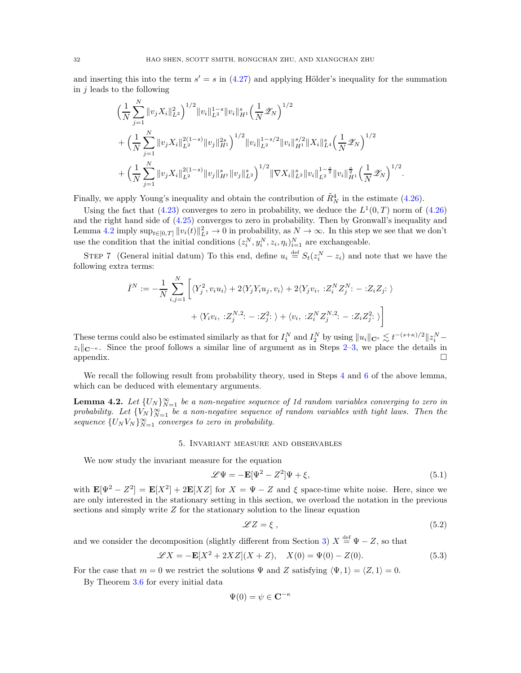and inserting this into the term  $s' = s$  in [\(4.27\)](#page-30-0) and applying Hölder's inequality for the summation in  $j$  leads to the following

$$
\begin{split}\n&\Big(\frac{1}{N}\sum_{j=1}^N\|v_jX_i\|_{L^2}^2\Big)^{1/2}\|v_i\|_{L^2}^{1-s}\|v_i\|_{H^1}^s\Big(\frac{1}{N}\mathscr{Z}_N\Big)^{1/2} \\
&+\Big(\frac{1}{N}\sum_{j=1}^N\|v_jX_i\|_{L^2}^{2(1-s)}\|v_j\|_{H^1}^{2s}\Big)^{1/2}\|v_i\|_{L^2}^{1-s/2}\|v_i\|_{H^1}^{s/2}\|X_i\|_{L^4}^s\Big(\frac{1}{N}\mathscr{Z}_N\Big)^{1/2} \\
&+\Big(\frac{1}{N}\sum_{j=1}^N\|v_jX_i\|_{L^2}^{2(1-s)}\|v_j\|_{H^1}^s\|v_j\|_{L^2}^s\Big)^{1/2}\|\nabla X_i\|_{L^2}^s\|v_i\|_{L^2}^{1-\frac{s}{2}}\|v_i\|_{H^1}^{\frac{s}{2}}\Big(\frac{1}{N}\mathscr{Z}_N\Big)^{1/2}.\n\end{split}
$$

Finally, we apply Young's inequality and obtain the contribution of  $\tilde{R}^4_N$  in the estimate [\(4.26\)](#page-30-1).

Using the fact that [\(4.23\)](#page-29-1) converges to zero in probability, we deduce the  $L^1(0,T)$  norm of [\(4.26\)](#page-30-1) and the right hand side of [\(4.25\)](#page-29-2) converges to zero in probability. Then by Gronwall's inequality and Lemma [4.2](#page-31-1) imply  $\sup_{t\in[0,T]}||v_i(t)||_{L^2}^2\to 0$  in probability, as  $N\to\infty$ . In this step we see that we don't use the condition that the initial conditions  $(z_i^N, y_i^N, z_i, \eta_i)_{i=1}^N$  are exchangeable.

STEP 7 (General initial datum) To this end, define  $u_i \stackrel{\text{def}}{=} S_t(z_i^N - z_i)$  and note that we have the following extra terms:

$$
\bar{I}^N := -\frac{1}{N} \sum_{i,j=1}^N \left[ \langle Y_j^2, v_i u_i \rangle + 2 \langle Y_j Y_i u_j, v_i \rangle + 2 \langle Y_j v_i, \; : Z_i^N Z_j^N : - : Z_i Z_j : \rangle \right. \\ \left. + \langle Y_i v_i, \; : Z_j^{N,2} : - : Z_j^2 : \rangle + \langle v_i, \; : Z_i^N Z_j^{N,2} : - : Z_i Z_j^2 : \rangle \right]
$$

These terms could also be estimated similarly as that for  $I_1^N$  and  $I_2^N$  by using  $||u_i||_{\mathbf{C}^s} \lesssim t^{-(s+\kappa)/2} ||z_i^N - z_i||$  $z_i||_{\mathbf{C}^{-\kappa}}$ . Since the proof follows a similar line of argument as in Steps [2](#page-23-1)[–3,](#page-24-2) we place the details in appendix.  $\Box$ appendix.  $\Box$ 

We recall the following result from probability theory, used in Steps [4](#page-27-1) and [6](#page-29-0) of the above lemma, which can be deduced with elementary arguments.

<span id="page-31-1"></span>**Lemma 4.2.** Let  $\{U_N\}_{N=1}^{\infty}$  be a non-negative sequence of 1d random variables converging to zero in probability. Let  ${V_N}_{N=1}^{\infty}$  be a non-negative sequence of random variables with tight laws. Then the sequence  $\{U_N V_N\}_{N=1}^{\infty}$  converges to zero in probability.

#### 5. Invariant measure and observables

<span id="page-31-0"></span>We now study the invariant measure for the equation

<span id="page-31-2"></span>
$$
\mathcal{L}\Psi = -\mathbf{E}[\Psi^2 - Z^2]\Psi + \xi,\tag{5.1}
$$

with  $\mathbf{E}[\Psi^2 - Z^2] = \mathbf{E}[X^2] + 2\mathbf{E}[XZ]$  for  $X = \Psi - Z$  and  $\xi$  space-time white noise. Here, since we are only interested in the stationary setting in this section, we overload the notation in the previous sections and simply write Z for the stationary solution to the linear equation

<span id="page-31-4"></span>
$$
\mathscr{L}Z = \xi \,,\tag{5.2}
$$

and we consider the decomposition (slightly different from Section [3\)](#page-13-0)  $X \stackrel{\text{def}}{=} \Psi - Z$ , so that

<span id="page-31-3"></span>
$$
\mathcal{L}X = -\mathbf{E}[X^2 + 2XZ](X + Z), \quad X(0) = \Psi(0) - Z(0). \tag{5.3}
$$

For the case that  $m = 0$  we restrict the solutions  $\Psi$  and Z satisfying  $\langle \Psi, 1 \rangle = \langle Z, 1 \rangle = 0$ .

By Theorem [3.6](#page-21-2) for every initial data

$$
\Psi(0) = \psi \in \mathbf{C}^{-\kappa}
$$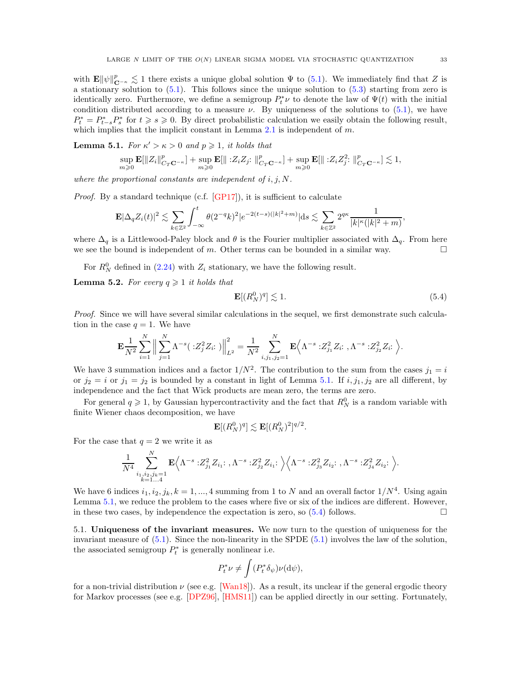with  $\mathbf{E} \|\psi\|_{\mathbf{C}^{-\kappa}}^p \lesssim 1$  there exists a unique global solution  $\Psi$  to [\(5.1\)](#page-31-2). We immediately find that Z is a stationary solution to  $(5.1)$ . This follows since the unique solution to  $(5.3)$  starting from zero is identically zero. Furthermore, we define a semigroup  $P_t^* \nu$  to denote the law of  $\Psi(t)$  with the initial condition distributed according to a measure  $\nu$ . By uniqueness of the solutions to [\(5.1\)](#page-31-2), we have  $P_t^* = P_{t-s}^* P_s^*$  for  $t \ge s \ge 0$ . By direct probabilistic calculation we easily obtain the following result, which implies that the implicit constant in Lemma  $2.1$  is independent of  $m$ .

<span id="page-32-1"></span>**Lemma 5.1.** For  $\kappa' > \kappa > 0$  and  $p \geq 1$ , it holds that

$$
\sup_{m\geqslant 0}\mathbf{E}[\|Z_i\|_{C_T\mathbf{C}^{-\kappa}}^p]+\sup_{m\geqslant 0}\mathbf{E}[\|:Z_iZ_j:\|_{C_T\mathbf{C}^{-\kappa}}^p]+\sup_{m\geqslant 0}\mathbf{E}[\|:Z_iZ_j^2:\|_{C_T\mathbf{C}^{-\kappa}}^p]\lesssim 1,
$$

where the proportional constants are independent of  $i, j, N$ .

*Proof.* By a standard technique (c.f.  $[GP17]$ ), it is sufficient to calculate

$$
\mathbf{E}|\Delta_q Z_i(t)|^2 \lesssim \sum_{k \in \mathbb{Z}^2} \int_{-\infty}^t \theta(2^{-q}k)^2 |e^{-2(t-s)(|k|^2+m)}|ds \lesssim \sum_{k \in \mathbb{Z}^2} 2^{q\kappa} \frac{1}{|k|^{\kappa}(|k|^2+m)},
$$

where  $\Delta_q$  is a Littlewood-Paley block and  $\theta$  is the Fourier multiplier associated with  $\Delta_q$ . From here we see the bound is independent of m. Other terms can be bounded in a similar way.  $\square$ 

For  $R_N^0$  defined in [\(2.24\)](#page-12-2) with  $Z_i$  stationary, we have the following result.

**Lemma 5.2.** For every  $q \geq 1$  it holds that

<span id="page-32-2"></span>
$$
\mathbf{E}[(R_N^0)^q] \lesssim 1. \tag{5.4}
$$

Proof. Since we will have several similar calculations in the sequel, we first demonstrate such calculation in the case  $q = 1$ . We have

$$
\mathbf{E}\frac{1}{N^2}\sum_{i=1}^N\Big\|\sum_{j=1}^N\Lambda^{-s}(\cdot Z_j^2Z_i;\cdot)\Big\|_{L^2}^2=\frac{1}{N^2}\sum_{i,j_1,j_2=1}^N\mathbf{E}\Big\langle\Lambda^{-s}\cdot Z_{j_1}^2Z_i;\cdot,\Lambda^{-s}\cdot Z_{j_2}^2Z_i;\,\Big\rangle.
$$

We have 3 summation indices and a factor  $1/N^2$ . The contribution to the sum from the cases  $j_1 = i$ or  $j_2 = i$  or  $j_1 = j_2$  is bounded by a constant in light of Lemma [5.1.](#page-32-1) If  $i, j_1, j_2$  are all different, by independence and the fact that Wick products are mean zero, the terms are zero.

For general  $q \geq 1$ , by Gaussian hypercontractivity and the fact that  $R_N^0$  is a random variable with finite Wiener chaos decomposition, we have

$$
\mathbf{E}[(R_N^0)^q] \lesssim \mathbf{E}[(R_N^0)^2]^{q/2}.
$$

For the case that  $q = 2$  we write it as

$$
\frac{1}{N^4}\sum_{\substack{i_1,i_2,j_k=1\\k=1...4}}^N\mathbf{E}\Big\langle\Lambda^{-s}: \!Z_{j_1}^2Z_{i_1}\!\!: \,, \Lambda^{-s}: \!Z_{j_2}^2Z_{i_1}\!\!: \Big\backslash\Big\langle\Lambda^{-s}: \!Z_{j_3}^2Z_{i_2}\!\!: \,, \Lambda^{-s}: \!Z_{j_4}^2Z_{i_2}\!\!: \Big\rangle.
$$

We have 6 indices  $i_1, i_2, j_k, k = 1, ..., 4$  summing from 1 to N and an overall factor  $1/N^4$ . Using again Lemma [5.1,](#page-32-1) we reduce the problem to the cases where five or six of the indices are different. However, in these two cases, by independence the expectation is zero, so  $(5.4)$  follows.

<span id="page-32-0"></span>5.1. Uniqueness of the invariant measures. We now turn to the question of uniqueness for the invariant measure of [\(5.1\)](#page-31-2). Since the non-linearity in the SPDE [\(5.1\)](#page-31-2) involves the law of the solution, the associated semigroup  $P_t^*$  is generally nonlinear i.e.

$$
P_t^* \nu \neq \int (P_t^* \delta_{\psi}) \nu(\mathrm{d}\psi),
$$

for a non-trivial distribution  $\nu$  (see e.g. [\[Wan18\]](#page-59-15)). As a result, its unclear if the general ergodic theory for Markov processes (see e.g. [\[DPZ96\]](#page-58-9), [\[HMS11\]](#page-58-10)) can be applied directly in our setting. Fortunately,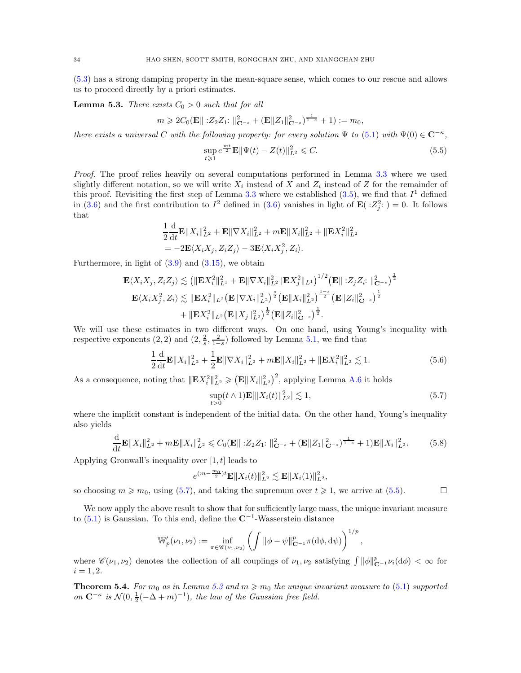[\(5.3\)](#page-31-3) has a strong damping property in the mean-square sense, which comes to our rescue and allows us to proceed directly by a priori estimates.

<span id="page-33-3"></span>**Lemma 5.3.** There exists  $C_0 > 0$  such that for all

$$
m \ge 2C_0(\mathbf{E} || 22Z_1: ||_{\mathbf{C}^{-s}}^2 + (\mathbf{E} ||Z_1||_{\mathbf{C}^{-s}}^2)^{\frac{1}{1-s}} + 1) := m_0,
$$

there exists a universal C with the following property: for every solution  $\Psi$  to [\(5.1\)](#page-31-2) with  $\Psi(0) \in \mathbb{C}^{-\kappa}$ ,

<span id="page-33-2"></span>
$$
\sup_{t\geq 1} e^{\frac{mt}{2}} \mathbf{E} \|\Psi(t) - Z(t)\|_{L^2}^2 \leq C.
$$
\n(5.5)

Proof. The proof relies heavily on several computations performed in Lemma [3.3](#page-15-0) where we used slightly different notation, so we will write  $X_i$  instead of X and  $Z_i$  instead of Z for the remainder of this proof. Revisiting the first step of Lemma [3.3](#page-15-0) where we established  $(3.5)$ , we find that  $I<sup>1</sup>$  defined in [\(3.6\)](#page-15-4) and the first contribution to  $I^2$  defined in (3.6) vanishes in light of  $\mathbf{E}(|z_2^2\rangle = 0$ . It follows that

$$
\frac{1}{2}\frac{\mathrm{d}}{\mathrm{d}t}\mathbf{E}\|X_i\|_{L^2}^2 + \mathbf{E}\|\nabla X_i\|_{L^2}^2 + m\mathbf{E}\|X_i\|_{L^2}^2 + \|\mathbf{E}X_i^2\|_{L^2}^2
$$

$$
= -2\mathbf{E}\langle X_iX_j, Z_iZ_j \rangle - 3\mathbf{E}\langle X_iX_j^2, Z_i \rangle.
$$

Furthermore, in light of  $(3.9)$  and  $(3.15)$ , we obtain

$$
\mathbf{E}\langle X_iX_j, Z_iZ_j\rangle \lesssim \left(\|\mathbf{E}X_i^2\|_{L^1}^2 + \mathbf{E}\|\nabla X_i\|_{L^2}^2 \|\mathbf{E}X_j^2\|_{L^1}\right)^{1/2} \left(\mathbf{E}\|:\mathbf{Z}_jZ_i:\|_{\mathbf{C}^{-s}}^2\right)^{\frac{1}{2}}
$$
  

$$
\mathbf{E}\langle X_iX_j^2, Z_i\rangle \lesssim \|\mathbf{E}X_i^2\|_{L^2} \left(\mathbf{E}\|\nabla X_i\|_{L^2}^2\right)^{\frac{s}{2}} \left(\mathbf{E}\|X_i\|_{L^2}^2\right)^{\frac{1-s}{2}} \left(\mathbf{E}\|Z_i\|_{\mathbf{C}^{-s}}^2\right)^{\frac{1}{2}}
$$
  

$$
+ \|\mathbf{E}X_i^2\|_{L^2} \left(\mathbf{E}\|X_j\|_{L^2}^2\right)^{\frac{1}{2}} \left(\mathbf{E}\|Z_i\|_{\mathbf{C}^{-s}}^2\right)^{\frac{1}{2}}.
$$

We will use these estimates in two different ways. On one hand, using Young's inequality with respective exponents  $(2, 2)$  and  $(2, \frac{2}{s}, \frac{2}{1-s})$  followed by Lemma [5.1,](#page-32-1) we find that

$$
\frac{1}{2}\frac{\mathrm{d}}{\mathrm{d}t}\mathbf{E}\|X_i\|_{L^2}^2 + \frac{1}{2}\mathbf{E}\|\nabla X_i\|_{L^2}^2 + m\mathbf{E}\|X_i\|_{L^2}^2 + \|\mathbf{E}X_i^2\|_{L^2}^2 \lesssim 1. \tag{5.6}
$$

As a consequence, noting that  $\|\mathbf{E}X_i^2\|_{L^2}^2 \geqslant (\mathbf{E}||X_i||_{L^2}^2)^2$ , applying Lemma [A.6](#page-53-5) it holds

<span id="page-33-1"></span>
$$
\sup_{t>0}(t\wedge 1)\mathbf{E}[\|X_i(t)\|_{L^2}^2] \lesssim 1,
$$
\n(5.7)

where the implicit constant is independent of the initial data. On the other hand, Young's inequality also yields

$$
\frac{\mathrm{d}}{\mathrm{d}t} \mathbf{E} \|X_i\|_{L^2}^2 + m \mathbf{E} \|X_i\|_{L^2}^2 \leq C_0(\mathbf{E} \| : Z_2 Z_1 : \|_{\mathbf{C}^{-s}}^2 + (\mathbf{E} \|Z_1\|_{\mathbf{C}^{-s}}^2)^{\frac{1}{1-s}} + 1) \mathbf{E} \|X_i\|_{L^2}^2. \tag{5.8}
$$

Applying Gronwall's inequality over  $[1, t]$  leads to

e

$$
{}^{(m-\frac{m_0}{2})t}\mathbf{E}||X_i(t)||_{L^2}^2 \lesssim \mathbf{E}||X_i(1)||_{L^2}^2,
$$

so choosing  $m \geq m_0$ , using [\(5.7\)](#page-33-1), and taking the supremum over  $t \geq 1$ , we arrive at [\(5.5\)](#page-33-2).

We now apply the above result to show that for sufficiently large mass, the unique invariant measure to  $(5.1)$  is Gaussian. To this end, define the  $\mathbb{C}^{-1}$ -Wasserstein distance

$$
\mathbb{W}'_p(\nu_1,\nu_2):=\inf_{\pi\in\mathscr{C}(\nu_1,\nu_2)}\left(\int\|\phi-\psi\|_{\mathbf{C}^{-1}}^p\pi(\mathrm{d}\phi,\mathrm{d}\psi)\right)^{1/p},
$$

where  $\mathscr{C}(\nu_1, \nu_2)$  denotes the collection of all couplings of  $\nu_1, \nu_2$  satisfying  $\int ||\phi||^p_{\mathbf{C}^{-1}} \nu_i(d\phi) < \infty$  for  $i = 1, 2.$ 

<span id="page-33-0"></span>**Theorem 5.4.** For  $m_0$  as in Lemma [5.3](#page-33-3) and  $m \geq m_0$  the unique invariant measure to [\(5.1\)](#page-31-2) supported on  $\mathbb{C}^{-\kappa}$  is  $\mathcal{N}(0, \frac{1}{2}(-\Delta + m)^{-1})$ , the law of the Gaussian free field.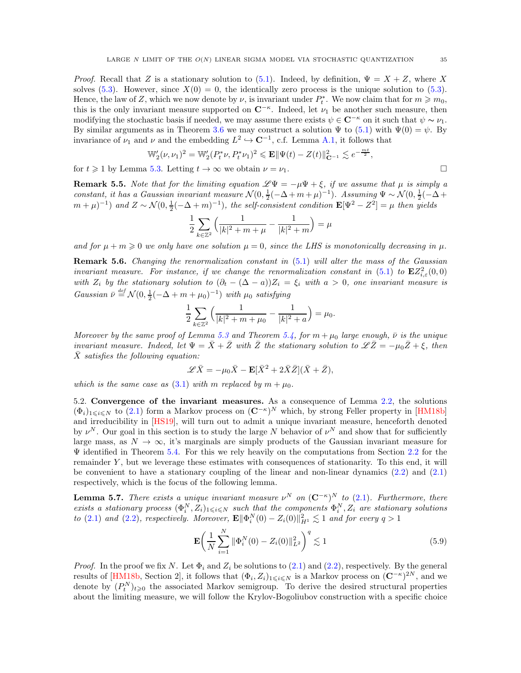*Proof.* Recall that Z is a stationary solution to [\(5.1\)](#page-31-2). Indeed, by definition,  $\Psi = X + Z$ , where X solves [\(5.3\)](#page-31-3). However, since  $X(0) = 0$ , the identically zero process is the unique solution to (5.3). Hence, the law of Z, which we now denote by  $\nu$ , is invariant under  $P_t^*$ . We now claim that for  $m \geq m_0$ , this is the only invariant measure supported on  $\mathbb{C}^{-\kappa}$ . Indeed, let  $\nu_1$  be another such measure, then modifying the stochastic basis if needed, we may assume there exists  $\psi \in \mathbb{C}^{-\kappa}$  on it such that  $\psi \sim \nu_1$ . By similar arguments as in Theorem [3.6](#page-21-2) we may construct a solution  $\Psi$  to [\(5.1\)](#page-31-2) with  $\Psi(0) = \psi$ . By invariance of  $\nu_1$  and  $\nu$  and the embedding  $L^2 \hookrightarrow \mathbb{C}^{-1}$ , c.f. Lemma [A.1,](#page-52-3) it follows that

$$
\mathbb{W}'_2(\nu,\nu_1)^2 = \mathbb{W}'_2(P_t^*\nu,P_t^*\nu_1)^2 \leqslant \mathbf{E} \|\Psi(t) - Z(t)\|_{\mathbf{C}^{-1}}^2 \lesssim e^{-\frac{mt}{2}},
$$

for  $t \geq 1$  by Lemma [5.3.](#page-33-3) Letting  $t \to \infty$  we obtain  $\nu = \nu_1$ .

**Remark 5.5.** Note that for the limiting equation  $\mathscr{L}\Psi = -\mu\Psi + \xi$ , if we assume that  $\mu$  is simply a constant, it has a Gaussian invariant measure  $\mathcal{N}(0, \frac{1}{2}(-\Delta+m+\mu)^{-1})$ . Assuming  $\Psi \sim \mathcal{N}(0, \frac{1}{2}(-\Delta+\mu)^{-1})$  $(m+\mu)^{-1}$ ) and  $Z \sim \mathcal{N}(0, \frac{1}{2}(-\Delta+m)^{-1})$ , the self-consistent condition  $\mathbf{E}[\Psi^2 - Z^2] = \mu$  then yields

$$
\frac{1}{2} \sum_{k \in \mathbb{Z}^2} \left( \frac{1}{|k|^2 + m + \mu} - \frac{1}{|k|^2 + m} \right) = \mu
$$

and for  $\mu + m \geq 0$  we only have one solution  $\mu = 0$ , since the LHS is monotonically decreasing in  $\mu$ .

<span id="page-34-3"></span>**Remark 5.6.** Changing the renormalization constant in [\(5.1\)](#page-31-2) will alter the mass of the Gaussian invariant measure. For instance, if we change the renormalization constant in  $(5.1)$  to  $\mathbf{E}Z_{i,\varepsilon}^2(0,0)$ with  $Z_i$  by the stationary solution to  $(\partial_t - (\Delta - a))Z_i = \xi_i$  with  $a > 0$ , one invariant measure is Gaussian  $\bar{\nu} \stackrel{\text{def}}{=} \mathcal{N}(0, \frac{1}{2}(-\Delta + m + \mu_0)^{-1})$  with  $\mu_0$  satisfying

$$
\frac{1}{2} \sum_{k \in \mathbb{Z}^2} \left( \frac{1}{|k|^2 + m + \mu_0} - \frac{1}{|k|^2 + a} \right) = \mu_0.
$$

Moreover by the same proof of Lemma [5.3](#page-33-3) and Theorem [5.4,](#page-33-0) for  $m + \mu_0$  large enough,  $\bar{\nu}$  is the unique invariant measure. Indeed, let  $\Psi = \bar{X} + \bar{Z}$  with  $\bar{Z}$  the stationary solution to  $\mathscr{L}\bar{Z} = -\mu_0 \bar{Z} + \xi$ , then  $\overline{X}$  satisfies the following equation:

$$
\mathscr{L}\bar{X} = -\mu_0 \bar{X} - \mathbf{E}[\bar{X}^2 + 2\bar{X}\bar{Z}](\bar{X} + \bar{Z}),
$$

<span id="page-34-0"></span>which is the same case as [\(3.1\)](#page-13-2) with m replaced by  $m + \mu_0$ .

5.2. Convergence of the invariant measures. As a consequence of Lemma [2.2,](#page-9-0) the solutions  $(\Phi_i)_{1\leqslant i\leqslant N}$  to  $(2.1)$  form a Markov process on  $({\bf C}^{-\kappa})^N$  which, by strong Feller property in [\[HM18b\]](#page-58-5) and irreducibility in [\[HS19\]](#page-58-6), will turn out to admit a unique invariant measure, henceforth denoted by  $\nu^N$ . Our goal in this section is to study the large N behavior of  $\nu^N$  and show that for sufficiently large mass, as  $N \to \infty$ , it's marginals are simply products of the Gaussian invariant measure for  $\Psi$  identified in Theorem [5.4.](#page-33-0) For this we rely heavily on the computations from Section [2.2](#page-9-2) for the remainder Y , but we leverage these estimates with consequences of stationarity. To this end, it will be convenient to have a stationary coupling of the linear and non-linear dynamics [\(2.2\)](#page-7-3) and [\(2.1\)](#page-7-1) respectively, which is the focus of the following lemma.

<span id="page-34-2"></span>**Lemma 5.7.** There exists a unique invariant measure  $\nu^N$  on  $(C^{-\kappa})^N$  to  $(2.1)$ . Furthermore, there exists a stationary process  $(\Phi_i^N, Z_i)_{1\leq i\leq N}$  such that the components  $\Phi_i^N, Z_i$  are stationary solutions to [\(2.1\)](#page-7-1) and [\(2.2\)](#page-7-3), respectively. Moreover,  $\mathbf{E} \|\Phi_i^N(0) - Z_i(0)\|_{H^1}^2 \lesssim 1$  and for every  $q > 1$ 

<span id="page-34-1"></span>
$$
\mathbf{E}\left(\frac{1}{N}\sum_{i=1}^{N}\|\Phi_i^N(0) - Z_i(0)\|_{L^2}^2\right)^q \lesssim 1\tag{5.9}
$$

*Proof.* In the proof we fix N. Let  $\Phi_i$  and  $Z_i$  be solutions to [\(2.1\)](#page-7-1) and [\(2.2\)](#page-7-3), respectively. By the general results of [\[HM18b,](#page-58-5) Section 2], it follows that  $(\Phi_i, Z_i)_{1\leq i\leq N}$  is a Markov process on  $(\mathbb{C}^{-\kappa})^{2N}$ , and we denote by  $(P_t^N)_{t\geqslant0}$  the associated Markov semigroup. To derive the desired structural properties about the limiting measure, we will follow the Krylov-Bogoliubov construction with a specific choice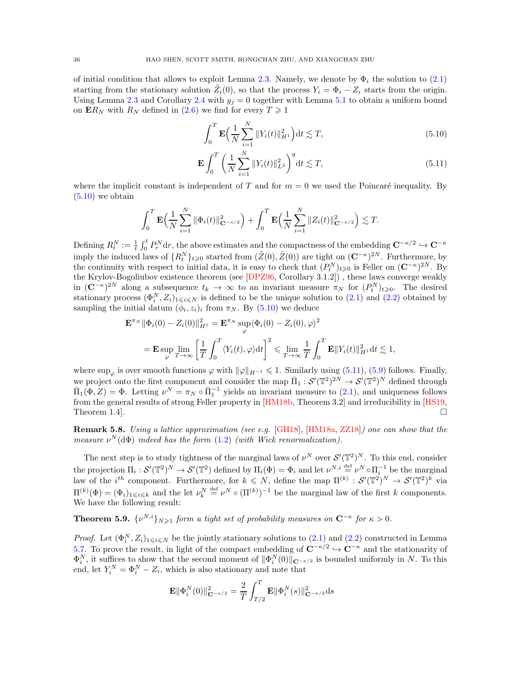of initial condition that allows to exploit Lemma [2.3.](#page-9-1) Namely, we denote by  $\Phi_i$  the solution to [\(2.1\)](#page-7-1) starting from the stationary solution  $\tilde{Z}_i(0)$ , so that the process  $Y_i = \Phi_i - Z_i$  starts from the origin. Using Lemma [2.3](#page-9-1) and Corollary [2.4](#page-12-3) with  $y_j = 0$  together with Lemma [5.1](#page-32-1) to obtain a uniform bound on  $\mathbf{E}R_N$  with  $R_N$  defined in [\(2.6\)](#page-9-7) we find for every  $T \geq 1$ 

<span id="page-35-2"></span><span id="page-35-1"></span>
$$
\int_0^T \mathbf{E} \Big( \frac{1}{N} \sum_{i=1}^N \|Y_i(t)\|_{H^1}^2 \Big) dt \lesssim T,
$$
\n(5.10)

$$
\mathbf{E} \int_0^T \left( \frac{1}{N} \sum_{i=1}^N \|Y_i(t)\|_{L^2}^2 \right)^q dt \lesssim T,
$$
\n(5.11)

where the implicit constant is independent of T and for  $m = 0$  we used the Poincaré inequality. By  $(5.10)$  we obtain

$$
\int_0^T \mathbf{E} \Big( \frac{1}{N} \sum_{i=1}^N \|\Phi_i(t)\|_{\mathbf{C}^{-\kappa/2}}^2 \Big) + \int_0^T \mathbf{E} \Big( \frac{1}{N} \sum_{i=1}^N \|Z_i(t)\|_{\mathbf{C}^{-\kappa/2}}^2 \Big) \lesssim T.
$$

Defining  $R_t^N := \frac{1}{t} \int_0^t P_r^N dr$ , the above estimates and the compactness of the embedding  $\mathbf{C}^{-\kappa/2} \hookrightarrow \mathbf{C}^{-\kappa}$ imply the induced laws of  $\{R_t^N\}_{t\geqslant0}$  started from  $(\tilde{Z}(0), \tilde{Z}(0))$  are tight on  $(\mathbf{C}^{-\kappa})^{2N}$ . Furthermore, by the continuity with respect to initial data, it is easy to check that  $(P_t^N)_{t\geqslant0}$  is Feller on  $(\mathbf{C}^{-\kappa})^{2N}$ . By the Krylov-Bogoliubov existence theorem (see [\[DPZ96,](#page-58-9) Corollary 3.1.2]) , these laws converge weakly in  $(\mathbb{C}^{-\kappa})^{2N}$  along a subsequence  $t_k \to \infty$  to an invariant measure  $\pi_N$  for  $(P_t^N)_{t \geqslant 0}$ . The desired stationary process  $(\Phi_i^N, Z_i)_{1 \leq i \leq N}$  is defined to be the unique solution to  $(2.1)$  and  $(2.2)$  obtained by sampling the initial datum  $(\phi_i, z_i)_i$  from  $\pi_N$ . By  $(5.10)$  we deduce

$$
\mathbf{E}^{\pi_N} \|\Phi_i(0) - Z_i(0)\|_{H^1}^2 = \mathbf{E}^{\pi_N} \sup_{\varphi} \langle \Phi_i(0) - Z_i(0), \varphi \rangle^2
$$
  
=  $\mathbf{E} \sup_{\varphi} \lim_{T \to \infty} \left[ \frac{1}{T} \int_0^T \langle Y_i(t), \varphi \rangle dt \right]^2 \le \lim_{T \to \infty} \frac{1}{T} \int_0^T \mathbf{E} \|Y_i(t)\|_{H^1}^2 dt \lesssim 1,$ 

where sup<sub> $\varphi$ </sub> is over smooth functions  $\varphi$  with  $\|\varphi\|_{H^{-1}} \leq 1$ . Similarly using [\(5.11\)](#page-35-2), [\(5.9\)](#page-34-1) follows. Finally, we project onto the first component and consider the map  $\bar{\Pi}_1 : \mathcal{S}'(\mathbb{T}^2)^{2N} \to \mathcal{S}'(\mathbb{T}^2)^N$  defined through  $\Pi_1(\Phi, Z) = \Phi$ . Letting  $\nu^N = \pi_N \circ \bar{\Pi}_1^{-1}$  yields an invariant measure to [\(2.1\)](#page-7-1), and uniqueness follows from the general results of strong Feller property in [\[HM18b,](#page-58-5) Theorem 3.2] and irreducibility in [\[HS19,](#page-58-6) Theorem 1.4.

Remark 5.8. Using a lattice approximation (see e.g. [\[GH18\]](#page-58-4), [\[HM18a,](#page-58-3) [ZZ18\]](#page-59-2)) one can show that the measure  $\nu^N(\mathrm{d}\Phi)$  indeed has the form  $(1.2)$  (with Wick renormalization).

The next step is to study tightness of the marginal laws of  $\nu^N$  over  $\mathcal{S}'(\mathbb{T}^2)^N$ . To this end, consider the projection  $\Pi_i: \mathcal{S}'(\mathbb{T}^2)^N \to \mathcal{S}'(\mathbb{T}^2)$  defined by  $\Pi_i(\Phi) = \Phi_i$  and let  $\nu^{N,i} \stackrel{\text{def}}{=} \nu^N \circ \Pi_i^{-1}$  be the marginal law of the  $i^{th}$  component. Furthermore, for  $k \leq N$ , define the map  $\Pi^{(k)} : \mathcal{S}'(\mathbb{T}^2)^N \to \mathcal{S}'(\mathbb{T}^2)^k$  via  $\Pi^{(k)}(\Phi) = (\Phi_i)_{1 \leq i \leq k}$  and the let  $\nu_k^N \stackrel{\text{def}}{=} \nu^N \circ (\Pi^{(k)})^{-1}$  be the marginal law of the first k components. We have the following result:

<span id="page-35-0"></span>**Theorem 5.9.**  $\{v^{N,i}\}_{N\geq 1}$  form a tight set of probability measures on  $C^{-\kappa}$  for  $\kappa > 0$ .

*Proof.* Let  $(\Phi_i^N, Z_i)_{1 \leq i \leq N}$  be the jointly stationary solutions to [\(2.1\)](#page-7-1) and [\(2.2\)](#page-7-3) constructed in Lemma [5.7.](#page-34-2) To prove the result, in light of the compact embedding of  $\mathbb{C}^{-\kappa/2}$   $\hookrightarrow \mathbb{C}^{-\kappa}$  and the stationarity of  $\Phi_i^N$ , it suffices to show that the second moment of  $\|\Phi_i^N(0)\|_{\mathbf{C}^{-\kappa/2}}$  is bounded uniformly in N. To this end, let  $Y_i^N = \Phi_i^N - Z_i$ , which is also stationary and note that

$$
\mathbf{E} \|\Phi_i^N(0)\|_{\mathbf{C}^{-\kappa/2}}^2 = \frac{2}{T} \int_{T/2}^T \mathbf{E} \|\Phi_i^N(s)\|_{\mathbf{C}^{-\kappa/2}}^2 ds
$$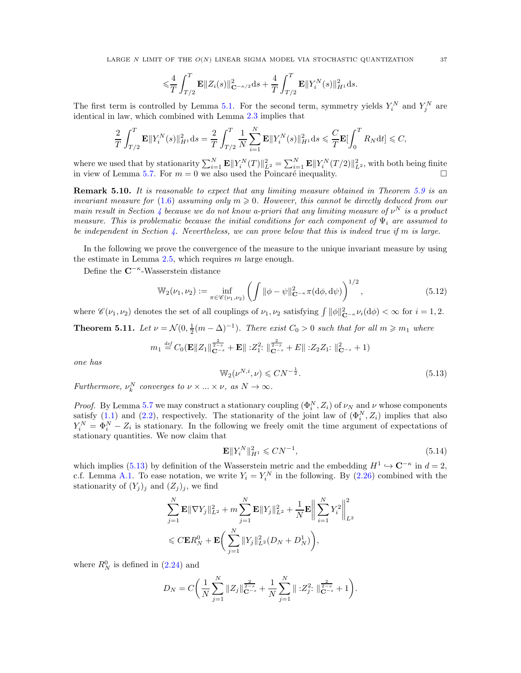$$
\leqslant \frac{4}{T}\int_{T/2}^T \mathbf{E} \|Z_i(s)\|_{\mathbf{C}^{-\kappa/2}}^2 \mathrm{d} s + \frac{4}{T}\int_{T/2}^T \mathbf{E} \|Y_i^N(s)\|_{H^1}^2 \mathrm{d} s.
$$

The first term is controlled by Lemma [5.1.](#page-32-1) For the second term, symmetry yields  $Y_i^N$  and  $Y_j^N$  are identical in law, which combined with Lemma [2.3](#page-9-1) implies that

$$
\frac{2}{T} \int_{T/2}^T \mathbf{E} ||Y_i^N(s)||_{H^1}^2 ds = \frac{2}{T} \int_{T/2}^T \frac{1}{N} \sum_{i=1}^N \mathbf{E} ||Y_i^N(s)||_{H^1}^2 ds \leq \frac{C}{T} \mathbf{E} [\int_0^T R_N dt] \leq C,
$$

where we used that by stationarity  $\sum_{i=1}^{N} \mathbf{E} ||Y_i^N(T)||_{L^2}^2 = \sum_{i=1}^{N} \mathbf{E} ||Y_i^N(T/2)||_{L^2}^2$ , with both being finite in view of Lemma [5.7.](#page-34-2) For  $m = 0$  we also used the Poincaré inequality.

Remark 5.10. It is reasonable to expect that any limiting measure obtained in Theorem [5.9](#page-35-0) is an invariant measure for [\(1.6\)](#page-2-1) assuming only  $m \geq 0$ . However, this cannot be directly deduced from our main result in Section [4](#page-21-0) because we do not know a-priori that any limiting measure of  $\nu^N$  is a product measure. This is problematic because the initial conditions for each component of  $\Psi_i$  are assumed to be independent in Section [4.](#page-21-0) Nevertheless, we can prove below that this is indeed true if m is large.

In the following we prove the convergence of the measure to the unique invariant measure by using the estimate in Lemma  $2.5$ , which requires m large enough.

Define the  $\mathbb{C}^{-\kappa}$ -Wasserstein distance

$$
\mathbb{W}_2(\nu_1, \nu_2) := \inf_{\pi \in \mathscr{C}(\nu_1, \nu_2)} \left( \int \|\phi - \psi\|_{\mathbf{C}^{-\kappa}}^2 \pi(\mathrm{d}\phi, \mathrm{d}\psi) \right)^{1/2},\tag{5.12}
$$

where  $\mathscr{C}(\nu_1, \nu_2)$  denotes the set of all couplings of  $\nu_1, \nu_2$  satisfying  $\int ||\phi||^2_{\mathbf{C}^{-\kappa}} \nu_i(\mathrm{d}\phi) < \infty$  for  $i = 1, 2$ .

<span id="page-36-0"></span>**Theorem 5.11.** Let  $\nu = \mathcal{N}(0, \frac{1}{2}(m - \Delta)^{-1})$ . There exist  $C_0 > 0$  such that for all  $m \geq m_1$  where

$$
m_1 \stackrel{\text{def}}{=} C_0(\mathbf{E} ||Z_1||_{\mathbf{C}^{-s}}^{\frac{2}{2-s}} + \mathbf{E} || 221 : ||_{\mathbf{C}^{-s}}^{\frac{2}{2-s}} + E || 2221 : ||_{\mathbf{C}^{-s}}^2 + 1)
$$

one has

<span id="page-36-2"></span><span id="page-36-1"></span>
$$
\mathbb{W}_2(\nu^{N,i}, \nu) \leq C N^{-\frac{1}{2}}.
$$
\n(5.13)

Furthermore,  $\nu_k^N$  converges to  $\nu \times ... \times \nu$ , as  $N \to \infty$ .

*Proof.* By Lemma [5.7](#page-34-2) we may construct a stationary coupling  $(\Phi_i^N, Z_i)$  of  $\nu_N$  and  $\nu$  whose components satisfy  $(1,1)$  and  $(2.2)$ , respectively. The stationarity of the joint law of  $(\Phi_i^N, Z_i)$  implies that also  $Y_i^N = \Phi_i^N - Z_i$  is stationary. In the following we freely omit the time argument of expectations of stationary quantities. We now claim that

<span id="page-36-3"></span>
$$
\mathbf{E} \|Y_i^N\|_{H^1}^2 \leqslant CN^{-1},\tag{5.14}
$$

which implies [\(5.13\)](#page-36-2) by definition of the Wasserstein metric and the embedding  $H^1 \hookrightarrow \mathbb{C}^{-\kappa}$  in  $d = 2$ , c.f. Lemma [A.1.](#page-52-3) To ease notation, we write  $Y_i = Y_i^N$  in the following. By [\(2.26\)](#page-13-3) combined with the stationarity of  $(Y_j)_j$  and  $(Z_j)_j$ , we find

$$
\sum_{j=1}^{N} \mathbf{E} \|\nabla Y_j\|_{L^2}^2 + m \sum_{j=1}^{N} \mathbf{E} \|Y_j\|_{L^2}^2 + \frac{1}{N} \mathbf{E} \left\| \sum_{i=1}^{N} Y_i^2 \right\|_{L^2}^2
$$
  
\$\leqslant C \mathbf{E} R\_N^0 + \mathbf{E} \bigg(\sum\_{j=1}^{N} \|Y\_j\|\_{L^2}^2 (D\_N + D\_N^1) \bigg),

where  $R_N^0$  is defined in  $(2.24)$  and

$$
D_N = C \bigg( \frac{1}{N} \sum_{j=1}^N \|Z_j\|_{\mathbf{C}^{-s}}^{\frac{2}{2-s}} + \frac{1}{N} \sum_{j=1}^N \|Z_j^2\|_{\mathbf{C}^{-s}}^{\frac{2}{2-s}} + 1 \bigg).
$$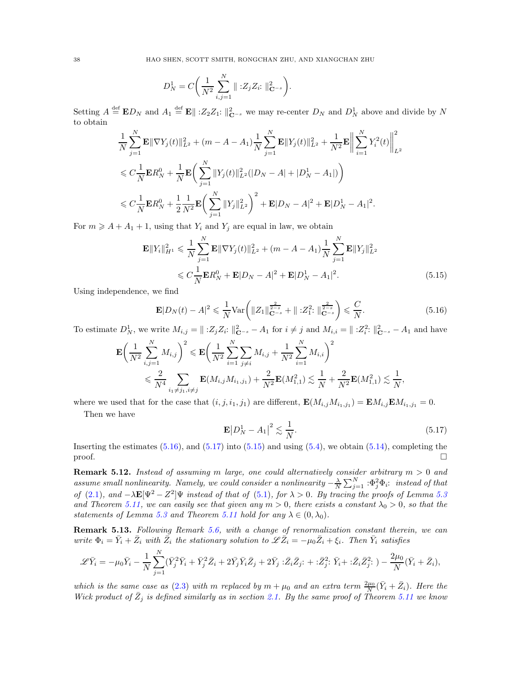$$
D_N^1 = C \bigg( \frac{1}{N^2} \sum_{i,j=1}^N ||z_j Z_i||_{\mathbf{C}^{-s}}^2 \bigg).
$$

Setting  $A \stackrel{\text{def}}{=} \mathbf{E} D_N$  and  $A_1 \stackrel{\text{def}}{=} \mathbf{E} || 2 \cdot Z_2 Z_1$ :  $||_{\mathbf{C}^{-s}}^2$  we may re-center  $D_N$  and  $D_N^1$  above and divide by N to obtain

$$
\begin{split} & \frac{1}{N} \sum_{j=1}^N \mathbf{E} \|\nabla Y_j(t)\|_{L^2}^2 + (m - A - A_1) \frac{1}{N} \sum_{j=1}^N \mathbf{E} \|Y_j(t)\|_{L^2}^2 + \frac{1}{N^2} \mathbf{E} \Big\| \sum_{i=1}^N Y_i^2(t) \Big\|_{L^2}^2 \\ & \leqslant C \frac{1}{N} \mathbf{E} R_N^0 + \frac{1}{N} \mathbf{E} \bigg( \sum_{j=1}^N \|Y_j(t)\|_{L^2}^2 (|D_N - A| + |D_N^1 - A_1|) \bigg) \\ & \leqslant C \frac{1}{N} \mathbf{E} R_N^0 + \frac{1}{2} \frac{1}{N^2} \mathbf{E} \bigg( \sum_{j=1}^N \|Y_j\|_{L^2}^2 \bigg)^2 + \mathbf{E} |D_N - A|^2 + \mathbf{E} |D_N^1 - A_1|^2. \end{split}
$$

For  $m \geq A + A_1 + 1$ , using that  $Y_i$  and  $Y_j$  are equal in law, we obtain

$$
\mathbf{E} ||Y_i||_{H^1}^2 \leq \frac{1}{N} \sum_{j=1}^N \mathbf{E} ||\nabla Y_j(t)||_{L^2}^2 + (m - A - A_1) \frac{1}{N} \sum_{j=1}^N \mathbf{E} ||Y_j||_{L^2}^2
$$
  

$$
\leq C \frac{1}{N} \mathbf{E} R_N^0 + \mathbf{E} |D_N - A|^2 + \mathbf{E} |D_N^1 - A_1|^2.
$$
 (5.15)

Using independence, we find

<span id="page-37-1"></span>
$$
\mathbf{E}|D_N(t) - A|^2 \leq \frac{1}{N} \text{Var}\left(\|Z_1\|_{\mathbf{C}^{-s}}^{\frac{2}{2-s}} + \|Z_1^2\|_{\mathbf{C}^{-s}}^{\frac{2}{2-s}}\right) \leq \frac{C}{N}.\tag{5.16}
$$

To estimate  $D_N^1$ , we write  $M_{i,j} = ||\; : Z_j Z_i : ||_{\mathbf{C}^{-s}}^2 - A_1$  for  $i \neq j$  and  $M_{i,i} = ||: Z_i^2 : ||_{\mathbf{C}^{-s}}^2 - A_1$  and have

$$
\mathbf{E}\left(\frac{1}{N^2}\sum_{i,j=1}^N M_{i,j}\right)^2 \leqslant \mathbf{E}\left(\frac{1}{N^2}\sum_{i=1}^N\sum_{j\neq i}M_{i,j} + \frac{1}{N^2}\sum_{i=1}^N M_{i,i}\right)^2
$$
  

$$
\leqslant \frac{2}{N^4}\sum_{i_1\neq j_1, i\neq j} \mathbf{E}(M_{i,j}M_{i_1,j_1}) + \frac{2}{N^2}\mathbf{E}(M_{1,1}^2) \lesssim \frac{1}{N} + \frac{2}{N^2}\mathbf{E}(M_{1,1}^2) \lesssim \frac{1}{N},
$$

where we used that for the case that  $(i, j, i_1, j_1)$  are different,  $\mathbf{E}(M_{i,j}M_{i_1,j_1}) = \mathbf{E}M_{i,j}\mathbf{E}M_{i_1,j_1} = 0$ .

Then we have

<span id="page-37-3"></span><span id="page-37-2"></span>
$$
\mathbf{E}|D_N^1 - A_1|^2 \lesssim \frac{1}{N}.\tag{5.17}
$$

Inserting the estimates  $(5.16)$ , and  $(5.17)$  into  $(5.15)$  and using  $(5.4)$ , we obtain  $(5.14)$ , completing the  $\Box$ 

<span id="page-37-0"></span>**Remark 5.12.** Instead of assuming m large, one could alternatively consider arbitrary  $m > 0$  and assume small nonlinearity. Namely, we could consider a nonlinearity  $-\frac{\lambda}{N}\sum_{j=1}^N:\Phi_j^2\Phi_i$ : instead of that of [\(2.1\)](#page-7-1), and  $-\lambda \mathbf{E}[\Psi^2 - Z^2]\Psi$  instead of that of [\(5.1\)](#page-31-2), for  $\lambda > 0$ . By tracing the proofs of Lemma [5.3](#page-33-3) and Theorem [5.11,](#page-36-0) we can easily see that given any  $m > 0$ , there exists a constant  $\lambda_0 > 0$ , so that the statements of Lemma [5.3](#page-33-3) and Theorem [5.11](#page-36-0) hold for any  $\lambda \in (0, \lambda_0)$ .

Remark 5.13. Following Remark [5.6,](#page-34-3) with a change of renormalization constant therein, we can write  $\Phi_i = \bar{Y}_i + \bar{Z}_i$  with  $\bar{Z}_i$  the stationary solution to  $\mathscr{L}\bar{Z}_i = -\mu_0 \bar{Z}_i + \xi_i$ . Then  $\bar{Y}_i$  satisfies

$$
\mathscr{L}\bar{Y}_i = -\mu_0 \bar{Y}_i - \frac{1}{N} \sum_{j=1}^N (\bar{Y}_j^2 \bar{Y}_i + \bar{Y}_j^2 \bar{Z}_i + 2\bar{Y}_j \bar{Y}_i \bar{Z}_j + 2\bar{Y}_j : \bar{Z}_i \bar{Z}_j : + : \bar{Z}_j^2 : \bar{Y}_i + : \bar{Z}_i \bar{Z}_j^2 :) - \frac{2\mu_0}{N} (\bar{Y}_i + \bar{Z}_i),
$$

which is the same case as [\(2.3\)](#page-7-2) with m replaced by  $m + \mu_0$  and an extra term  $\frac{2\mu_0}{N}(\bar{Y}_i + \bar{Z}_i)$ . Here the Wick product of  $\bar{Z}_j$  is defined similarly as in section [2.1.](#page-8-0) By the same proof of Theorem [5.11](#page-36-0) we know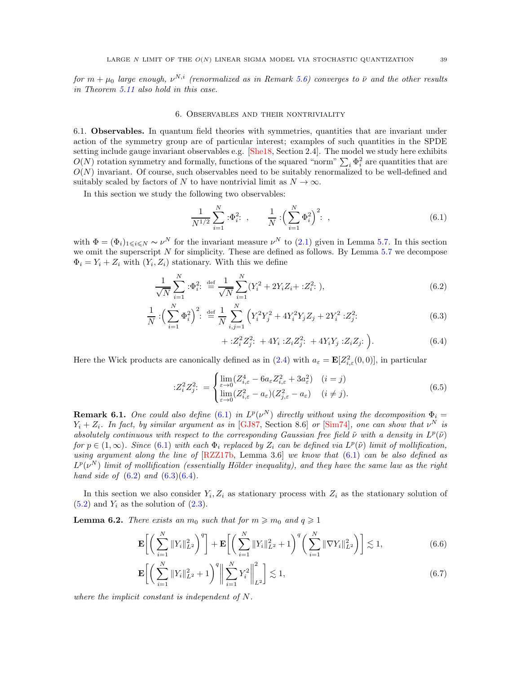<span id="page-38-0"></span>for  $m+\mu_0$  large enough,  $\nu^{N,i}$  (renormalized as in Remark [5.6\)](#page-34-3) converges to  $\bar{\nu}$  and the other results in Theorem [5.11](#page-36-0) also hold in this case.

#### 6. Observables and their nontriviality

<span id="page-38-1"></span>6.1. Observables. In quantum field theories with symmetries, quantities that are invariant under action of the symmetry group are of particular interest; examples of such quantities in the SPDE setting include gauge invariant observables e.g. [\[She18,](#page-59-4) Section 2.4]. The model we study here exhibits  $O(N)$  rotation symmetry and formally, functions of the squared "norm"  $\sum_i \Phi_i^2$  are quantities that are  $O(N)$  invariant. Of course, such observables need to be suitably renormalized to be well-defined and suitably scaled by factors of N to have nontrivial limit as  $N \to \infty$ .

In this section we study the following two observables:

<span id="page-38-2"></span>
$$
\frac{1}{N^{1/2}} \sum_{i=1}^{N} \, : \Phi_i^2: \quad , \qquad \frac{1}{N} \, : \left( \sum_{i=1}^{N} \Phi_i^2 \right)^2: \quad , \tag{6.1}
$$

with  $\Phi = (\Phi_i)_{1 \leq i \leq N} \sim \nu^N$  for the invariant measure  $\nu^N$  to [\(2.1\)](#page-7-1) given in Lemma [5.7.](#page-34-2) In this section we omit the superscript  $N$  for simplicity. These are defined as follows. By Lemma [5.7](#page-34-2) we decompose  $\Phi_i = Y_i + Z_i$  with  $(Y_i, Z_i)$  stationary. With this we define

$$
\frac{1}{\sqrt{N}} \sum_{i=1}^{N} :\Phi_i^2: \stackrel{\text{def}}{=} \frac{1}{\sqrt{N}} \sum_{i=1}^{N} (Y_i^2 + 2Y_i Z_i + :Z_i^2: ),
$$
\n(6.2)

$$
\frac{1}{N} : \left(\sum_{i=1}^{N} \Phi_i^2\right)^2 : \stackrel{\text{def}}{=} \frac{1}{N} \sum_{i,j=1}^{N} \left(Y_i^2 Y_j^2 + 4Y_i^2 Y_j Z_j + 2Y_i^2 : Z_j^2: \right) \tag{6.3}
$$

<span id="page-38-7"></span><span id="page-38-5"></span><span id="page-38-4"></span><span id="page-38-3"></span>
$$
+ :Z_i^2 Z_j^2: + 4Y_i :Z_i Z_j^2: + 4Y_i Y_j :Z_i Z_j: \bigg).
$$
 (6.4)

Here the Wick products are canonically defined as in  $(2.4)$  with  $a_{\varepsilon} = \mathbf{E}[Z_{i,\varepsilon}^2(0,0)]$ , in particular

$$
:Z_i^2 Z_j^2: = \begin{cases} \lim_{\varepsilon \to 0} (Z_{i,\varepsilon}^4 - 6a_{\varepsilon} Z_{i,\varepsilon}^2 + 3a_{\varepsilon}^2) & (i = j) \\ \lim_{\varepsilon \to 0} (Z_{i,\varepsilon}^2 - a_{\varepsilon}) (Z_{j,\varepsilon}^2 - a_{\varepsilon}) & (i \neq j). \end{cases} \tag{6.5}
$$

**Remark 6.1.** One could also define [\(6.1\)](#page-38-2) in  $L^p(\nu^N)$  directly without using the decomposition  $\Phi_i =$  $Y_i + Z_i$ . In fact, by similar argument as in [\[GJ87,](#page-58-31) Section 8.6] or [\[Sim74\]](#page-59-16), one can show that  $\nu^N$  is absolutely continuous with respect to the corresponding Gaussian free field  $\tilde{\nu}$  with a density in  $L^p(\tilde{\nu})$ for  $p \in (1,\infty)$ . Since  $(6.1)$  with each  $\Phi_i$  replaced by  $Z_i$  can be defined via  $L^p(\tilde{\nu})$  limit of mollification, using argument along the line of  $[RZZ17b,$  Lemma 3.6 we know that  $(6.1)$  can be also defined as  $L^p(\nu^N)$  limit of mollification (essentially Hölder inequality), and they have the same law as the right hand side of  $(6.2)$  and  $(6.3)(6.4)$  $(6.3)(6.4)$ .

In this section we also consider  $Y_i, Z_i$  as stationary process with  $Z_i$  as the stationary solution of  $(5.2)$  and  $Y_i$  as the solution of  $(2.3)$ .

<span id="page-38-8"></span>**Lemma 6.2.** There exists an  $m_0$  such that for  $m \geq m_0$  and  $q \geq 1$ 

$$
\mathbf{E}\bigg[\bigg(\sum_{i=1}^N \|Y_i\|_{L^2}^2\bigg)^q\bigg] + \mathbf{E}\bigg[\bigg(\sum_{i=1}^N \|Y_i\|_{L^2}^2 + 1\bigg)^q \bigg(\sum_{i=1}^N \|\nabla Y_i\|_{L^2}^2\bigg)\bigg] \lesssim 1,
$$
\n(6.6)

<span id="page-38-6"></span>
$$
\mathbf{E}\bigg[\bigg(\sum_{i=1}^{N}||Y_i||_{L^2}^2+1\bigg)^q\bigg\|\sum_{i=1}^{N}Y_i^2\bigg\|_{L^2}^2\bigg] \lesssim 1,
$$
\n(6.7)

where the implicit constant is independent of N.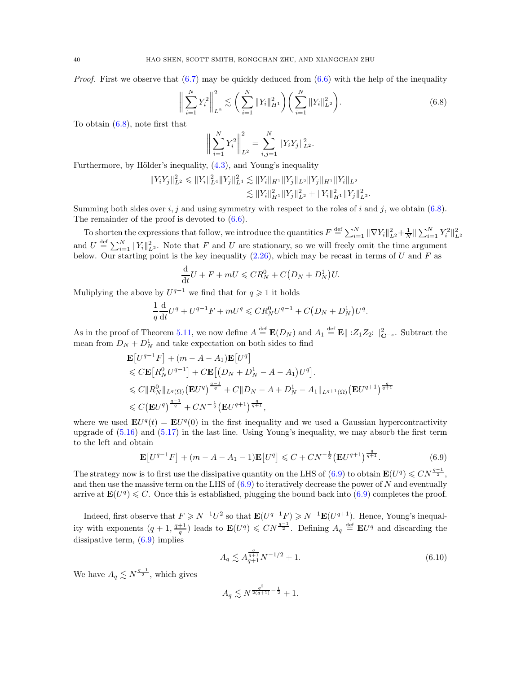*Proof.* First we observe that  $(6.7)$  may be quickly deduced from  $(6.6)$  with the help of the inequality

<span id="page-39-0"></span>
$$
\left\| \sum_{i=1}^{N} Y_i^2 \right\|_{L^2}^2 \lesssim \left( \sum_{i=1}^{N} \|Y_i\|_{H^1}^2 \right) \left( \sum_{i=1}^{N} \|Y_i\|_{L^2}^2 \right). \tag{6.8}
$$

To obtain [\(6.8\)](#page-39-0), note first that

$$
\bigg\|\sum_{i=1}^N Y_i^2\bigg\|_{L^2}^2 = \sum_{i,j=1}^N \|Y_i Y_j\|_{L^2}^2.
$$

Furthermore, by Hölder's inequality,  $(4.3)$ , and Young's inequality

$$
||Y_iY_j||_{L^2}^2 \le ||Y_i||_{L^4}^2 ||Y_j||_{L^4}^2 \lesssim ||Y_i||_{H^1} ||Y_j||_{L^2} ||Y_j||_{H^1} ||Y_i||_{L^2}
$$
  

$$
\lesssim ||Y_i||_{H^1}^2 ||Y_j||_{L^2}^2 + ||Y_i||_{H^1}^2 ||Y_j||_{L^2}^2.
$$

Summing both sides over  $i, j$  and using symmetry with respect to the roles of i and j, we obtain [\(6.8\)](#page-39-0). The remainder of the proof is devoted to [\(6.6\)](#page-38-7).

To shorten the expressions that follow, we introduce the quantities  $F \triangleq \sum_{i=1}^{M} ||\nabla Y_i||^2_{L^2} + \frac{1}{N} ||\sum_{i=1}^{N} Y_i^2||^2_{L^2}$ and  $U = \sum_{i=1}^{N} ||Y_i||_{L^2}^2$ . Note that F and U are stationary, so we will freely omit the time argument below. Our starting point is the key inequality  $(2.26)$ , which may be recast in terms of U and F as

$$
\frac{\mathrm{d}}{\mathrm{d}t}U + F + mU \leqslant CR_N^0 + C\big(D_N + D_N^1\big)U.
$$

Muliplying the above by  $U^{q-1}$  we find that for  $q \geq 1$  it holds

$$
\frac{1}{q}\frac{d}{dt}U^{q} + U^{q-1}F + mU^{q} \leqslant CR_{N}^{0}U^{q-1} + C(D_{N} + D_{N}^{1})U^{q}.
$$

As in the proof of Theorem [5.11,](#page-36-0) we now define  $A \stackrel{\text{def}}{=} \mathbf{E}(D_N)$  and  $A_1 \stackrel{\text{def}}{=} \mathbf{E} \parallel :Z_1 Z_2: \parallel_{\mathbf{C}^{-s}}^2$ . Subtract the mean from  $D_N + D_N^1$  and take expectation on both sides to find

$$
\mathbf{E}[U^{q-1}F] + (m - A - A_1)\mathbf{E}[U^q]
$$
  
\n
$$
\leq C\mathbf{E}[R_N^0 U^{q-1}] + C\mathbf{E}[(D_N + D_N^1 - A - A_1)U^q].
$$
  
\n
$$
\leq C\|R_N^0\|_{L^q(\Omega)} (\mathbf{E}U^q)^{\frac{q-1}{q}} + C\|D_N - A + D_N^1 - A_1\|_{L^{q+1}(\Omega)} (\mathbf{E}U^{q+1})^{\frac{q}{q+1}}
$$
  
\n
$$
\leq C(\mathbf{E}U^q)^{\frac{q-1}{q}} + CN^{-\frac{1}{2}}(\mathbf{E}U^{q+1})^{\frac{q}{q+1}},
$$

where we used  $\mathbf{E}U^{q}(t) = \mathbf{E}U^{q}(0)$  in the first inequality and we used a Gaussian hypercontractivity upgrade of [\(5.16\)](#page-37-1) and [\(5.17\)](#page-37-2) in the last line. Using Young's inequality, we may absorb the first term to the left and obtain

<span id="page-39-1"></span>
$$
\mathbf{E}[U^{q-1}F] + (m - A - A_1 - 1)\mathbf{E}[U^q] \leq C + CN^{-\frac{1}{2}}(\mathbf{E}U^{q+1})^{\frac{q}{q+1}}.
$$
 (6.9)

The strategy now is to first use the dissipative quantity on the LHS of  $(6.9)$  to obtain  $\mathbf{E}(U^q) \leqslant CN^{\frac{q-1}{2}}$ , and then use the massive term on the LHS of  $(6.9)$  to iteratively decrease the power of N and eventually arrive at  $\mathbf{E}(U^q) \leq C$ . Once this is established, plugging the bound back into [\(6.9\)](#page-39-1) completes the proof.

Indeed, first observe that  $F \geq N^{-1}U^2$  so that  $\mathbf{E}(U^{q-1}F) \geq N^{-1}\mathbf{E}(U^{q+1})$ . Hence, Young's inequality with exponents  $(q+1, \frac{q+1}{q})$  leads to  $\mathbf{E}(U^q) \leqslant CN^{\frac{q-1}{2}}$ . Defining  $A_q \stackrel{\text{def}}{=} \mathbf{E}U^q$  and discarding the dissipative term, [\(6.9\)](#page-39-1) implies

<span id="page-39-2"></span>
$$
A_q \lesssim A_{q+1}^{\frac{q}{q+1}} N^{-1/2} + 1. \tag{6.10}
$$

We have  $A_q \lesssim N^{\frac{q-1}{2}}$ , which gives

$$
A_q \lesssim N^{\frac{q^2}{2(q+1)} - \frac{1}{2}} + 1.
$$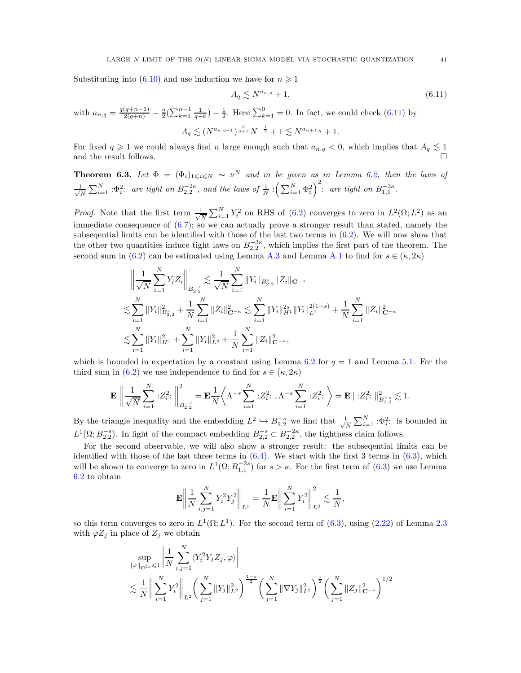Substituting into [\(6.10\)](#page-39-2) and use induction we have for  $n \ge 1$ 

<span id="page-40-1"></span>
$$
A_q \lesssim N^{a_{n,q}} + 1,\tag{6.11}
$$

with  $a_{n,q} = \frac{q(q+n-1)}{2(q+n)} - \frac{q}{2}(\sum_{k=1}^{n-1} \frac{1}{q+k}) - \frac{1}{2}$ . Here  $\sum_{k=1}^{0} = 0$ . In fact, we could check [\(6.11\)](#page-40-1) by  $A_q \lesssim (N^{a_{n,q+1}})^{\frac{q}{q+1}} N^{-\frac{1}{2}} + 1 \lesssim N^{a_{n+1,q}} + 1.$ 

For fixed  $q \geq 1$  we could always find n large enough such that  $a_{n,q} < 0$ , which implies that  $A_q \lesssim 1$ and the result follows.

<span id="page-40-0"></span>**Theorem 6.3.** Let  $\Phi = (\Phi_i)_{1 \leq i \leq N} \sim \nu^N$  and m be given as in Lemma [6.2,](#page-38-8) then the laws of √ 1  $\frac{1}{N}\sum_{i=1}^N \cdot \Phi_i^2$ : are tight on  $B_{2,2}^{-2\kappa}$ , and the laws of  $\frac{1}{N}\cdot \left(\sum_{i=1}^N \Phi_i^2\right)^2$ : are tight on  $B_{1,1}^{-3\kappa}$ .

*Proof.* Note that the first term  $\frac{1}{\sqrt{2}}$  $\frac{1}{N} \sum_{i=1}^{N} Y_i^2$  on RHS of [\(6.2\)](#page-38-3) converges to zero in  $L^2(\Omega; L^2)$  as an immediate consequence of [\(6.7\)](#page-38-6); so we can actually prove a stronger result than stated, namely the subseqential limits can be identified with those of the last two terms in [\(6.2\)](#page-38-3). We will now show that the other two quantities induce tight laws on  $B_{2,2}^{-3\kappa}$ , which implies the first part of the theorem. The second sum in [\(6.2\)](#page-38-3) can be estimated using Lemma [A.3](#page-53-2) and Lemma [A.1](#page-52-3) to find for  $s \in (\kappa, 2\kappa)$ 

$$
\left\| \frac{1}{\sqrt{N}} \sum_{i=1}^{N} Y_i Z_i \right\|_{B_{2,2}^{-s}} \lesssim \frac{1}{\sqrt{N}} \sum_{i=1}^{N} \|Y_i\|_{B_{2,2}^s} \|Z_i\|_{\mathbf{C}^{-\kappa}}
$$
  

$$
\lesssim \sum_{i=1}^{N} \|Y_i\|_{B_{2,2}^s}^2 + \frac{1}{N} \sum_{i=1}^{N} \|Z_i\|_{\mathbf{C}^{-\kappa}}^2 \lesssim \sum_{i=1}^{N} \|Y_i\|_{H^1}^{2s} \|Y_i\|_{L^2}^{2(1-s)} + \frac{1}{N} \sum_{i=1}^{N} \|Z_i\|_{\mathbf{C}^{-\kappa}}^2
$$
  

$$
\lesssim \sum_{i=1}^{N} \|Y_i\|_{H^1}^2 + \sum_{i=1}^{N} \|Y_i\|_{L^2}^2 + \frac{1}{N} \sum_{i=1}^{N} \|Z_i\|_{\mathbf{C}^{-\kappa}}^2,
$$

which is bounded in expectation by a constant using Lemma [6.2](#page-38-8) for  $q = 1$  and Lemma [5.1.](#page-32-1) For the third sum in [\(6.2\)](#page-38-3) we use independence to find for  $s \in (\kappa, 2\kappa)$ 

$$
\mathbf{E} \left\| \frac{1}{\sqrt{N}} \sum_{i=1}^N :Z_i^2: \right\|_{B_{2,2}^{-s}}^2 = \mathbf{E} \frac{1}{N} \left\langle \Lambda^{-s} \sum_{i=1}^N :Z_i^2: \Lambda^{-s} \sum_{i=1}^N :Z_i^2: \right\rangle = \mathbf{E} \|\cdot Z_i^2: \big\|_{B_{2,2}^{-s}}^2 \lesssim 1.
$$

By the triangle inequality and the embedding  $L^2 \hookrightarrow B_{2,2}^{-\kappa}$  we find that  $\frac{1}{\sqrt{l}}$  $\frac{1}{N} \sum_{i=1}^{N} \, : \Phi_i^2$ : is bounded in  $L^1(\Omega; B_{2,2}^{-s})$ . In light of the compact embedding  $B_{2,2}^{-s} \subset B_{2,2}^{-2\kappa}$ , the tightness claim follows.

For the second observable, we will also show a stronger result: the subseqential limits can be identified with those of the last three terms in  $(6.4)$ . We start with the first 3 terms in  $(6.3)$ , which will be shown to converge to zero in  $L^1(\Omega; B_{1,1}^{-2s})$  for  $s > \kappa$ . For the first term of  $(6.3)$  we use Lemma [6.2](#page-38-8) to obtain

$$
\mathbf{E} \bigg\| \frac{1}{N} \sum_{i,j=1}^N Y_i^2 Y_j^2 \bigg\|_{L^1} = \frac{1}{N} \mathbf{E} \bigg\| \sum_{i=1}^N Y_i^2 \bigg\|_{L^2}^2 \lesssim \frac{1}{N},
$$

so this term converges to zero in  $L^1(\Omega; L^1)$ . For the second term of [\(6.3\)](#page-38-4), using [\(2.22\)](#page-12-5) of Lemma [2.3](#page-9-1) with  $\varphi Z_j$  in place of  $Z_j$  we obtain

$$
\sup_{\|\varphi\|_{\mathbf{C}^{2s}} \leq 1} \left| \frac{1}{N} \sum_{i,j=1}^{N} \langle Y_i^2 Y_j Z_j, \varphi \rangle \right|
$$
  
 
$$
\lesssim \frac{1}{N} \left\| \sum_{i=1}^{N} Y_i^2 \right\|_{L^2} \left( \sum_{j=1}^{N} \|Y_j\|_{L^2}^2 \right)^{\frac{1-s}{2}} \left( \sum_{j=1}^{N} \|\nabla Y_j\|_{L^2}^2 \right)^{\frac{s}{2}} \left( \sum_{j=1}^{N} \|Z_j\|_{\mathbf{C}^{-s}}^2 \right)^{1/2}
$$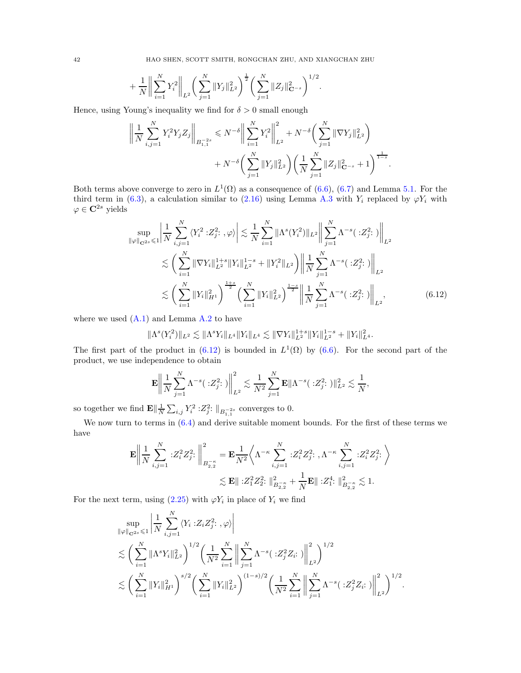$$
+\frac{1}{N}\bigg\|\sum_{i=1}^N Y_i^2\bigg\|_{L^2}\bigg(\sum_{j=1}^N\|Y_j\|_{L^2}^2\bigg)^{\frac{1}{2}}\bigg(\sum_{j=1}^N\|Z_j\|_{\mathbf{C}^{-s}}^2\bigg)^{1/2}.
$$

Hence, using Young's inequality we find for  $\delta > 0$  small enough

$$
\left\| \frac{1}{N} \sum_{i,j=1}^{N} Y_i^2 Y_j Z_j \right\|_{B_{1,1}^{-2s}} \leq N^{-\delta} \left\| \sum_{i=1}^{N} Y_i^2 \right\|_{L^2}^2 + N^{-\delta} \left( \sum_{j=1}^{N} \|\nabla Y_j\|_{L^2}^2 \right) + N^{-\delta} \left( \sum_{j=1}^{N} \|\nabla Y_j\|_{L^2}^2 \right) \left( \frac{1}{N} \sum_{j=1}^{N} \|Z_j\|_{\mathbf{C}^{-s}}^2 + 1 \right)^{\frac{1}{1-s}}.
$$

Both terms above converge to zero in  $L^1(\Omega)$  as a consequence of  $(6.6)$ ,  $(6.7)$  and Lemma [5.1.](#page-32-1) For the third term in [\(6.3\)](#page-38-4), a calculation similar to [\(2.16\)](#page-11-0) using Lemma [A.3](#page-53-2) with  $Y_i$  replaced by  $\varphi Y_i$  with  $\varphi \in \mathbf{C}^{2s}$  yields

$$
\sup_{\|\varphi\|_{\mathbf{C}^{2s}} \leq 1} \left| \frac{1}{N} \sum_{i,j=1}^{N} \langle Y_i^2 : Z_j^2 : , \varphi \rangle \right| \lesssim \frac{1}{N} \sum_{i=1}^{N} \|\Lambda^s(Y_i^2)\|_{L^2} \left\| \sum_{j=1}^{N} \Lambda^{-s} (\cdot Z_j^2 :) \right\|_{L^2}
$$
  

$$
\lesssim \left( \sum_{i=1}^{N} \|\nabla Y_i\|_{L^2}^{1+s} \|Y_i\|_{L^2}^{1-s} + \|Y_i^2\|_{L^2} \right) \left\| \frac{1}{N} \sum_{j=1}^{N} \Lambda^{-s} (\cdot Z_j^2 :) \right\|_{L^2}
$$
  

$$
\lesssim \left( \sum_{i=1}^{N} \|Y_i\|_{H^1}^2 \right)^{\frac{1+s}{2}} \left( \sum_{i=1}^{N} \|Y_i\|_{L^2}^2 \right)^{\frac{1-s}{2}} \left\| \frac{1}{N} \sum_{j=1}^{N} \Lambda^{-s} (\cdot Z_j^2 :) \right\|_{L^2}, \tag{6.12}
$$

where we used  $(A.1)$  and Lemma  $A.2$  to have

<span id="page-41-0"></span>
$$
\|\Lambda^{s}(Y_i^2)\|_{L^2}\lesssim \|\Lambda^{s}Y_i\|_{L^4}\|Y_i\|_{L^4}\lesssim \|\nabla Y_i\|_{L^2}^{1+s}\|Y_i\|_{L^2}^{1-s}+\|Y_i\|_{L^4}^2.
$$

The first part of the product in  $(6.12)$  is bounded in  $L^1(\Omega)$  by  $(6.6)$ . For the second part of the product, we use independence to obtain

$$
\mathbf{E} \left\| \frac{1}{N} \sum_{j=1}^N \Lambda^{-s} (\cdot : Z_j^2 :) \right\|_{L^2}^2 \lesssim \frac{1}{N^2} \sum_{j=1}^N \mathbf{E} \|\Lambda^{-s} (\cdot : Z_j^2 :) \|^2_{L^2} \lesssim \frac{1}{N},
$$

so together we find  $\mathbf{E} \Vert \frac{1}{N} \sum_{i,j} Y_i^2 : Z_j^2 : \Vert_{B^{-2s}_{1,1}}$  converges to 0.

We now turn to terms in  $(6.4)$  and derive suitable moment bounds. For the first of these terms we have

$$
\begin{aligned} \mathbf{E}\bigg\|\frac{1}{N}\sum_{i,j=1}^N\, : &Z_i^2Z_j^2\!:\,\bigg\|_{B_{2,2}^{-\kappa}}^2=\mathbf{E}\frac{1}{N^2}\bigg\langle\Lambda^{-\kappa}\sum_{i,j=1}^N\, :&Z_i^2Z_j^2\!:\,,\Lambda^{-\kappa}\sum_{i,j=1}^N\, :&Z_i^2Z_j^2\!:\,\bigg\}\\ &\lesssim \mathbf{E}\|\, :&Z_1^2Z_2^2\!:\,\big\|_{B_{2,2}^{-\kappa}}^2+\frac{1}{N}\mathbf{E}\|\, :&Z_1^4\!:\,\big\|_{B_{2,2}^{-\kappa}}^2\lesssim 1. \end{aligned}
$$

For the next term, using  $(2.25)$  with  $\varphi Y_i$  in place of  $Y_i$  we find

$$
\sup_{\|\varphi\|_{\mathbf{C}^{2s}} \leq 1} \left| \frac{1}{N} \sum_{i,j=1}^{N} \langle Y_i : Z_i Z_j^2 : , \varphi \rangle \right|
$$
  

$$
\lesssim \left( \sum_{i=1}^{N} \|\Lambda^s Y_i\|_{L^2}^2 \right)^{1/2} \left( \frac{1}{N^2} \sum_{i=1}^{N} \left\| \sum_{j=1}^{N} \Lambda^{-s} (\cdot Z_j^2 Z_i :) \right\|_{L^2}^2 \right)^{1/2}
$$
  

$$
\lesssim \left( \sum_{i=1}^{N} \|Y_i\|_{H^1}^2 \right)^{s/2} \left( \sum_{i=1}^{N} \|Y_i\|_{L^2}^2 \right)^{(1-s)/2} \left( \frac{1}{N^2} \sum_{i=1}^{N} \left\| \sum_{j=1}^{N} \Lambda^{-s} (\cdot Z_j^2 Z_i :) \right\|_{L^2}^2 \right)^{1/2}
$$

.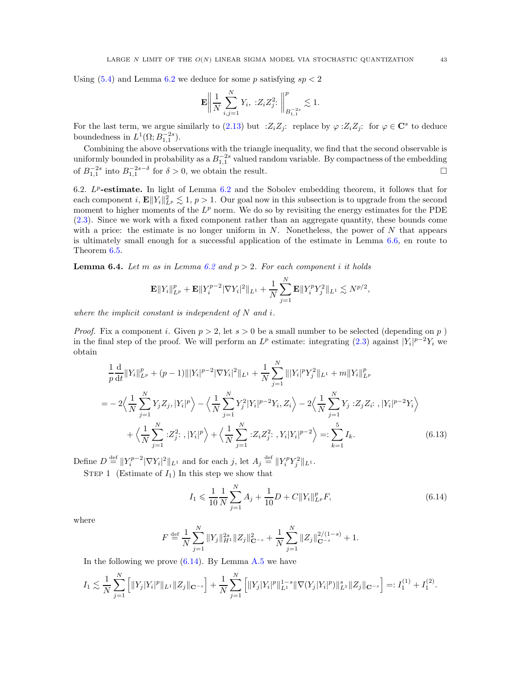Using  $(5.4)$  and Lemma [6.2](#page-38-8) we deduce for some p satisfying  $sp < 2$ 

$$
\mathbf{E} \bigg\| \frac{1}{N} \sum_{i,j=1}^{N} Y_i, \; :Z_i Z_j^2 : \; \bigg\|_{B_{1,1}^{-2s}}^p \lesssim 1.
$$

For the last term, we argue similarly to [\(2.13\)](#page-10-3) but  $:Z_iZ_j$ : replace by  $\varphi :Z_iZ_j$ : for  $\varphi \in \mathbb{C}^s$  to deduce boundedness in  $L^1(\Omega; B_{1,1}^{-2s})$ .

Combining the above observations with the triangle inequality, we find that the second observable is uniformly bounded in probability as a  $B_{1,1}^{-2s}$  valued random variable. By compactness of the embedding of  $B_{1,1}^{-2s}$  into  $B_{1,1}^{-2s-\delta}$  for  $\delta > 0$ , we obtain the result.

<span id="page-42-0"></span>[6.2](#page-38-8).  $L^p$ -estimate. In light of Lemma 6.2 and the Sobolev embedding theorem, it follows that for each component i,  $\mathbf{E} || Y_i ||_{L^p}^2 \lesssim 1$ ,  $p > 1$ . Our goal now in this subsection is to upgrade from the second moment to higher moments of the  $L^p$  norm. We do so by revisiting the energy estimates for the PDE [\(2.3\)](#page-7-2). Since we work with a fixed component rather than an aggregate quantity, these bounds come with a price: the estimate is no longer uniform in  $N$ . Nonetheless, the power of  $N$  that appears is ultimately small enough for a successful application of the estimate in Lemma [6.6,](#page-49-0) en route to Theorem [6.5.](#page-47-0)

<span id="page-42-3"></span>**Lemma 6.4.** Let m as in Lemma [6.2](#page-38-8) and  $p > 2$ . For each component i it holds

$$
\mathbf{E} ||Y_i||_{L^p}^p + \mathbf{E} ||Y_i^{p-2} |\nabla Y_i|^2||_{L^1} + \frac{1}{N} \sum_{j=1}^N \mathbf{E} ||Y_i^p Y_j^2||_{L^1} \lesssim N^{p/2},
$$

where the implicit constant is independent of  $N$  and  $i$ .

*Proof.* Fix a component i. Given  $p > 2$ , let  $s > 0$  be a small number to be selected (depending on p) in the final step of the proof. We will perform an  $L^p$  estimate: integrating [\(2.3\)](#page-7-2) against  $|Y_i|^{p-2}Y_i$  we obtain

$$
\frac{1}{p}\frac{d}{dt}\|Y_i\|_{L^p}^p + (p-1)\||Y_i|^{p-2}|\nabla Y_i|^2\|_{L^1} + \frac{1}{N}\sum_{j=1}^N \||Y_i|^p Y_j^2\|_{L^1} + m\|Y_i\|_{L^p}^p
$$
\n
$$
= -2\Big\langle \frac{1}{N}\sum_{j=1}^N Y_j Z_j, |Y_i|^p \Big\rangle - \Big\langle \frac{1}{N}\sum_{j=1}^N Y_j^2 |Y_i|^{p-2} Y_i, Z_i \Big\rangle - 2\Big\langle \frac{1}{N}\sum_{j=1}^N Y_j : Z_j Z_i : |Y_i|^{p-2} Y_i \Big\rangle
$$
\n
$$
+ \Big\langle \frac{1}{N}\sum_{j=1}^N :Z_j^2 : |Y_i|^p \Big\rangle + \Big\langle \frac{1}{N}\sum_{j=1}^N :Z_i Z_j^2 : Y_i |Y_i|^{p-2} \Big\rangle =: \sum_{k=1}^5 I_k. \tag{6.13}
$$

Define  $D \stackrel{\text{def}}{=} ||Y_i^{p-2}|\nabla Y_i|^2||_{L^1}$  and for each j, let  $A_j \stackrel{\text{def}}{=} ||Y_i^p Y_j^2||_{L^1}$ .

STEP 1 (Estimate of  $I_1$ ) In this step we show that

<span id="page-42-2"></span><span id="page-42-1"></span>
$$
I_1 \leqslant \frac{1}{10} \frac{1}{N} \sum_{j=1}^{N} A_j + \frac{1}{10} D + C \| Y_i \|_{L^p}^p F,\tag{6.14}
$$

where

$$
F \stackrel{\text{def}}{=} \frac{1}{N} \sum_{j=1}^{N} \|Y_j\|_{H^1}^{2s} \|Z_j\|_{\mathbf{C}^{-s}}^2 + \frac{1}{N} \sum_{j=1}^{N} \|Z_j\|_{\mathbf{C}^{-s}}^{2/(1-s)} + 1.
$$

In the following we prove  $(6.14)$ . By Lemma [A.5](#page-53-1) we have

$$
I_1 \lesssim \frac{1}{N} \sum_{j=1}^N \left[ ||Y_j| Y_i|^p ||_{L^1} ||Z_j||_{\mathbf{C}^{-s}} \right] + \frac{1}{N} \sum_{j=1}^N \left[ ||Y_j| Y_i|^p ||_{L^1}^{1-s} ||\nabla(Y_j|Y_i|^p) ||_{L^1}^s ||Z_j||_{\mathbf{C}^{-s}} \right] =: I_1^{(1)} + I_1^{(2)}.
$$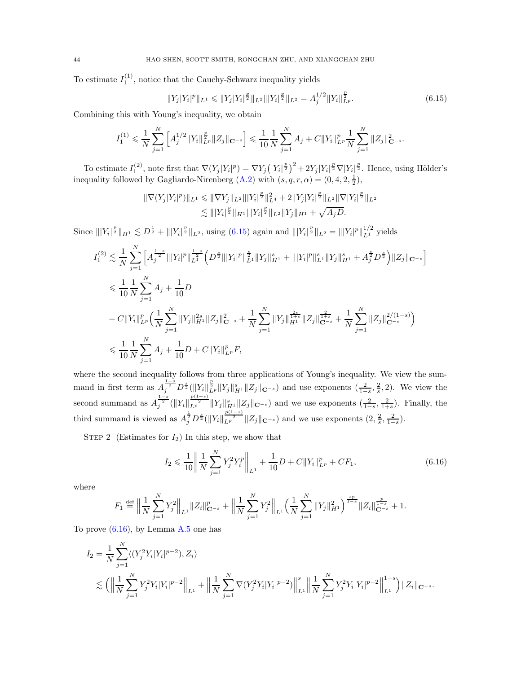To estimate  $I_1^{(1)}$ , notice that the Cauchy-Schwarz inequality yields

<span id="page-43-0"></span>
$$
||Y_j|Y_i|^p||_{L^1} \le ||Y_j|Y_i|^{\frac{p}{2}}||_{L^2}||Y_i|^{\frac{p}{2}}||_{L^2} = A_j^{1/2}||Y_i||_{L^p}^{\frac{p}{2}}.
$$
\n(6.15)

Combining this with Young's inequality, we obtain

$$
I_1^{(1)} \leq \frac{1}{N} \sum_{j=1}^N \left[ A_j^{1/2} \|Y_i\|_{L^p}^{\frac{p}{2}} \|Z_j\|_{\mathbf{C}^{-s}} \right] \leq \frac{1}{10} \frac{1}{N} \sum_{j=1}^N A_j + C \|Y_i\|_{L^p}^p \frac{1}{N} \sum_{j=1}^N \|Z_j\|_{\mathbf{C}^{-s}}^2.
$$

To estimate  $I_1^{(2)}$ , note first that  $\nabla (Y_j|Y_i|^p) = \nabla Y_j(|Y_i|^{\frac{p}{2}})^2 + 2Y_j|Y_i|^{\frac{p}{2}}\nabla |Y_i|^{\frac{p}{2}}$ . Hence, using Hölder's inequality followed by Gagliardo-Nirenberg  $(A.2)$  with  $(s, q, r, \alpha) = (0, 4, 2, \frac{1}{2}),$ 

$$
\begin{aligned} \|\nabla (Y_j|Y_i|^p)\|_{L^1} &\leq \|\nabla Y_j\|_{L^2} \|\|Y_i\|^{\frac{p}{2}}\|_{L^4}^2 + 2\|Y_j|Y_i|^{\frac{p}{2}}\|_{L^2} \|\nabla |Y_i|^{\frac{p}{2}}\|_{L^2} \\ &\lesssim \||Y_i|^{\frac{p}{2}}\|_{H^1} \|\|Y_i\|^{\frac{p}{2}}\|_{L^2} \|Y_j\|_{H^1} + \sqrt{A_j D}. \end{aligned}
$$

Since  $|||Y_i|^{\frac{p}{2}}||_{H^1} \lesssim D^{\frac{1}{2}} + |||Y_i|^{\frac{p}{2}}||_{L^2}$ , using [\(6.15\)](#page-43-0) again and  $|||Y_i|^{\frac{p}{2}}||_{L^2} = |||Y_i|^p||_{L^1}^{1/2}$  yields

$$
I_{1}^{(2)} \lesssim \frac{1}{N} \sum_{j=1}^{N} \left[ A_{j}^{\frac{1-s}{2}} |||Y_{i}|^{p} \right]_{L^{1}}^{\frac{1-s}{2}} \left( D^{\frac{s}{2}} |||Y_{i}|^{p} \right)_{L^{1}}^{\frac{s}{2}} ||Y_{j}|_{H^{1}}^{s} + |||Y_{i}|^{p} \right|_{L^{1}}^{s} ||Y_{j}|_{H^{1}}^{s} + A_{j}^{\frac{s}{2}} D^{\frac{s}{2}} \right) ||Z_{j}||_{\mathbf{C}^{-s}} \Big]
$$
  
\n
$$
\leq \frac{1}{10} \frac{1}{N} \sum_{j=1}^{N} A_{j} + \frac{1}{10} D
$$
  
\n
$$
+ C ||Y_{i}||_{L^{p}}^{p} \left( \frac{1}{N} \sum_{j=1}^{N} ||Y_{j}||_{H^{1}}^{2s} ||Z_{j}||_{\mathbf{C}^{-s}}^{2} + \frac{1}{N} \sum_{j=1}^{N} ||Y_{j}||_{H^{1}}^{\frac{2s}{1+s}} ||Z_{j}||_{\mathbf{C}^{-s}}^{\frac{2s}{1+s}} + \frac{1}{N} \sum_{j=1}^{N} ||Z_{j}||_{\mathbf{C}^{-s}}^{2/(1-s)} \right)
$$
  
\n
$$
\leq \frac{1}{10} \frac{1}{N} \sum_{j=1}^{N} A_{j} + \frac{1}{10} D + C ||Y_{i}||_{L^{p}}^{p} F,
$$

where the second inequality follows from three applications of Young's inequality. We view the summand in first term as  $A_j^{\frac{1-s}{2}} D^{\frac{s}{2}} (\Vert Y_i \Vert_{L^p}^{\frac{p}{2}} \Vert Y_j \Vert_{H^1}^s \Vert Z_j \Vert_{\mathbf{C}^{-s}})$  and use exponents  $(\frac{2}{1-s}, \frac{2}{s}, 2)$ . We view the second summand as  $A_j^{\frac{1-s}{2}}(||Y_i||_{L^p}^{\frac{p(1+s)}{2}}||Y_j||_{H^1}^s||Z_j||_{\mathbf{C}^{-s}})$  and we use exponents  $(\frac{2}{1-s}, \frac{2}{1+s})$ . Finally, the third summand is viewed as  $A_j^{\frac{1}{2}} D^{\frac{s}{2}} (\|Y_i\|_{L^{p}}^{\frac{p(1-s)}{2}} \|Z_j\|_{\mathbf{C}^{-s}})$  and we use exponents  $(2, \frac{2}{s}, \frac{2}{1-s})$ .

STEP 2 (Estimates for  $I_2$ ) In this step, we show that

<span id="page-43-1"></span>
$$
I_2 \leqslant \frac{1}{10} \left\| \frac{1}{N} \sum_{j=1}^N Y_j^2 Y_i^p \right\|_{L^1} + \frac{1}{10} D + C \| Y_i \|_{L^p}^p + C F_1, \tag{6.16}
$$

where

$$
F_1 \stackrel{\text{def}}{=} \Big\|\frac{1}{N}\sum_{j=1}^N Y_j^2\Big\|_{L^1} \|Z_i\|_{\mathbf{C}^{-s}}^p + \Big\|\frac{1}{N}\sum_{j=1}^N Y_j^2\Big\|_{L^1} \Big(\frac{1}{N}\sum_{j=1}^N \|Y_j\|_{H^1}^2\Big)^{\frac{sp}{1-s}} \|Z_i\|_{\mathbf{C}^{-s}}^{\frac{p}{1-s}} + 1.
$$

To prove  $(6.16)$ , by Lemma [A.5](#page-53-1) one has

$$
I_2 = \frac{1}{N} \sum_{j=1}^N \langle (Y_j^2 Y_i | Y_i |^{p-2}), Z_i \rangle
$$
  

$$
\lesssim \left( \left\| \frac{1}{N} \sum_{j=1}^N Y_j^2 Y_i | Y_i |^{p-2} \right\|_{L^1} + \left\| \frac{1}{N} \sum_{j=1}^N \nabla (Y_j^2 Y_i | Y_i |^{p-2}) \right\|_{L^1}^s \left\| \frac{1}{N} \sum_{j=1}^N Y_j^2 Y_i | Y_i |^{p-2} \right\|_{L^1}^{1-s} \right) \|Z_i\|_{\mathbf{C}^{-s}}.
$$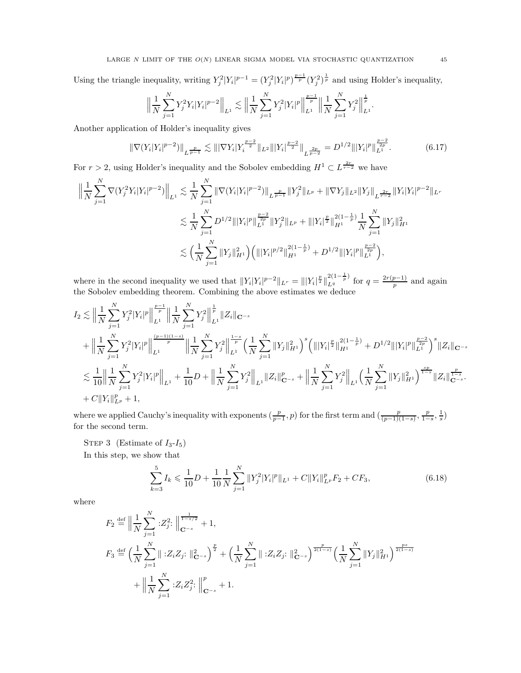Using the triangle inequality, writing  $Y_j^2 |Y_i|^{p-1} = (Y_j^2 |Y_i|^p)^{\frac{p-1}{p}} (Y_j^2)^{\frac{1}{p}}$  and using Holder's inequality,

$$
\Big\|\frac{1}{N}\sum_{j=1}^NY_j^2Y_i|Y_i|^{p-2}\Big\|_{L^1}\lesssim\Big\|\frac{1}{N}\sum_{j=1}^NY_j^2|Y_i|^p\Big\|\frac{p-1}{p}\Big\|\frac{1}{N}\sum_{j=1}^NY_j^2\Big\|\frac{1}{p}\Big\|_{L^1}.
$$

Another application of Holder's inequality gives

$$
\|\nabla (Y_i|Y_i|^{p-2})\|_{L^{\frac{p}{p-1}}} \lesssim \||\nabla Y_i|Y_i^{\frac{p-2}{2}}\|_{L^2} \||Y_i|^{\frac{p-2}{2}}\|_{L^{\frac{2p}{p-2}}} = D^{1/2} \||Y_i|^p\|_{L^1}^{\frac{p-2}{2p}}.\tag{6.17}
$$

For  $r > 2$ , using Holder's inequality and the Sobolev embedding  $H^1 \subset L^{\frac{2r}{r-2}}$  we have

$$
\begin{split} \Big\| \frac{1}{N} \sum_{j=1}^N \nabla (Y_j^2 Y_i |Y_i|^{p-2}) \Big\|_{L^1} &\lesssim \frac{1}{N} \sum_{j=1}^N \|\nabla (Y_i |Y_i|^{p-2})\|_{L^{\frac{p}{p-1}}} \|Y_j^2\|_{L^p} + \|\nabla Y_j\|_{L^2} \|Y_j\|_{L^{\frac{2r}{r-2}}} \|Y_i|Y_i|^{p-2} \|_{L^r} \\ &\lesssim \frac{1}{N} \sum_{j=1}^N D^{1/2} \|Y_i|^p \|_{L^1}^{\frac{p-2}{p}} \|Y_j^2\|_{L^p} + \|Y_i|^{\frac{p}{2}} \|_{H^1}^{2(1-\frac{1}{p})} \frac{1}{N} \sum_{j=1}^N \|Y_j\|_{H^1}^2 \\ &\lesssim \Big(\frac{1}{N} \sum_{j=1}^N \|Y_j\|_{H^1}^2 \Big) \Big(\| |Y_i|^{p/2} \|_{H^1}^{2(1-\frac{1}{p})} + D^{1/2} \| |Y_i|^p \|_{L^1}^{\frac{p-2}{2p}} \Big), \end{split}
$$

where in the second inequality we used that  $||Y_i|Y_i|^{p-2}||_{L^r} = |||Y_i|^{\frac{p}{2}}||$  $\frac{2(1-\frac{1}{p})}{L^q}$  for  $q=\frac{2r(p-1)}{p}$  and again the Sobolev embedding theorem. Combining the above estimates we deduce

$$
\begin{split} I_{2} &\lesssim \Big\| \frac{1}{N} \sum_{j=1}^{N} Y_{j}^{2} |Y_{i}|^{p} \Big\| _{L^{1}}^{\frac{p-1}{p}} \Big\| \frac{1}{N} \sum_{j=1}^{N} Y_{j}^{2} \Big\| _{L^{1}}^{\frac{1}{p}} \|Z_{i}\|_{\mathbf{C}^{-s}} \\ &+ \Big\| \frac{1}{N} \sum_{j=1}^{N} Y_{j}^{2} |Y_{i}|^{p} \Big\| _{L^{1}}^{\frac{(p-1)(1-s)}{p}} \Big\| \frac{1}{N} \sum_{j=1}^{N} Y_{j}^{2} \Big\| _{L^{1}}^{\frac{1-s}{p}} \Big( \frac{1}{N} \sum_{j=1}^{N} \|Y_{j}\|_{H^{1}}^{2} \Big)^{s} \Big( \| |Y_{i}|^{\frac{p}{2}} \|_{H^{1}}^{2(1-\frac{1}{p})} + D^{1/2} \| |Y_{i}|^{p} \|_{L^{1}}^{\frac{p-2}{2p}} \Big)^{s} \|Z_{i}\|_{\mathbf{C}^{-s}} \\ &\lesssim \frac{1}{10} \Big\| \frac{1}{N} \sum_{j=1}^{N} Y_{j}^{2} |Y_{i}|^{p} \Big\| _{L^{1}} + \frac{1}{10} D + \Big\| \frac{1}{N} \sum_{j=1}^{N} Y_{j}^{2} \Big\| _{L^{1}} \|Z_{i}\|_{\mathbf{C}^{-s}}^{p} + \Big\| \frac{1}{N} \sum_{j=1}^{N} Y_{j}^{2} \Big\| _{L^{1}} \Big( \frac{1}{N} \sum_{j=1}^{N} \|Y_{j}\|_{H^{1}}^{2} \Big)^{\frac{sp}{1-s}} \|Z_{i}\|_{\mathbf{C}^{-s}}^{\frac{sp}{1-s}}. \\ &+ C \|Y_{i}\|_{L^{p}}^{p} + 1, \end{split}
$$

where we applied Cauchy's inequality with exponents  $(\frac{p}{p-1}, p)$  for the first term and  $(\frac{p}{(p-1)(1-s)}, \frac{p}{1-s}, \frac{1}{s})$ for the second term.

STEP 3 (Estimate of  $I_3-I_5$ )

In this step, we show that

<span id="page-44-0"></span>
$$
\sum_{k=3}^{5} I_k \leq \frac{1}{10} D + \frac{1}{10} \frac{1}{N} \sum_{j=1}^{N} \|Y_j^2 |Y_i|^p \|_{L^1} + C \|Y_i\|_{L^p}^p F_2 + C F_3,\tag{6.18}
$$

where

$$
F_2 \stackrel{\text{def}}{=} \left\| \frac{1}{N} \sum_{j=1}^N :Z_j^2: \left\| \frac{1}{C^{-s}} + 1 \right\},
$$
  
\n
$$
F_3 \stackrel{\text{def}}{=} \left( \frac{1}{N} \sum_{j=1}^N \|\cdot Z_i Z_j: \left\|_{\mathbf{C}^{-s}}^2 \right\|^2 + \left( \frac{1}{N} \sum_{j=1}^N \|\cdot Z_i Z_j: \left\|_{\mathbf{C}^{-s}}^2 \right)^{\frac{p}{2(1-s)}} \left( \frac{1}{N} \sum_{j=1}^N \|Y_j\|_{H^1}^2 \right)^{\frac{ps}{2(1-s)}} + \left\| \frac{1}{N} \sum_{j=1}^N :Z_i Z_j^2: \left\|_{\mathbf{C}^{-s}}^p + 1 \right. \right.
$$

<span id="page-44-1"></span>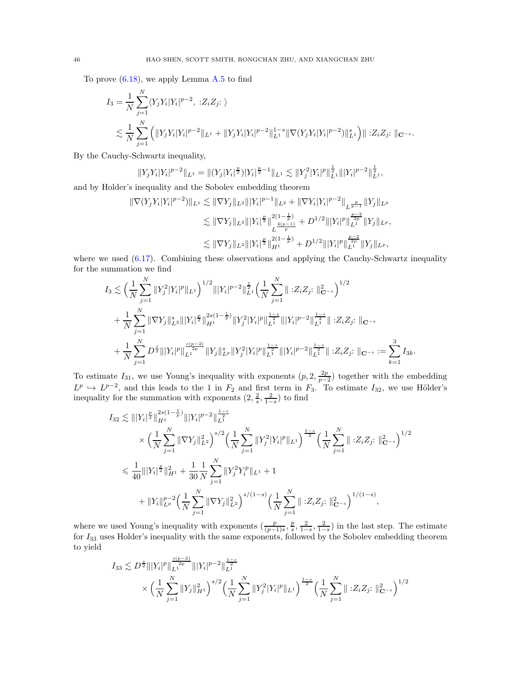To prove  $(6.18)$ , we apply Lemma [A.5](#page-53-1) to find

$$
I_3 = \frac{1}{N} \sum_{j=1}^N \langle Y_j Y_i | Y_i |^{p-2}, \; : Z_i Z_j : \; \rangle
$$
  
\$\lesssim \frac{1}{N} \sum\_{j=1}^N \left( ||Y\_j Y\_i | Y\_i |^{p-2} ||\_{L^1} + ||Y\_j Y\_i | Y\_i |^{p-2} ||\_{L^1}^{1-s} ||\nabla (Y\_j Y\_i | Y\_i |^{p-2}) ||\_{L^1}^s \right) || : Z\_i Z\_j : ||\_{\mathbf{C}^{-s}}\$.

By the Cauchy-Schwartz inequality,

$$
||Y_jY_i|Y_i|^{p-2}||_{L^1} = ||(Y_j|Y_i|^{\frac{p}{2}})|Y_i|^{\frac{p}{2}-1}||_{L^1} \lesssim ||Y_j^2|Y_i|^p||_{L^1}^{\frac{1}{2}}|||Y_i|^{p-2}||_{L^1}^{\frac{1}{2}},
$$

and by Holder's inequality and the Sobolev embedding theorem

$$
\begin{split} \|\nabla (Y_j Y_i |Y_i|^{p-2})\|_{L^1} &\lesssim \|\nabla Y_j\|_{L^2} \||Y_i|^{p-1}\|_{L^2} + \|\nabla Y_i |Y_i|^{p-2}\|_{L^{\frac{p}{p-1}}} \|Y_j\|_{L^p} \\ &\lesssim \|\nabla Y_j\|_{L^2} \||Y_i|^{\frac{p}{2}}\|_{L^{\frac{4(p-1)}{p}}}^{2(1-\frac{1}{p})} + D^{1/2} \||Y_i|^p\|_{L^1}^{\frac{p-2}{2p}} \|Y_j\|_{L^p}, \\ &\lesssim \|\nabla Y_j\|_{L^2} \||Y_i|^{\frac{p}{2}}\|_{H^1}^{2(1-\frac{1}{p})} + D^{1/2} \||Y_i|^p\|_{L^1}^{\frac{p-2}{2p}} \|Y_j\|_{L^p}, \end{split}
$$

where we used  $(6.17)$ . Combining these observations and applying the Cauchy-Schwartz inequality for the summation we find

$$
I_3 \lesssim \left(\frac{1}{N}\sum_{j=1}^N \|Y_j^2 |Y_i|^p\|_{L^1}\right)^{1/2} \||Y_i|^{p-2}\|_{L^1}^{\frac{1}{2}} \left(\frac{1}{N}\sum_{j=1}^N \|\cdot Z_i Z_j\cdot\|_{\mathbf{C}^{-s}}^2\right)^{1/2} + \frac{1}{N}\sum_{j=1}^N \|\nabla Y_j\|_{L^2}^s \||Y_i|^{\frac{p}{2}}\|_{H^1}^{2s(1-\frac{1}{p})} \|Y_j^2 |Y_i|^p\|_{L^1}^{\frac{1-s}{2}} \||Y_i|^{p-2}\|_{L^1}^{\frac{1-s}{2}} \||\cdot Z_i Z_j\cdot\|_{\mathbf{C}^{-s}} + \frac{1}{N}\sum_{j=1}^N D^{\frac{s}{2}} \||Y_i|^p\|_{L^1}^{\frac{s(p-2)}{2}} \|Y_j\|_{L^p}^s \|Y_j^2 |Y_i|^p\|_{L^1}^{\frac{1-s}{2}} \||Y_i|^{p-2}\|_{L^1}^{\frac{1-s}{2}} \||\cdot Z_i Z_j\colon\|_{\mathbf{C}^{-s}} := \sum_{k=1}^3 I_{3k}.
$$

To estimate  $I_{31}$ , we use Young's inequality with exponents  $(p, 2, \frac{2p}{p-2})$  together with the embedding  $L^p \hookrightarrow L^{p-2}$ , and this leads to the 1 in  $F_2$  and first term in  $F_3$ . To estimate  $I_{32}$ , we use Hölder's inequality for the summation with exponents  $(2, \frac{2}{s}, \frac{2}{1-s})$  to find

$$
I_{32} \lesssim |||Y_i|^{\frac{p}{2}}||_{H^1}^{2s(1-\frac{1}{p})}|||Y_i|^{p-2}||_{L^1}^{\frac{1-s}{2}}\times \left(\frac{1}{N}\sum_{j=1}^N \|\nabla Y_j\|_{L^2}^2\right)^{s/2} \left(\frac{1}{N}\sum_{j=1}^N \|Y_j^2|Y_i|^p\|_{L^1}\right)^{\frac{1-s}{2}} \left(\frac{1}{N}\sum_{j=1}^N \|(Z_iZ_j:\|_{\mathbf{C}-s}^2\right)^{1/2}\leq \frac{1}{40} \||Y_i|^{\frac{p}{2}}||_{H^1}^2 + \frac{1}{30}\frac{1}{N}\sum_{j=1}^N \|Y_j^2Y_j^p\|_{L^1} + 1+ \|Y_i\|_{L^p}^{p-2} \left(\frac{1}{N}\sum_{j=1}^N \|\nabla Y_j\|_{L^2}^2\right)^{s/(1-s)} \left(\frac{1}{N}\sum_{j=1}^N \|(Z_iZ_j:\|_{\mathbf{C}-s}^2\right)^{1/(1-s)},
$$

where we used Young's inequality with exponents  $(\frac{p}{(p-1)s}, \frac{p}{s}, \frac{2}{1-s}, \frac{2}{1-s})$  in the last step. The estimate for  $I_{33}$  uses Holder's inequality with the same exponents, followed by the Sobolev embedding theorem to yield

$$
I_{33} \lesssim D^{\frac{s}{2}} \| |Y_i|^p \|\frac{\frac{s(p-2)}{2p}}{\frac{1}{L^2}} \|\ |Y_i|^{p-2} \|\frac{1-s}{L^1} \|\n \times \left( \frac{1}{N} \sum_{j=1}^N \|Y_j\|_{H^1}^2 \right)^{s/2} \left( \frac{1}{N} \sum_{j=1}^N \|Y_j^2|Y_i|^p\|_{L^1} \right)^{\frac{1-s}{2}} \left( \frac{1}{N} \sum_{j=1}^N \|\ ::Z_iZ_j:\ \|\mathbf{C}_{-s}\right)^{1/2}
$$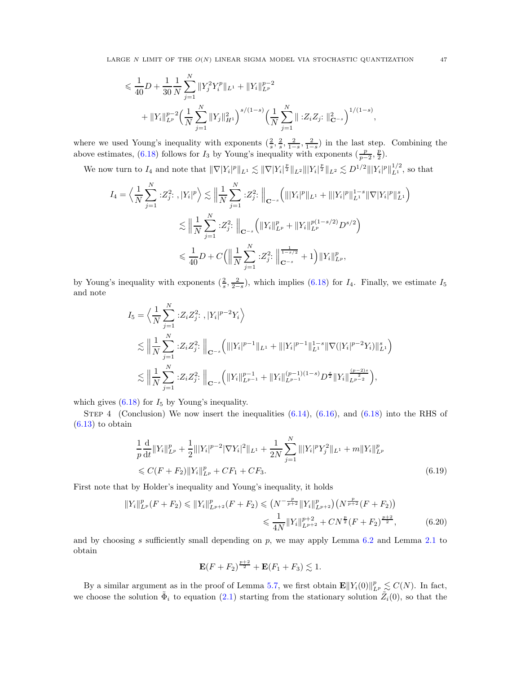$$
\leq \frac{1}{40}D + \frac{1}{30} \frac{1}{N} \sum_{j=1}^{N} ||Y_j^2 Y_i^p||_{L^1} + ||Y_i||_{L^p}^{p-2}
$$
  
+  $||Y_i||_{L^p}^{p-2} \left(\frac{1}{N} \sum_{j=1}^{N} ||Y_j||_{H^1}^2\right)^{s/(1-s)} \left(\frac{1}{N} \sum_{j=1}^{N} ||Z_i Z_j : ||_{\mathbf{C}^{-s}}^2\right)^{1/(1-s)},$ 

where we used Young's inequality with exponents  $(\frac{2}{s}, \frac{2}{s}, \frac{2}{1-s}, \frac{2}{1-s})$  in the last step. Combining the above estimates, [\(6.18\)](#page-44-0) follows for  $I_3$  by Young's inequality with exponents  $(\frac{p}{p-2}, \frac{p}{2})$ .

We now turn to  $I_4$  and note that  $\|\nabla |Y_i|^p\|_{L^1} \lesssim \|\nabla |Y_i|^{\frac{p}{2}}\|_{L^2} \||Y_i|^{\frac{p}{2}}\|_{L^2} \lesssim D^{1/2} \||Y_i|^p\|_{L^1}^{1/2}$ , so that

$$
I_{4} = \left\langle \frac{1}{N} \sum_{j=1}^{N} :Z_{j}^{2}:, |Y_{i}|^{p} \right\rangle \lesssim \left\| \frac{1}{N} \sum_{j=1}^{N} :Z_{j}^{2}: \right\|_{\mathbf{C}^{-s}} \left( \| |Y_{i}|^{p} \|_{L^{1}} + \| |Y_{i}|^{p} \|_{L^{1}}^{1-s} \|\nabla |Y_{i}|^{p} \|_{L^{1}}^{s} \right)
$$
  

$$
\lesssim \left\| \frac{1}{N} \sum_{j=1}^{N} :Z_{j}^{2}: \right\|_{\mathbf{C}^{-s}} \left( \|Y_{i}\|_{L^{p}}^{p} + \|Y_{i}\|_{L^{p}}^{p(1-s/2)} D^{s/2} \right)
$$
  

$$
\leq \frac{1}{40} D + C \left( \left\| \frac{1}{N} \sum_{j=1}^{N} :Z_{j}^{2}: \left\| \frac{1}{1-s/2} + 1 \right\rangle \|Y_{i}\|_{L^{p}}^{p}, \right.
$$

by Young's inequality with exponents  $(\frac{2}{s}, \frac{2}{2-s})$ , which implies [\(6.18\)](#page-44-0) for  $I_4$ . Finally, we estimate  $I_5$ and note

$$
I_5 = \left\langle \frac{1}{N} \sum_{j=1}^N :Z_i Z_j^2 : |Y_i|^{p-2} Y_i \right\rangle
$$
  
\n
$$
\lesssim \left\| \frac{1}{N} \sum_{j=1}^N :Z_i Z_j^2 : \right\|_{\mathbf{C}^{-s}} \left( \| |Y_i|^{p-1} \|_{L^1} + \| |Y_i|^{p-1} \|_{L^1}^{1-s} \| \nabla (|Y_i|^{p-2} Y_i) \|_{L^1}^s \right)
$$
  
\n
$$
\lesssim \left\| \frac{1}{N} \sum_{j=1}^N :Z_i Z_j^2 : \right\|_{\mathbf{C}^{-s}} \left( \| Y_i \|_{L^{p-1}}^{p-1} + \| Y_i \|_{L^{p-1}}^{(p-1)(1-s)} D^{\frac{s}{2}} \| Y_i \|_{L^{p-2}}^{\frac{(p-2)s}{2}} \right),
$$

which gives  $(6.18)$  for  $I_5$  by Young's inequality.

STEP 4 (Conclusion) We now insert the inequalities  $(6.14)$ ,  $(6.16)$ , and  $(6.18)$  into the RHS of  $(6.13)$  to obtain

$$
\frac{1}{p}\frac{\mathrm{d}}{\mathrm{d}t}||Y_i||_{L^p}^p + \frac{1}{2}||Y_i|^{p-2}|\nabla Y_i|^2||_{L^1} + \frac{1}{2N}\sum_{j=1}^N ||Y_i|^p Y_j^2||_{L^1} + m||Y_i||_{L^p}^p
$$
\n
$$
\leq C(F + F_2)||Y_i||_{L^p}^p + CF_1 + CF_3.
$$
\n(6.19)

First note that by Holder's inequality and Young's inequality, it holds

$$
||Y_i||_{L^p}^p(F+F_2) \le ||Y_i||_{L^{p+2}}^p(F+F_2) \le (N^{-\frac{p}{p+2}}||Y_i||_{L^{p+2}}^p)(N^{\frac{p}{p+2}}(F+F_2))
$$
  

$$
\le \frac{1}{4N}||Y_i||_{L^{p+2}}^{p+2} + CN^{\frac{p}{2}}(F+F_2)^{\frac{p+2}{2}}, \tag{6.20}
$$

and by choosing s sufficiently small depending on  $p$ , we may apply Lemma [6.2](#page-38-8) and Lemma [2.1](#page-8-2) to obtain

<span id="page-46-0"></span>
$$
\mathbf{E}(F + F_2)^{\frac{p+2}{2}} + \mathbf{E}(F_1 + F_3) \lesssim 1.
$$

By a similar argument as in the proof of Lemma [5.7,](#page-34-2) we first obtain  $\mathbf{E} ||Y_i(0)||_{L^p}^p \lesssim C(N)$ . In fact, we choose the solution  $\tilde{\Phi}_i$  to equation [\(2.1\)](#page-7-1) starting from the stationary solution  $\tilde{Z}_i(0)$ , so that the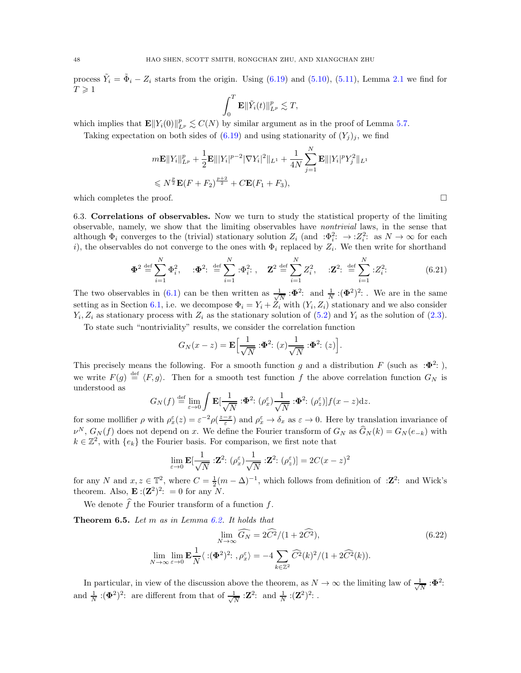process  $\tilde{Y}_i = \tilde{\Phi}_i - Z_i$  starts from the origin. Using [\(6.19\)](#page-46-0) and [\(5.10\)](#page-35-1), [\(5.11\)](#page-35-2), Lemma [2.1](#page-8-2) we find for  $T \geqslant 1$ 

$$
\int_0^T \mathbf{E} \|\tilde{Y}_i(t)\|_{L^p}^p \lesssim T,
$$

which implies that  $\mathbf{E} || Y_i(0) ||_{L^p}^p \lesssim C(N)$  by similar argument as in the proof of Lemma [5.7.](#page-34-2)

Taking expectation on both sides of [\(6.19\)](#page-46-0) and using stationarity of  $(Y_j)_j$ , we find

$$
m\mathbf{E}||Y_i||_{L^p}^p + \frac{1}{2}\mathbf{E}||Y_i|^{p-2}|\nabla Y_i|^2||_{L^1} + \frac{1}{4N}\sum_{j=1}^N \mathbf{E}||Y_i|^p Y_j^2||_{L^1}
$$
  

$$
\leq N^{\frac{p}{2}}\mathbf{E}(F + F_2)^{\frac{p+2}{2}} + C\mathbf{E}(F_1 + F_3),
$$

<span id="page-47-1"></span>which completes the proof.  $\square$ 

6.3. Correlations of observables. Now we turn to study the statistical property of the limiting observable, namely, we show that the limiting observables have nontrivial laws, in the sense that although  $\Phi_i$  converges to the (trivial) stationary solution  $Z_i$  (and  $\Phi_i^2: \to :Z_i^2$ : as  $N\to\infty$  for each i), the observables do not converge to the ones with  $\Phi_i$  replaced by  $Z_i$ . We then write for shorthand

$$
\Phi^2 \stackrel{\text{def}}{=} \sum_{i=1}^N \Phi_i^2, \quad \mathbf{:} \Phi^2 \colon \stackrel{\text{def}}{=} \sum_{i=1}^N \mathbf{:} \Phi_i^2 \colon, \quad \mathbf{Z}^2 \stackrel{\text{def}}{=} \sum_{i=1}^N Z_i^2, \quad \mathbf{:} \mathbf{Z}^2 \colon \stackrel{\text{def}}{=} \sum_{i=1}^N \mathbf{:} Z_i^2 \colon \tag{6.21}
$$

The two observables in [\(6.1\)](#page-38-2) can be then written as  $\frac{1}{\sqrt{N}}$  :  $\Phi^2$ : and  $\frac{1}{N}$  :  $(\Phi^2)^2$ : We are in the same setting as in Section [6.1,](#page-38-1) i.e. we decompose  $\Phi_i = Y_i + Z_i$  with  $(Y_i, Z_i)$  stationary and we also consider  $Y_i, Z_i$  as stationary process with  $Z_i$  as the stationary solution of  $(5.2)$  and  $Y_i$  as the solution of  $(2.3)$ .

To state such "nontriviality" results, we consider the correlation function

$$
G_N(x-z) = \mathbf{E} \Big[ \frac{1}{\sqrt{N}} : \mathbf{\Phi}^2 : (x) \frac{1}{\sqrt{N}} : \mathbf{\Phi}^2 : (z) \Big].
$$

This precisely means the following. For a smooth function g and a distribution F (such as : $\Phi^2$ :), we write  $F(g) \stackrel{\text{def}}{=} \langle F, g \rangle$ . Then for a smooth test function f the above correlation function  $G_N$  is understood as

$$
G_N(f) \stackrel{\text{def}}{=} \lim_{\varepsilon \to 0} \int \mathbf{E}[\frac{1}{\sqrt{N}} : \Phi^2 : (\rho_x^{\varepsilon}) \frac{1}{\sqrt{N}} : \Phi^2 : (\rho_z^{\varepsilon})] f(x - z) dz.
$$

for some mollifier  $\rho$  with  $\rho_x^{\varepsilon}(z) = \varepsilon^{-2} \rho(\frac{z-x}{\varepsilon})$  and  $\rho_x^{\varepsilon} \to \delta_x$  as  $\varepsilon \to 0$ . Here by translation invariance of  $\nu^N$ ,  $G_N(f)$  does not depend on x. We define the Fourier transform of  $G_N$  as  $\hat{G}_N(k) = G_N(e_{-k})$  with  $k \in \mathbb{Z}^2$ , with  $\{e_k\}$  the Fourier basis. For comparison, we first note that

<span id="page-47-2"></span>
$$
\lim_{\varepsilon \to 0} \mathbf{E}[\frac{1}{\sqrt{N}} : \mathbf{Z}^2 : (\rho_x^{\varepsilon}) \frac{1}{\sqrt{N}} : \mathbf{Z}^2 : (\rho_z^{\varepsilon})] = 2C(x - z)^2
$$

for any N and  $x, z \in \mathbb{T}^2$ , where  $C = \frac{1}{2}(m - \Delta)^{-1}$ , which follows from definition of :**Z**<sup>2</sup>: and Wick's theorem. Also,  $\mathbf{E}: (\mathbf{Z}^2)^2$ : = 0 for any N.

We denote  $\widehat{f}$  the Fourier transform of a function f.

<span id="page-47-0"></span>Theorem 6.5. Let m as in Lemma [6.2.](#page-38-8) It holds that

$$
\lim_{N \to \infty} \widehat{G_N} = 2\widehat{C}^2/(1 + 2\widehat{C}^2),
$$
\n
$$
\lim_{N \to \infty} \lim_{\varepsilon \to 0} \mathbf{E}\frac{1}{N} \langle : (\Phi^2)^2 : , \rho_x^{\varepsilon} \rangle = -4 \sum_{k \in \mathbb{Z}^2} \widehat{C}^2(k)^2/(1 + 2\widehat{C}^2(k)).
$$
\n(6.22)

In particular, in view of the discussion above the theorem, as  $N \to \infty$  the limiting law of  $\frac{1}{\sqrt{N}}$  $\frac{1}{N}$  : $\pmb{\Phi}^2$ : and  $\frac{1}{N}$  :( $\Phi^2$ )<sup>2</sup>: are different from that of  $\frac{1}{\sqrt{N}}$  $\frac{1}{N}$  :  $\mathbf{Z}^2$ : and  $\frac{1}{N}$  :  $(\mathbf{Z}^2)^2$ : .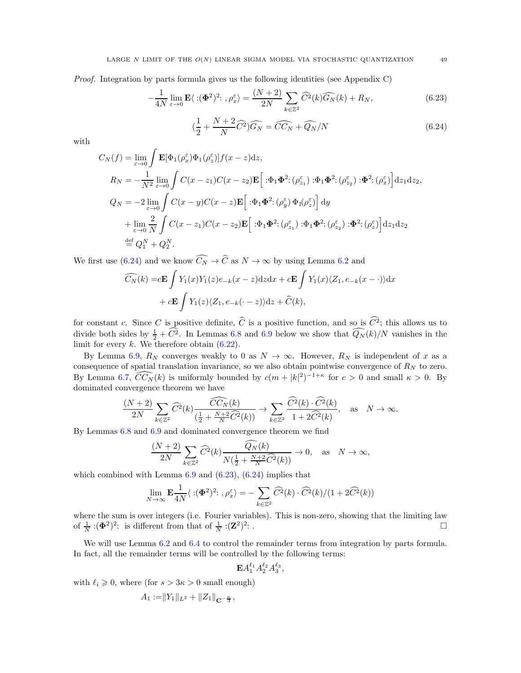Proof. Integration by parts formula gives us the following identities (see Appendix [C\)](#page-54-0)

$$
-\frac{1}{4N} \lim_{\varepsilon \to 0} \mathbf{E} \langle : (\Phi^2)^2 : , \rho_x^{\varepsilon} \rangle = \frac{(N+2)}{2N} \sum_{k \in \mathbb{Z}^2} \widehat{C}^2(k) \widehat{G}_N(k) + R_N,
$$
(6.23)

<span id="page-48-1"></span><span id="page-48-0"></span>
$$
\left(\frac{1}{2} + \frac{N+2}{N}\widehat{C}^2\right)\widehat{G_N} = \widehat{CC_N} + \widehat{Q_N}/N\tag{6.24}
$$

with

$$
C_N(f) = \lim_{\varepsilon \to 0} \int \mathbf{E}[\Phi_1(\rho_x^{\varepsilon})\Phi_1(\rho_z^{\varepsilon})]f(x - z)dz,
$$
  
\n
$$
R_N = -\frac{1}{N^2} \lim_{\varepsilon \to 0} \int C(x - z_1)C(x - z_2)\mathbf{E}[\cdot \Phi_1 \Phi^2; (\rho_{z_1}^{\varepsilon}) \cdot \Phi_1 \Phi^2; (\rho_{z_2}^{\varepsilon}) \cdot \Phi^2; (\rho_x^{\varepsilon})]dz_1 dz_2,
$$
  
\n
$$
Q_N = -2 \lim_{\varepsilon \to 0} \int C(x - y)C(x - z)\mathbf{E}[\cdot \Phi_1 \Phi^2; (\rho_y^{\varepsilon}) \Phi_1(\rho_z^{\varepsilon})] dy
$$
  
\n
$$
+ \lim_{\varepsilon \to 0} \frac{2}{N} \int C(x - z_1)C(x - z_2)\mathbf{E}[\cdot \Phi_1 \Phi^2; (\rho_{z_1}^{\varepsilon}) \cdot \Phi_1 \Phi^2; (\rho_{z_2}^{\varepsilon}) \cdot \Phi^2; (\rho_z^{\varepsilon})] dz_1 dz_2
$$
  
\n
$$
\stackrel{\text{def}}{=} Q_1^N + Q_2^N.
$$

We first use [\(6.24\)](#page-48-0) and we know  $\widehat{C_N} \to \widehat{C}$  as  $N \to \infty$  by using Lemma [6.2](#page-38-8) and

$$
\widehat{C_N}(k) = c\mathbf{E} \int Y_1(x)Y_1(z)e_{-k}(x-z)dzdx + c\mathbf{E} \int Y_1(x)\langle Z_1, e_{-k}(x-\cdot)\rangle dx
$$

$$
+ c\mathbf{E} \int Y_1(z)\langle Z_1, e_{-k}(\cdot-z)\rangle dz + \widehat{C}(k),
$$

for constant c. Since C is positive definite,  $\widehat{C}$  is a positive function, and so is  $\widehat{C}^2$ ; this allows us to divide both sides by  $\frac{1}{2} + \tilde{C}^2$ . In Lemmas [6.8](#page-51-0) and [6.9](#page-51-1) below we show that  $\tilde{Q}_N(k)/N$  vanishes in the limit for every  $k$ . We therefore obtain  $(6.22)$ .

By Lemma [6.9,](#page-51-1)  $R_N$  converges weakly to 0 as  $N \to \infty$ . However,  $R_N$  is independent of x as a consequence of spatial translation invariance, so we also obtain pointwise convergence of  $R_N$  to zero. By Lemma [6.7,](#page-50-0)  $\widehat{CC_N}(k)$  is uniformly bounded by  $c(m+|k|^2)^{-1+\kappa}$  for  $c>0$  and small  $\kappa>0$ . By dominated convergence theorem we have

$$
\frac{(N+2)}{2N}\sum_{k\in\mathbb{Z}^2}\widehat{C}^2(k)\frac{\widehat{CC}_N(k)}{\left(\frac{1}{2}+\frac{N+2}{N}\widehat{C}^2(k)\right)}\to\sum_{k\in\mathbb{Z}^2}\frac{\widehat{C}^2(k)\cdot\widehat{C}^2(k)}{1+2\widehat{C}^2(k)},\quad\text{as}\quad N\to\infty.
$$

By Lemmas [6.8](#page-51-0) and [6.9](#page-51-1) and dominated convergence theorem we find

$$
\frac{(N+2)}{2N}\sum_{k\in\mathbb{Z}^2}\widehat{C}^2(k)\frac{\widehat{Q_N}(k)}{N(\frac{1}{2}+\frac{N+2}{N}\widehat{C}^2(k))}\to 0,\quad\text{as}\quad N\to\infty,
$$

which combined with Lemma  $6.9$  and  $(6.23)$ ,  $(6.24)$  implies that

$$
\lim_{N \to \infty} \mathbf{E} \frac{1}{4N} \langle : (\Phi^2)^2 : , \rho_x^{\varepsilon} \rangle = - \sum_{k \in \mathbb{Z}^2} \widehat{C}^2(k) \cdot \widehat{C}^2(k) / (1 + 2\widehat{C}^2(k))
$$

where the sum is over integers (i.e. Fourier variables). This is non-zero, showing that the limiting law of  $\frac{1}{N}$  :( $\Phi^2$ )<sup>2</sup>: is different from that of  $\frac{1}{N}$  :( $\mathbf{Z}^2$ )<sup>2</sup> : .  $\Box$ 

We will use Lemma [6.2](#page-38-8) and [6.4](#page-42-3) to control the remainder terms from integration by parts formula. In fact, all the remainder terms will be controlled by the following terms:

$$
\mathbf{E} A_1^{\ell_1} A_2^{\ell_2} A_3^{\ell_3},
$$

with  $\ell_i \geqslant 0$ , where (for  $s > 3\kappa > 0$  small enough)

$$
A_1 := \|Y_1\|_{L^2} + \|Z_1\|_{\mathbf{C}^{-\frac{\kappa}{3}}},
$$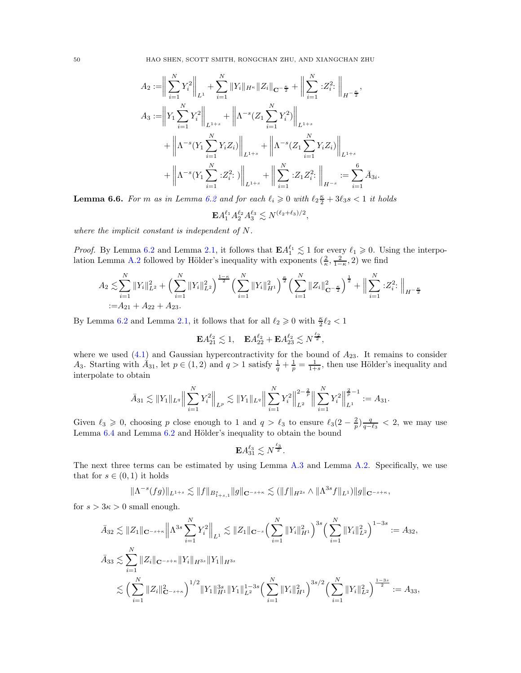50 HAO SHEN, SCOTT SMITH, RONGCHAN ZHU, AND XIANGCHAN ZHU

$$
A_2 := \bigg\| \sum_{i=1}^N Y_i^2 \bigg\|_{L^1} + \sum_{i=1}^N \|Y_i\|_{H^{\kappa}} \|Z_i\|_{\mathbf{C}^{-\frac{\kappa}{2}}} + \bigg\| \sum_{i=1}^N :Z_i^2 : \bigg\|_{H^{-\frac{\kappa}{2}}},
$$
  
\n
$$
A_3 := \bigg\| Y_1 \sum_{i=1}^N Y_i^2 \bigg\|_{L^{1+s}} + \bigg\| \Lambda^{-s} (Z_1 \sum_{i=1}^N Y_i^2) \bigg\|_{L^{1+s}} + \bigg\| \Lambda^{-s} (Y_1 \sum_{i=1}^N Y_i Z_i) \bigg\|_{L^{1+s}} + \bigg\| \Lambda^{-s} (Z_1 \sum_{i=1}^N Y_i Z_i) \bigg\|_{L^{1+s}} + \bigg\| \Lambda^{-s} (Y_1 \sum_{i=1}^N :Z_i^2 : \bigg\|_{L^{1+s}} + \bigg\| \sum_{i=1}^N :Z_1 Z_i^2 : \bigg\|_{H^{-s}} := \sum_{i=1}^6 \bar{A}_{3i}
$$

<span id="page-49-0"></span>**Lemma 6.6.** For m as in Lemma [6.2](#page-38-8) and for each  $\ell_i \geq 0$  with  $\ell_2 \frac{\kappa}{2} + 3\ell_3 s < 1$  it holds

$$
\mathbf{E} A_1^{\ell_1} A_2^{\ell_2} A_3^{\ell_3} \lesssim N^{(\ell_2+\ell_3)/2},
$$

.

where the implicit constant is independent of N.

*Proof.* By Lemma [6.2](#page-38-8) and Lemma [2.1,](#page-8-2) it follows that  $\mathbf{E} A_1^{\ell_1} \lesssim 1$  for every  $\ell_1 \geq 0$ . Using the interpo-lation Lemma [A.2](#page-52-1) followed by Hölder's inequality with exponents  $(\frac{2}{\kappa}, \frac{2}{1-\kappa}, 2)$  we find

$$
A_2 \lesssim \sum_{i=1}^N \|Y_i\|_{L^2}^2 + \left(\sum_{i=1}^N \|Y_i\|_{L^2}^2\right)^{\frac{1-\kappa}{2}} \left(\sum_{i=1}^N \|Y_i\|_{H^1}^2\right)^{\frac{\kappa}{2}} \left(\sum_{i=1}^N \|Z_i\|_{\mathbf{C}^{-\frac{\kappa}{2}}}^2\right)^{\frac{1}{2}} + \Big\|\sum_{i=1}^N |Z_i^2| \Big\|_{H^{-\frac{\kappa}{2}}}.
$$
  
:=  $A_{21} + A_{22} + A_{23}.$ 

By Lemma [6.2](#page-38-8) and Lemma [2.1,](#page-8-2) it follows that for all  $\ell_2 \geq 0$  with  $\frac{\kappa}{2} \ell_2 < 1$ 

$$
\mathbf{E} A_{21}^{\ell_2} \lesssim 1, \quad \mathbf{E} A_{22}^{\ell_2} + \mathbf{E} A_{23}^{\ell_2} \lesssim N^{\frac{\ell_2}{2}},
$$

where we used  $(4.1)$  and Gaussian hypercontractivity for the bound of  $A_{23}$ . It remains to consider A<sub>3</sub>. Starting with  $A_{31}$ , let  $p \in (1,2)$  and  $q > 1$  satisfy  $\frac{1}{q} + \frac{1}{p} = \frac{1}{1+s}$ , then use Hölder's inequality and interpolate to obtain

$$
\bar{A}_{31} \lesssim ||Y_1||_{L^q} \Big\| \sum_{i=1}^N Y_i^2 \Big\|_{L^p} \lesssim ||Y_1||_{L^q} \Big\| \sum_{i=1}^N Y_i^2 \Big\|_{L^2}^{2-\frac{2}{p}} \Big\| \sum_{i=1}^N Y_i^2 \Big\|_{L^1}^{\frac{2}{p}-1} := A_{31}.
$$

Given  $\ell_3 \geq 0$ , choosing p close enough to 1 and  $q > \ell_3$  to ensure  $\ell_3(2-\frac{2}{p})\frac{q}{q-\ell_3} < 2$ , we may use Lemma [6.4](#page-42-3) and Lemma [6.2](#page-38-8) and Hölder's inequality to obtain the bound

$$
\mathbf{E} A_{31}^{\ell_3} \lesssim N^{\frac{\ell_3}{2}}.
$$

The next three terms can be estimated by using Lemma [A.3](#page-53-2) and Lemma [A.2.](#page-52-1) Specifically, we use that for  $s \in (0,1)$  it holds

$$
\|\Lambda^{-s}(fg)\|_{L^{1+s}} \lesssim \|f\|_{B^s_{1+s,1}}\|g\|_{{\mathbf C}^{-s+\kappa}} \lesssim (\|f\|_{H^{2s}} \wedge \|\Lambda^{3s}f\|_{L^1})\|g\|_{{\mathbf C}^{-s+\kappa}},
$$

for  $s > 3\kappa > 0$  small enough.

$$
\bar{A}_{32} \lesssim \|Z_1\|_{\mathbf{C}^{-s+\kappa}} \left\| \Lambda^{3s} \sum_{i=1}^N Y_i^2 \right\|_{L^1} \lesssim \|Z_1\|_{\mathbf{C}^{-s}} \Big(\sum_{i=1}^N \|Y_i\|_{H^1}^2\Big)^{3s} \Big(\sum_{i=1}^N \|Y_i\|_{L^2}^2\Big)^{1-3s} := A_{32},
$$
\n
$$
\bar{A}_{33} \lesssim \sum_{i=1}^N \|Z_i\|_{\mathbf{C}^{-s+\kappa}} \|Y_i\|_{H^{3s}} \|Y_1\|_{H^{3s}}
$$
\n
$$
\lesssim \Big(\sum_{i=1}^N \|Z_i\|_{\mathbf{C}^{-s+\kappa}}^2\Big)^{1/2} \|Y_1\|_{H^1}^{3s} \|Y_1\|_{L^2}^{1-3s} \Big(\sum_{i=1}^N \|Y_i\|_{H^1}^2\Big)^{3s/2} \Big(\sum_{i=1}^N \|Y_i\|_{L^2}^2\Big)^{\frac{1-3s}{2}} := A_{33},
$$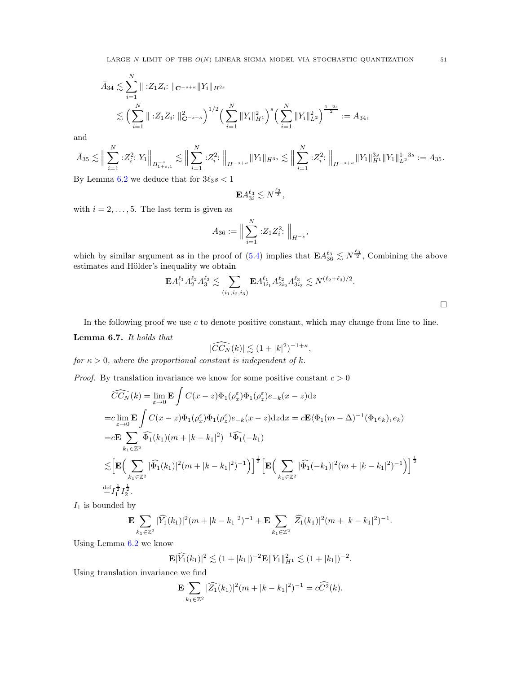$$
\bar{A}_{34} \lesssim \sum_{i=1}^{N} \| \, :Z_1 Z_i : \|_{\mathbf{C}^{-s+\kappa}} \| Y_i \|_{H^{2s}} \le \left( \sum_{i=1}^{N} \| \, :Z_1 Z_i : \|_{\mathbf{C}^{-s+\kappa}}^2 \right)^{1/2} \left( \sum_{i=1}^{N} \| Y_i \|_{H^1}^2 \right)^s \left( \sum_{i=1}^{N} \| Y_i \|_{L^2}^2 \right)^{\frac{1-2s}{2}} := A_{34},
$$

and

$$
\bar{A}_{35} \lesssim \Big\| \sum_{i=1}^N :Z_i^2 \cdot Y_1 \Big\|_{B_{1+s,1}^{-s}} \lesssim \Big\| \sum_{i=1}^N :Z_i^2 \cdot \Big\|_{H^{-s+\kappa}} \|Y_1\|_{H^{3s}} \lesssim \Big\| \sum_{i=1}^N :Z_i^2 \cdot \Big\|_{H^{-s+\kappa}} \|Y_1\|_{H^1}^{3s} \|Y_1\|_{L^2}^{1-3s}:=A_{35}.
$$
   
 By L among 6.2 we deduce that for  $3\ell_1$   $\varepsilon$   $\leq 1$ 

By Lemma [6.2](#page-38-8) we deduce that for  $3\ell_3 s < 1$ 

$$
\mathbf{E} A_{3i}^{\ell_3} \lesssim N^{\frac{\ell_3}{2}},
$$

with  $i = 2, \ldots, 5$ . The last term is given as

$$
A_{36} := \Big\| \sum_{i=1}^{N} :Z_1 Z_i^2 : \Big\|_{H^{-s}},
$$

which by similar argument as in the proof of  $(5.4)$  implies that  $\mathbf{E} A_{36}^{\ell_3} \lesssim N^{\frac{\ell_3}{2}}$ , Combining the above estimates and Hölder's inequality we obtain

$$
\mathbf{E} A_1^{\ell_1} A_2^{\ell_2} A_3^{\ell_3} \lesssim \sum_{(i_1, i_2, i_3)} \mathbf{E} A_{1i_1}^{\ell_1} A_{2i_2}^{\ell_2} A_{3i_3}^{\ell_3} \lesssim N^{(\ell_2 + \ell_3)/2}.
$$

,

In the following proof we use  $c$  to denote positive constant, which may change from line to line.

# <span id="page-50-0"></span>Lemma 6.7. It holds that

$$
|\widehat{CC}_N(k)| \lesssim (1+|k|^2)^{-1+\kappa}
$$

for  $\kappa > 0$ , where the proportional constant is independent of k.

*Proof.* By translation invariance we know for some positive constant  $c > 0$ 

$$
\widehat{CC}_N(k) = \lim_{\varepsilon \to 0} \mathbf{E} \int C(x - z) \Phi_1(\rho_x^{\varepsilon}) \Phi_1(\rho_z^{\varepsilon}) e_{-k}(x - z) dz
$$
  
\n
$$
= c \lim_{\varepsilon \to 0} \mathbf{E} \int C(x - z) \Phi_1(\rho_x^{\varepsilon}) \Phi_1(\rho_z^{\varepsilon}) e_{-k}(x - z) dz dx = c \mathbf{E} \langle \Phi_1(m - \Delta)^{-1} (\Phi_1 e_k), e_k \rangle
$$
  
\n
$$
= c \mathbf{E} \sum_{k_1 \in \mathbb{Z}^2} \widehat{\Phi}_1(k_1)(m + |k - k_1|^2)^{-1} \widehat{\Phi}_1(-k_1)
$$
  
\n
$$
\lesssim \left[ \mathbf{E} \Big( \sum_{k_1 \in \mathbb{Z}^2} |\widehat{\Phi}_1(k_1)|^2 (m + |k - k_1|^2)^{-1} \Big) \right]^{\frac{1}{2}} \left[ \mathbf{E} \Big( \sum_{k_1 \in \mathbb{Z}^2} |\widehat{\Phi}_1(-k_1)|^2 (m + |k - k_1|^2)^{-1} \Big) \right]^{\frac{1}{2}}
$$
  
\n
$$
\stackrel{\text{def}}{=} I_1^{\frac{1}{2}} I_2^{\frac{1}{2}}.
$$

 $I_1$  is bounded by

$$
\mathbf{E} \sum_{k_1 \in \mathbb{Z}^2} |\widehat{Y_1}(k_1)|^2 (m + |k - k_1|^2)^{-1} + \mathbf{E} \sum_{k_1 \in \mathbb{Z}^2} |\widehat{Z_1}(k_1)|^2 (m + |k - k_1|^2)^{-1}.
$$

Using Lemma [6.2](#page-38-8) we know

$$
\mathbf{E}|\widehat{Y_1}(k_1)|^2 \lesssim (1+|k_1|)^{-2} \mathbf{E} ||Y_1||_{H^1}^2 \lesssim (1+|k_1|)^{-2}.
$$

Using translation invariance we find

$$
\mathbf{E} \sum_{k_1 \in \mathbb{Z}^2} |\widehat{Z_1}(k_1)|^2 (m + |k - k_1|^2)^{-1} = c\widehat{C}^2(k).
$$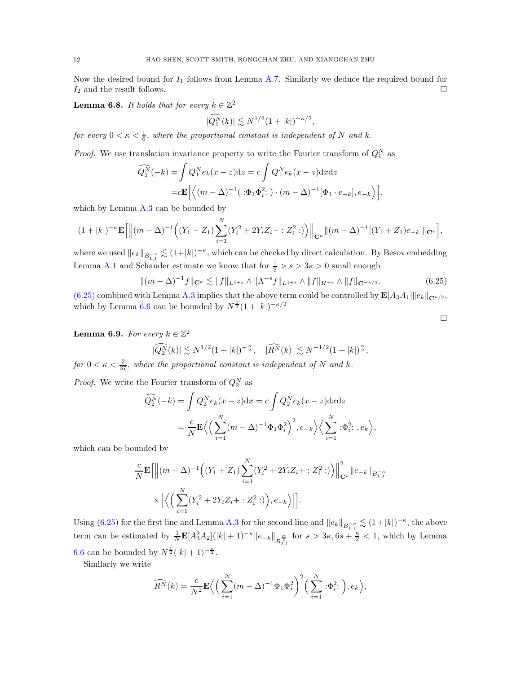Now the desired bound for  $I_1$  follows from Lemma [A.7.](#page-53-6) Similarly we deduce the required bound for  $I_2$  and the result follows.

<span id="page-51-0"></span>**Lemma 6.8.** It holds that for every  $k \in \mathbb{Z}^2$ 

$$
|\widehat{Q_1^N}(k)| \lesssim N^{1/2} (1+|k|)^{-\kappa/2},
$$

for every  $0 < \kappa < \frac{1}{6}$ , where the proportional constant is independent of N and k.

*Proof.* We use translation invariance property to write the Fourier transform of  $Q_1^N$  as

$$
\widehat{Q_1^N}(-k) = \int Q_1^N e_k(x-z)dz = c \int Q_1^N e_k(x-z)dxdz
$$
  
=  $c \mathbf{E} \left[ \left\langle (m-\Delta)^{-1} (\cdot \Phi_1 \Phi_i^2) \cdot (m-\Delta)^{-1} [\Phi_1 \cdot e_{-k}], e_{-k} \right\rangle \right],$ 

which by Lemma [A.3](#page-53-2) can be bounded by

$$
(1+|k|)^{-\kappa} \mathbf{E} \Big[ \Big\| (m-\Delta)^{-1} \Big( (Y_1+Z_1) \sum_{i=1}^N (Y_i^2 + 2Y_i Z_i + :Z_i^2 :) \Big) \Big\|_{\mathbf{C}^{\kappa}} \| (m-\Delta)^{-1} [(Y_1+Z_1)e_{-k}] \|_{\mathbf{C}^{\kappa}} \Big],
$$

where we used  $||e_k||_{B_{1,1}^{-\kappa}} \lesssim (1+|k|)^{-\kappa}$ , which can be checked by direct calculation. By Besov embedding Lemma [A.1](#page-52-3) and Schauder estimate we know that for  $\frac{1}{2} > s > 3\kappa > 0$  small enough

$$
\|(m - \Delta)^{-1}f\|_{\mathbf{C}^{\kappa}} \lesssim \|f\|_{L^{1+s}} \wedge \|\Lambda^{-s}f\|_{L^{1+s}} \wedge \|f\|_{H^{-s}} \wedge \|f\|_{\mathbf{C}^{-\kappa/3}}.\tag{6.25}
$$

<span id="page-51-2"></span> $\Box$ 

 $(6.25)$  combined with Lemma [A.3](#page-53-2) implies that the above term could be controlled by  $\mathbf{E}[A_3A_1]\|e_k\|_{\mathbf{C}^{\kappa/2}}$ , which by Lemma [6.6](#page-49-0) can be bounded by  $N^{\frac{1}{2}}(1+|k|)^{-\kappa/2}$ 

<span id="page-51-1"></span>**Lemma 6.9.** For every  $k \in \mathbb{Z}^2$ 

$$
|\widehat{Q_2^N}(k)| \lesssim N^{1/2} (1+|k|)^{-\frac{\kappa}{2}}, \quad |\widehat{R^N}(k)| \lesssim N^{-1/2} (1+|k|)^{\frac{\kappa}{2}},
$$

for  $0 < \kappa < \frac{2}{37}$ , where the proportional constant is independent of N and k.

*Proof.* We write the Fourier transform of  $Q_2^N$  as

$$
\widehat{Q_2^N}(-k) = \int Q_2^N e_k(x-z) dx = c \int Q_2^N e_k(x-z) dx dz
$$
  
=  $\frac{c}{N} \mathbf{E} \Big\langle \Big(\sum_{i=1}^N (m-\Delta)^{-1} \Phi_1 \Phi_i^2 \Big)^2, e_{-k} \Big\rangle \Big\langle \sum_{i=1}^N : \Phi_i^2; , e_k \Big\rangle,$ 

which can be bounded by

$$
\frac{c}{N} \mathbf{E} \left[ \left\| (m - \Delta)^{-1} \left( (Y_1 + Z_1) \sum_{i=1}^N (Y_i^2 + 2Y_i Z_i + : Z_i^2 :) \right) \right\|_{\mathbf{C}^{\kappa}}^2 \| e_{-k} \|_{B_{1,1}^{-\kappa}}
$$

$$
\times \left| \left\langle \left( \sum_{i=1}^N (Y_i^2 + 2Y_i Z_i + : Z_i^2 :) \right), e_{-k} \right\rangle \right| \right].
$$

Using [\(6.25\)](#page-51-2) for the first line and Lemma [A.3](#page-53-2) for the second line and  $||e_k||_{B_{1,1}^{-\kappa}} \lesssim (1+|k|)^{-\kappa}$ , the above term can be estimated by  $\frac{1}{N} \mathbf{E} [A_3^2 A_2] (|k| + 1)^{-\kappa} \|e_{-k}\|_{B_{2,1}^{\frac{\kappa}{2}}}$  for  $s > 3\kappa, 6s + \frac{\kappa}{2} < 1$ , which by Lemma [6.6](#page-49-0) can be bounded by  $N^{\frac{1}{2}}(|k|+1)^{-\frac{\kappa}{2}}$ .

Similarly we write

$$
\widehat{R^N}(k) = \frac{c}{N^2} \mathbf{E} \Big\langle \Big(\sum_{i=1}^N (m - \Delta)^{-1} \Phi_1 \Phi_i^2 \Big)^2 \Big(\sum_{i=1}^N \phi_i^2; \Big), e_k \Big\rangle,
$$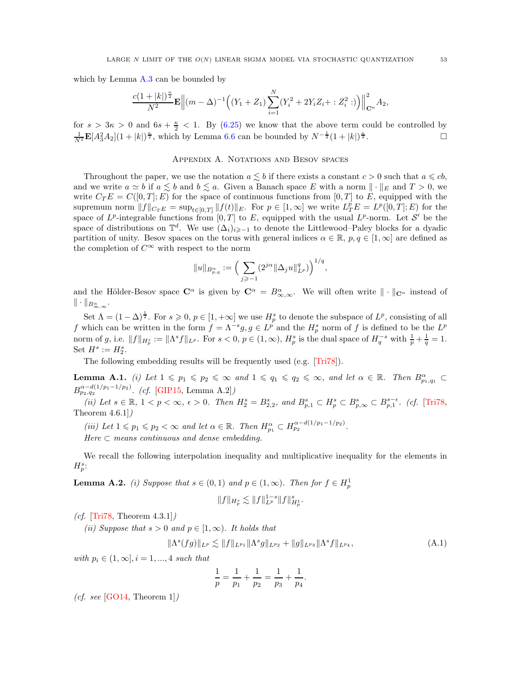which by Lemma [A.3](#page-53-2) can be bounded by

$$
\frac{c(1+|k|)^{\frac{\kappa}{2}}}{N^2}\mathbf{E}\left\|(m-\Delta)^{-1}\left((Y_1+Z_1)\sum_{i=1}^N(Y_i^2+2Y_iZ_i+:Z_i^2:\right)\right)\right\|_{\mathbf{C}^\kappa}^2A_2,
$$

<span id="page-52-0"></span>for  $s > 3\kappa > 0$  and  $6s + \frac{\kappa}{2} < 1$ . By [\(6.25\)](#page-51-2) we know that the above term could be controlled by  $\frac{1}{N^2} \mathbf{E}[A_3^2 A_2](1+|k|)^{\frac{\kappa}{2}}$ , which by Lemma [6.6](#page-49-0) can be bounded by  $N^{-\frac{1}{2}}(1+|k|)^{\frac{\kappa}{2}}$  $\frac{\kappa}{2}$ .

# Appendix A. Notations and Besov spaces

Throughout the paper, we use the notation  $a \lesssim b$  if there exists a constant  $c > 0$  such that  $a \leqslant cb$ , and we write  $a \simeq b$  if  $a \lesssim b$  and  $b \lesssim a$ . Given a Banach space E with a norm  $\|\cdot\|_E$  and  $T > 0$ , we write  $C_T E = C([0,T]; E)$  for the space of continuous functions from  $[0,T]$  to E, equipped with the supremum norm  $||f||_{C_{T}E} = \sup_{t \in [0,T]} ||f(t)||_{E}$ . For  $p \in [1,\infty]$  we write  $L^{p}_{T}E = L^{p}([0,T];E)$  for the space of  $L^p$ -integrable functions from  $[0, T]$  to E, equipped with the usual  $L^p$ -norm. Let  $\mathcal{S}'$  be the space of distributions on  $\mathbb{T}^d$ . We use  $(\Delta_i)_{i\geqslant -1}$  to denote the Littlewood–Paley blocks for a dyadic partition of unity. Besov spaces on the torus with general indices  $\alpha \in \mathbb{R}$ ,  $p, q \in [1, \infty]$  are defined as the completion of  $C^{\infty}$  with respect to the norm

$$
||u||_{B^{\alpha}_{p,q}} := \Big(\sum_{j\geqslant -1} (2^{j\alpha} ||\Delta_j u||_{L^p}^q)\Big)^{1/q},
$$

and the Hölder-Besov space  $\mathbf{C}^{\alpha}$  is given by  $\mathbf{C}^{\alpha} = B^{\alpha}_{\infty,\infty}$ . We will often write  $\|\cdot\|_{\mathbf{C}^{\alpha}}$  instead of  $\|\cdot\|_{B^\alpha_{\infty,\infty}}.$ 

Set  $\Lambda = (1 - \Delta)^{\frac{1}{2}}$ . For  $s \geqslant 0, p \in [1, +\infty]$  we use  $H_p^s$  to denote the subspace of  $L^p$ , consisting of all f which can be written in the form  $f = \Lambda^{-s}g, g \in L^p$  and the  $H_p^s$  norm of f is defined to be the  $L^p$ norm of g, i.e.  $||f||_{H_p^s} := ||\Lambda^s f||_{L^p}$ . For  $s < 0, p \in (1, \infty), H_p^s$  is the dual space of  $H_q^{-s}$  with  $\frac{1}{p} + \frac{1}{q} = 1$ . Set  $H^s := H_2^s$ .

The following embedding results will be frequently used (e.g. [\[Tri78\]](#page-59-17)).

<span id="page-52-3"></span>**Lemma A.1.** (i) Let  $1 \leq p_1 \leq p_2 \leq \infty$  and  $1 \leq q_1 \leq q_2 \leq \infty$ , and let  $\alpha \in \mathbb{R}$ . Then  $B_{p_1,q_1}^{\alpha} \subset$  $B^{\alpha-d(1/p_1-1/p_2)}_{p_2,q_2}$ . (cf. [\[GIP15,](#page-58-12) Lemma A.2])

(ii) Let  $s \in \mathbb{R}$ ,  $1 < p < \infty$ ,  $\epsilon > 0$ . Then  $H_2^s = B_{2,2}^s$ , and  $B_{p,1}^s \subset H_p^s \subset B_{p,\infty}^s \subset B_{p,1}^{s-\epsilon}$ . (cf. [\[Tri78,](#page-59-17) Theorem  $4.6.1$ ]

(iii) Let  $1 \leq p_1 \leq p_2 < \infty$  and let  $\alpha \in \mathbb{R}$ . Then  $H_{p_1}^{\alpha} \subset H_{p_2}^{\alpha-d(1/p_1-1/p_2)}$ .

Here  $\subset$  means continuous and dense embedding.

We recall the following interpolation inequality and multiplicative inequality for the elements in  $H_p^s$ :

<span id="page-52-1"></span>**Lemma A.2.** (i) Suppose that  $s \in (0,1)$  and  $p \in (1,\infty)$ . Then for  $f \in H_p^1$ 

$$
\|f\|_{H^s_p} \lesssim \|f\|_{L^p}^{1-s} \|f\|_{H^1_p}^s
$$

(*cf.* [\[Tri78,](#page-59-17) Theorem  $4.3.1$ ])

(ii) Suppose that  $s > 0$  and  $p \in [1, \infty)$ . It holds that

<span id="page-52-2"></span>
$$
\|\Lambda^s(fg)\|_{L^p} \lesssim \|f\|_{L^{p_1}} \|\Lambda^s g\|_{L^{p_2}} + \|g\|_{L^{p_3}} \|\Lambda^s f\|_{L^{p_4}},\tag{A.1}
$$

.

with  $p_i \in (1, \infty], i = 1, ..., 4$  such that

$$
\frac{1}{p} = \frac{1}{p_1} + \frac{1}{p_2} = \frac{1}{p_3} + \frac{1}{p_4}.
$$

(*cf. see* [\[GO14,](#page-58-32) Theorem 1])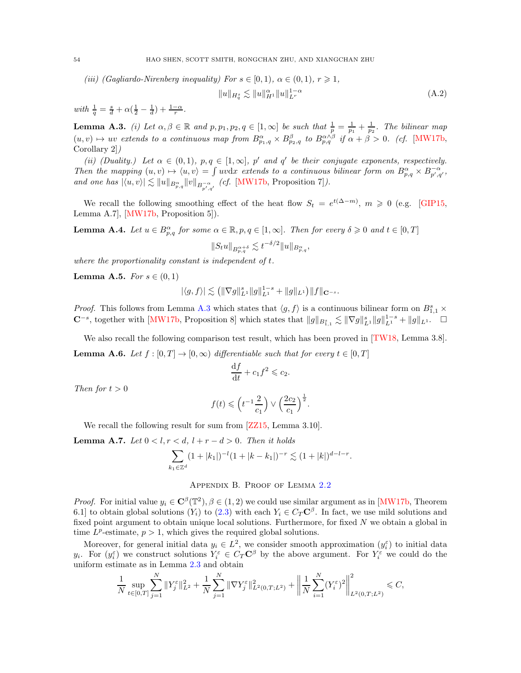(iii) (Gagliardo-Nirenberg inequality) For  $s \in [0,1)$ ,  $\alpha \in (0,1)$ ,  $r \geq 1$ ,

<span id="page-53-4"></span>
$$
||u||_{H_q^s} \lesssim ||u||_{H^1}^{\alpha} ||u||_{L^r}^{1-\alpha}
$$
\n(A.2)

with  $\frac{1}{q} = \frac{s}{d} + \alpha(\frac{1}{2} - \frac{1}{d}) + \frac{1-\alpha}{r}$ .

<span id="page-53-2"></span>**Lemma A.3.** (i) Let  $\alpha, \beta \in \mathbb{R}$  and  $p, p_1, p_2, q \in [1, \infty]$  be such that  $\frac{1}{p} = \frac{1}{p_1} + \frac{1}{p_2}$ . The bilinear map  $(u, v) \mapsto uv$  extends to a continuous map from  $B^{\alpha}_{p_1,q} \times B^{\beta}_{p_2,q}$  to  $B^{\alpha \wedge \beta}_{p,q}$  if  $\alpha + \beta > 0$ . (cf. [\[MW17b,](#page-58-1) Corollary 2])

(ii) (Duality.) Let  $\alpha \in (0,1)$ ,  $p, q \in [1,\infty]$ , p' and q' be their conjugate exponents, respectively. Then the mapping  $(u, v) \mapsto \langle u, v \rangle = \int uv dx$  extends to a continuous bilinear form on  $B_{p,q}^{\alpha} \times B_{p',q'}^{-\alpha}$ , and one has  $|\langle u, v \rangle| \lesssim ||u||_{B^{\alpha}_{p,q}} ||v||_{B^{-\alpha}_{p',q'}}$  (cf. [\[MW17b,](#page-58-1) Proposition 7]).

We recall the following smoothing effect of the heat flow  $S_t = e^{t(\Delta-m)}$ ,  $m \geq 0$  (e.g. [\[GIP15,](#page-58-12) Lemma A.7], [\[MW17b,](#page-58-1) Proposition 5]).

<span id="page-53-3"></span>**Lemma A.4.** Let  $u \in B^{\alpha}_{p,q}$  for some  $\alpha \in \mathbb{R}$ ,  $p, q \in [1, \infty]$ . Then for every  $\delta \geq 0$  and  $t \in [0, T]$ 

$$
||S_t u||_{B^{\alpha+\delta}_{p,q}} \lesssim t^{-\delta/2} ||u||_{B^{\alpha}_{p,q}},
$$

where the proportionality constant is independent of t.

<span id="page-53-1"></span>**Lemma A.5.** For  $s \in (0,1)$ 

$$
|\langle g, f \rangle| \lesssim \left( \|\nabla g\|_{L^1}^s \|g\|_{L^1}^{1-s} + \|g\|_{L^1} \right) \|f\|_{\mathbf{C}^{-s}}.
$$

*Proof.* This follows from Lemma [A.3](#page-53-2) which states that  $\langle g, f \rangle$  is a continuous bilinear form on  $B_{1,1}^s \times$  $\mathbb{C}^{-s}$ , together with [\[MW17b,](#page-58-1) Proposition 8] which states that  $||g||_{B_{1,1}^s} \lesssim ||\nabla g||_{L^1}^s ||g||_{L^1}^{1-s} + ||g||_{L^1}$ . □

<span id="page-53-5"></span>We also recall the following comparison test result, which has been proved in [\[TW18,](#page-59-1) Lemma 3.8]. **Lemma A.6.** Let  $f : [0, T] \to [0, \infty)$  differentiable such that for every  $t \in [0, T]$ 

$$
\frac{\mathrm{d}f}{\mathrm{d}t} + c_1 f^2 \leqslant c_2.
$$

Then for  $t > 0$ 

$$
f(t) \leqslant \left(t^{-1}\frac{2}{c_1}\right) \vee \left(\frac{2c_2}{c_1}\right)^{\frac{1}{2}}.
$$

We recall the following result for sum from  $\left[2Z15, \text{Lemma } 3.10\right]$ .

<span id="page-53-6"></span>**Lemma A.7.** Let  $0 < l, r < d, l + r - d > 0$ . Then it holds

$$
\sum_{k_1 \in \mathbb{Z}^d} (1+|k_1|)^{-l} (1+|k-k_1|)^{-r} \lesssim (1+|k|)^{d-l-r}.
$$

### Appendix B. Proof of Lemma [2.2](#page-9-0)

<span id="page-53-0"></span>*Proof.* For initial value  $y_i \in \mathbf{C}^{\beta}(\mathbb{T}^2), \beta \in (1, 2)$  we could use similar argument as in [\[MW17b,](#page-58-1) Theorem 6.1] to obtain global solutions  $(Y_i)$  to  $(2.3)$  with each  $Y_i \in C_T \mathbb{C}^\beta$ . In fact, we use mild solutions and fixed point argument to obtain unique local solutions. Furthermore, for fixed N we obtain a global in time  $L^p$ -estimate,  $p > 1$ , which gives the required global solutions.

Moreover, for general initial data  $y_i \in L^2$ , we consider smooth approximation  $(y_i^{\varepsilon})$  to initial data  $y_i$ . For  $(y_i^{\varepsilon})$  we construct solutions  $Y_i^{\varepsilon} \in C_T \mathbb{C}^{\beta}$  by the above argument. For  $Y_i^{\varepsilon}$  we could do the uniform estimate as in Lemma [2.3](#page-9-1) and obtain

$$
\frac{1}{N} \sup_{t \in [0,T]} \sum_{j=1}^N \|Y_j^{\varepsilon}\|_{L^2}^2 + \frac{1}{N} \sum_{j=1}^N \|\nabla Y_j^{\varepsilon}\|_{L^2(0,T;L^2)}^2 + \left\|\frac{1}{N} \sum_{i=1}^N (Y_i^{\varepsilon})^2\right\|_{L^2(0,T;L^2)}^2 \leq C,
$$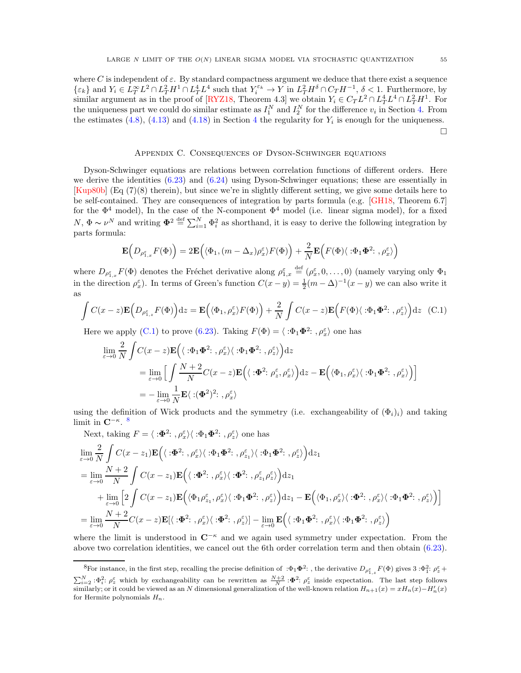where C is independent of  $\varepsilon$ . By standard compactness argument we deduce that there exist a sequence  $\{\varepsilon_k\}$  and  $Y_i \in L_T^{\infty} L^2 \cap L_T^2 H^1 \cap L_T^4 L^4$  such that  $Y_i^{\varepsilon_k} \to Y$  in  $L_T^2 H^{\delta} \cap C_T H^{-1}$ ,  $\delta < 1$ . Furthermore, by similar argument as in the proof of [\[RYZ18,](#page-59-19) Theorem 4.3] we obtain  $Y_i \in C_T L^2 \cap L_T^4 L^4 \cap L_T^2 H^1$ . For the uniqueness part we could do similar estimate as  $I_1^N$  and  $I_2^N$  for the difference  $v_i$  in Section [4.](#page-21-0) From the estimates  $(4.8)$  $(4.8)$  $(4.8)$ ,  $(4.13)$  and  $(4.18)$  in Section 4 the regularity for  $Y_i$  is enough for the uniqueness.

 $\Box$ 

## Appendix C. Consequences of Dyson-Schwinger equations

<span id="page-54-0"></span>Dyson-Schwinger equations are relations between correlation functions of different orders. Here we derive the identities  $(6.23)$  and  $(6.24)$  using Dyson-Schwinger equations; these are essentially in [\[Kup80b\]](#page-58-7) (Eq (7)(8) therein), but since we're in slightly different setting, we give some details here to be self-contained. They are consequences of integration by parts formula (e.g. [\[GH18,](#page-58-4) Theorem 6.7] for the  $\Phi^4$  model), In the case of the N-component  $\Phi^4$  model (i.e. linear sigma model), for a fixed  $N, \Phi \sim \nu^N$  and writing  $\Phi^2 \stackrel{\text{def}}{=} \sum_{i=1}^N \Phi_i^2$  as shorthand, it is easy to derive the following integration by parts formula:

$$
\mathbf{E}\Big(D_{\rho_{1,x}^{\varepsilon}}F(\Phi)\Big)=2\mathbf{E}\Big(\langle\Phi_1,(m-\Delta_x)\rho_x^{\varepsilon}\rangle F(\Phi)\Big)+\frac{2}{N}\mathbf{E}\Big(F(\Phi)\langle\ \colon\!\Phi_1\Phi^2;\ ,\rho_x^{\varepsilon}\rangle\Big)
$$

where  $D_{\rho_{1,x}^{\varepsilon}}F(\Phi)$  denotes the Fréchet derivative along  $\rho_{1,x}^{\varepsilon} \stackrel{\text{def}}{=} (\rho_x^{\varepsilon}, 0, \ldots, 0)$  (namely varying only  $\Phi_1$ in the direction  $\rho_x^{\varepsilon}$ ). In terms of Green's function  $C(x - y) = \frac{1}{2}(m - \Delta)^{-1}(x - y)$  we can also write it as

<span id="page-54-1"></span>
$$
\int C(x-z)\mathbf{E}\Big(D_{\rho_{1,z}^{\varepsilon}}F(\Phi)\Big)dz = \mathbf{E}\Big(\langle \Phi_1, \rho_x^{\varepsilon} \rangle F(\Phi)\Big) + \frac{2}{N}\int C(x-z)\mathbf{E}\Big(F(\Phi)\langle \varphi_1\Phi_2^2, \rho_z^{\varepsilon} \rangle\Big)dz
$$
 (C.1)

Here we apply [\(C.1\)](#page-54-1) to prove [\(6.23\)](#page-48-1). Taking  $F(\Phi) = \langle \, : \Phi_1 \Phi^2 : , \rho_x^{\varepsilon} \rangle$  one has

$$
\lim_{\varepsilon \to 0} \frac{2}{N} \int C(x - z) \mathbf{E} \Big( \langle \cdot \Phi_1 \Phi^2; \, , \rho_x^{\varepsilon} \rangle \langle \cdot \Phi_1 \Phi^2; \, , \rho_z^{\varepsilon} \rangle \Big) dz
$$
\n
$$
= \lim_{\varepsilon \to 0} \Big[ \int \frac{N + 2}{N} C(x - z) \mathbf{E} \Big( \langle \cdot \Phi^2; \, \rho_z^{\varepsilon}, \rho_x^{\varepsilon} \rangle \Big) dz - \mathbf{E} \Big( \langle \Phi_1, \rho_x^{\varepsilon} \rangle \langle \cdot \Phi_1 \Phi^2; \, , \rho_x^{\varepsilon} \rangle \Big) \Big]
$$
\n
$$
= - \lim_{\varepsilon \to 0} \frac{1}{N} \mathbf{E} \langle \cdot (\Phi^2)^2; \, , \rho_x^{\varepsilon} \rangle
$$

using the definition of Wick products and the symmetry (i.e. exchangeability of  $(\Phi_i)_i$ ) and taking limit in  $\mathbf{C}^{-\kappa}$ . <sup>[8](#page-54-2)</sup>

Next, taking  $F = \langle \cdot \mathbf{\Phi}^2 : , \rho_x^{\varepsilon} \rangle \langle \cdot \Phi_1 \mathbf{\Phi}^2 : , \rho_z^{\varepsilon} \rangle$  one has

$$
\lim_{\varepsilon \to 0} \frac{2}{N} \int C(x - z_1) \mathbf{E} \Big( \langle : \Phi^2 : \, , \rho_x^{\varepsilon} \rangle \langle : \Phi_1 \Phi^2 : \, , \rho_{z_1}^{\varepsilon} \rangle \langle : \Phi_1 \Phi^2 : \, , \rho_{z}^{\varepsilon} \rangle \Big) dz_1
$$
\n
$$
= \lim_{\varepsilon \to 0} \frac{N + 2}{N} \int C(x - z_1) \mathbf{E} \Big( \langle : \Phi^2 : \, , \rho_x^{\varepsilon} \rangle \langle : \Phi^2 : \, , \rho_{z_1}^{\varepsilon} \rho_z^{\varepsilon} \rangle \Big) dz_1
$$
\n
$$
+ \lim_{\varepsilon \to 0} \Big[ 2 \int C(x - z_1) \mathbf{E} \Big( \langle \Phi_1 \rho_{z_1}^{\varepsilon}, \rho_x^{\varepsilon} \rangle \langle : \Phi_1 \Phi^2 : \, , \rho_z^{\varepsilon} \rangle \Big) dz_1 - \mathbf{E} \Big( \langle \Phi_1, \rho_x^{\varepsilon} \rangle \langle : \Phi^2 : \, , \rho_x^{\varepsilon} \rangle \langle : \Phi_1 \Phi^2 : \, , \rho_z^{\varepsilon} \rangle \Big) \Big]
$$
\n
$$
= \lim_{\varepsilon \to 0} \frac{N + 2}{N} C(x - z) \mathbf{E} [\langle : \Phi^2 : \, , \rho_x^{\varepsilon} \rangle \langle : \Phi^2 : \, , \rho_z^{\varepsilon} \rangle] - \lim_{\varepsilon \to 0} \mathbf{E} \Big( \langle : \Phi_1 \Phi^2 : \, , \rho_x^{\varepsilon} \rangle \langle : \Phi_1 \Phi^2 : \, , \rho_z^{\varepsilon} \rangle \Big)
$$

where the limit is understood in  $\mathbb{C}^{-\kappa}$  and we again used symmetry under expectation. From the above two correlation identities, we cancel out the 6th order correlation term and then obtain [\(6.23\)](#page-48-1).

<span id="page-54-2"></span><sup>&</sup>lt;sup>8</sup>For instance, in the first step, recalling the precise definition of : $\Phi_1 \Phi^2$ :, the derivative  $D_{\rho_{1,z}^{\varepsilon}} F(\Phi)$  gives  $3:\Phi_1^2$ :  $\rho_z^{\varepsilon}$  +  $\sum_{i=2}^{N} \mathcal{F}_i^2$ :  $\varphi_z^{\varepsilon}$  which by exchangeability can be rewritten as  $\frac{N+2}{N}$ :  $\Phi^2$ :  $\varphi_z^{\varepsilon}$  inside expectation. The last step follows similarly; or it could be viewed as an N dimensional generalization of the well-known relation  $H_{n+1}(x) = xH_n(x) - H'_n(x)$ for Hermite polynomials  $H_n$ .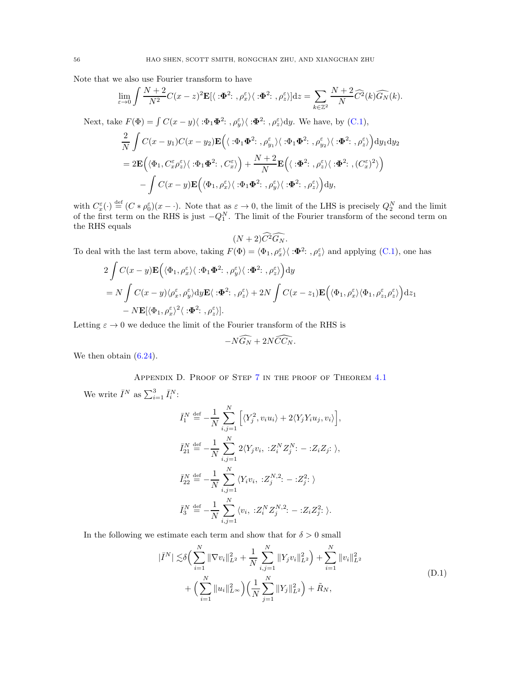Note that we also use Fourier transform to have

$$
\lim_{\varepsilon \to 0} \int \frac{N+2}{N^2} C(x-z)^2 \mathbf{E}[\langle \cdot \mathbf{\Phi}^2; \, , \rho_x^{\varepsilon} \rangle \langle \cdot \mathbf{\Phi}^2; \, , \rho_z^{\varepsilon} \rangle] dz = \sum_{k \in \mathbb{Z}^2} \frac{N+2}{N} \widehat{C}^2(k) \widehat{G}_N(k).
$$
  
\nNext, take  $F(\Phi) = \int C(x-y) \langle \cdot \Phi_1 \Phi^2; \, , \rho_y^{\varepsilon} \rangle \langle \cdot \Phi^2; \, , \rho_z^{\varepsilon} \rangle dy$ . We have, by (C.1),  
\n
$$
\frac{2}{N} \int C(x-y_1) C(x-y_2) \mathbf{E} \Big( \langle \cdot \Phi_1 \Phi^2; \, , \rho_{y_1}^{\varepsilon} \rangle \langle \cdot \Phi_1 \Phi^2; \, , \rho_{y_2}^{\varepsilon} \rangle \langle \cdot \Phi_1^2; \, , \rho_z^{\varepsilon} \rangle \Big) dy_1 dy_2
$$
\n
$$
= 2 \mathbf{E} \Big( \langle \Phi_1, C_x^{\varepsilon} \rho_z^{\varepsilon} \rangle \langle \cdot \Phi_1 \Phi^2; \, , C_x^{\varepsilon} \rangle \Big) + \frac{N+2}{N} \mathbf{E} \Big( \langle \cdot \Phi_1^2; \, , \rho_z^{\varepsilon} \rangle \langle \cdot \Phi_1^2; \, , (C_x^{\varepsilon})^2 \rangle \Big)
$$

$$
2\mathbf{E}\left(\langle \Phi_1, C_x^{\varepsilon} \rho_z^{\varepsilon} \rangle \langle : \Phi_1 \Phi^2 : , C_x^{\varepsilon} \rangle \right) + \frac{N+2}{N} \mathbf{E}\left(\langle : \Phi^2 : , \rho_z^{\varepsilon} \rangle \langle : \Phi^2 : , (\mathbf{C} \Phi_1, C_x^{\varepsilon}) \rangle \langle : \Phi_1 \Phi^2 : , \rho_y^{\varepsilon} \rangle \langle : \Phi_1 \Phi^2 : , \rho_z^{\varepsilon} \rangle \right) \mathrm{d}y,
$$

with  $C_x^{\varepsilon}(\cdot) \stackrel{\text{def}}{=} (C * \rho_0^{\varepsilon})(x - \cdot)$ . Note that as  $\varepsilon \to 0$ , the limit of the LHS is precisely  $Q_2^N$  and the limit of the first term on the RHS is just  $-Q_1^N$ . The limit of the Fourier transform of the second term on the RHS equals

$$
(N+2)\widehat{C}^2\widehat{G_N}.
$$

To deal with the last term above, taking  $F(\Phi) = \langle \Phi_1, \rho_x^{\varepsilon} \rangle \langle : \Phi^2 : , \rho_z^{\varepsilon} \rangle$  and applying [\(C.1\)](#page-54-1), one has

$$
2 \int C(x - y) \mathbf{E} \Big( \langle \Phi_1, \rho_x^{\varepsilon} \rangle \langle : \Phi_1 \Phi^2 : , \rho_y^{\varepsilon} \rangle \langle : \Phi^2 : , \rho_z^{\varepsilon} \rangle \Big) dy
$$
  
=  $N \int C(x - y) \langle \rho_x^{\varepsilon}, \rho_y^{\varepsilon} \rangle dy \mathbf{E} \langle : \Phi^2 : , \rho_z^{\varepsilon} \rangle + 2N \int C(x - z_1) \mathbf{E} \Big( \langle \Phi_1, \rho_x^{\varepsilon} \rangle \langle \Phi_1, \rho_{z_1}^{\varepsilon} \rho_z^{\varepsilon} \rangle \Big) dz_1$   
-  $N \mathbf{E} [\langle \Phi_1, \rho_x^{\varepsilon} \rangle^2 \langle : \Phi^2 : , \rho_z^{\varepsilon} \rangle].$ 

Letting  $\varepsilon \to 0$  we deduce the limit of the Fourier transform of the RHS is

$$
-N\widehat{G_N}+2N\widehat{CC_N}.
$$

<span id="page-55-0"></span>We then obtain  $(6.24)$ .

Appendix D. Proof of Step [7](#page-30-0) in the proof of Theorem [4.1](#page-22-0)

We write  $\bar{I}^N$  as  $\sum_{i=1}^3 \bar{I}_i^N$ :

$$
\bar{I}_{1}^{N} \stackrel{\text{def}}{=} -\frac{1}{N} \sum_{i,j=1}^{N} \left[ \langle Y_{j}^{2}, v_{i} u_{i} \rangle + 2 \langle Y_{j} Y_{i} u_{j}, v_{i} \rangle \right],
$$
\n
$$
\bar{I}_{21}^{N} \stackrel{\text{def}}{=} -\frac{1}{N} \sum_{i,j=1}^{N} 2 \langle Y_{j} v_{i}, \; :Z_{i}^{N} Z_{j}^{N} : - :Z_{i} Z_{j} : \rangle,
$$
\n
$$
\bar{I}_{22}^{N} \stackrel{\text{def}}{=} -\frac{1}{N} \sum_{i,j=1}^{N} \langle Y_{i} v_{i}, \; :Z_{j}^{N,2} : - :Z_{j}^{2} : \rangle
$$
\n
$$
\bar{I}_{3}^{N} \stackrel{\text{def}}{=} -\frac{1}{N} \sum_{i,j=1}^{N} \langle v_{i}, \; :Z_{i}^{N} Z_{j}^{N,2} : - :Z_{i} Z_{j}^{2} : \rangle.
$$

In the following we estimate each term and show that for  $\delta > 0$  small

<span id="page-55-1"></span>
$$
|\bar{I}^{N}| \lesssim \delta \Big( \sum_{i=1}^{N} \|\nabla v_{i}\|_{L^{2}}^{2} + \frac{1}{N} \sum_{i,j=1}^{N} \|Y_{j} v_{i}\|_{L^{2}}^{2} \Big) + \sum_{i=1}^{N} \|v_{i}\|_{L^{2}}^{2} + \Big( \sum_{i=1}^{N} \|u_{i}\|_{L^{\infty}}^{2} \Big) \Big( \frac{1}{N} \sum_{j=1}^{N} \|Y_{j}\|_{L^{2}}^{2} \Big) + \tilde{R}_{N}, \tag{D.1}
$$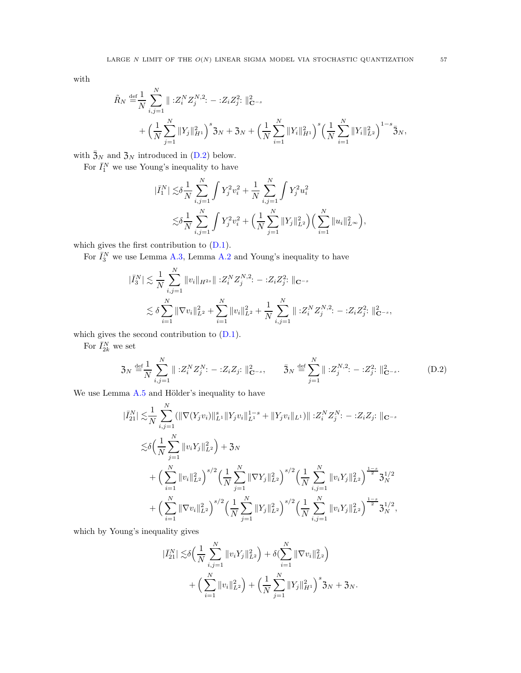with

$$
\tilde{R}_{N} \stackrel{\text{def}}{=} \frac{1}{N} \sum_{i,j=1}^{N} \| \, :Z_{i}^{N} Z_{j}^{N,2} : - :Z_{i} Z_{j}^{2} : \|_{\mathbf{C}^{-s}}^{2} \n+ \left( \frac{1}{N} \sum_{j=1}^{N} \| Y_{j} \|_{H^{1}}^{2} \right)^{s} 3N + 3N + \left( \frac{1}{N} \sum_{i=1}^{N} \| Y_{i} \|_{H^{1}}^{2} \right)^{s} \left( \frac{1}{N} \sum_{i=1}^{N} \| Y_{i} \|_{L^{2}}^{2} \right)^{1-s} 3N,
$$

with  $\bar{3}_N$  and  $\bar{3}_N$  introduced in [\(D.2\)](#page-56-0) below.

For  $\bar{I}_1^N$  we use Young's inequality to have

$$
\begin{split} |\bar{I}_1^N| \lesssim & \delta \frac{1}{N} \sum_{i,j=1}^N \int Y_j^2 v_i^2 + \frac{1}{N} \sum_{i,j=1}^N \int Y_j^2 u_i^2 \\ \lesssim & \delta \frac{1}{N} \sum_{i,j=1}^N \int Y_j^2 v_i^2 + \Big( \frac{1}{N} \sum_{j=1}^N \|Y_j\|_{L^2}^2 \Big) \Big( \sum_{i=1}^N \|u_i\|_{L^\infty}^2 \Big), \end{split}
$$

which gives the first contribution to [\(D.1\)](#page-55-1).

For  $\bar{I}_3^N$  we use Lemma [A.3,](#page-53-2) Lemma [A.2](#page-52-1) and Young's inequality to have

$$
\begin{split} |\bar{I}_{3}^{N}| \lesssim & \frac{1}{N} \sum_{i,j=1}^{N} \|v_{i}\|_{H^{2s}} \|\! : \! Z_{i}^{N} Z_{j}^{N,2} \! : - : \! Z_{i} Z_{j}^{2} \! : \|\mathbf{C}^{-s} \\ \lesssim & \delta \sum_{i=1}^{N} \|\nabla v_{i}\|_{L^{2}}^{2} + \sum_{i=1}^{N} \|v_{i}\|_{L^{2}}^{2} + \frac{1}{N} \sum_{i,j=1}^{N} \|\! : \! Z_{i}^{N} Z_{j}^{N,2} \! : - : \! Z_{i} Z_{j}^{2} \! : \|\! \hat{\mathbf{C}}^{-s}, \end{split}
$$

which gives the second contribution to [\(D.1\)](#page-55-1).

For  $\bar{I}_{2k}^N$  we set

|

$$
\mathfrak{Z}_N \stackrel{\text{def}}{=} \frac{1}{N} \sum_{i,j=1}^N \| :Z_i^N Z_j^N : - :Z_i Z_j : \|_{\mathbf{C}^{-s}}^2, \qquad \bar{\mathfrak{Z}}_N \stackrel{\text{def}}{=} \sum_{j=1}^N \| :Z_j^{N,2} : - :Z_j^2 : \|_{\mathbf{C}^{-s}}^2. \tag{D.2}
$$

We use Lemma  $A.5$  and Hölder's inequality to have

<span id="page-56-0"></span>
$$
\bar{I}_{21}^{N} \leq \frac{1}{N} \sum_{i,j=1}^{N} (\|\nabla (Y_{j}v_{i})\|_{L^{1}}^{s} \|Y_{j}v_{i}\|_{L^{1}}^{1-s} + \|Y_{j}v_{i}\|_{L^{1}}) \| :Z_{i}^{N}Z_{j}^{N} : - :Z_{i}Z_{j}: \|_{\mathbf{C}^{-s}} \n\leq \delta \Big(\frac{1}{N} \sum_{j=1}^{N} \|v_{i}Y_{j}\|_{L^{2}}^{2}\Big) + 3N \n+ \Big(\sum_{i=1}^{N} \|v_{i}\|_{L^{2}}^{2}\Big)^{s/2} \Big(\frac{1}{N} \sum_{j=1}^{N} \|\nabla Y_{j}\|_{L^{2}}^{2}\Big)^{s/2} \Big(\frac{1}{N} \sum_{i,j=1}^{N} \|v_{i}Y_{j}\|_{L^{2}}^{2}\Big)^{\frac{1-s}{2}} 3_{N}^{1/2} \n+ \Big(\sum_{i=1}^{N} \|\nabla v_{i}\|_{L^{2}}^{2}\Big)^{s/2} \Big(\frac{1}{N} \sum_{j=1}^{N} \|Y_{j}\|_{L^{2}}^{2}\Big)^{s/2} \Big(\frac{1}{N} \sum_{i,j=1}^{N} \|v_{i}Y_{j}\|_{L^{2}}^{2}\Big)^{\frac{1-s}{2}} 3_{N}^{1/2},
$$

which by Young's inequality gives

$$
\begin{split} |\bar{I}_{21}^{N}| \lesssim & \delta \Big( \frac{1}{N} \sum_{i,j=1}^{N} \|v_{i} Y_{j}\|_{L^{2}}^{2} \Big) + \delta \big( \sum_{i=1}^{N} \|\nabla v_{i}\|_{L^{2}}^{2} \Big) \\ & + \Big( \sum_{i=1}^{N} \|v_{i}\|_{L^{2}}^{2} \Big) + \Big( \frac{1}{N} \sum_{j=1}^{N} \|Y_{j}\|_{H^{1}}^{2} \Big)^{s} 3_{N} + 3_{N}. \end{split}
$$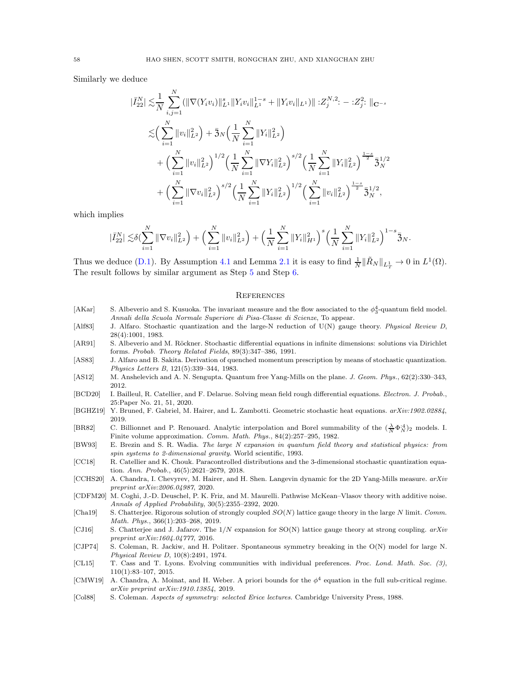Similarly we deduce

$$
\begin{split}\n|\bar{I}_{22}^{N}| \lesssim & \frac{1}{N} \sum_{i,j=1}^{N} (\|\nabla(Y_{i}v_{i})\|_{L^{1}}^{s} \|Y_{i}v_{i}\|_{L^{1}}^{1-s} + \|Y_{i}v_{i}\|_{L^{1}}) \| :Z_{j}^{N,2} : - :Z_{j}^{2} : \|_{\mathbf{C}^{-s}} \\
&\lesssim & \left(\sum_{i=1}^{N} \|v_{i}\|_{L^{2}}^{2}\right) + \bar{3}_{N} \left(\frac{1}{N} \sum_{i=1}^{N} \|Y_{i}\|_{L^{2}}^{2}\right) \\
& + \left(\sum_{i=1}^{N} \|v_{i}\|_{L^{2}}^{2}\right)^{1/2} \left(\frac{1}{N} \sum_{i=1}^{N} \|\nabla Y_{i}\|_{L^{2}}^{2}\right)^{s/2} \left(\frac{1}{N} \sum_{i=1}^{N} \|Y_{i}\|_{L^{2}}^{2}\right)^{\frac{1-s}{2}} \bar{3}_{N}^{1/2} \\
& + \left(\sum_{i=1}^{N} \|\nabla v_{i}\|_{L^{2}}^{2}\right)^{s/2} \left(\frac{1}{N} \sum_{i=1}^{N} \|Y_{i}\|_{L^{2}}^{2}\right)^{1/2} \left(\sum_{i=1}^{N} \|v_{i}\|_{L^{2}}^{2}\right)^{\frac{1-s}{2}} \bar{3}_{N}^{1/2},\n\end{split}
$$

which implies

$$
|\bar{I}_{22}^N| \lesssim \delta \left( \sum_{i=1}^N \| \nabla v_i \|_{L^2}^2 \right) + \left( \sum_{i=1}^N \| v_i \|_{L^2}^2 \right) + \left( \frac{1}{N} \sum_{i=1}^N \| Y_i \|_{H^1}^2 \right)^s \left( \frac{1}{N} \sum_{i=1}^N \| Y_i \|_{L^2}^2 \right)^{1-s} \overline{\mathfrak{Z}}_N.
$$

Thus we deduce [\(D.1\)](#page-55-1). By Assumption [4.1](#page-21-1) and Lemma [2.1](#page-8-2) it is easy to find  $\frac{1}{N} \|\tilde{R}_N\|_{L^1_T} \to 0$  in  $L^1(\Omega)$ . The result follows by similar argument as Step [5](#page-28-0) and Step [6.](#page-29-0)

### <span id="page-57-0"></span>**REFERENCES**

- <span id="page-57-3"></span>[AKar] S. Albeverio and S. Kusuoka. The invariant measure and the flow associated to the  $\phi_3^4$ -quantum field model. Annali della Scuola Normale Superiore di Pisa-Classe di Scienze, To appear.
- <span id="page-57-14"></span>[Alf83] J. Alfaro. Stochastic quantization and the large-N reduction of U(N) gauge theory. Physical Review D, 28(4):1001, 1983.
- <span id="page-57-1"></span>[AR91] S. Albeverio and M. Röckner. Stochastic differential equations in infinite dimensions: solutions via Dirichlet forms. Probab. Theory Related Fields, 89(3):347–386, 1991.
- <span id="page-57-15"></span>[AS83] J. Alfaro and B. Sakita. Derivation of quenched momentum prescription by means of stochastic quantization. Physics Letters B, 121(5):339–344, 1983.
- <span id="page-57-11"></span>[AS12] M. Anshelevich and A. N. Sengupta. Quantum free Yang-Mills on the plane. J. Geom. Phys., 62(2):330–343, 2012.
- <span id="page-57-17"></span>[BCD20] I. Bailleul, R. Catellier, and F. Delarue. Solving mean field rough differential equations. Electron. J. Probab., 25:Paper No. 21, 51, 2020.
- <span id="page-57-5"></span>[BGHZ19] Y. Bruned, F. Gabriel, M. Hairer, and L. Zambotti. Geometric stochastic heat equations. arXiv:1902.02884, 2019.
- <span id="page-57-10"></span>[BR82] C. Billionnet and P. Renouard. Analytic interpolation and Borel summability of the  $(\frac{\lambda}{N} \Phi_N^{A})_2$  models. I. Finite volume approximation. Comm. Math. Phys., 84(2):257–295, 1982.
- <span id="page-57-7"></span>[BW93] E. Brezin and S. R. Wadia. The large N expansion in quantum field theory and statistical physics: from spin systems to 2-dimensional gravity. World scientific, 1993.
- <span id="page-57-2"></span>[CC18] R. Catellier and K. Chouk. Paracontrolled distributions and the 3-dimensional stochastic quantization equation. Ann. Probab., 46(5):2621–2679, 2018.
- <span id="page-57-6"></span>[CCHS20] A. Chandra, I. Chevyrev, M. Hairer, and H. Shen. Langevin dynamic for the 2D Yang-Mills measure. arXiv preprint arXiv:2006.04987, 2020.
- <span id="page-57-18"></span>[CDFM20] M. Coghi, J.-D. Deuschel, P. K. Friz, and M. Maurelli. Pathwise McKean–Vlasov theory with additive noise. Annals of Applied Probability, 30(5):2355–2392, 2020.
- <span id="page-57-12"></span>[Cha19] S. Chatterjee. Rigorous solution of strongly coupled  $SO(N)$  lattice gauge theory in the large N limit. Comm. Math. Phys., 366(1):203–268, 2019.
- <span id="page-57-13"></span>[CJ16] S. Chatterjee and J. Jafarov. The  $1/N$  expansion for SO(N) lattice gauge theory at strong coupling. arXiv preprint arXiv:1604.04777, 2016.
- <span id="page-57-9"></span>[CJP74] S. Coleman, R. Jackiw, and H. Politzer. Spontaneous symmetry breaking in the O(N) model for large N. Physical Review D, 10(8):2491, 1974.
- <span id="page-57-16"></span>[CL15] T. Cass and T. Lyons. Evolving communities with individual preferences. Proc. Lond. Math. Soc. (3), 110(1):83–107, 2015.
- <span id="page-57-4"></span>[CMW19] A. Chandra, A. Moinat, and H. Weber. A priori bounds for the  $\phi^4$  equation in the full sub-critical regime. arXiv preprint arXiv:1910.13854, 2019.
- <span id="page-57-8"></span>[Col88] S. Coleman. Aspects of symmetry: selected Erice lectures. Cambridge University Press, 1988.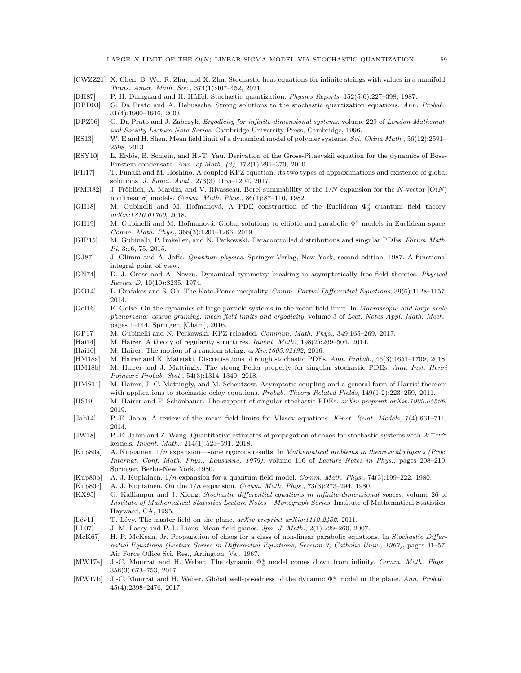- <span id="page-58-17"></span>[CWZZ21] X. Chen, B. Wu, R. Zhu, and X. Zhu. Stochastic heat equations for infinite strings with values in a manifold. Trans. Amer. Math. Soc., 374(1):407–452, 2021.
- <span id="page-58-23"></span>[DH87] P. H. Damgaard and H. Hüffel. Stochastic quantization. *Physics Reports*, 152(5-6):227–398, 1987.
- <span id="page-58-0"></span>[DPD03] G. Da Prato and A. Debussche. Strong solutions to the stochastic quantization equations. Ann. Probab., 31(4):1900–1916, 2003.
- <span id="page-58-9"></span>[DPZ96] G. Da Prato and J. Zabczyk. Ergodicity for infinite-dimensional systems, volume 229 of London Mathematical Society Lecture Note Series. Cambridge University Press, Cambridge, 1996.
- <span id="page-58-29"></span>[ES13] W. E and H. Shen. Mean field limit of a dynamical model of polymer systems. Sci. China Math., 56(12):2591– 2598, 2013.
- <span id="page-58-26"></span>[ESY10] L. Erd˝os, B. Schlein, and H.-T. Yau. Derivation of the Gross-Pitaevskii equation for the dynamics of Bose-Einstein condensate. Ann. of Math. (2), 172(1):291–370, 2010.
- <span id="page-58-15"></span>[FH17] T. Funaki and M. Hoshino. A coupled KPZ equation, its two types of approximations and existence of global solutions. J. Funct. Anal., 273(3):1165–1204, 2017.
- <span id="page-58-21"></span>[FMR82] J. Fröhlich, A. Mardin, and V. Rivasseau. Borel summability of the  $1/N$  expansion for the N-vector  $[O(N)]$ nonlinear σ] models. Comm. Math. Phys.,  $86(1):87-110$ , 1982.
- <span id="page-58-4"></span>[GH18] M. Gubinelli and M. Hofmanová. A PDE construction of the Euclidean  $\Phi_3^4$  quantum field theory. arXiv:1810.01700, 2018.
- <span id="page-58-14"></span>[GH19] M. Gubinelli and M. Hofmanová. Global solutions to elliptic and parabolic  $\Phi^4$  models in Euclidean space. Comm. Math. Phys., 368(3):1201–1266, 2019.
- <span id="page-58-12"></span>[GIP15] M. Gubinelli, P. Imkeller, and N. Perkowski. Paracontrolled distributions and singular PDEs. Forum Math. Pi, 3:e6, 75, 2015.
- <span id="page-58-31"></span>[GJ87] J. Glimm and A. Jaffe. Quantum physics. Springer-Verlag, New York, second edition, 1987. A functional integral point of view.
- <span id="page-58-18"></span>[GN74] D. J. Gross and A. Neveu. Dynamical symmetry breaking in asymptotically free field theories. Physical Review D, 10(10):3235, 1974.
- <span id="page-58-32"></span>[GO14] L. Grafakos and S. Oh. The Kato-Ponce inequality. Comm. Partial Differential Equations, 39(6):1128–1157, 2014.
- <span id="page-58-27"></span>[Gol16] F. Golse. On the dynamics of large particle systems in the mean field limit. In Macroscopic and large scale phenomena: coarse graining, mean field limits and ergodicity, volume 3 of Lect. Notes Appl. Math. Mech., pages 1–144. Springer, [Cham], 2016.
- <span id="page-58-30"></span>[GP17] M. Gubinelli and N. Perkowski. KPZ reloaded. Commun. Math. Phys., 349:165–269, 2017.
- <span id="page-58-11"></span>[Hai14] M. Hairer. A theory of regularity structures. Invent. Math., 198(2):269-504, 2014.
- <span id="page-58-16"></span>[Hai16] M. Hairer. The motion of a random string.  $arXiv:1605.02192$ , 2016.
- <span id="page-58-3"></span>[HM18a] M. Hairer and K. Matetski. Discretisations of rough stochastic PDEs. Ann. Probab., 46(3):1651–1709, 2018.
- <span id="page-58-5"></span>[HM18b] M. Hairer and J. Mattingly. The strong Feller property for singular stochastic PDEs. Ann. Inst. Henri Poincaré Probab. Stat., 54(3):1314–1340, 2018.
- <span id="page-58-10"></span>[HMS11] M. Hairer, J. C. Mattingly, and M. Scheutzow. Asymptotic coupling and a general form of Harris' theorem with applications to stochastic delay equations. Probab. Theory Related Fields, 149(1-2):223–259, 2011.
- <span id="page-58-6"></span>[HS19] M. Hairer and P. Schönbauer. The support of singular stochastic PDEs. arXiv preprint arXiv:1909.05526, 2019.
- <span id="page-58-2"></span>[Jab14] P.-E. Jabin. A review of the mean field limits for Vlasov equations. Kinet. Relat. Models, 7(4):661–711, 2014.
- <span id="page-58-8"></span>[JW18] P.-E. Jabin and Z. Wang. Quantitative estimates of propagation of chaos for stochastic systems with  $W^{-1,\infty}$ kernels. Invent. Math., 214(1):523–591, 2018.
- <span id="page-58-20"></span>[Kup80a] A. Kupiainen. 1/n expansion—some rigorous results. In Mathematical problems in theoretical physics (Proc. Internat. Conf. Math. Phys., Lausanne, 1979), volume 116 of Lecture Notes in Phys., pages 208–210. Springer, Berlin-New York, 1980.
- <span id="page-58-7"></span>[Kup80b] A. J. Kupiainen. 1/n expansion for a quantum field model. Comm. Math. Phys., 74(3):199–222, 1980.
- <span id="page-58-19"></span>[Kup80c] A. J. Kupiainen. On the 1/n expansion. Comm. Math. Phys., 73(3):273–294, 1980.
- <span id="page-58-28"></span>[KX95] G. Kallianpur and J. Xiong. Stochastic differential equations in infinite-dimensional spaces, volume 26 of Institute of Mathematical Statistics Lecture Notes—Monograph Series. Institute of Mathematical Statistics, Hayward, CA, 1995.
- <span id="page-58-22"></span>[Lév11] T. Lévy. The master field on the plane.  $arXiv$  preprint  $arXiv:1112.2452$ , 2011.
- <span id="page-58-25"></span>[LL07] J.-M. Lasry and P.-L. Lions. Mean field games. Jpn. J. Math., 2(1):229–260, 2007.
- <span id="page-58-24"></span>[McK67] H. P. McKean, Jr. Propagation of chaos for a class of non-linear parabolic equations. In Stochastic Differential Equations (Lecture Series in Differential Equations, Session 7, Catholic Univ., 1967), pages 41–57. Air Force Office Sci. Res., Arlington, Va., 1967.
- <span id="page-58-13"></span>[MW17a] J.-C. Mourrat and H. Weber. The dynamic  $\Phi_3^4$  model comes down from infinity. Comm. Math. Phys., 356(3):673–753, 2017.
- <span id="page-58-1"></span>[MW17b] J.-C. Mourrat and H. Weber. Global well-posedness of the dynamic  $\Phi^4$  model in the plane. Ann. Probab., 45(4):2398–2476, 2017.